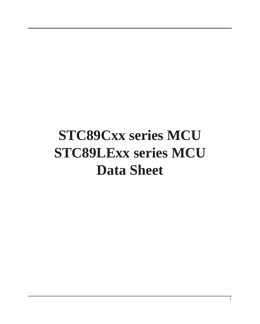# **STC89Cxx series MCU STC89LExx series MCU Data Sheet**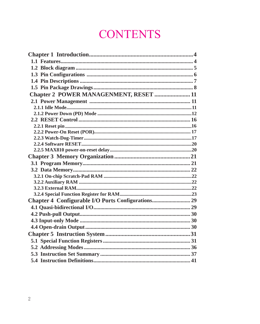# **CONTENTS**

| Chapter 2 POWER MANAGENMENT, RESET  11 |
|----------------------------------------|
|                                        |
|                                        |
|                                        |
|                                        |
|                                        |
|                                        |
|                                        |
|                                        |
|                                        |
|                                        |
|                                        |
|                                        |
|                                        |
|                                        |
|                                        |
|                                        |
|                                        |
|                                        |
|                                        |
|                                        |
|                                        |
|                                        |
|                                        |
|                                        |
|                                        |
|                                        |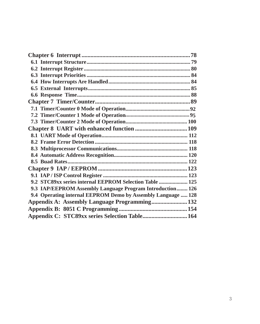| 9.2 STC89xx series internal EEPROM Selection Table  125      |  |
|--------------------------------------------------------------|--|
| 9.3 IAP/EEPROM Assembly Language Program Introduction 126    |  |
| 9.4 Operating internal EEPROM Demo by Assembly Language  128 |  |
|                                                              |  |
|                                                              |  |
| Appendix C: STC89xx series Selection Table 164               |  |
|                                                              |  |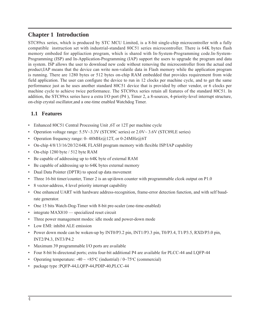# **Chapter 1 Introduction**

STC89xx series, which is produced by STC MCU Limited, is a 8-bit single-chip microcontroller with a fully compatible instruction set with industrial-standard 80C51 series microcontroller. There is 64K bytes flash memory embeded for appliaction program, which is shared with In-System-Programming code.In-System-Programming (ISP) and In-Application-Programming (IAP) support the users to upgrade the program and data in system. ISP allows the user to download new code without removing the microcontroller from the actual end product;IAP means that the device can write non-valatile data in Flash memory while the application program is running. There are 1280 bytes or 512 bytes on-chip RAM embedded that provides requirement from wide field application. The user can configure the device to run in 12 clocks per machine cycle, and to get the same performance just as he uses another standard 80C51 device that is provided by other vendor, or 6 clocks per machine cycle to achieve twice performance. The STC89xx series retain all features of the standard 80C51. In addition, the STC89xx series have a extra I/O port (P4 ), Timer 2, a 8-sources, 4-priority-level interrupt structure, on-chip crystal oscillator,and a one-time enabled Watchdog Timer.

# **1.1 Features**

- Enhanced 80C51 Central Processing Unit ,6T or 12T per machine cycle
- Operation voltage range: 5.5V~3.3V (STC89C series) or 2.0V~3.6V (STC89LE series)
- Operation frequency range: 0-48MHz@12T, or 0-24MHz@6T
- On-chip 4/8/13/16/20/32/64K FLASH program memory with flexible ISP/IAP capability
- On-chip 1280 byte / 512 byte RAM
- Be capable of addressing up to 64K byte of external RAM
- Be capable of addressing up to 64K bytes external memory
- Dual Data Pointer (DPTR) to speed up data movement
- Three 16-bit timer/counter, Timer 2 is an up/down counter with programmable clcok output on P1.0
- 8 vector-address, 4 level priority interrupt capability
- One enhanced UART with hardware address-recognition, frame-error detection function, and with self baudrate generator.
- One 15 bits Watch-Dog-Timer with 8-bit pre-scaler (one-time-enabled)
- integrate MAX810 specialized reset circuit
- Three power management modes: idle mode and power-down mode
- Low EMI: inhibit ALE emission
- Power down mode can be woken-up by INT0/P3.2 pin, INT1/P3.3 pin, T0/P3.4, T1/P3.5, RXD/P3.0 pin, INT2/P4.3, INT3/P4.2
- Maximum 39 programmable I/O ports are available
- Four 8-bit bi-directonal ports; extra four-bit additional P4 are available for PLCC-44 and LQFP-44
- Operating temperature:  $-40 \sim +85$ °C (industrial) / 0~75°C (commercial)
- package type :PQFP-44,LQFP-44,PDIP-40,PLCC-44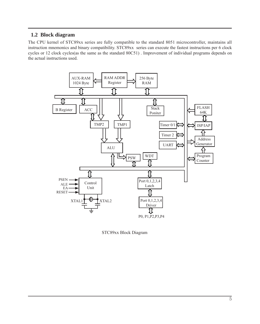## **1.2 Block diagram**

The CPU kernel of STC89xx series are fully compatible to the standard 8051 microcontroller, maintains all instruction mnemonics and binary compatibility. STC89xx series can execute the fastest instructions per 6 clock cycles or 12 clock cycles(as the same as the standard 80C51) . Improvement of individual programs depends on the actual instructions used.



STC89xx Block Diagram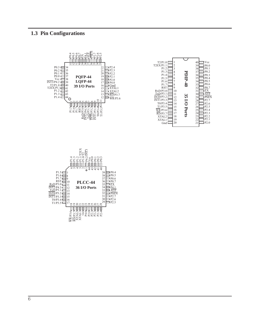# **1.3 Pin Configurations**





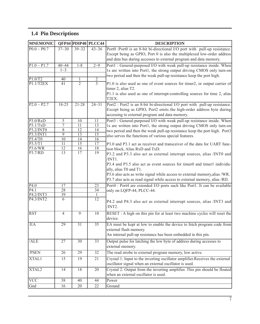# **1.4 Pin Descriptions**

| <b>MNEMONIC</b>    |                 |                     | QFP44 PDIP40 PLCC44 | <b>DESCRIPTION</b>                                                                                                                      |
|--------------------|-----------------|---------------------|---------------------|-----------------------------------------------------------------------------------------------------------------------------------------|
| $P_0.0 \sim P_0.7$ | $37 - 30$       | $39 - 32$           | $43 - 36$           | Port0 :Port0 is an 8-bit bi-directional I/O port with pull-up resistance.                                                               |
|                    |                 |                     |                     | Except being as GPIO, Port 0 is also the multiplexed low-order address                                                                  |
|                    |                 |                     |                     | and data bus during accesses to external program and data memory.                                                                       |
| $P1.0 \sim P1.7$   | $40 - 44$       | $1 - 8$             | $2 - 9$             | Port1: General-purposed I/O with weak pull-up resistance inside. When                                                                   |
|                    | $1\sim3$        |                     |                     | 1s are written into Port1, the strong output driving CMOS only turn-on                                                                  |
|                    |                 |                     |                     | two period and then the weak pull-up resistance keep the port high.                                                                     |
| P1.0/T2            | 40<br>41        | 1<br>$\mathfrak{D}$ | $\overline{2}$<br>3 | P1.0 is also used as one of event sources for timer2, or output carrier of                                                              |
| P1.1/T2EX          |                 |                     |                     | timer 2, alias T2.                                                                                                                      |
|                    |                 |                     |                     | P1.1 is also used as one of interrupt-controlling sources for time 2, alias<br>T2EX.                                                    |
| $P2.0 \sim P2.7$   | $18 - 25$       | $21 - 28$           | $\frac{24-31}{ }$   | Port2 : Port2 is an 8-bit bi-directional I/O port with pull-up resistance.                                                              |
|                    |                 |                     |                     | Except being as GPIO, Port2 emits the high-order address byte during<br>accessing to external program and data memory.                  |
| P3.0/RxD           | 5               | 10                  | 11                  | Port3 : General-purposed I/O with weak pull-up resistance inside. When                                                                  |
| P3.1/TxD           | 7               | 11                  | 13                  | 1s are written into Port1, the strong output driving CMOS only turn-on                                                                  |
| P3.2/INT0          | 8               | 12                  | 14                  | two period and then the weak pull-up resistance keep the port high. Port3                                                               |
| P3.3/INT1          | 9               | 13                  | 15                  | also serves the functions of various special features.                                                                                  |
| P3.4/T0            | 10              | 14                  | 16                  |                                                                                                                                         |
| P3.5/T1            | 11              | 15                  | 17                  | P3.0 and P3.1 act as receiver and transceiver of the data for UART func-                                                                |
| P3.6/WR            | $\overline{12}$ | $\overline{16}$     | 18                  | tion block, Alias RxD and TxD.                                                                                                          |
| P3.7/RD            | 13              | 17                  | 19                  | P3.2 and P3.3 also act as external interrupt sources, alias /INT0 and                                                                   |
|                    |                 |                     |                     | /INT1.                                                                                                                                  |
|                    |                 |                     |                     | P3.4 and P3.5 also act as event sources for timer0 and timer1 individu-                                                                 |
|                    |                 |                     |                     | ally, alias T0 and T1.                                                                                                                  |
|                    |                 |                     |                     | P3.6 also acts as write signal while access to external memory, alias /WR.                                                              |
|                    |                 |                     |                     | P3.7 also acts as read signal while access to external memory, alias /RD.                                                               |
| P4.0               | 17              |                     | $\overline{23}$     | Port4 : Port4 are extended I/O ports such like Port1. It can be available                                                               |
| P <sub>4.1</sub>   | 28              |                     | 34                  | only on LQFP-44, PLCC-44.                                                                                                               |
| P4.2/INT3          | $\overline{39}$ |                     | $\mathbf{1}$        |                                                                                                                                         |
| P4.3/INT2          | 6               |                     | 12                  | P4.2 and P4.3 also act as external interrupt sources, alias /INT3 and<br>/INT2.                                                         |
| <b>RST</b>         | $\overline{4}$  | 9                   | 10                  | RESET : A high on this pin for at least two machine cycles will reset the                                                               |
|                    |                 |                     |                     | device.                                                                                                                                 |
| /EA                | 29              | $\overline{31}$     | $\overline{35}$     | EA must be kept at low to enable the device to fetch program code from                                                                  |
|                    |                 |                     |                     | external flash memory.                                                                                                                  |
|                    |                 |                     |                     | An internal pull-up resistance has been embedded in this pin.                                                                           |
| /ALE               | 27              | 30                  | 33                  | Output pulse for latching the low byte of address during accesses to                                                                    |
|                    |                 |                     |                     | external memory.                                                                                                                        |
| /PSEN              | 26              | 29                  | 32                  | The read strobe to external program memory, low active.                                                                                 |
| XTAL1              | 15              | 19                  | $\overline{21}$     | Crystal 1: Input to the inverting oscillator amplifier. Receives the external<br>oscillator signal when an external oscillator is used. |
|                    |                 |                     |                     |                                                                                                                                         |
| XTAL <sub>2</sub>  | 14              | 18                  | 20                  | Crystal 2: Output from the inverting amplifier. This pin should be floated                                                              |
|                    |                 |                     |                     | when an external oscillator is used.                                                                                                    |
| <b>VCC</b>         | 38              | 40                  | 44                  | Power                                                                                                                                   |
| Gnd                | 16              | $\overline{20}$     | $\overline{22}$     | Ground                                                                                                                                  |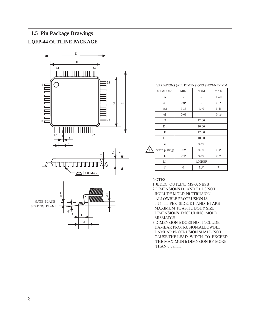# **1.5 Pin Package Drawings LQFP-44 OUTLINE PACKAGE**



#### VARIATIONS (ALL DIMENSIONS SHOWN IN MM

| <b>SYMBOLS</b>   | MIN.           | <b>NOM</b>    | MAX.           |  |
|------------------|----------------|---------------|----------------|--|
| А                |                |               | 1.60           |  |
| A <sub>1</sub>   | 0.05           |               | 0.15           |  |
| A2               | 1.35           | 1.40          | 1.45           |  |
| c1               | 0.09           |               | 0.16           |  |
| D                |                | 12.00         |                |  |
| D1               | 10.00          |               |                |  |
| E                | 12.00          |               |                |  |
| E1               |                | 10.00         |                |  |
| e                |                | 0.80          |                |  |
| $b(w/o$ plating) | 0.25           | 0.30          | 0.35           |  |
| L                | 0.45           | 0.60          | 0.75           |  |
| L1               |                | 1.00REF       |                |  |
| $\theta^0$       | 0 <sup>0</sup> | $3.5^{\circ}$ | 7 <sup>0</sup> |  |

#### NOTES:

- 1.JEDEC OUTLINE:MS-026 BSB 2.DIMENSIONS D1 AND E1 D0 NOT INCLUDE MOLD PROTRUSION. ALLOWBLE PROTRUSION IS 0.25mm PER SIDE. D1 AND E1 ARE MAXIMUM PLASTIC BODY SIZE DIMENSIONS IMCLUDING MOLD MISMATCH.
- 3.DIMENSION b DOES NOT INCLUDE DAMBAR PROTRUSION.ALLOWBLE DAMBAR PROTRUSION SHALL NOT CAUSE THE LEAD WIDTH TO EXCEED THE MAXIMUN b DIMNSION BY MORE THAN 0.08mm.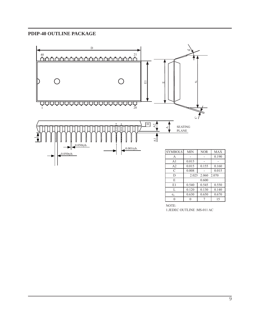#### **PDIP-40 OUTLINE PACKAGE**



NOTE: 1.JEDEC OUTLINE :MS-011 AC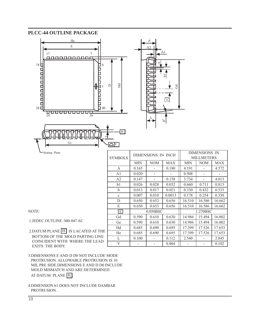#### **PLCC-44 OUTLINE PACKAGE**



3.DIMENSIONS E AND D D0 NOT INCLUDE MODE PROTRUSION. ALLOWABLE PROTRUSION IS 10 MIL PRE SIDE.DIMENSIONS E AND D D0 INCLUDE MOLD MISMATCH AND ARE DETERMINED AT DATUM PLANE H

4.DIMENSION b1 DOES NOT INCLUDE DAMBAR PROTRUSION.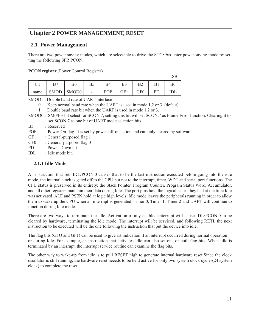# **Chapter 2 POWER MANAGENMENT, RESET**

## **2.1 Power Management**

There are two power saving modes, which are selectable to drive the STC89xx enter power-saving mode by setting the following SFR PCON.

#### **PCON register** (Power Control Register)

|      |             |       |    |     |     |     |    | LSB            |
|------|-------------|-------|----|-----|-----|-----|----|----------------|
| bit  | B7          | B6    | B5 | B4  | B3  | Β2  | B1 | B <sub>0</sub> |
| name | <b>SMOD</b> | SMOD0 | -  | POF | GF1 | GF0 | PD | IDL            |

SMOD : Double baud rate of UART interface

- 0 Keep normal baud rate when the UART is used in mode 1,2 or 3. (defaut)
- 1 Double baud rate bit when the UART is used in mode 1,2 or 3.
- SMOD0 : SM0/FE bit select for SCON.7; setting this bit will set SCON.7 as Frame Error function. Clearing it to set SCON.7 as one bit of UART mode selection bits.

B5 : Reserved

- POF : Power-On flag. It is set by power-off-on action and can only cleared by software.
- GF1 : General-purposed flag 1
- GF0 : General-purposed flag 0
- PD : Power-Down bit.
- IDL : Idle mode bit.

#### **2.1.1 Idle Mode**

An instruction that sets IDL/PCON.0 causes that to be the last instruction executed before going into the idle mode, the internal clock is gated off to the CPU but not to the interrupt, timer, WDT and serial port functions. The CPU status is preserved in its entirety: the Stack Pointer, Program Counter, Program Status Word, Accumulator, and all other registers maintain their data during Idle. The port pins hold the logical states they had at the time Idle was activated. ALE and PSEN hold at logic high levels. Idle mode leaves the peripherals running in order to allow them to wake up the CPU when an interrupt is generated. Timer 0, Timer 1, Timer 2 and UART will continue to function during Idle mode.

There are two ways to terminate the idle. Activation of any enabled interrupt will cause IDL/PCON.0 to be cleared by hardware, terminating the idle mode. The interrupt will be serviced, and following RETI, the next instruction to be executed will be the one following the instruction that put the device into idle.

The flag bits (GFO and GF1) can be used to give art indication if an interrupt occurred during normal operation or during Idle. For example, an instruction that activates Idle can also set one or both flag bits. When Idle is terminated by an interrupt, the interrupt service routine can examine the flag bits.

The other way to wake-up from idle is to pull RESET high to generate internal hardware reset.Since the clock oscillator is still running, the hardware reset neeeds to be held active for only two system clock cycles(24 system clock) to complete the reset.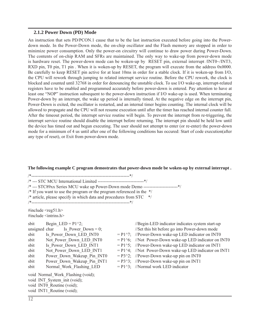#### **2.1.2 Power Down (PD) Mode**

An instruction that sets PD/PCON.1 cause that to be the last instruction executed before going into the Powerdown mode. In the Power-Down mode, the on-chip oscillator and the Flash memory are stopped in order to minimize power consumption. Only the power-on circuitry will continue to draw power during Power-Down. The contents of on-chip RAM and SFRs are maintained. The only way to wake-up from power-down mode is hardware reset. The power-down mode can be woken-up by RESET pin, external interrupt /INT0~/INT3, RXD pin, T0 pin, T1 pin. When it is woken-up by RESET, the program will execute from the address 0x0000. Be carefully to keep RESET pin active for at least 10ms in order for a stable clock. If it is woken-up from I/O, the CPU will rework through jumping to related interrupt service routine. Before the CPU rework, the clock is blocked and counted until 32768 in order for denouncing the unstable clock. To use I/O wake-up, interrupt-related registers have to be enabled and programmed accurately before power-down is entered. Pay attention to have at least one "NOP" instruction subsequent to the power-down instruction if I/O wake-up is used. When terminating Power-down by an interrupt, the wake up period is internally timed. At the negative edge on the interrupt pin, Power-Down is exited, the oscillator is restarted, and an internal timer begins counting. The internal clock will be allowed to propagate and the CPU will not resume execution until after the timer has reached internal counter full. After the timeout period, the interrupt service routine will begin. To prevent the interrupt from re-triggering, the interrupt service routine should disable the interrupt before returning. The interrupt pin should be held low until the device has timed out and begun executing. The user should not attempt to enter (or re-enter) the power-down mode for a minimum of 4 us until after one of the following conditions has occured: Start of code execution(after any type of reset), or Exit from power-down mode.

#### **The following example C program demostrates that power-down mode be woken-up by external interrupt .**

|                                                                                                                             | /* --- STC MCU International Limited ---------------------------------*/         |  |                                                                        |  |  |  |  |  |
|-----------------------------------------------------------------------------------------------------------------------------|----------------------------------------------------------------------------------|--|------------------------------------------------------------------------|--|--|--|--|--|
|                                                                                                                             | /* --- STC89xx Series MCU wake up Power-Down mode Demo ----------------------*/  |  |                                                                        |  |  |  |  |  |
|                                                                                                                             | /* If you want to use the program or the program referenced in the $\frac{*}{ }$ |  |                                                                        |  |  |  |  |  |
|                                                                                                                             | /* article, please specify in which data and procedures from STC $*$ /           |  |                                                                        |  |  |  |  |  |
|                                                                                                                             |                                                                                  |  |                                                                        |  |  |  |  |  |
|                                                                                                                             | #include $\langle \text{reg51.h} \rangle$                                        |  |                                                                        |  |  |  |  |  |
|                                                                                                                             | #include $\le$ intrins.h>                                                        |  |                                                                        |  |  |  |  |  |
| sbit                                                                                                                        | Begin LED = $P1^2$ ;                                                             |  | //Begin-LED indicator indicates system start-up                        |  |  |  |  |  |
|                                                                                                                             | unsigned char Is Power Down = 0;                                                 |  | //Set this bit before go into Power-down mode                          |  |  |  |  |  |
| sbit                                                                                                                        | Is Power Down LED INTO                                                           |  | $=$ P1^7; //Power-Down wake-up LED indicator on INT0                   |  |  |  |  |  |
| sbit                                                                                                                        | Not Power Down LED INTO                                                          |  | $=$ P1 $\textdegree$ 6; //Not Power-Down wake-up LED indicator on INT0 |  |  |  |  |  |
| sbit                                                                                                                        | Is Power Down LED INT1                                                           |  | $=$ P1^5; //Power-Down wake-up LED indicator on INT1                   |  |  |  |  |  |
| sbit                                                                                                                        | Not Power Down LED INT1                                                          |  | $=$ P1^4; //Not Power-Down wake-up LED indicator on INT1               |  |  |  |  |  |
| sbit                                                                                                                        | Power Down Wakeup Pin INT0                                                       |  | $=$ P3^2; //Power-Down wake-up pin on INT0                             |  |  |  |  |  |
| sbit                                                                                                                        | Power Down_Wakeup_Pin_INT1                                                       |  | $=$ P3^3; //Power-Down wake-up pin on INT1                             |  |  |  |  |  |
| sbit                                                                                                                        | Normal Work Flashing LED                                                         |  | $= P1^3$ ; //Normal work LED indicator                                 |  |  |  |  |  |
| void Normal Work Flashing (void);<br>void INT System init (void);<br>void INT0 Routine (void);<br>void INT1_Routine (void); |                                                                                  |  |                                                                        |  |  |  |  |  |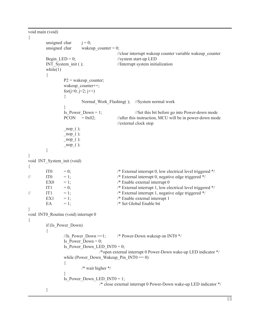```
void main (void)
{
          unsigned char i = 0;
          unsigned char wakeup counter = 0;
                                                   //clear interrupt wakeup counter variable wakeup_counter
          Begin LED = 0; //system start-up LEDINT_System_init ( ); //Interrupt system initialization
          while(1) {
                    P2 = wakeup counter;
                    wakeup_counter++;
                    for(j=0; j<2; j++)
{ }Normal_Work_Flashing( ); //System normal work
 }
                    Is Power-Down = 1; //Set this bit before go into Power-down mode<br>PCON = 0x02: //after this instruction, MCU will be in power-down mod
                                                  \theta //after this instruction, MCU will be in power-down mode
                                                   //external clock stop
                    nop ( );
                    nop ( );
                    \text{top}( );
                    \text{top}( );
           }
}
void INT_System_init (void)
{
          IT0 = 0; \frac{1}{2} = 0; \frac{1}{2} = 0; \frac{1}{2} = 0; \frac{1}{2} = 0; \frac{1}{2} = 0; \frac{1}{2} = 0; \frac{1}{2} = 0; \frac{1}{2} = 0; \frac{1}{2} = 0; \frac{1}{2} = 0; \frac{1}{2} = 0; \frac{1}{2} = 0; \frac{1}{2} = 0; \frac{1}{2} = 0; 
/ IT0 = 1; / External interrupt 0, negative edge triggered */
          EX0 = 1; / Enable external interrupt 0
          IT1 = 0; \frac{1}{2} = 0; \frac{1}{2} = 0; \frac{1}{2} = 0; \frac{1}{2} = 0; \frac{1}{2} = 0; \frac{1}{2} = 0; \frac{1}{2} = 0; \frac{1}{2} = 0; \frac{1}{2} = 0; \frac{1}{2} = 0; \frac{1}{2} = 0; \frac{1}{2} = 0; \frac{1}{2} = 0; \frac{1}{2} = 0; \/ IT1 = 1; / External interrupt 1, negative edge triggered */
          EX1 = 1; / Enable external interrupt 1
          EA = 1: /* Set Global Enable bit}
void INT0_Routine (void) interrupt 0
{
           if (Is_Power_Down)
\sim \sim \sim \sim \sim \sim//Is Power Down ==1; /* Power-Down wakeup on INT0 */
                    Is Power Down = 0;
                    Is Power Down LED INT0 = 0;
                                         /*open external interrupt 0 Power-Down wake-up LED indicator */
                    while (Power_Down_Wakeup_Pin_INT0 == 0)
{ } /* wait higher */
 }
                    Is Power Down LED INT0 = 1;
                                         /* close external interrupt 0 Power-Down wake-up LED indicator */
           }
```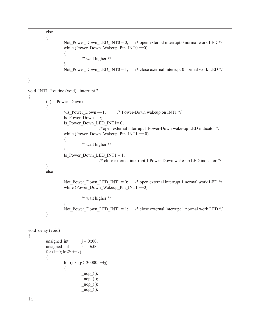```
 else
         {
                Not Power Down LED INT0 = 0; /* open external interrupt 0 normal work LED */
                while (Power_Down_Wakeup_Pin_INT0 ==0)
{ } /* wait higher */
 }
               Not Power Down LED INT0 = 1; /* close external interrupt 0 normal work LED */ }
}
void INT1 Routine (void) interrupt 2
{
         if (Is_Power_Down)
         { 
               //Is Power Down ==1; / /* Power-Down wakeup on INT1 */
                Is Power Down = 0;
                Is Power Down LED INT1= 0;
                                /*open external interrupt 1 Power-Down wake-up LED indicator */
                while (Power_Down_Wakeup_Pin_INT1 == 0)
{ } /* wait higher */
 }
                Is Power Down LED INT1 = 1;
                                /* close external interrupt 1 Power-Down wake-up LED indicator */
         }
         else
 {
                Not Power Down LED INT1 = 0; /* open external interrupt 1 normal work LED */while (Power_Down_Wakeup_Pin_INT1 ==0)
{ } /* wait higher */
 }
                Not Power Down LED INT1 = 1; /* close external interrupt 1 normal work LED */
         }
}
void delay (void)
{
        unsigned int j = 0x00;
        unsigned int k = 0x00;
        for (k=0; k<2; ++k) {
                for (j=0; j<=30000; ++j)\{nop ( );
                        \text{top}( );
                        nop ( );
                        \text{top}( );
```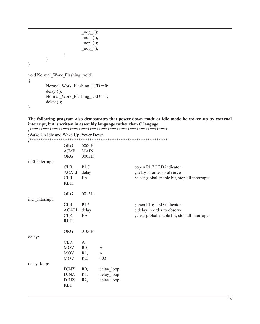```
\text{top}( );
                            \text{top}( );
                            \text{top}( );
                            \text{top}( );
 }
          }
}
void Normal_Work_Flashing (void)
{
         Normal Work Flashing LED = 0;
          delay ( );
         Normal Work Flashing LED = 1;
          delay ( );
}
```
**The following program also demostrates that power-down mode or idle mode be woken-up by external interrupt, but is written in assembly language rather than C languge.**

;\*\*\*\*\*\*\*\*\*\*\*\*\*\*\*\*\*\*\*\*\*\*\*\*\*\*\*\*\*\*\*\*\*\*\*\*\*\*\*\*\*\*\*\*\*\*\*\*\*\*\*\*\*\*\*\*\*\*\*\*\*\*

;Wake Up Idle and Wake Up Power Down ;\*\*\*\*\*\*\*\*\*\*\*\*\*\*\*\*\*\*\*\*\*\*\*\*\*\*\*\*\*\*\*\*\*\*\*\*\*\*\*\*\*\*\*\*\*\*\*\*\*\*\*\*\*\*\*\*\*\*\*\*\*\*

| $\,$<br>int0_interrupt: | <b>ORG</b><br><b>AJMP</b><br><b>ORG</b>                 | 0000H<br><b>MAIN</b><br>0003H   |              |                                                                                                            |
|-------------------------|---------------------------------------------------------|---------------------------------|--------------|------------------------------------------------------------------------------------------------------------|
|                         | <b>CLR</b><br><b>ACALL</b><br><b>CLR</b><br><b>RETI</b> | P <sub>1.7</sub><br>delay<br>EA |              | ; open P1.7 LED indicator<br>; delay in order to observe<br>; clear global enable bit, stop all interrupts |
|                         | <b>ORG</b>                                              | 0013H                           |              |                                                                                                            |
| int1 interrupt:         | <b>CLR</b><br>ACALL delay<br><b>CLR</b><br><b>RETI</b>  | P <sub>1.6</sub><br>EA          |              | ;open P1.6 LED indicator<br>;; delay in order to observe<br>; clear global enable bit, stop all interrupts |
| delay:                  | <b>ORG</b>                                              | 0100H                           |              |                                                                                                            |
|                         | <b>CLR</b>                                              | $\mathsf{A}$                    |              |                                                                                                            |
|                         | MOV                                                     | $R0$ ,                          | $\mathbf{A}$ |                                                                                                            |
|                         | <b>MOV</b>                                              | R1,                             | A            |                                                                                                            |
|                         | MOV                                                     | R2,                             | #02          |                                                                                                            |
| delay_loop:             |                                                         |                                 |              |                                                                                                            |
|                         | <b>DJNZ</b>                                             | R0                              | delay_loop   |                                                                                                            |
|                         | <b>DJNZ</b>                                             | R1,                             | delay loop   |                                                                                                            |
|                         | <b>DJNZ</b><br><b>RET</b>                               | R2                              | delay_loop   |                                                                                                            |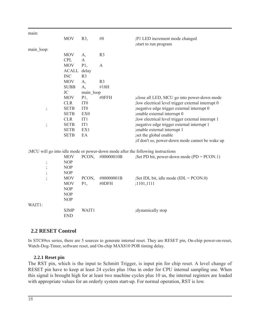| main:               |             |                 |                |                                                                                 |
|---------------------|-------------|-----------------|----------------|---------------------------------------------------------------------------------|
|                     | <b>MOV</b>  | $R3$ .          | #0             | ;P1 LED increment mode changed                                                  |
|                     |             |                 |                | ; start to run program                                                          |
| main loop:          |             |                 |                |                                                                                 |
|                     | <b>MOV</b>  | A,              | R <sub>3</sub> |                                                                                 |
|                     | <b>CPL</b>  | А               |                |                                                                                 |
|                     | MOV         | P1,             | A              |                                                                                 |
|                     | ACALL delay |                 |                |                                                                                 |
|                     | <b>INC</b>  | R <sub>3</sub>  |                |                                                                                 |
|                     | MOV         | A,              | R <sub>3</sub> |                                                                                 |
|                     | <b>SUBB</b> | A,              | #18H           |                                                                                 |
|                     | JC          | main_loop       |                |                                                                                 |
|                     | <b>MOV</b>  | P1,             | #0FFH          | ; close all LED, MCU go into power-down mode                                    |
|                     | <b>CLR</b>  | IT <sub>0</sub> |                | ; low electrical level trigger external interrupt 0                             |
| $\frac{1}{2}$       | <b>SETB</b> | IT <sub>0</sub> |                | ; negative edge trigger external interrupt 0                                    |
|                     | <b>SETB</b> | EX <sub>0</sub> |                | ; enable external interrupt 0                                                   |
|                     | <b>CLR</b>  | IT <sub>1</sub> |                | ; low electrical level trigger external interrupt 1                             |
|                     | <b>SETB</b> | IT <sub>1</sub> |                | ;negative edge trigger external interrupt 1                                     |
|                     | <b>SETB</b> | EX1             |                | ; enable external interrupt 1                                                   |
|                     | <b>SETB</b> | EA              |                | ;set the global enable                                                          |
|                     |             |                 |                | ; if don't so, power-down mode cannot be wake up                                |
|                     |             |                 |                | ;MCU will go into idle mode or power-down mode after the following instructions |
|                     | <b>MOV</b>  | PCON.           | #00000010B     | ;Set PD bit, power-down mode $(PD = PCON.1)$                                    |
| $\overline{ }$      | <b>NOP</b>  |                 |                |                                                                                 |
|                     | <b>NOP</b>  |                 |                |                                                                                 |
|                     | <b>NOP</b>  |                 |                |                                                                                 |
|                     | <b>MOV</b>  | PCON.           | #00000001B     | ;Set IDL bit, idle mode (IDL = PCON.0)                                          |
|                     | <b>MOV</b>  | $P1$ ,          | #0DFH          | ;1101,1111                                                                      |
|                     | <b>NOP</b>  |                 |                |                                                                                 |
|                     | <b>NOP</b>  |                 |                |                                                                                 |
|                     | <b>NOP</b>  |                 |                |                                                                                 |
| WAIT <sub>1</sub> : |             |                 |                |                                                                                 |
|                     | <b>SJMP</b> | WAIT1           |                | :dynamically stop                                                               |
|                     | <b>END</b>  |                 |                |                                                                                 |

### **2.2 RESET Control**

In STC89xx series, there are 5 sources to generate internal reset. They are RESET pin, On-chip power-on-reset, Watch-Dog-Timer, software reset, and On-chip MAX810 POR timing delay.

#### **2.2.1 Reset pin**

The RST pin, which is the input to Schmitt Trigger, is input pin for chip reset. A level change of RESET pin have to keep at least 24 cycles plus 10us in order for CPU internal sampling use. When this signal is brought high for at least two machine cycles plus 10 us, the internal registers are loaded with appropriate values for an orderly system start-up. For normal operation, RST is low.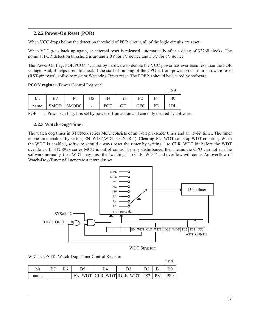#### **2.2.2 Power-On Reset (POR)**

When VCC drops below the detection threshold of POR circuit, all of the logic circuits are reset.

When VCC goes back up again, an internal reset is released automatically after a delay of 32768 clocks. The nominal POR detection threshold is around 2.0V for 3V device and 3.3V for 5V device.

The Power-On flag, POF/PCON.4, is set by hardware to denote the VCC power has ever been less than the POR voltage. And, it helps users to check if the start of running of the CPU is from power-on or from hardware reset (RST-pin reset), software reset or Watchdog Timer reset. The POF bit should be cleared by software.

**PCON register** (Power Control Register)

|      |             |       |                          |           |     |     |    | LSB |
|------|-------------|-------|--------------------------|-----------|-----|-----|----|-----|
| bit  | B7          | Β6    | B5                       | <b>B4</b> | B3  | B2  | B1 | B0  |
| name | <b>SMOD</b> | SMOD0 | $\overline{\phantom{a}}$ | POF       | GF1 | GF0 | PD | IDL |

POF : Power-On flag. It is set by power-off-on action and can only cleared by software.

#### **2.2.3 Watch-Dog-Timer**

The watch dog timer in STC89xx series MCU consists of an 8-bit pre-scaler timer and an 15-bit timer. The timer is one-time enabled by setting EN\_WDT(WDT\_CONTR.5). Clearing EN\_WDT can stop WDT counting. When the WDT is enabled, software should always reset the timer by writing 1 to CLR\_WDT bit before the WDT overflows. If STC89xx series MCU is out of control by any disturbance, that means the CPU can not run the software normally, then WDT may miss the "writting 1 to CLR\_WDT" and overflow will come. An overflow of Watch-Dog-Timer will generate a internal reset.



WDT Structure

WDT\_CONTR: Watch-Dog-Timer Control Register

| bit  |                          |      |                | B4 |                  |                 |     |
|------|--------------------------|------|----------------|----|------------------|-----------------|-----|
| name | $\overline{\phantom{0}}$ | $\,$ | WDT ICLR<br>EN |    | WDT IDLE WDT PS2 | PS <sub>1</sub> | PS0 |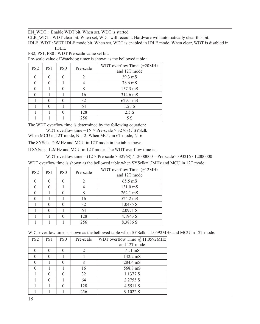EN\_WDT : Enable WDT bit. When set, WDT is started.

CLR\_WDT : WDT clear bit. When set, WDT will recount. Hardware will automatically clear this bit.

IDLE\_WDT : WDT IDLE mode bit. When set, WDT is enabled in IDLE mode. When clear, WDT is disabled in IDLE.

PS2, PS1, PS0 : WDT Pre-scale value set bit.

Pre-scale value of Watchdog timer is shown as the bellowed table :

| PS <sub>2</sub> | PS1 | PS <sub>0</sub> | Pre-scale | WDT overflow Time $(a)$ 20MHz<br>and 12T mode |
|-----------------|-----|-----------------|-----------|-----------------------------------------------|
|                 |     |                 | ◠         | $39.3 \text{ m}$ S                            |
|                 |     |                 |           | 78.6 mS                                       |
|                 |     |                 |           | $157.3 \text{ m}$ S                           |
|                 |     |                 | 16        | 314.6 mS                                      |
|                 |     |                 | 32        | 629.1 mS                                      |
|                 |     |                 | 64        | $1.25$ S                                      |
|                 |     |                 | 128       | 2.5 S                                         |
|                 |     |                 | 256       | 5 S                                           |

The WDT overflow time is determined by the following equation:

WDT overflow time =  $(N \times Pre\text{-}scale \times 32768) / SY\text{-}S$ 

When MCU in 12T mode, N=12; When MCU in 6T mode, N=6

The SYSclk=20MHz and MCU in 12T mode in the table above.

If SYSclk=12MHz and MCU in 12T mode, The WDT overflow time is :

WDT overflow time =  $(12 \times$  Pre-scale  $\times$  32768) / 12000000 = Pre-scale $\times$  393216 / 12000000

WDT overflow time is shown as the bellowed table when SYSclk=12MHz and MCU in 12T mode:

| PS <sub>2</sub> | PS <sub>1</sub> | PS <sub>0</sub> | Pre-scale | WDT overflow Time $(a)$ 12MHz<br>and 12T mode |
|-----------------|-----------------|-----------------|-----------|-----------------------------------------------|
|                 |                 |                 | ∍         | 65.5 mS                                       |
|                 |                 |                 |           | 131.0 mS                                      |
|                 |                 |                 |           | $262.1 \text{ m}$ S                           |
|                 |                 |                 | 16        | 524.2 mS                                      |
|                 |                 |                 | 32        | 1.0485 S                                      |
|                 |                 |                 | 64        | 2.0971 S                                      |
|                 |                 |                 | 128       | 4.1943 S                                      |
|                 |                 |                 | 256       | 8.3886 S                                      |

WDT overflow time is shown as the bellowed table when SYSclk=11.0592MHz and MCU in 12T mode:

| PS <sub>2</sub> | PS1 | PS <sub>0</sub> | Pre-scale      | WDT overflow Time $(a)$ 11.0592MHz |  |  |  |  |  |
|-----------------|-----|-----------------|----------------|------------------------------------|--|--|--|--|--|
|                 |     |                 |                | and 12T mode                       |  |  |  |  |  |
|                 |     |                 | $\overline{c}$ | $71.1 \text{ mS}$                  |  |  |  |  |  |
|                 |     |                 |                | 142.2 mS                           |  |  |  |  |  |
|                 |     |                 |                | 284.4 mS                           |  |  |  |  |  |
|                 |     |                 | 16             | 568.8 mS                           |  |  |  |  |  |
|                 |     |                 | 32             | 1.1377 S                           |  |  |  |  |  |
|                 |     |                 | 64             | 2.2755 S                           |  |  |  |  |  |
|                 |     |                 | 128            | 4.5511 S                           |  |  |  |  |  |
| 256             |     |                 |                | 9.1022 S                           |  |  |  |  |  |
|                 |     |                 |                |                                    |  |  |  |  |  |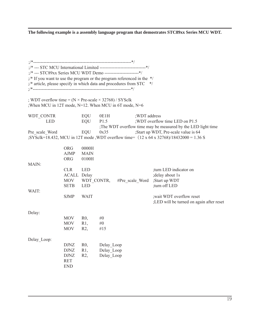**The following example is a assembly language program that demostrates STC89xx Series MCU WDT.**

;/\*------------------------------------------------------------------\*/ ;/\* --- STC MCU International Limited -------------------------------\*/ ;/\* --- STC89xx Series MCU WDT Demo -----------------------\*/ ;/\* If you want to use the program or the program referenced in the \*/  $\mathcal{L}^*$  article, please specify in which data and procedures from STC  $*$ / ;/\*------------------------------------------------------------------\*/ ; WDT overflow time =  $(N \times Pre-scale \times 32768) / SYSclk$ ;When MCU in 12T mode, N=12. When MCU in 6T mode, N=6 WDT\_CONTR EOU 0E1H :WDT address LED EQU P1.5 ;WDT overflow time LED on P1.5 ;The WDT overflow time may be measured by the LED light time Pre\_scale\_Word EQU 0x35 ;Start up WDT, Pre-scale value is 64 ;SYSclk=18.432, MCU in 12T mode ,WDT overflow time=(12 x 64 x 32768)/18432000 = 1.36 S ORG 0000H AJMP MAIN ORG 0100H MAIN: CLR LED ;turn LED indicator on ACALL Delay  $;$  delay about 1s MOV WDT\_CONTR, #Pre\_scale\_Word ;Start up WDT SETB LED :turn off LED WAIT: SJMP WAIT :wait WDT overflow reset ;LED will be turned on again after reset Delay:  $MOV$  R<sub>0</sub>, #0  $MOV$  R1,  $\#0$  MOV R2, #15 Delay Loop: DJNZ R0, Delay\_Loop DJNZ R1, Delay\_Loop DJNZ R2, Delay\_Loop RET END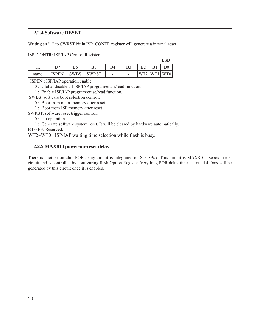#### **2.2.4 Software RESET**

Writing an "1" to SWRST bit in ISP\_CONTR register will generate a internal reset.

ISP\_CONTR: ISP/IAP Control Register

| bit  |              | Β6          | B5    | B4                       | B3 | B <sub>2</sub> | B1 | B <sub>0</sub>  |
|------|--------------|-------------|-------|--------------------------|----|----------------|----|-----------------|
| name | <b>ISPEN</b> | <b>SWBS</b> | SWRST | $\overline{\phantom{0}}$ | -  |                |    | WT2   WT1   WT0 |

ISPEN : ISP/IAP operation enable.

0 : Global disable all ISP/IAP program/erase/read function.

1 : Enable ISP/IAP program/erase/read function.

SWBS: software boot selection control.

0 : Boot from main-memory after reset.

- 1 : Boot from ISP memory after reset.
- SWRST: software reset trigger control.

0 : No operation

1 : Generate software system reset. It will be cleared by hardware automatically.

 $B4 \sim B3$ : Reserved.

WT2~WT0 : ISP/IAP waiting time selection while flash is busy.

#### **2.2.5 MAX810 power-on-reset delay**

There is another on-chip POR delay circuit is integrated on STC89xx. This circuit is MAX810—sepcial reset circuit and is controlled by configuring flash Option Register. Very long POR delay time – around 400ms will be generated by this circuit once it is enabled.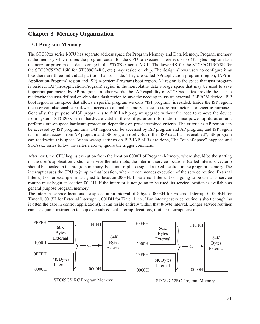# **Chapter 3 Memory Organization**

# **3.1 Program Memory**

The STC89xx series MCU has separate address space for Program Memory and Data Memory. Program memory is the memory which stores the program codes for the CPU to execute. There is up to 64K-bytes long of flash memory for program and data storage in the STC89xx series MCU. The lower 4K for the STC89C51RC(8K for the STC89C52RC,16K for STC89C54RC, etc.) may reside on chip. The design allows users to configure it as like there are three individual partition banks inside. They are called AP(application program) region, IAP(In-Application-Program) region and ISP(In-System-Program) boot region. AP region is the space that user program is resided. IAP(In-Application-Program) region is the nonvolatile data storage space that may be used to save important parameters by AP program. In other words, the IAP capability of STC89xx series provide the user to read/write the user-defined on-chip data flash region to save the needing in use of external EEPROM device. ISP boot region is the space that allows a specific program we calls "ISP program" is resided. Inside the ISP region, the user can also enable read/write access to a small memory space to store parameters for specific purposes. Generally, the purpose of ISP program is to fulfill AP program upgrade without the need to remove the device from system. STC89xx series hardware catches the configuration information since power-up duration and performs out-of-space hardware-protection depending on pre-determined criteria. The criteria is AP region can be accessed by ISP program only, IAP region can be accessed by ISP program and AP program, and ISP region is prohibited access from AP program and ISP program itself. But if the "ISP data flash is enabled", ISP program can read/write this space. When wrong settings on ISP-IAP SFRs are done, The "out-of-space" happens and STC89xx series follow the criteria above, ignore the trigger command.

After reset, the CPU begins execution from the location 0000H of Program Memory, where should be the starting of the user's application code. To service the interrupts, the interrupt service locations (called interrupt vectors) should be located in the program memory. Each interrupt is assigned a fixed location in the program memory. The interrupt causes the CPU to jump to that location, where it commences execution of the service routine. External Interrupt 0, for example, is assigned to location 0003H. If External Interrupt 0 is going to be used, its service routine must begin at location 0003H. If the interrupt is not going to be used, its service location is available as general purpose program memory.

The interrupt service locations are spaced at an interval of 8 bytes: 0003H for External Interrupt 0, 000BH for Timer 0, 0013H for External Interrupt 1, 001BH for Timer 1, etc. If an interrupt service routine is short enough (as is often the case in control applications), it can reside entirely within that 8-byte interval. Longer service routines can use a jump instruction to skip over subsequent interrupt locations, if other interrupts are in use.





STC89C52RC Program Memory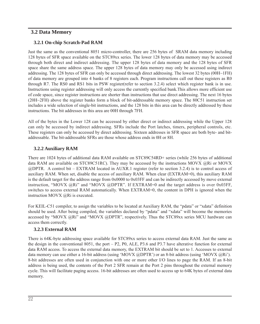## **3.2 Data Memory**

#### **3.2.1 On-chip Scratch-Pad RAM**

Just the same as the conventional 8051 micro-controller, there are 256 bytes of SRAM data memory including 128 bytes of SFR space available on the STC89xx series. The lower 128 bytes of data memory may be accessed through both direct and indirect addressing. The upper 128 bytes of data memory and the 128 bytes of SFR space share the same address space. The upper 128 bytes of data memory may only be accessed using indirect addressing. The 128 bytes of SFR can only be accessed through direct addressing. The lowest 32 bytes (00H~1FH) of data memory are grouped into 4 banks of 8 registers each. Program instructions call out these registers as R0 through R7. The RS0 and RS1 bits in PSW register(refer to section 3.2.4) select which register bank is in use. Instructions using register addressing will only access the currently specified bank.This allows more efficient use of code space, since register instructions are shorter than instructions that use direct addressing. The next 16 bytes (20H~2FH) above the register banks form a block of bit-addressable memory space. The 80C51 instruction set includes a wide selection of single-bit instructions, and the 128 bits in this area can be directly addressed by these instructions. The bit addresses in this area are 00H through 7FH.

All of the bytes in the Lower 128 can be accessed by either direct or indirect addressing while the Upper 128 can only be accessed by indirect addressing. SFRs include the Port latches, timers, peripheral controls, etc. These registers can only be accessed by direct addressing. Sixteen addresses in SFR space are both byte- and bitaddressable. The bit-addressable SFRs are those whose address ends in 0H or 8H.

#### **3.2.2 Auxiliary RAM**

There are 1024 bytes of additional data RAM available on STC89C54RD+ series (while 256 bytes of additional data RAM are available on STC89C51RC). They may be accessed by the instructions MOVX @Ri or MOVX @DPTR. A control bit – EXTRAM located in AUXR.1 register (refer to section 3.2.4) is to control access of auxiliary RAM. When set, disable the access of auxiliary RAM. When clear (EXTRAM=0), this auxiliary RAM is the default target for the address range from 0x0000 to 0x03FF and can be indirectly accessed by move external instruction, "MOVX @Ri" and "MOVX @DPTR". If EXTRAM=0 and the target address is over 0x03FF, switches to access external RAM automatically. When EXTRAM=0, the content in DPH is ignored when the instruction MOVX @Ri is executed.

For KEIL-C51 compiler, to assign the variables to be located at Auxiliary RAM, the "pdata" or "xdata" definition should be used. After being compiled, the variables declared by "pdata" and "xdata" will become the memories accessed by "MOVX @Ri" and "MOVX @DPTR", respectively. Thus the STC89xx series MCU hardware can access them correctly.

#### **3.2.3 External RAM**

There is 64K-byte addressing space available for STC89xx series to access external data RAM. Just the same as the design in the conventional 8051, the port – P2, P0, ALE, P3.6 and P3.7 have alterative function for external data RAM access. To access the external data memory, the EXTRAM bit should be set to 1. Accesses to external data memory can use either a 16-bit address (using 'MOVX @DPTR') or an 8-bit address (using 'MOVX @Ri'). 8-bit addresses are often used in conjunction with one or more other I/O lines to page the RAM. If an 8-bit address is being used, the contents of the Port 2 SFR remain at the Port 2 pins throughout the external memory cycle. This will facilitate paging access. 16-bit addresses are often used to access up to 64K bytes of external data memory.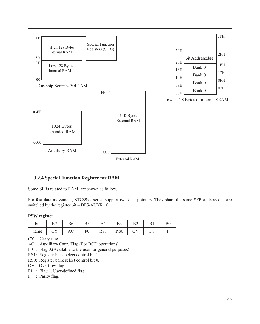

#### **3.2.4 Special Function Register for RAM**

Some SFRs related to RAM are shown as follow.

For fast data movement, STC89xx series support two data pointers. They share the same SFR address and are switched by the register bit – DPS/AUXR1.0.

#### **PSW register**

| bit  | B6      | вэ | B4         | B3                               | B2 | B1 | B0 |
|------|---------|----|------------|----------------------------------|----|----|----|
| name | $A\cup$ | F0 | D<br>172 T | D C O<br><b>R</b> <sub>D</sub> U | ◡  |    |    |

CY : Carry flag.

AC : Auxilliary Carry Flag.(For BCD operations)

F0 : Flag 0.(Available to the user for general purposes)

RS1: Register bank select control bit 1.

RS0: Register bank select control bit 0.

OV : Overflow flag.

- F1 : Flag 1. User-defined flag.
- P : Parity flag.

07H 0FH 17H 1FH

2FH

7FH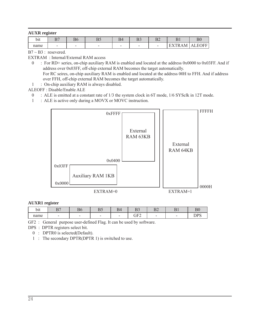#### **AUXR register**

| bit  | n - |   |                          |                          |                          |                          |       |
|------|-----|---|--------------------------|--------------------------|--------------------------|--------------------------|-------|
| name |     | - | $\overline{\phantom{a}}$ | $\overline{\phantom{a}}$ | $\overline{\phantom{a}}$ | $\overline{\phantom{0}}$ | <br>∼ |

 $B7 \sim B3$ : resevered.

EXTRAM : Internal/External RAM access

- 0 : For RD+ series, on-chip auxiliary RAM is enabled and located at the address 0x0000 to 0x03FF. And if address over 0x03FF, off-chip external RAM becomes the target automatically. For RC seires, on-chip auxiliary RAM is enabled and located at the address 00H to FFH. And if address over FFH, off-chip external RAM becomes the target automatically.
- 
- 1 : On-chip auxiliary RAM is always disabled.

ALEOFF : Disable/Enable ALE

- 0 : ALE is emitted at a constant rate of 1/3 the system clock in 6T mode, 1/6 SYSclk in 12T mode.
- 1 : ALE is active only during a MOVX or MOVC instruction.



#### **AUXR1 register**

| bit  |                          |   |    |  |  |
|------|--------------------------|---|----|--|--|
| name | $\overline{\phantom{a}}$ | - | -- |  |  |

GF2 : General purpose user-defined Flag. It can be used by software.

DPS : DPTR registers select bit.

0 : DPTR0 is selected(Default).

1 : The secondary DPTR(DPTR 1) is switched to use.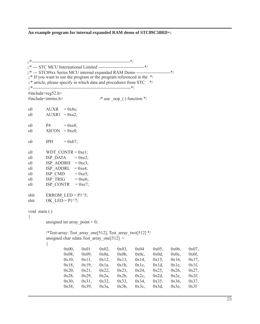```
;/*------------------------------------------------------------------*/
;/* --- STC MCU International Limited -------------------------------*/
;/* --- STC89xx Series MCU internal expanded RAM Demo -----------------------*/
\cdot \cdot \cdot \cdot If you want to use the program or the program referenced in the \cdot \cdot /
\mathbb{R}^* article, please specify in which data and procedures from STC */
;/*------------------------------------------------------------------*/
#include<reg52.h>
#include<intrins.h> /* use nop ( ) function */
sfr AUXR = 0x8e;
sfr \t AUXR1 = 0xa2;sfr P4 = 0xe8;
sfr XICON = 0xc0;
sfr = IPH = 0xb7;
sfr WDT CONTR = 0xe1;
sfr ISP DATA = 0xe2;
sfr ISP ADDRH = 0xe3;
sfr ISP ADDRL = 0xe4;
sfr ISP CMD = 0xe5;
sfr ISP TRIG = 0xe6;
sfr ISP CONTR = 0xe7;
sbit ERROM LED = P1^5;
sbit OK LED = P1^2;
void main ( )
{
       unsigned int array point = 0;
       /*Test-array: Test_array_one[512], Test_array_two[512] */
       unsigned char xdata Test array one[512] =
 {
0x00, 0x01 0x02, 0x03, 0x04 0x05, 0x06, 0x07,
 0x08, 0x09, 0x0a, 0x0b, 0x0c, 0x0d, 0x0e, 0x0f,
0x10, 0x11, 0x12, 0x13, 0x14, 0x15, 0x16, 0x17,
 0x18, 0x19, 0x1a, 0x1b, 0x1c, 0x1d, 0x1e, 0x1f,
0x20, 0x21, 0x22, 0x23, 0x24, 0x25, 0x26, 0x27,
 0x28, 0x29, 0x2a, 0x2b, 0x2c, 0x2d, 0x2e, 0x2f,
0x30, 0x31, 0x32, 0x33, 0x34, 0x35, 0x36, 0x37,
 0x38, 0x39, 0x3a, 0x3b, 0x3c, 0x3d, 0x3e, 0x3f
```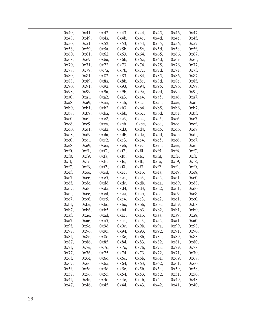| 0x40,    | 0x41,           | 0x42,            | 0x43,           | 0x44,           | 0x45,                  | 0x46,           | 0x47,    |
|----------|-----------------|------------------|-----------------|-----------------|------------------------|-----------------|----------|
| 0x48,    | 0x49,           | $0x4a$ ,         | $0x4b$ ,        | $0x4c$ ,        | 0x4d,                  | $0x4e$ ,        | 0x4f,    |
| $0x50$ , | 0x51,           | 0x52,            | $0x53$ ,        | 0x54,           | $0x55$ ,               | $0x56$ ,        | 0x57,    |
| $0x58$ , | $0x59$ ,        | $0x5a$ ,         | $0x5b$ ,        | $0x5c$ ,        | $0x5d$ ,               | $0x5e$ ,        | $0x5f$ , |
| $0x60$ , | $0x61$ ,        | $0x62$ ,         | $0x63$ ,        | 0x64,           | $0x65$ ,               | 0x66,           | 0x67,    |
| 0x68,    | 0x69,           | $0x6a$ ,         | $0x6b$ ,        | $0x6c$ ,        | $0x6d$ ,               | $0x6e$ ,        | $0x6f$ , |
| 0x70,    | 0x71,           | 0x72,            | 0x73,           | 0x74,           | 0x75,                  | 0x76,           | 0x77,    |
| $0x78$ , | 0x79,           | $0x7a$ ,         | $0x7b$ ,        | $0x7c$ ,        | $0x7d$ ,               | $0x7e$ ,        | $0x7f$ , |
| 0x80,    | 0x81,           | 0x82,            | $0x83$ ,        | 0x84,           | 0x85,                  | $0x86$ ,        | 0x87,    |
| 0x88.    | 0x89,           | $0x8a$ ,         | $0x8b$ ,        | $0x8c$ ,        | 0x8d,                  | $0x8e$ ,        | $0x8f$ , |
| 0x90,    | 0x91,           | 0x92             | 0x93,           | 0x94,           | 0x95,                  | 0x96,           | 0x97.    |
| 0x98.    | 0x99,           | $0x9a$ ,         | 0x9b,           | 0x9c,           | $0x9d$ .               | $0x9e$ ,        | 0x9f,    |
| 0xa0,    | $0xa1$ ,        | 0xa2,            | $0xa3$ ,        | 0xa4,           | $0xa5$ ,               | $0xa6$ ,        | 0xa7,    |
| $0xa8$ , | $0xa9$ ,        | $0xaa$ ,         | $0$ xab,        | $0$ xac,        | $0xad$ ,               | $0$ xae,        | $0xaf$ , |
| 0xb0,    | $0xb1$ ,        | $0xb2$ ,         | $0xb3$ ,        | 0x b4,          | $0xb5$ ,               | $0xb6$ ,        | 0xb7     |
| $0xb8$ , | 0xb9,           | $0$ xba,         | $0$ xbb,        | $0$ xbc,        | 0xbd,                  | $0xbe$ ,        | 0xbf     |
| $0xc0$ , | 0xc1,           | $0xc2$ ,         | $0xc3$ ,        | $0xc4$ ,        | $0xc5$ ,               | $0xc6$ ,        | $0xc7$ , |
| $0xc8$ , | $0xc9$ ,        | 0xca,            | $0 \times cb$   | $,0 \times c$   | $0 \times c \cdot d$ , | $0 \times ce$ , | 0xcf,    |
| 0xd0,    | $0xd1$ ,        | 0xd2,            | 0xd3,           | 0xd4,           | $0xd5$ ,               | $0xd6$ ,        | 0xd7     |
| $0xd8$ , | $0xd9$ ,        | 0xda,            | 0xdb,           | $0 \times dc$ , | 0xdd,                  | 0xde,           | 0xdf,    |
| 0xe0,    | $0xe1$ ,        | $0xe2$ ,         | $0xe3$ ,        | $0xe4$ ,        | $0xe5$ ,               | 0xe6,           | $0xe7$ , |
| $0xe8$ . | 0xe9,           | $0$ xea,         | $0$ xeb,        | $0 \times$ ec,  | $0 \times$ ed,         | $0$ xee,        | 0xef,    |
| $0xf0$ , | 0xf1,           | $0xf2$ ,         | $0xf3$ ,        | 0xf4,           | 0xf5,                  | $0xf6$ ,        | 0xf7,    |
| $0xf8$ . | $0xf9$ ,        | $0xfa$ ,         | $0xfb$ ,        | $0$ xfc,        | $0xfd$ ,               | $0$ xfe,        | $0xff$ , |
| 0xff,    | $0$ xfe,        | $0xfd$ ,         | $0$ xfc,        | $0xfb$ ,        | $0xfa$ ,               | $0xf9$ ,        | $0xf8$ , |
| $0xf7$ , | $0xf6$ ,        | $0xf5$ ,         | $0xf4$ ,        | $0xf3$ ,        | $0xf2$ ,               | $0xf1$ ,        | $0xf0$ , |
| 0xef,    | 0xee,           | $0 \times$ ed,   | $0 \times c$ ,  | 0xeb,           | $0$ xea,               | $0xe9$ ,        | $0xe8$ , |
| $0xe7$ , | 0xe6,           | $0xe5$ ,         | 0xe4,           | 0xe3,           | $0xe2$ ,               | $0xe1$ ,        | 0xe0,    |
| 0xdf,    | $0xde$ ,        | 0xdd,            | $0 \times dc$ , | 0xdb,           | 0xda,                  | 0xd9,           | $0xd8$ , |
| $0xd7$ , | $0xd6$ ,        | 0xd5,            | 0xd4,           | $0xd3$ ,        | $0xd2$ ,               | 0xd1,           | $0xd0$ , |
| 0xcf,    | $0 \times ce$ , | $0 \times c d$ , | $0 \times cc$ , | $0 \times cb$ , | $0xca$ ,               | $0xc9$ ,        | $0xc8$ , |
| $0xc7$ , | $0xc6$ ,        | $0xc5$ ,         | 0xc4,           | $0xc3$ ,        | $0xc2$ ,               | $0xc1$ ,        | $0xc0$ , |
| 0xbf     | $0$ xbe,        | 0xbd,            | $0$ xbc,        | $0$ x $bb$ ,    | $0$ xba,               | $0xb9$ ,        | $0xb8$ , |
| $0xb7$ , | 0xb6,           | 0xb5,            | $0x b4$ ,       | $0xb3$ ,        | $0xb2$ ,               | $0xb1$ ,        | 0xb0,    |
| $0xaf$ , | $0$ xae,        | $0xad$ ,         | $0$ xac,        | $0$ xab,        | $0$ xaa,               | $0xa9$ ,        | $0xa8$ , |
| $0xa7$ , | $0xa6$ ,        | $0xa5$ ,         | $0xa4$ ,        | $0xa3$ ,        | $0xa2$ ,               | $0xal$ ,        | $0xa0$ , |
| 0x9f     | 0x9e,           | 0x9d,            | $0x9c$ ,        | 0x9b,           | $0x9a$ ,               | 0x99,           | 0x98,    |
| 0x97,    | 0x96,           | 0x95,            | 0x94,           | 0x93,           | 0x92,                  | $0x91$ ,        | 0x90,    |
| $0x8f$ , | $0x8e$ ,        | $0x8d$ ,         | 0x8c,           | $0x8b$ ,        | $0x8a$ ,               | 0x89,           | 0x88,    |
| 0x87,    | 0x86,           | 0x85,            | 0x84,           | 0x83,           | 0x82,                  | 0x81,           | 0x80,    |
| 0x7f     | 0x7e            | 0x7d             | 0x7c            | $0x7b$ ,        | $0x7a$ ,               | 0x79,           | 0x78,    |
| 0x77,    | 0x76,           | 0x75,            | 0x74,           | 0x73,           | 0x72,                  | 0x71,           | 0x70,    |
| 0x6f,    | 0x6e,           | 0x6d,            | $0x6c$ ,        | 0x6b,           | 0x6a,                  | 0x69,           | 0x68,    |
| 0x67,    | 0x66,           | 0x65,            | 0x64,           | 0x63,           | 0x62,                  | 0x61,           | 0x60,    |
| 0x5f,    | 0x5e,           | 0x5d,            | 0x5c,           | $0x5b$ ,        | $0x5a$ ,               | 0x59,           | 0x58,    |
| 0x57,    | 0x56,           | 0x55,            | 0x54,           | 0x53,           | 0x52,                  | 0x51,           | 0x50,    |
| 0x4f,    | 0x4e,           | 0x4d,            | $0x4c$ ,        | 0x4b,           | $0x4a$ ,               | 0x49,           | 0x48,    |
| 0x47,    | 0x46,           | 0x45,            | 0x44,           | 0x43,           | 0x42,                  | 0x41,           | $0x40$ , |
|          |                 |                  |                 |                 |                        |                 |          |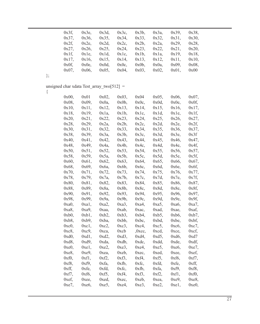| $0x3f$ . | $0x3e$ . | $0x3d$ . | $0x3c$ , | $0x3b$ . | $0x3a$ . | 0x39.    | $0x38$ , |
|----------|----------|----------|----------|----------|----------|----------|----------|
| 0x37.    | 0x36.    | 0x35.    | 0x34.    | 0x33.    | 0x32.    | 0x31.    | $0x30$ , |
| $0x2f$ . | $0x2e$ . | $0x2d$ . | 0x2c     | $0x2b$ . | $0x2a$ . | 0x29.    | $0x28$ , |
| 0x27.    | 0x26.    | 0x25.    | 0x24.    | 0x23.    | 0x22.    | $0x21$ . | $0x20$ , |
| $0x1f$ . | $0x1e$ . | $0x1d$ . | 0x1c     | $0x1b$ . | 0x1a     | $0x19$ , | $0x18$ , |
| 0x17.    | 0x16.    | $0x15$ . | $0x14$ . | 0x13.    | $0x12$ . | $0x11$ . | $0x10$ , |
| $0x0f$ . | $0x0e$ . | $0x0d$ . | $0x0c$ . | $0x0b$ . | $0x0a$ . | 0x09.    | 0x08     |
| $0x07$ . | 0x06.    | $0x05$ . | 0x04.    | $0x03$ , | 0x02     | $0x01$ , |          |

};

unsigned char xdata Test\_array\_two[512] = {

| ί |          |          |          |                |                 |                |          |          |
|---|----------|----------|----------|----------------|-----------------|----------------|----------|----------|
|   | 0x00,    | 0x01     | $0x02$ , | $0x03$ ,       | 0x04            | $0x05$ ,       | $0x06$ , | $0x07$ , |
|   | 0x08,    | 0x09,    | $0x0a$ , | 0x0b,          | $0x0c$ ,        | 0x0d,          | 0x0e,    | 0x0f,    |
|   | 0x10,    | 0x11,    | 0x12,    | 0x13,          | 0x14,           | 0x15,          | 0x16,    | 0x17,    |
|   | 0x18,    | 0x19,    | $0x1a$ , | $0x1b$ ,       | $0x1c$ ,        | 0x1d,          | 0x1e,    | 0x1f,    |
|   | $0x20$ , | $0x21$ , | $0x22$ , | $0x23$ ,       | $0x24$ ,        | 0x25,          | 0x26,    | 0x27,    |
|   | 0x28,    | $0x29$ , | $0x2a$ , | $0x2b$ ,       | $0x2c$ ,        | $0x2d$ ,       | 0x2e,    | 0x2f,    |
|   | 0x30,    | 0x31,    | 0x32,    | 0x33,          | 0x34,           | 0x35,          | 0x36,    | 0x37,    |
|   | 0x38,    | 0x39,    | $0x3a$ , | $0x3b$ ,       | 0x3c,           | 0x3d,          | 0x3e,    | 0x3f     |
|   | $0x40$ , | $0x41$ , | $0x42$ , | $0x43$ ,       | $0x44$ ,        | $0x45$ ,       | $0x46$ , | 0x47,    |
|   | 0x48     | $0x49$ , | $0x4a$ , | $0x4b$ ,       | $0x4c$ ,        | $0x4d$ .       | 0x4e,    | 0x4f,    |
|   | 0x50,    | 0x51,    | 0x52,    | $0x53$ ,       | 0x54,           | 0x55,          | 0x56,    | 0x57,    |
|   | 0x58,    | $0x59$ , | $0x5a$ , | $0x5b$ ,       | $0x5c$ ,        | 0x5d,          | $0x5e$ , | 0x5f,    |
|   | 0x60,    | $0x61$ , | $0x62$ , | $0x63$ ,       | 0x64,           | $0x65$ ,       | 0x66,    | 0x67,    |
|   | 0x68,    | $0x69$ , | 0x6a,    | 0x6b,          | $0x6c$ ,        | $0x6d$ ,       | $0x6e$ , | $0x6f$ , |
|   | $0x70$ , | 0x71,    | 0x72,    | $0x73$ ,       | $0x74$ ,        | $0x75$ ,       | 0x76.    | 0x77,    |
|   | 0x78,    | 0x79,    | $0x7a$ , | 0x7b,          | $0x7c$ ,        | 0x7d,          | 0x7e,    | 0x7f,    |
|   | 0x80,    | 0x81,    | 0x82,    | 0x83,          | 0x84,           | 0x85,          | 0x86,    | 0x87,    |
|   | 0x88,    | 0x89,    | $0x8a$ , | 0x8b,          | $0x8c$ ,        | 0x8d,          | $0x8e$ , | $0x8f$ , |
|   | $0x90$ , | 0x91,    | 0x92,    | $0x93$ ,       | 0x94,           | $0x95$ ,       | 0x96.    | 0x97,    |
|   | 0x98,    | 0x99,    | $0x9a$ , | 0x9b,          | 0x9c,           | 0x9d,          | 0x9e,    | 0x9f,    |
|   | 0xa0,    | 0xa1,    | 0xa2,    | 0xa3,          | 0xa4,           | 0xa5,          | 0xa6,    | 0xa7,    |
|   | $0xa8$ , | $0xa9$ , | $0xaa$ , | $0$ xab,       | $0$ xac,        | $0xad$ ,       | 0xae,    | $0xaf$ , |
|   | $0xb0$ , | 0xb1,    | $0xb2$ , | $0xb3$ ,       | $0x b4$ ,       | $0xb5$ ,       | $0xb6$ , | 0xb7,    |
|   | 0xb8,    | 0xb9,    | $0$ xba, | $0$ x $bb$ ,   | $0$ xbc,        | 0xbd,          | 0xbe,    | 0xbf,    |
|   | $0xc0$ , | 0xc1,    | $0xc2$ , | $0xc3$ ,       | 0xc4,           | $0xc5$ ,       | $0xc6$ , | 0xc7,    |
|   | $0xc8$ , | $0xc9$ , | 0xca,    | $0 \times cb$  | $,0 \times c$   | 0xcd,          | 0xce,    | 0xcf,    |
|   | 0xd0,    | $0xd1$ , | $0xd2$ , | $0xd3$ ,       | $0xd4$ ,        | 0xd5,          | $0xd6$ , | 0xd7     |
|   | 0xd8,    | 0xd9,    | $0xda$ , | 0xdb,          | $0 \times dc$ , | 0xdd,          | 0xde,    | 0xdf,    |
|   | 0xe0,    | 0xe1,    | 0xe2,    | 0xe3,          | 0xe4,           | 0xe5,          | 0xe6,    | 0xe7,    |
|   | 0xe8,    | 0xe9,    | 0xea,    | $0$ xeb,       | $0 \times$ ec,  | $0 \times d$ , | 0xee,    | 0xef,    |
|   | $0xf0$ , | $0xf1$ , | $0xf2$ , | $0xf3$ ,       | $0xf4$ ,        | 0xf5,          | 0xf6,    | 0xf7,    |
|   | $0xf8$ , | $0xf9$ , | $0xfa$ , | $0xfb$ ,       | $0$ xfc,        | 0xfd,          | 0xfe,    | $0xff$ , |
|   | $0xff$ , | $0$ xfe, | 0xfd,    | $0$ xfc,       | $0xfb$ ,        | 0xfa,          | $0xf9$ , | $0xf8$ , |
|   | 0xf7,    | $0xf6$ , | 0xf5,    | 0xf4,          | $0xf3$ ,        | $0xf2$ ,       | 0xf1,    | 0xf0,    |
|   | 0xef     | $0$ xee, | 0xed,    | $0 \times$ ec, | $0$ xeb,        | 0xea,          | 0xe9,    | 0xe8,    |
|   | $0xe7$ . | 0xe6,    | $0xe5$ , | $0xe4$ ,       | $0xe3$ ,        | $0xe2$ ,       | $0xe1$ , | 0xe0,    |
|   |          |          |          |                |                 |                |          |          |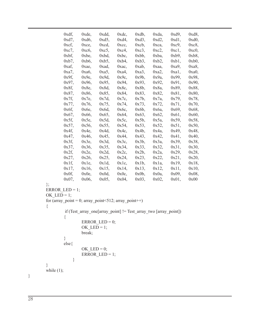0xdf, 0xde, 0xdd, 0xdc, 0xdb, 0xda, 0xd9, 0xd8, 0xd7, 0xd6, 0xd5, 0xd4, 0xd3, 0xd2, 0xd1, 0xd0, 0xcf, 0xce, 0xcd, 0xcc, 0xcb, 0xca, 0xc9, 0xc8, 0xc7, 0xc6, 0xc5, 0xc4, 0xc3, 0xc2, 0xc1, 0xc0, 0xbf, 0xbe, 0xbd, 0xbc, 0xbb, 0xba, 0xb9, 0xb8, 0xb7, 0xb6, 0xb5, 0xb4, 0xb3, 0xb2, 0xb1, 0xb0, 0xaf, 0xae, 0xad, 0xac, 0xab, 0xaa, 0xa9, 0xa8, 0xa7, 0xa6, 0xa5, 0xa4, 0xa3, 0xa2, 0xa1, 0xa0, 0x9f, 0x9e, 0x9d, 0x9c, 0x9b, 0x9a, 0x99, 0x98, 0x97, 0x96, 0x95, 0x94, 0x93, 0x92, 0x91, 0x90, 0x8f, 0x8e, 0x8d, 0x8c, 0x8b, 0x8a, 0x89, 0x88, 0x87, 0x86, 0x85, 0x84, 0x83, 0x82, 0x81, 0x80, 0x7f, 0x7e, 0x7d, 0x7c, 0x7b, 0x7a, 0x79, 0x78, 0x77, 0x76, 0x75, 0x74, 0x73, 0x72, 0x71, 0x70, 0x6f, 0x6e, 0x6d, 0x6c, 0x6b, 0x6a, 0x69, 0x68, 0x67, 0x66, 0x65, 0x64, 0x63, 0x62, 0x61, 0x60, 0x5f, 0x5e, 0x5d, 0x5c, 0x5b, 0x5a, 0x59, 0x58, 0x57, 0x56, 0x55, 0x54, 0x53, 0x52, 0x51, 0x50, 0x4f, 0x4e, 0x4d, 0x4c, 0x4b, 0x4a, 0x49, 0x48, 0x47, 0x46, 0x45, 0x44, 0x43, 0x42, 0x41, 0x40, 0x3f, 0x3e, 0x3d, 0x3c, 0x3b, 0x3a, 0x39, 0x38, 0x37, 0x36, 0x35, 0x34, 0x33, 0x32, 0x31, 0x30, 0x2f, 0x2e, 0x2d, 0x2c, 0x2b, 0x2a, 0x29, 0x28, 0x27, 0x26, 0x25, 0x24, 0x23, 0x22, 0x21, 0x20, 0x1f, 0x1e, 0x1d, 0x1c, 0x1b, 0x1a, 0x19, 0x18, 0x17, 0x16, 0x15, 0x14, 0x13, 0x12, 0x11, 0x10, 0x0f, 0x0e, 0x0d, 0x0c, 0x0b, 0x0a, 0x09, 0x08, 0x07, 0x06, 0x05, 0x04, 0x03, 0x02, 0x01, 0x00 }; ERROR LED = 1; OK LED = 1; for (array point = 0; array point  $\leq 512$ ; array point ++)  $\sim$   $\sim$   $\sim$   $\sim$   $\sim$   $\sim$   $\sim$ if (Test array one [array point]  $! =$  Test array two [array point])  $\{$ ERROR LED =  $0$ ; OK LED = 1; break; } else{ OK LED =  $0$ ; ERROR LED = 1; } } while  $(1)$ ;

}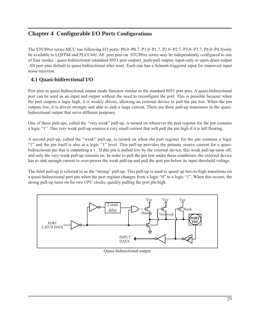# **Chapter 4 Configurable I/O Ports Configurations**

The STC89xx series MCU has following I/O ports: P0.0~P0.7, P1.0~P1.7, P2.0~P2.7, P3.0~P3.7, P4.0~P4.3(only be available to LQFP44 and PLCC44). All port pins on STC89xx series may be independently configured to one of four modes : quasi-bidirectional (standard 8051 port output), push-pull output, input-only or open-drain output .All port pins default to quasi-bidirectional after reset. Each one has a Schmitt-triggered input for improved input noise rejection.

# **4.1 Quasi-bidirectional I/O**

Port pins in quasi-bidirectional output mode function similar to the standard 8051 port pins. A quasi-bidirectional port can be used as an input and output without the need to reconfigure the port. This is possible because when the port outputs a logic high, it is weakly driven, allowing an external device to pull the pin low. When the pin outputs low, it is driven strongly and able to sink a large current. There are three pull-up transistors in the quasibidirectional output that serve different purposes.

One of these pull-ups, called the "very weak" pull-up, is turned on whenever the port register for the pin contains a logic "1". This very weak pull-up sources a very small current that will pull the pin high if it is left floating.

A second pull-up, called the "weak" pull-up, is turned on when the port register for the pin contains a logic "1" and the pin itself is also at a logic "1" level. This pull-up provides the primary source current for a quasibidirectional pin that is outputting a 1. If this pin is pulled low by the external device, this weak pull-up turns off, and only the very weak pull-up remains on. In order to pull the pin low under these conditions, the external device has to sink enough current to over-power the weak pull-up and pull the port pin below its input threshold voltage.

The third pull-up is referred to as the "strong" pull-up. This pull-up is used to speed up low-to-high transitions on a quasi-bidirectional port pin when the port register changes from a logic "0" to a logic "1". When this occurs, the strong pull-up turns on for two CPU clocks, quickly pulling the port pin high.



Quasi-bidirectional output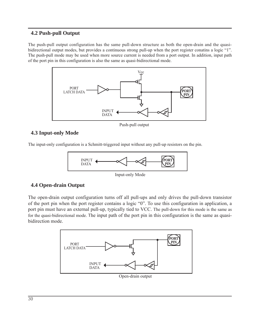# **4.2 Push-pull Output**

The push-pull output configuration has the same pull-down structure as both the open-drain and the quasibidirectional output modes, but provides a continuous strong pull-up when the port register conatins a logic "1". The push-pull mode may be used when more source current is needed from a port output. In addition, input path of the port pin in this configuration is also the same as quasi-bidirectional mode.



Push-pull output

# **4.3 Input-only Mode**

The input-only configuration is a Schmitt-triggered input without any pull-up resistors on the pin.



Input-only Mode

# **4.4 Open-drain Output**

The open-drain output configuration turns off all pull-ups and only drives the pull-down transistor of the port pin when the port register contains a logic "0". To use this configuration in application, a port pin must have an external pull-up, typically tied to VCC. The pull-down for this mode is the same as for the quasi-bidirectional mode. The input path of the port pin in this configuration is the same as quasibidirection mode.

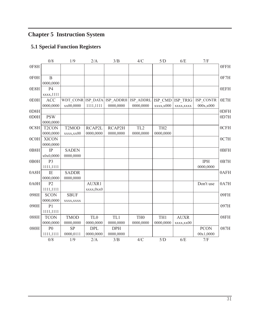# **Chapter 5 Instruction System**

# **5.1 Special Function Registers**

|      | 0/8                             | 1/9                            | 2/A                     | 3/B                         | 4/C                          | 5/D                           | 6/E         | 7/F         |         |
|------|---------------------------------|--------------------------------|-------------------------|-----------------------------|------------------------------|-------------------------------|-------------|-------------|---------|
| 0F8H |                                 |                                |                         |                             |                              |                               |             |             | 0FFH    |
| 0F0H | $\overline{B}$<br>0000,0000     |                                |                         |                             |                              |                               |             |             | 0F7H    |
| 0E8H | <b>P4</b><br>xxxx,1111          |                                |                         |                             |                              |                               |             |             | 0EFH    |
| 0E0H | <b>ACC</b>                      |                                |                         | WDT_CONR ISP_DATA ISP_ADDRH | ISP_ADDRL                    | ISP CMD                       | ISP TRIG    | ISP CONTR   | 0E7H    |
| 0D8H | 0000,0000                       | xx00,0000                      | 1111,1111               | 0000,0000                   | 0000,0000                    | $\overline{\text{XXX,X}}$ 000 | XXXX, XXXX  | 000x, x000  | 0DFH    |
| 0D0H | <b>PSW</b><br>0000,0000         |                                |                         |                             |                              |                               |             |             | 0D7H    |
| 0C8H | T <sub>2</sub> CON<br>0000,0000 | T <sub>2</sub> MOD<br>xxxxxx00 | RCAP2L<br>0000,0000     | RCAP2H<br>0000,0000         | TL <sub>2</sub><br>0000,0000 | TH <sub>2</sub><br>0000,0000  |             |             | $0$ CFH |
| 0COH | <b>XICON</b><br>0000,0000       |                                |                         |                             |                              |                               |             |             | 0C7H    |
| 0B8H | IP                              | <b>SADEN</b>                   |                         |                             |                              |                               |             |             | 0BFH    |
| 0B0H | x0x0,0000<br>P <sub>3</sub>     | 0000,0000                      |                         |                             |                              |                               |             | <b>IPH</b>  | 0B7H    |
| 0A8H | 1111,1111<br><b>IE</b>          | <b>SADDR</b>                   |                         |                             |                              |                               |             | 0000,0000   | 0AFH    |
| 0A0H | 0000,0000<br>P <sub>2</sub>     | 0000,0000                      | AUXR1                   |                             |                              |                               |             | Don't use   | 0A7H    |
| 098H | 1111,1111<br><b>SCON</b>        | <b>SBUF</b>                    | xxxx,0xx0               |                             |                              |                               |             |             | 09FH    |
| 090H | 0000,0000<br>P <sub>1</sub>     | XXXX, XXXX                     |                         |                             |                              |                               |             |             | 097H    |
| 088H | 1111,1111<br><b>TCON</b>        | <b>TMOD</b>                    | TL <sub>0</sub>         | TL1                         | TH <sub>0</sub>              | TH1                           | <b>AUXR</b> |             | 08FH    |
| 080H | 0000,0000<br>P <sub>0</sub>     | 0000,0000<br><b>SP</b>         | 0000,0000<br><b>DPL</b> | 0000,0000<br><b>DPH</b>     | 0000,0000                    | 0000,0000                     | xxxx,xx00   | <b>PCON</b> | 087H    |
|      | 1111,1111                       | 0000,0111                      | 0000,0000               | 0000,0000                   |                              |                               |             | 00x1,0000   |         |
|      | 0/8                             | 1/9                            | 2/A                     | 3/B                         | 4/C                          | 5/D                           | 6/E         | 7/F         |         |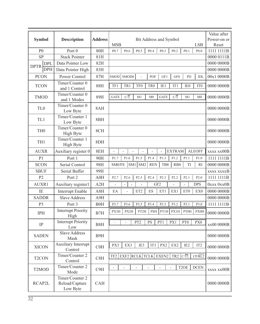| <b>Symbol</b>      |            | <b>Description</b>                            | <b>Address</b> | Bit Address and Symbol<br><b>MSB</b><br><b>LSB</b>                                                                                                           | Value after<br>Power-on or<br>Reset |
|--------------------|------------|-----------------------------------------------|----------------|--------------------------------------------------------------------------------------------------------------------------------------------------------------|-------------------------------------|
| P <sub>0</sub>     |            | Port 0                                        | 80H            | P <sub>0.6</sub><br>P <sub>0.5</sub><br>P <sub>0.4</sub><br>P <sub>0.3</sub><br>P <sub>0.1</sub><br>P <sub>0.7</sub><br>P <sub>0.2</sub><br>P <sub>0.0</sub> | 1111 1111B                          |
| <b>SP</b>          |            | <b>Stack Pointer</b>                          | 81H            |                                                                                                                                                              | 0000 0111B                          |
|                    | <b>DPL</b> | Data Pointer Low                              | 82H            |                                                                                                                                                              | 0000 0000B                          |
| <b>DPTR</b>        | <b>DPH</b> | Data Pointer High                             | 83H            |                                                                                                                                                              | 0000 0000B                          |
| <b>PCON</b>        |            | Power Control                                 | 87H            | <b>SMOD</b><br>SMOD0<br>POF<br>GF1<br>GF <sub>0</sub><br>PD<br>IDL                                                                                           | 00x1 0000B                          |
| <b>TCON</b>        |            | Timer/Counter 0<br>and 1 Control              | 88H            | TF1<br>TR1<br>TF <sub>0</sub><br>TR <sub>0</sub><br>IE1<br>IT1<br>IE <sub>0</sub><br>IT <sub>0</sub>                                                         | 0000 0000B                          |
| <b>TMOD</b>        |            | Timer/Counter 0<br>and 1 Modes                | 89H            | $C/\overline{T}$<br><b>GATE</b><br><b>GATE</b><br>$C/\overline{T}$<br>M1<br>M <sub>0</sub><br>M1<br>M <sub>0</sub>                                           | 0000 0000B                          |
| TL <sub>0</sub>    |            | Timer/Counter 0<br>Low Byte                   | 8AH            |                                                                                                                                                              | 0000 0000B                          |
| TL1                |            | Timer/Counter 1<br>Low Byte                   | 8BH            |                                                                                                                                                              | 0000 0000B                          |
| TH <sub>0</sub>    |            | Timer/Counter 0<br>High Byte                  | 8CH            |                                                                                                                                                              | 0000 0000B                          |
| TH1                |            | Timer/Counter 1<br>High Byte                  | 8DH            |                                                                                                                                                              | 0000 0000B                          |
| <b>AUXR</b>        |            | Auxiliary register 0                          | 8EH            | <b>EXTRAM</b><br><b>ALEOFF</b><br>$\mathbf{r}$                                                                                                               | xxxx xx00B                          |
| P <sub>1</sub>     |            | Port 1                                        | 90H            | P1.6<br>P1.5<br>P1.4<br>P1.3<br>P1.2<br>P1.7<br>P1.1<br>P1.0                                                                                                 | 1111 1111B                          |
| <b>SCON</b>        |            | Serial Control                                | 98H            | $\vert$ SM1 $\vert$ SM2<br><b>REN</b><br>TB8<br>SM0/FE<br>RB <sub>8</sub><br>TI<br>RI                                                                        | 0000 0000B                          |
| <b>SBUF</b>        |            | Serial Buffer                                 | 99H            |                                                                                                                                                              | xxxx xxxxB                          |
| P <sub>2</sub>     |            | Port 2                                        | A0H            | P <sub>2.3</sub><br>P <sub>2.1</sub><br>P <sub>2.7</sub><br>P <sub>2.6</sub><br>P <sub>2.5</sub><br>P <sub>2.4</sub><br>P <sub>2.2</sub><br>P2.0             | 1111 1111B                          |
| AUXR1              |            | Auxiliary register1                           | A2H            | <b>DPS</b><br>GF <sub>2</sub><br>$\overline{a}$                                                                                                              | 0xxx 0xx0B                          |
| IE                 |            | Interrupt Enable                              | A8H            | ES<br>EX1<br>EA<br>ET <sub>2</sub><br>ET1<br>ET <sub>0</sub><br>EX <sub>0</sub><br>L                                                                         | 0000 0000B                          |
| <b>SADDR</b>       |            | <b>Slave Address</b>                          | A9H            |                                                                                                                                                              | 0000 0000B                          |
| P <sub>3</sub>     |            | Port 3                                        | BOH            | P3.5<br>P3.4<br>P3.3<br>P3.2<br>P3.1<br>P3.7<br>P3.6<br>P3.0                                                                                                 | 1111 1111B                          |
| <b>IPH</b>         |            | <b>Interrupt Priority</b><br>High             | B7H            | PX2H<br>PSH<br>PT1H<br><b>PX1H</b><br><b>PT0H</b><br>PX3H<br>PT2H<br><b>PX0H</b>                                                                             | 0000 0000B                          |
| IP                 |            | <b>Interrupt Priority</b><br>Low              | B8H            | PT <sub>2</sub><br><b>PS</b><br>PT1<br>PX1<br>PT <sub>0</sub><br>PX <sub>0</sub><br>÷,                                                                       | xx00 0000B                          |
| <b>SADEN</b>       |            | <b>Slave Address</b><br>Mask                  | B9H            |                                                                                                                                                              | 0000 0000B                          |
| <b>XICON</b>       |            | Auxiliary Interrupt<br>Control                | COH            | PX2<br>PX3<br>EX3<br>IE3<br>IT3<br>EX2<br>IE <sub>2</sub><br>IT <sub>2</sub>                                                                                 | 0000 0000B                          |
| T <sub>2</sub> CON |            | Timer/Counter 2<br>Control                    | C8H            | TF2 EXF2 RCLK TCLK EXEN2 TR2 C/T2<br>CP/RL2                                                                                                                  | $0000\ 0000\mathrm{B}$              |
| T <sub>2</sub> MOD |            | Timer/Counter 2<br>Mode                       | C9H            | T <sub>2</sub> OE<br><b>DCEN</b><br>$\overline{a}$<br>$\overline{a}$                                                                                         | xxxx xx00B                          |
| RCAP2L             |            | Timer/Counter 2<br>Reload/Capture<br>Low Byte | CAH            |                                                                                                                                                              | $0000\ 0000\mathrm{B}$              |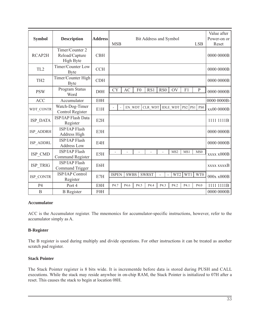| <b>Symbol</b>   | <b>Description</b>                             | <b>Address</b>   | Bit Address and Symbol<br><b>MSB</b><br><b>LSB</b>                                                | Value after<br>Power-on or<br>Reset |
|-----------------|------------------------------------------------|------------------|---------------------------------------------------------------------------------------------------|-------------------------------------|
| RCAP2H          | Timer/Counter 2<br>Reload/Capture<br>High Byte | <b>CBH</b>       |                                                                                                   | 0000 0000B                          |
| TL <sub>2</sub> | Timer/Counter Low<br><b>B</b> yte              | <b>CCH</b>       |                                                                                                   | 0000 0000B                          |
| TH <sub>2</sub> | Timer/Counter High<br><b>Byte</b>              | <b>CDH</b>       |                                                                                                   | 0000 0000B                          |
| <b>PSW</b>      | Program Status<br>Word                         | DOH              | RS1<br>RS <sub>0</sub><br>$O\overline{V}$<br><b>CY</b><br>AC<br>${\rm F0}$<br>F <sub>1</sub><br>P | 0000 0000B                          |
| <b>ACC</b>      | Accumulator                                    | <b>E0H</b>       |                                                                                                   | 0000 0000B-                         |
| WDT_CONTR       | Watch-Dog-Timer<br>Control Register            | E1H              | CLR WDT<br><b>IDLE WDT</b><br>EN WDT<br>PS1<br>PS <sub>2</sub><br>PS <sub>0</sub>                 | xx00 0000B                          |
| ISP DATA        | ISP/IAP Flash Data<br>Register                 | E <sub>2</sub> H |                                                                                                   | 1111 1111B                          |
| ISP ADDRH       | <b>ISP/IAP Flash</b><br>Address High           | E3H              |                                                                                                   | 0000 0000B                          |
| ISP ADDRL       | <b>ISP/IAP Flash</b><br><b>Address Low</b>     | E4H              |                                                                                                   | 0000 0000B                          |
| ISP_CMD         | ISP/IAP Flash<br>Command Register              | E5H              | MS <sub>2</sub><br>MS1<br>MS <sub>0</sub>                                                         | xxxx x000B                          |
| ISP_TRIG        | <b>ISP/IAP Flash</b><br>Command Trigger        | E6H              |                                                                                                   | xxxx xxxxB                          |
| ISP_CONTR       | ISP/IAP Control<br>Register                    | E7H              | <b>SWBS</b><br><b>SWRST</b><br><b>ISPEN</b><br>WT <sub>2</sub><br>WT1<br>WT0<br>÷,                | $000x$ $x000B$                      |
| <b>P4</b>       | Port 4                                         | E8H              | P4.5<br>P4.7<br>P4.6<br>P4.4<br>P4.3<br>P4.2<br>P4.1<br>P4.0                                      | 1111 1111B                          |
| B               | <b>B</b> Register                              | F0H              |                                                                                                   | 0000 0000B                          |

#### **Accumulator**

ACC is the Accumulator register. The mnemonics for accumulator-specific instructions, however, refer to the accumulator simply as A.

#### **B-Register**

The B register is used during multiply and divide operations. For other instructions it can be treated as another scratch pad register.

#### **Stack Pointer**

The Stack Pointer register is 8 bits wide. It is incrementde before data is stored during PUSH and CALL executions. While the stack may reside anywhee in on-chip RAM, the Stack Pointer is initialized to 07H after a reset. This causes the stack to begin at location 08H.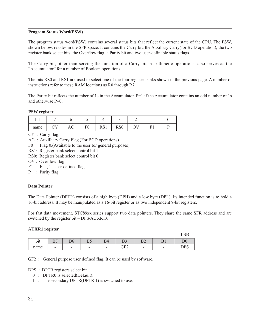#### **Program Status Word(PSW)**

The program status word(PSW) contains several status bits that reflect the current state of the CPU. The PSW, shown below, resides in the SFR space. It contains the Carry bit, the Auxiliary Carry(for BCD operation), the two register bank select bits, the Overflow flag, a Parity bit and two user-definable status flags.

The Carry bit, other than serving the function of a Carry bit in arithmetic operations, also serves as the "Accumulator" for a number of Boolean operations.

The bits RS0 and RS1 are used to select one of the four register banks shown in the previous page. A number of instructions refer to these RAM locations as R0 through R7.

The Parity bit reflects the number of 1s in the Accumulator. P=1 if the Accumulator contains an odd number of 1s and otherwise P=0.

#### **PSW register**

| DIL  |    |    |       |            |   |  |
|------|----|----|-------|------------|---|--|
| name | AC | EΩ | 1 U U | <b>TTO</b> | ີ |  |

CY : Carry flag.

- F0 : Flag 0.(Available to the user for general purposes)
- RS1: Register bank select control bit 1.
- RS0: Register bank select control bit 0.
- OV : Overflow flag.
- F1 : Flag 1. User-defined flag.
- P : Parity flag.

#### **Data Pointer**

The Data Pointer (DPTR) consists of a high byte (DPH) and a low byte (DPL). Its intended function is to hold a 16-bit address. It may be manipulated as a 16-bit register or as two independent 8-bit registers.

For fast data movement, STC89xx series support two data pointers. They share the same SFR address and are switched by the register bit – DPS/AUXR1.0.

#### **AUXR1 register**

|      |                          |                          |                          |                          |                 |                          |                          | <b>T CD</b><br>டல் |
|------|--------------------------|--------------------------|--------------------------|--------------------------|-----------------|--------------------------|--------------------------|--------------------|
| bit  |                          | <b>B6</b>                | ມຸ                       | B4                       |                 | ◡∠                       |                          | B0                 |
| name | $\overline{\phantom{0}}$ | $\overline{\phantom{0}}$ | $\overline{\phantom{0}}$ | $\overline{\phantom{0}}$ | GF <sub>2</sub> | $\overline{\phantom{0}}$ | $\overline{\phantom{0}}$ | <b>DPS</b>         |

GF2 : General purpose user defined flag. It can be used by software.

#### DPS : DPTR registers select bit.

- 0 : DPTR0 is selected(Default).
- 1 : The secondary DPTR(DPTR 1) is switched to use.

AC : Auxilliary Carry Flag.(For BCD operations)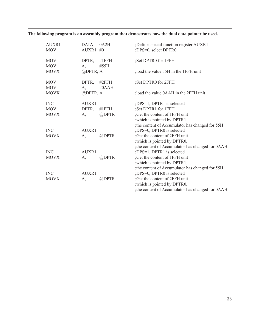| AUXR1<br><b>MOV</b>      | DATA<br>AUXR1, #0 | 0A2H                 | ;Define special function register AUXR1<br>;DPS=0, select DPTR0 |
|--------------------------|-------------------|----------------------|-----------------------------------------------------------------|
| <b>MOV</b><br><b>MOV</b> | DPTR,<br>A.       | $\#1$ FFH<br>#55H    | ;Set DPTR0 for 1FFH                                             |
| <b>MOVX</b>              | @DPTR, A          |                      | load the value 55H in the 1FFH unit                             |
| <b>MOV</b><br><b>MOV</b> | DPTR,<br>A,       | $#2$ FFH<br>$\#0AAH$ | :Set DPTR0 for 2FFH                                             |
| <b>MOVX</b>              | @DPTR, A          |                      | ; load the value 0AAH in the 2FFH unit                          |
| <b>INC</b>               | <b>AUXR1</b>      |                      | :DPS=1, DPTR1 is selected                                       |
| MOV                      | DPTR,             | $#1$ FFH             | ;Set DPTR1 for 1FFH                                             |
| <b>MOVX</b>              | A,                | @DPTR                | ;Get the content of 1FFH unit                                   |
|                          |                   |                      | ; which is pointed by DPTR1,                                    |
|                          |                   |                      | ;the content of Accumulator has changed for 55H                 |
| <b>INC</b>               | AUXR1             |                      | ;DPS=0, DPTR0 is selected                                       |
| <b>MOVX</b>              | A,                | @DPTR                | ;Get the content of 2FFH unit                                   |
|                          |                   |                      | ; which is pointed by DPTR0,                                    |
|                          |                   |                      | ;the content of Accumulator has changed for 0AAH                |
| <b>INC</b>               | AUXR1             |                      | ;DPS=1, DPTR1 is selected                                       |
| <b>MOVX</b>              | A,                | @DPTR                | :Get the content of 1FFH unit                                   |
|                          |                   |                      | ; which is pointed by DPTR1,                                    |
|                          |                   |                      | ;the content of Accumulator has changed for 55H                 |
| <b>INC</b>               | AUXR1             |                      | ;DPS=0, DPTR0 is selected                                       |
| <b>MOVX</b>              | A,                | @DPTR                | ;Get the content of 2FFH unit                                   |
|                          |                   |                      | ; which is pointed by DPTR0,                                    |
|                          |                   |                      | the content of Accumulator has changed for 0AAH                 |

**The following program is an assembly program that demostrates how the dual data pointer be used.**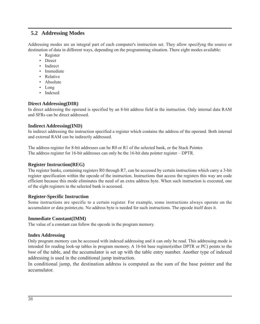# **5.2 Addressing Modes**

Addressing modes are an integral part of each computer's instruction set. They allow specifyng the source or destination of data in different ways, depending on the programming situation. There eight modes available:

- Register
- Direct
- Indirect
- Immediate
- Relative
- Absolute
- Long
- Indexed

#### **Direct Addressing(DIR)**

In direct addressing the operand is specified by an 8-bit address field in the instruction. Only internal data RAM and SFRs can be direct addressed.

#### **Indirect Addressing(IND)**

In indirect addressing the instruction specified a register which contains the address of the operand. Both internal and external RAM can be indirectly addressed.

The address register for 8-bit addresses can be R0 or R1 of the selected bank, or the Stack Pointer. The address register for 16-bit addresses can only be the 16-bit data pointer register – DPTR.

#### **Register Instruction(REG)**

The register banks, containing registers R0 through R7, can be accessed by certain instructions which carry a 3-bit register specification within the opcode of the instruction. Instructions that access the registers this way are code efficient because this mode eliminates the need of an extra address byte. When such instruction is executed, one of the eight registers in the selected bank is accessed.

#### **Register-Specific Instruction**

Some instructions are specific to a certain register. For example, some instructions always operate on the accumulator or data pointer,etc. No address byte is needed for such instructions. The opcode itself does it.

#### **Immediate Constant(IMM)**

The value of a constant can follow the opcode in the program memory.

#### **Index Addressing**

Only program memory can be accessed with indexed addressing and it can only be read. This addressing mode is intended for reading look-up tables in program memory. A 16-bit base register(either DPTR or PC) points to the base of the table, and the accumulator is set up with the table entry number. Another type of indexed addressing is used in the conditional jump instruction.

In conditional jump, the destination address is computed as the sum of the base pointer and the accumulator.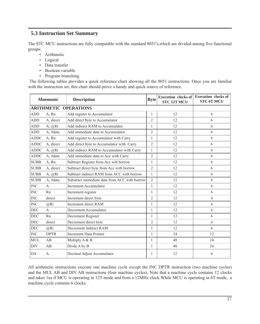## **5.3 Instruction Set Summary**

The STC MCU instructions are fully compatible with the standard 8051's,which are divided among five functional groups:

- Arithmetic
- Logical
- Data transfer •
- Boolean variable
- Program branching

 The following tables provides a quick reference chart showing all the 8051 instructions. Once you are familiar with the instruction set, this chart should prove a handy and quick source of reference.

| <b>Mnemonic</b> |                              | <b>Description</b>                            | <b>Byte</b>    | Execution clocks of<br><b>STC 12T MCU</b> | <b>Execution</b> clocks of<br><b>STC 6T MCU</b> |
|-----------------|------------------------------|-----------------------------------------------|----------------|-------------------------------------------|-------------------------------------------------|
|                 | <b>ARITHMETIC OPERATIONS</b> |                                               |                |                                           |                                                 |
| <b>ADD</b>      | A, Rn                        | Add register to Accumulator                   | 1              | 12                                        | 6                                               |
| <b>ADD</b>      | A, direct                    | Add ditect byte to Accumulator                | $\overline{2}$ | 12                                        | 6                                               |
| <b>ADD</b>      | A, @Ri                       | Add indirect RAM to Accumulator               | 1              | 12                                        | 6                                               |
| <b>ADD</b>      | A, #data                     | Add immediate data to Accumulator             | $\overline{2}$ | 12                                        | 6                                               |
| <b>ADDC</b>     | A, Rn                        | Add register to Accumulator with Carry        | 1              | 12                                        | 6                                               |
| <b>ADDC</b>     | A, direct                    | Add direct byte to Accumulator with Carry     | $\overline{2}$ | 12                                        | 6                                               |
| <b>ADDC</b>     | A, @Ri                       | Add indirect RAM to Accumulator with Carry    | $\mathbf{1}$   | 12                                        | 6                                               |
| <b>ADDC</b>     | A, #data                     | Add immediate data to Acc with Carry          | $\overline{2}$ | 12                                        | 6                                               |
| <b>SUBB</b>     | A, Rn                        | Subtract Register from Acc wih borrow         | 1              | 12                                        | 6                                               |
| <b>SUBB</b>     | A, direct                    | Subtract direct byte from Acc with borrow     | $\mathfrak{D}$ | 12                                        | 6                                               |
| <b>SUBB</b>     | A, @Ri                       | Subtract indirect RAM from ACC with borrow    | 1              | 12                                        | 6                                               |
| <b>SUBB</b>     | A, #data                     | Substract immediate data from ACC with borrow | $\overline{2}$ | 12                                        | 6                                               |
| <b>INC</b>      | $\mathsf{A}$                 | Increment Accumulator                         | 1              | 12                                        | 6                                               |
| <b>INC</b>      | Rn                           | Increment register                            | 1              | 12                                        | 6                                               |
| <b>INC</b>      | direct                       | Increment direct byte                         | $\overline{2}$ | 12                                        | 6                                               |
| <b>INC</b>      | @Ri                          | Increment direct RAM                          | 1              | 12                                        | 6                                               |
| <b>DEC</b>      | A                            | Decrement Accumulator                         | 1              | 12                                        | 6                                               |
| <b>DEC</b>      | Rn                           | Decrement Register                            | 1              | 12                                        | 6                                               |
| <b>DEC</b>      | direct                       | Decrement direct byte                         | $\overline{2}$ | 12                                        | 6                                               |
| <b>DEC</b>      | @Ri                          | Decrement indirect RAM                        | 1              | 12                                        | 6                                               |
| <b>INC</b>      | <b>DPTR</b>                  | <b>Increment Data Pointer</b>                 | 1              | 24                                        | 12                                              |
| <b>MUL</b>      | AB                           | Multiply A & B                                | 1              | 48                                        | 24                                              |
| DIV             | AB                           | Divde A by B                                  | 1              | 48                                        | 24                                              |
| DA              | $\mathsf{A}$                 | Decimal Adjust Accumulator                    | 1              | 12                                        | 6                                               |

All arithmetic instructions execute one machine cycle except the INC DPTR instruction (two machine cycles) and the MUL AB and DIV AB instructions (four machine cycles). Note that a machine cycle contains 12 clocks and takes 1us if MCU is operating in 12T mode and from a 12MHz clock.While MCU is operating in 6T mode, a machine cycle contains 6 clocks.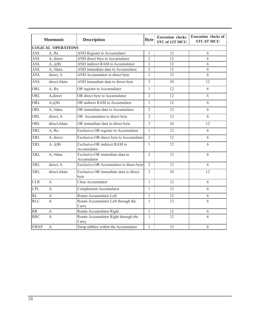|               | <b>Mnemonic</b>           | <b>Description</b>                            | <b>Byte</b>    | <b>Execution clocks</b><br>STC of 12T MCU | <b>Execution</b> clocks of<br><b>STC 6T MCU</b> |
|---------------|---------------------------|-----------------------------------------------|----------------|-------------------------------------------|-------------------------------------------------|
|               | <b>LOGICAL OPERATIONS</b> |                                               |                |                                           |                                                 |
| <b>ANL</b>    | A, Rn                     | AND Register to Accumulator                   | 1              | 12                                        | 6                                               |
| ANL           | A, direct                 | AND direct btye to Accumulator                | $\overline{2}$ | 12                                        | 6                                               |
| <b>ANL</b>    | A, @Ri                    | AND indirect RAM to Accumulator               | $\mathbf{1}$   | 12                                        | 6                                               |
| <b>ANL</b>    | A, #data                  | AND immediate data to Accumulator             | $\overline{2}$ | 12                                        | 6                                               |
| <b>ANL</b>    | direct, A                 | AND Accumulator to direct byte                | $\overline{c}$ | 12                                        | 6                                               |
| <b>ANL</b>    | direct,#data              | AND immediate data to direct byte             | $\overline{3}$ | 24                                        | 12                                              |
| ORL           | A, Rn                     | OR register to Accumulator                    | 1              | 12                                        | 6                                               |
| ORL           | A, direct                 | OR direct byte to Accumulator                 | $\overline{c}$ | 12                                        | 6                                               |
| <b>ORL</b>    | $A, (\partial R)$         | OR indirect RAM to Accumulator                | $\mathbf{1}$   | 12                                        | 6                                               |
| ORL           | A, #data                  | OR immediate data to Accumulator              | $\mathfrak{D}$ | 12                                        | 6                                               |
| ORL           | direct, A                 | OR Accumulator to direct byte                 | $\overline{2}$ | 12                                        | 6                                               |
| ORL           | direct,#data              | OR immediate data to direct byte              | 3              | 24                                        | 12                                              |
| <b>XRL</b>    | A, Rn                     | Exclusive-OR register to Accumulator          | 1              | 12                                        | 6                                               |
| <b>XRL</b>    | A, direct                 | Exclusive-OR direct byte to Accumulator       | $\overline{c}$ | 12                                        | 6                                               |
| <b>XRL</b>    | $A, (\partial R)$         | Exclusive-OR indirect RAM to<br>Accumulator   | $\mathbf{1}$   | 12                                        | 6                                               |
| <b>XRL</b>    | A, #data                  | Exclusive-OR immediate data to<br>Accumulator | $\mathcal{L}$  | 12                                        | 6                                               |
| <b>XRL</b>    | direct, A                 | Exclusive-OR Accumulator to direct byte       | $\overline{2}$ | 12                                        | 6                                               |
| <b>XRL</b>    | direct,#data              | Exclusive-OR immediate data to direct<br>byte | 3              | 24                                        | 12                                              |
| <b>CLR</b>    | A                         | Clear Accumulator                             | $\mathbf{1}$   | 12                                        | 6                                               |
| <b>CPL</b>    | A                         | Complement Accumulator                        | 1              | 12                                        | 6                                               |
| $\mathbf{RL}$ | A                         | Rotate Accumulator Left                       | $\mathbf{1}$   | 12                                        | 6                                               |
| <b>RLC</b>    | A                         | Rotate Accumulator Left through the<br>Carry  | $\mathbf{1}$   | 12                                        | 6                                               |
| RR            | A                         | Rotate Accumulator Right                      | $\mathbf{1}$   | 12                                        | 6                                               |
| <b>RRC</b>    | A                         | Rotate Accumulator Right through the<br>Carry | $\mathbf{1}$   | 12                                        | 6                                               |
| <b>SWAP</b>   | A                         | Swap nibbles within the Accumulator           | 1              | 12                                        | 6                                               |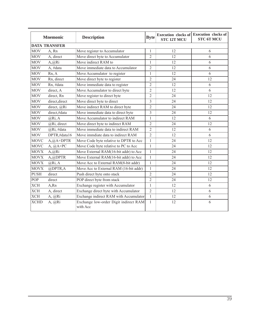|             | <b>Mnemonic</b>      | <b>Description</b>                                | <b>Byte</b>    | <b>STC 12T MCU</b> | <b>Execution clocks of Execution clocks of</b><br><b>STC 6T MCU</b> |
|-------------|----------------------|---------------------------------------------------|----------------|--------------------|---------------------------------------------------------------------|
|             | <b>DATA TRANSFER</b> |                                                   |                |                    |                                                                     |
| <b>MOV</b>  | A, Rn                | Move register to Accumulator                      | $\mathbf{1}$   | 12                 | 6                                                                   |
| <b>MOV</b>  | A, direct            | Move direct byte to Accumulator                   | $\overline{2}$ | 12                 | 6                                                                   |
| <b>MOV</b>  | $A, (\partial R)$    | Move indirect RAM to                              | $\mathbf{1}$   | 12                 | 6                                                                   |
| <b>MOV</b>  | A, #data             | Move immediate data to Accumulator                | $\overline{2}$ | 12                 | 6                                                                   |
| <b>MOV</b>  | Rn, A                | Move Accumulator to register                      | $\mathbf{1}$   | 12                 | 6                                                                   |
| <b>MOV</b>  | Rn, direct           | Move direct byte to register                      | $\overline{2}$ | 24                 | 12                                                                  |
| <b>MOV</b>  | Rn, #data            | Move immediate data to register                   | $\overline{2}$ | 12                 | 6                                                                   |
| <b>MOV</b>  | direct, A            | Move Accumulator to direct byte                   | $\overline{2}$ | 12                 | 6                                                                   |
| <b>MOV</b>  | direct, Rn           | Move register to direct byte                      | $\overline{2}$ | 24                 | 12                                                                  |
| <b>MOV</b>  | direct, direct       | Move direct byte to direct                        | 3              | 24                 | 12                                                                  |
| <b>MOV</b>  | direct, @Ri          | Move indirect RAM to direct byte                  | $\overline{2}$ | 24                 | 12                                                                  |
| <b>MOV</b>  | direct,#data         | Move immediate data to direct byte                | 3              | 24                 | 12                                                                  |
| <b>MOV</b>  | @Ri, A               | Move Accumulator to indirect RAM                  | 1              | 12                 | 6                                                                   |
| <b>MOV</b>  | @Ri, direct          | Move direct byte to indirect RAM                  | $\overline{2}$ | 24                 | 12                                                                  |
| <b>MOV</b>  | @Ri, #data           | Move immediate data to indirect RAM               | $\overline{2}$ | 12                 | 6                                                                   |
| <b>MOV</b>  | DPTR,#data16         | Move immdiate data to indirect RAM                | $\overline{2}$ | 12                 | 6                                                                   |
| <b>MOVC</b> | $A, (a)A+DPTR$       | Move Code byte relative to DPTR to Acc            | $\mathbf{1}$   | 24                 | 12                                                                  |
| <b>MOVC</b> | $A, @A+PC$           | Move Code byte relative to PC to Acc              | $\mathbf{1}$   | 24                 | 12                                                                  |
| <b>MOVX</b> | $A, (\partial R)$    | Move External RAM(16-bit addr) to Acc             | 1              | 24                 | 12                                                                  |
| <b>MOVX</b> | A, @DPTR             | Move External RAM(16-bit addr) to Acc             | $\mathbf{1}$   | 24                 | 12                                                                  |
| <b>MOVX</b> | @Ri, A               | Move Acc to External RAM(8-bit addr)              | $\mathbf{1}$   | 24                 | 12                                                                  |
| <b>MOVX</b> | @DPTR,A              | Move Acc to External RAM (16-bit addr)            | $\mathbf{1}$   | 24                 | 12                                                                  |
| <b>PUSH</b> | direct               | Push direct byte onto stack                       | $\overline{c}$ | 24                 | 12                                                                  |
| POP         | direct               | POP direct byte from stack                        | $\overline{c}$ | 24                 | 12                                                                  |
| <b>XCH</b>  | A.Rn                 | Exchange register with Accumulator                | $\mathbf{1}$   | 12                 | 6                                                                   |
| <b>XCH</b>  | A, direct            | Exchange direct byte with Accumulator             | $\overline{2}$ | 12                 | 6                                                                   |
| <b>XCH</b>  | $A, (\partial R)$    | Exchange indirect RAM with Accumulator            | $\mathbf{1}$   | 12                 | 6                                                                   |
| <b>XCHD</b> | A, @Ri               | Exchange low-order Digit indirect RAM<br>with Acc | $\mathbf{1}$   | 12                 | 6                                                                   |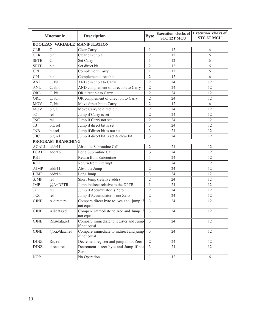|              | <b>Mnemonic</b>   | <b>Description</b>                                     | <b>Byte</b>             | <b>STC 12T MCU</b> | Execution clocks of Execution clocks of<br><b>STC 6T MCU</b> |
|--------------|-------------------|--------------------------------------------------------|-------------------------|--------------------|--------------------------------------------------------------|
|              |                   | <b>BOOLEAN VARIABLE MANIPULATION</b>                   |                         |                    |                                                              |
| <b>CLR</b>   | $\mathcal{C}$     | Clear Carry                                            | 1                       | 12                 | 6                                                            |
| <b>CLR</b>   | bit               | Clear direct bit                                       | $\overline{2}$          | 12                 | 6                                                            |
| <b>SETB</b>  | $\mathcal{C}$     | Set Carry                                              | $\mathbf{1}$            | 12                 | 6                                                            |
| <b>SETB</b>  | bit               | Set direct bit                                         | $\overline{2}$          | 12                 | 6                                                            |
| <b>CPL</b>   | $\mathcal{C}$     | Complement Carry                                       | $\mathbf{1}$            | 12                 | 6                                                            |
| <b>CPL</b>   | bit               | Complement direct bit                                  | $\overline{2}$          | 12                 | 6                                                            |
| ANL          | C, bit            | AND direct bit to Carry                                | $\overline{2}$          | 24                 | 12                                                           |
| ANL          | C, /bit           | AND complement of direct bit to Carry                  | $\overline{2}$          | 24                 | 12                                                           |
| ORL          | C, bit            | OR direct bit to Carry                                 | $\overline{2}$          | 24                 | 12                                                           |
| ORL          | C. /bit           | OR complement of direct bit to Carry                   | $\overline{2}$          | 24                 | 12                                                           |
| <b>MOV</b>   | C, bit            | Move direct bit to Carry                               | $\overline{2}$          | 12                 | 6                                                            |
| <b>MOV</b>   | bit, C            | Move Carry to direct bit                               | $\overline{2}$          | 24                 | 12                                                           |
| JC           | rel               | Jump if Carry is set                                   | $\overline{2}$          | 24                 | 12                                                           |
| <b>JNC</b>   | rel               | Jump if Carry not set                                  | $\sqrt{2}$              | 24                 | 12                                                           |
| JB           | bit, rel          | Jump if direct bit is set                              | 3                       | 24                 | 12                                                           |
| <b>JNB</b>   | bit,rel           | Jump if direct bit is not set                          | $\overline{\mathbf{3}}$ | 24                 | 12                                                           |
| <b>JBC</b>   | bit, rel          | Jump if direct bit is set & clear bit                  | $\overline{3}$          | 24                 | 12                                                           |
|              | PROGRAM BRANCHING |                                                        |                         |                    |                                                              |
| <b>ACALL</b> | addr11            | Absolute Subroutine Call                               | $\overline{2}$          | 24                 | 12                                                           |
| <b>LCALL</b> | addr16            | Long Subroutine Call                                   | 3                       | 24                 | 12                                                           |
| <b>RET</b>   |                   | Return from Subroutine                                 | $\mathbf{1}$            | 24                 | 12                                                           |
| <b>RETI</b>  |                   | Return from interrupt                                  | $\mathbf{1}$            | 24                 | 12                                                           |
| AJMP         | addr11            | Absolute Jump                                          | $\overline{c}$          | 24                 | 12                                                           |
| <b>LJMP</b>  | addr16            | Long Jump                                              | 3                       | 24                 | 12                                                           |
| <b>SJMP</b>  | rel               | Short Jump (relative addr)                             | $\overline{2}$          | 24                 | 12                                                           |
| <b>JMP</b>   | $@A+DPTR$         | Jump indirect relative to the DPTR                     | $\mathbf{1}$            | 24                 | 12                                                           |
| JZ           | rel               | Jump if Accumulator is Zero                            | $\overline{2}$          | 24                 | 12                                                           |
| JNZ          | rel               | Jump if Accumulator is not Zero                        | $\overline{2}$          | 24                 | 12                                                           |
| <b>CJNE</b>  | A,direct,rel      | Compare direct byte to Acc and jump if<br>not equal    | 3                       | 24                 | 12                                                           |
| CJNE         | A,#data,rel       | Compare immediate to Acc and Jump if<br>not equal      | 3                       | 24                 | 12                                                           |
| CJNE         | Rn,#data,rel      | Compare immediate to register and Jump<br>if not equal | 3                       | 24                 | 12                                                           |
| <b>CJNE</b>  | @Ri,#data,rel     | Compare immediate to indirect and jump<br>if not equal | 3                       | 24                 | 12                                                           |
| <b>DJNZ</b>  | Rn, rel           | Decrement register and jump if not Zero                | $\overline{2}$          | 24                 | 12                                                           |
| <b>DJNZ</b>  | direct, rel       | Decrement direct byte and Jump if not<br>Zero          | 3                       | 24                 | 12                                                           |
| <b>NOP</b>   |                   | No Operation                                           | 1                       | 12                 | 6                                                            |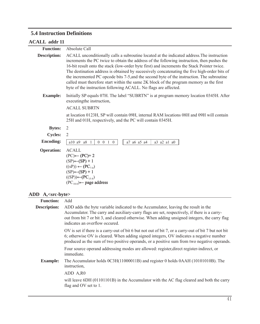# **5.4 Instruction Definitions**

### **ACALL addr 11**

| Absolute Call                                                                                                                                                                                                                                                                                                                                                                                                                                                                                                                                                                                                                                        |
|------------------------------------------------------------------------------------------------------------------------------------------------------------------------------------------------------------------------------------------------------------------------------------------------------------------------------------------------------------------------------------------------------------------------------------------------------------------------------------------------------------------------------------------------------------------------------------------------------------------------------------------------------|
| ACALL unconditionally calls a subroutine located at the indicated address. The instruction<br>increments the PC twice to obtain the address of the following instruction, then pushes the<br>16-bit result onto the stack (low-order byte first) and increments the Stack Pointer twice.<br>The destination address is obtained by succesively concatenating the five high-order bits of<br>the incremented PC opcode bits 7-5, and the second byte of the instruction. The subroutine<br>called must therefore start within the same 2K block of the program memory as the first<br>byte of the instruction following ACALL. No flags are affected. |
| Initially SP equals 07H. The label "SUBRTN" is at program memory location 0345H. After<br>executing the instruction.                                                                                                                                                                                                                                                                                                                                                                                                                                                                                                                                 |
| <b>ACALL SUBRTN</b>                                                                                                                                                                                                                                                                                                                                                                                                                                                                                                                                                                                                                                  |
| at location 0123H, SP will contain 09H, internal RAM locations 08H and 09H will contain<br>25H and 01H, respectively, and the PC will contain 0345H.                                                                                                                                                                                                                                                                                                                                                                                                                                                                                                 |
| 2                                                                                                                                                                                                                                                                                                                                                                                                                                                                                                                                                                                                                                                    |
| 2                                                                                                                                                                                                                                                                                                                                                                                                                                                                                                                                                                                                                                                    |
| a10 a9 a8 1<br>$0 \t0 \t1 \t0$<br>a7 a6 a5 a4<br>a3 a2 a1 a0                                                                                                                                                                                                                                                                                                                                                                                                                                                                                                                                                                                         |
| <b>ACALL</b>                                                                                                                                                                                                                                                                                                                                                                                                                                                                                                                                                                                                                                         |
| $(PC) \leftarrow (PC) + 2$                                                                                                                                                                                                                                                                                                                                                                                                                                                                                                                                                                                                                           |
| $(SP) \leftarrow (SP) + 1$                                                                                                                                                                                                                                                                                                                                                                                                                                                                                                                                                                                                                           |
| $((sP)) \leftarrow (PC_{7.0})$                                                                                                                                                                                                                                                                                                                                                                                                                                                                                                                                                                                                                       |
| $(SP) \leftarrow (SP) + 1$                                                                                                                                                                                                                                                                                                                                                                                                                                                                                                                                                                                                                           |
| $((SP))\leftarrow (PC_{15-8})$                                                                                                                                                                                                                                                                                                                                                                                                                                                                                                                                                                                                                       |
| $(PC_{10-0}) \leftarrow$ page address                                                                                                                                                                                                                                                                                                                                                                                                                                                                                                                                                                                                                |
|                                                                                                                                                                                                                                                                                                                                                                                                                                                                                                                                                                                                                                                      |

# **ADD A,<src-byte>**

| <b>Function:</b> | Add                                                                                                                                                                                                                                                                                                                   |
|------------------|-----------------------------------------------------------------------------------------------------------------------------------------------------------------------------------------------------------------------------------------------------------------------------------------------------------------------|
| Description:     | ADD adds the byte variable indicated to the Accumulator, leaving the result in the<br>Accumulator. The carry and auxiliary-carry flags are set, respectively, if there is a carry-<br>out from bit 7 or bit 3, and cleared otherwise. When adding unsigned integers, the carry flag<br>indicates an overflow occured. |
|                  | OV is set if there is a carry-out of bit 6 but not out of bit 7, or a carry-out of bit 7 but not bit<br>6; otherwise OV is cleared. When adding signed integers, OV indicates a negative number<br>produced as the sum of two positive operands, or a positive sum from two negative operands.                        |
|                  | Four source operand addressing modes are allowed: register, direct register-indirect, or<br>immediate.                                                                                                                                                                                                                |
| <b>Example:</b>  | The Accumulator holds 0C3H(11000011B) and register 0 holds 0AAH (10101010B). The<br>instruction.                                                                                                                                                                                                                      |
|                  | ADD A,R0                                                                                                                                                                                                                                                                                                              |
|                  | will leave 6DH (01101101B) in the Accumulator with the AC flag cleared and both the carry<br>flag and OV set to 1.                                                                                                                                                                                                    |
|                  |                                                                                                                                                                                                                                                                                                                       |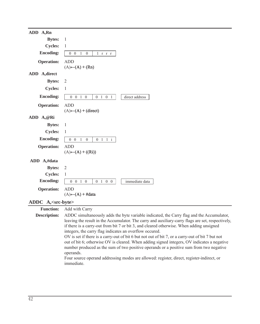| ADD A,Rn                                |                                                                                                                                              |
|-----------------------------------------|----------------------------------------------------------------------------------------------------------------------------------------------|
| <b>Bytes:</b>                           | $\mathbf{1}$                                                                                                                                 |
| <b>Cycles:</b>                          | 1                                                                                                                                            |
| <b>Encoding:</b>                        | $\overline{0}$<br>$\overline{0}$<br>$\mathbf{1}$<br>1<br>$\theta$<br>$r$ $r$ $r$                                                             |
| <b>Operation:</b>                       | <b>ADD</b>                                                                                                                                   |
|                                         | $(A) \leftarrow (A) + (Rn)$                                                                                                                  |
| ADD A, direct                           |                                                                                                                                              |
| <b>Bytes:</b>                           | 2                                                                                                                                            |
| <b>Cycles:</b>                          | 1                                                                                                                                            |
| <b>Encoding:</b>                        | $\theta$<br>$\mathbf{1}$<br>$\mathbf{0}$<br>$\mathbf{1}$<br>direct address<br>$\overline{0}$<br>$\mathbf{0}$<br>$\mathbf{0}$<br>$\mathbf{1}$ |
| <b>Operation:</b>                       | <b>ADD</b>                                                                                                                                   |
|                                         | $(A) \leftarrow (A) + (direct)$                                                                                                              |
| ADD A,@Ri                               |                                                                                                                                              |
| <b>Bytes:</b>                           | 1                                                                                                                                            |
| <b>Cycles:</b>                          | 1                                                                                                                                            |
| <b>Encoding:</b>                        | $\boldsymbol{0}$<br>$\mathbf{0}$<br>$\boldsymbol{0}$<br>$\mathbf{1}$<br>$\mathbf{i}$<br>1<br>$\boldsymbol{0}$<br>1                           |
| <b>Operation:</b>                       | <b>ADD</b>                                                                                                                                   |
|                                         | $(A) \leftarrow (A) + ((Ri))$                                                                                                                |
| <b>ADD</b><br>$A$ ,#data                |                                                                                                                                              |
| <b>Bytes:</b>                           | $\overline{2}$                                                                                                                               |
| <b>Cycles:</b>                          | $\mathbf{1}$                                                                                                                                 |
| <b>Encoding:</b>                        | immediate data<br>$\boldsymbol{0}$<br>$\overline{0}$<br>$\mathbf{0}$<br>$\mathbf{0}$<br>$\mathbf{1}$<br>$\boldsymbol{0}$<br>1<br>$\theta$    |
| <b>Operation:</b>                       | <b>ADD</b>                                                                                                                                   |
|                                         | $(A) \leftarrow (A) + #data$                                                                                                                 |
| <b>ADDC</b><br>A, <src-byte></src-byte> |                                                                                                                                              |
| <b>Function:</b>                        | Add with Carry                                                                                                                               |
| <b>Description:</b>                     | ADDC simultaneously adds the byte variable indicated                                                                                         |
|                                         | leaving the result in the Accumulator. The carry and aut                                                                                     |

**d**, the Carry flag and the Accumulator,  $\alpha$  is a result in the  $\alpha$  respectively,  $\alpha$ if there is a carry-out from bit 7 or bit 3, and cleared otherwise. When adding unsigned integers, the carry flag indicates an overflow occured. OV is set if there is a carry-out of bit 6 but not out of bit 7, or a carry-out of bit 7 but not

out of bit 6; otherwise OV is cleared. When adding signed integers, OV indicates a negative number produced as the sum of two positive operands or a positive sum from two negative operands.

Four source operand addressing modes are allowed: register, direct, register-indirect, or immediate.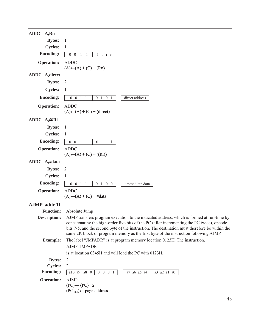| ADDC A,Rn           |                                                                                                                                                                                              |
|---------------------|----------------------------------------------------------------------------------------------------------------------------------------------------------------------------------------------|
| <b>Bytes:</b>       | $\mathbf{1}$                                                                                                                                                                                 |
| <b>Cycles:</b>      | $\mathbf{1}$                                                                                                                                                                                 |
| <b>Encoding:</b>    | $0\quad 0$<br>-1<br>1<br>l r r r                                                                                                                                                             |
| <b>Operation:</b>   | <b>ADDC</b>                                                                                                                                                                                  |
|                     | $(A) \leftarrow (A) + (C) + (Rn)$                                                                                                                                                            |
| ADDC A, direct      |                                                                                                                                                                                              |
| <b>Bytes:</b>       | $\overline{c}$                                                                                                                                                                               |
| <b>Cycles:</b>      | 1                                                                                                                                                                                            |
| <b>Encoding:</b>    | $0 \t 0 \t 1 \t 1$<br>$0 \quad 1 \quad 0$<br>direct address<br>-1                                                                                                                            |
| <b>Operation:</b>   | <b>ADDC</b>                                                                                                                                                                                  |
|                     | $(A) \leftarrow (A) + (C) + (direct)$                                                                                                                                                        |
| ADDC A,@Ri          |                                                                                                                                                                                              |
| <b>Bytes:</b>       | $\mathbf{1}$                                                                                                                                                                                 |
| <b>Cycles:</b>      | $\mathbf{1}$                                                                                                                                                                                 |
| <b>Encoding:</b>    | $1\quad1$<br>$0$ 1 1 i<br>$0\quad 0$                                                                                                                                                         |
| <b>Operation:</b>   | <b>ADDC</b>                                                                                                                                                                                  |
|                     | $(A) \leftarrow (A) + (C) + ((Ri))$                                                                                                                                                          |
| ADDC A,#data        |                                                                                                                                                                                              |
| <b>Bytes:</b>       | $\overline{c}$                                                                                                                                                                               |
| <b>Cycles:</b>      | 1                                                                                                                                                                                            |
| <b>Encoding:</b>    | $0 \t0 \t1 \t1$<br>0 1 0 0<br>immediate data                                                                                                                                                 |
| <b>Operation:</b>   | <b>ADDC</b>                                                                                                                                                                                  |
|                     | $(A) \leftarrow (A) + (C) + \text{\#data}$                                                                                                                                                   |
| AJMP addr 11        |                                                                                                                                                                                              |
| <b>Function:</b>    | Absolute Jump                                                                                                                                                                                |
| <b>Description:</b> | AJMP transfers program execution to the indicated address, which is formed at run-time by                                                                                                    |
|                     | concatenating the high-order five bits of the PC (after incrementing the PC twice), opcode<br>bits 7-5, and the second byte of the instruction. The destination must therefore be within the |
|                     | same 2K block of program memory as the first byte of the instruction following AJMP.                                                                                                         |
| <b>Example:</b>     | The label "JMPADR" is at program memory location 0123H. The instruction,                                                                                                                     |
|                     | <b>AJMP JMPADR</b>                                                                                                                                                                           |
|                     | is at location 0345H and will load the PC with 0123H.                                                                                                                                        |
| <b>Bytes:</b>       | $\overline{2}$                                                                                                                                                                               |
| <b>Cycles:</b>      | $\overline{2}$                                                                                                                                                                               |
| <b>Encoding:</b>    | a10 a9 a8 0<br>$0\quad 0\quad 0\quad 1$<br>a7 a6 a5 a4<br>a3 a2 a1 a0                                                                                                                        |
| <b>Operation:</b>   | <b>AJMP</b>                                                                                                                                                                                  |
|                     | $(PC) \leftarrow (PC) + 2$                                                                                                                                                                   |
|                     | $(PC_{10-0}) \leftarrow$ page address                                                                                                                                                        |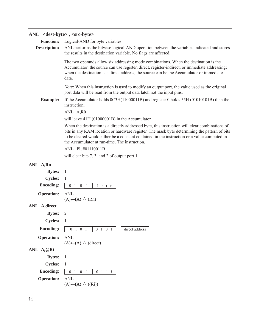| ANL <dest-byte>, <src-byte></src-byte></dest-byte> |                                                                                                                                                                                                                                                                                                                                                 |
|----------------------------------------------------|-------------------------------------------------------------------------------------------------------------------------------------------------------------------------------------------------------------------------------------------------------------------------------------------------------------------------------------------------|
| <b>Function:</b>                                   | Logical-AND for byte variables                                                                                                                                                                                                                                                                                                                  |
| <b>Description:</b>                                | ANL performs the bitwise logical-AND operation between the variables indicated and stores<br>the results in the destination variable. No flags are affected.                                                                                                                                                                                    |
|                                                    | The two operands allow six addressing mode combinations. When the destination is the<br>Accumulator, the source can use register, direct, register-indirect, or immediate addressing;<br>when the destination is a direct address, the source can be the Accumulator or immediate<br>data.                                                      |
|                                                    | <i>Note:</i> When this instruction is used to modify an output port, the value used as the original<br>port data will be read from the output data latch not the input pins.                                                                                                                                                                    |
| <b>Example:</b>                                    | If the Accumulator holds $0C3H(11000011B)$ and register 0 holds 55H (01010101B) then the<br>instruction,                                                                                                                                                                                                                                        |
|                                                    | ANL A,R0                                                                                                                                                                                                                                                                                                                                        |
|                                                    | will leave 41H (01000001B) in the Accumulator.                                                                                                                                                                                                                                                                                                  |
|                                                    | When the destination is a directly addressed byte, this instruction will clear combinations of<br>bits in any RAM location or hardware register. The mask byte determining the pattern of bits<br>to be cleared would either be a constant contained in the instruction or a value computed in<br>the Accumulator at run-time. The instruction, |
|                                                    | ANL Pl, #01110011B                                                                                                                                                                                                                                                                                                                              |
|                                                    | will clear bits 7, 3, and 2 of output port 1.                                                                                                                                                                                                                                                                                                   |
| ANL A,Rn                                           |                                                                                                                                                                                                                                                                                                                                                 |
| <b>Bytes:</b>                                      | $\mathbf{1}$                                                                                                                                                                                                                                                                                                                                    |
| <b>Cycles:</b>                                     | $\mathbf{1}$                                                                                                                                                                                                                                                                                                                                    |
| <b>Encoding:</b>                                   | 0 <sub>1</sub><br>$\mathbf{0}$<br>1<br>$1$ r r r                                                                                                                                                                                                                                                                                                |
| <b>Operation:</b>                                  | <b>ANL</b><br>$(A) \leftarrow (A) \land (Rn)$                                                                                                                                                                                                                                                                                                   |
| <b>ANL</b> A, direct                               |                                                                                                                                                                                                                                                                                                                                                 |
| <b>Bytes:</b>                                      | 2                                                                                                                                                                                                                                                                                                                                               |
| <b>Cycles:</b>                                     | 1                                                                                                                                                                                                                                                                                                                                               |
| <b>Encoding:</b>                                   | $\overline{0}$<br>$\mathbf{1}$<br>$\overline{0}$<br>$\mathbf{1}$<br>0 <sub>1</sub><br>$\overline{0}$<br>direct address<br>-1                                                                                                                                                                                                                    |
| <b>Operation:</b>                                  | ANL<br>$(A) \leftarrow (A) \wedge (direct)$                                                                                                                                                                                                                                                                                                     |
| ANL A,@Ri                                          |                                                                                                                                                                                                                                                                                                                                                 |
| <b>Bytes:</b>                                      | $\mathbf{1}$                                                                                                                                                                                                                                                                                                                                    |
| <b>Cycles:</b>                                     | $\mathbf{1}$                                                                                                                                                                                                                                                                                                                                    |
| <b>Encoding:</b>                                   | $\overline{0}$<br>$\boldsymbol{0}$<br>1<br>1<br>$\boldsymbol{0}$<br>1<br>1<br>$\mathbf{i}$                                                                                                                                                                                                                                                      |
| <b>Operation:</b>                                  | ANL                                                                                                                                                                                                                                                                                                                                             |
|                                                    | $(A) \leftarrow (A) \wedge ((Ri))$                                                                                                                                                                                                                                                                                                              |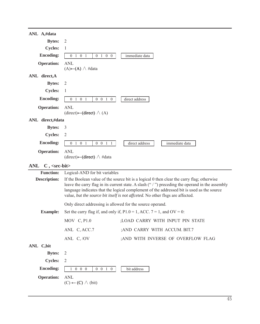| ANL A,#data                      |                                                                                                                                                                                                                                                                                                                                                                             |
|----------------------------------|-----------------------------------------------------------------------------------------------------------------------------------------------------------------------------------------------------------------------------------------------------------------------------------------------------------------------------------------------------------------------------|
| <b>Bytes:</b>                    | 2                                                                                                                                                                                                                                                                                                                                                                           |
| <b>Cycles:</b>                   | $\mathbf{1}$                                                                                                                                                                                                                                                                                                                                                                |
| <b>Encoding:</b>                 | $\overline{0}$<br>-1<br>0 <sub>1</sub><br>0 1 0 0<br>immediate data                                                                                                                                                                                                                                                                                                         |
| Operation:                       | <b>ANL</b><br>$(A) \leftarrow (A) \wedge #data$                                                                                                                                                                                                                                                                                                                             |
| ANL direct, A                    |                                                                                                                                                                                                                                                                                                                                                                             |
| <b>Bytes:</b>                    | 2                                                                                                                                                                                                                                                                                                                                                                           |
| <b>Cycles:</b>                   | $\mathbf{1}$                                                                                                                                                                                                                                                                                                                                                                |
| <b>Encoding:</b>                 | $0 \t1 \t0 \t1$<br>direct address<br>$0 \t0 \t1$<br>$\overline{0}$                                                                                                                                                                                                                                                                                                          |
| <b>Operation:</b>                | <b>ANL</b><br>(direct) $\leftarrow$ (direct) $\wedge$ (A)                                                                                                                                                                                                                                                                                                                   |
| ANL direct,#data                 |                                                                                                                                                                                                                                                                                                                                                                             |
| <b>Bytes:</b>                    | 3                                                                                                                                                                                                                                                                                                                                                                           |
| <b>Cycles:</b>                   | 2                                                                                                                                                                                                                                                                                                                                                                           |
| <b>Encoding:</b>                 | direct address<br>$0 \t1 \t0 \t1$<br>$0 \t 0 \t 1 \t 1$<br>immediate data                                                                                                                                                                                                                                                                                                   |
| Operation:                       | ANL<br>(direct) $\leftarrow$ (direct) $\wedge$ #data                                                                                                                                                                                                                                                                                                                        |
| ANL<br>$C$ , <src-bit></src-bit> |                                                                                                                                                                                                                                                                                                                                                                             |
| <b>Function:</b>                 | Logical-AND for bit variables                                                                                                                                                                                                                                                                                                                                               |
| Description:                     | If the Boolean value of the source bit is a logical 0 then clear the carry flag; otherwise<br>leave the carry flag in its current state. A slash ("/") preceding the operand in the assembly<br>language indicates that the logical complement of the addressed bit is used as the source<br>value, but the source bit itself is not affceted. No other flsgs are affected. |
|                                  | Only direct addressing is allowed for the source operand.                                                                                                                                                                                                                                                                                                                   |
| <b>Example:</b>                  | Set the carry flag if, and only if, $P1.0 = 1$ , ACC. $7 = 1$ , and $OV = 0$ .                                                                                                                                                                                                                                                                                              |
|                                  | ;LOAD CARRY WITH INPUT PIN STATE<br>MOV $C, P1.0$                                                                                                                                                                                                                                                                                                                           |
|                                  | ANL C, ACC.7<br>;AND CARRY WITH ACCUM. BIT.7                                                                                                                                                                                                                                                                                                                                |
|                                  | ANL C, /OV<br>;AND WITH INVERSE OF OVERFLOW FLAG                                                                                                                                                                                                                                                                                                                            |
| ANL C, bit                       |                                                                                                                                                                                                                                                                                                                                                                             |
| <b>Bytes:</b>                    | $\overline{2}$                                                                                                                                                                                                                                                                                                                                                              |
| <b>Cycles:</b>                   | 2                                                                                                                                                                                                                                                                                                                                                                           |
| <b>Encoding:</b>                 | $0\quad 0\quad 0$<br>$0 \t0 \t1$<br>$\mathbf{1}$<br>$\overline{0}$<br>bit address                                                                                                                                                                                                                                                                                           |
|                                  |                                                                                                                                                                                                                                                                                                                                                                             |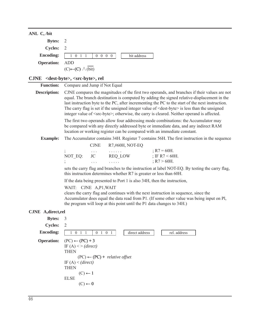| ANL C, /bit         |                                                                                                                                                                                                 |
|---------------------|-------------------------------------------------------------------------------------------------------------------------------------------------------------------------------------------------|
| <b>Bytes:</b>       | $\overline{2}$                                                                                                                                                                                  |
| <b>Cycles:</b>      | $\overline{2}$                                                                                                                                                                                  |
| <b>Encoding:</b>    | bit address<br>$1 \t0 \t1 \t1$<br>$0\quad 0\quad 0\quad 0\quad$                                                                                                                                 |
| <b>Operation:</b>   | <b>ADD</b>                                                                                                                                                                                      |
|                     | $(C) \leftarrow (C) \wedge (bit)$                                                                                                                                                               |
|                     | CJNE <dest-byte>, <src-byte>, rel</src-byte></dest-byte>                                                                                                                                        |
| <b>Function:</b>    | Compare and Jump if Not Equal                                                                                                                                                                   |
| Description:        | CJNE compares the magnitudes of the first two operands, and branches if their values are not                                                                                                    |
|                     | equal. The branch destination is computed by adding the signed relative-displacement in the<br>last instruction byte to the PC, after incrementing the PC to the start of the next instruction. |
|                     | The carry flag is set if the unsigned integer value of <dest-byte> is less than the unsigned</dest-byte>                                                                                        |
|                     | integer value of <src-byte>; otherwise, the carry is cleared. Neither operand is affected.</src-byte>                                                                                           |
|                     | The first two operands allow four addressing mode combinations: the Accumulator may<br>be compared with any directly addressed byte or immediate data, and any indirect RAM                     |
|                     | location or working register can be compared with an immediate constant.                                                                                                                        |
| <b>Example:</b>     | The Accumulator contains 34H. Register 7 contains 56H. The first instruction in the sequence                                                                                                    |
|                     | <b>CJNE</b><br>R7,#60H, NOT-EQ                                                                                                                                                                  |
|                     | ; $R7 = 60H$ .<br>.<br>.<br>; IF R7 < 60H.<br>NOT EQ:<br>JC<br><b>REQ_LOW</b>                                                                                                                   |
|                     | ; $R7 > 60H$ .                                                                                                                                                                                  |
|                     | sets the carry flag and branches to the instruction at label NOT-EQ. By testing the carry flag,<br>this instruction determines whether R7 is greater or less than 60H.                          |
|                     | If the data being presented to Port 1 is also 34H, then the instruction,                                                                                                                        |
|                     | WAIT: CJNE A, P1, WAIT                                                                                                                                                                          |
|                     | clears the carry flag and continues with the next instruction in sequence, since the                                                                                                            |
|                     | Accumulator does equal the data read from P1. (If some other value was being input on Pl,<br>the program will loop at this point until the P1 data changes to 34H.)                             |
| CJNE A, direct, rel |                                                                                                                                                                                                 |
| <b>Bytes:</b>       | 3                                                                                                                                                                                               |
| <b>Cycles:</b>      | $\mathfrak{2}$                                                                                                                                                                                  |
| <b>Encoding:</b>    | direct address<br>0 1 0 1<br>rel. address<br>1<br>$\overline{0}$<br>-1<br>-1                                                                                                                    |
| <b>Operation:</b>   | $(PC) \leftarrow (PC) + 3$                                                                                                                                                                      |
|                     | IF $(A) \leq \geq (direct)$                                                                                                                                                                     |
|                     | THEN                                                                                                                                                                                            |

(PC) ← (PC) + *relative offset*

IF  $(A)$  < *(direct)* 

 $(C) \leftarrow 1$ 

 $(C) \leftarrow 0$ 

THEN

ELSE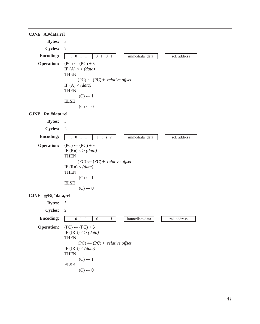| CJNE A,#data,rel             |                                                                                                               |
|------------------------------|---------------------------------------------------------------------------------------------------------------|
| <b>Bytes:</b>                | 3                                                                                                             |
| <b>Cycles:</b>               | $\sqrt{2}$                                                                                                    |
| <b>Encoding:</b>             | immediata data<br>$\mathbf{1}$<br>$\overline{0}$<br>$\mathbf{1}$<br>$\mathbf{1}$<br>0 1 0 1<br>rel. address   |
| <b>Operation:</b>            | $(PC) \leftarrow (PC) + 3$                                                                                    |
|                              | IF $(A) \leq > (data)$<br>THEN                                                                                |
|                              | $(PC) \leftarrow (PC) +$ relative offset                                                                      |
|                              | IF $(A)$ < $(data)$                                                                                           |
|                              | <b>THEN</b><br>$(C) \leftarrow 1$                                                                             |
|                              | <b>ELSE</b>                                                                                                   |
|                              | $(C) \leftarrow 0$                                                                                            |
| CJNE Rn,#data,rel            |                                                                                                               |
| <b>Bytes:</b>                | 3                                                                                                             |
| <b>Cycles:</b>               | $\sqrt{2}$                                                                                                    |
| <b>Encoding:</b>             | immediata data<br>rel. address<br>$\mathbf{1}$<br>$\overline{0}$<br>$\mathbf{1}$<br>$\mathbf{1}$<br>$1$ r r r |
| <b>Operation:</b>            | $(PC) \leftarrow (PC) + 3$                                                                                    |
|                              | IF $(Rn) \leq \text{}(data)$                                                                                  |
|                              | <b>THEN</b><br>$(PC) \leftarrow (PC) +$ relative offset                                                       |
|                              | IF $(Rn) < (data)$                                                                                            |
|                              | <b>THEN</b>                                                                                                   |
|                              | $(C) \leftarrow 1$<br><b>ELSE</b>                                                                             |
|                              | $(C) \leftarrow 0$                                                                                            |
| @Ri,#data,rel<br><b>CJNE</b> |                                                                                                               |
| <b>Bytes:</b>                | 3                                                                                                             |
| <b>Cycles:</b>               | $\mathfrak{2}$                                                                                                |
| <b>Encoding:</b>             | immediate data<br>rel. address<br>$1 \t0 \t1 \t1$<br>$0 \t1 \t1$ i                                            |
| <b>Operation:</b>            | $(PC) \leftarrow (PC) + 3$                                                                                    |
|                              | IF $((Ri)) \leq > (data)$                                                                                     |
|                              | THEN<br>$(PC) \leftarrow (PC) +$ relative offset                                                              |
|                              | IF $((Ri)) < (data)$                                                                                          |
|                              | <b>THEN</b>                                                                                                   |
|                              | $(C) \leftarrow 1$                                                                                            |
|                              | <b>ELSE</b><br>$(C) \leftarrow 0$                                                                             |
|                              |                                                                                                               |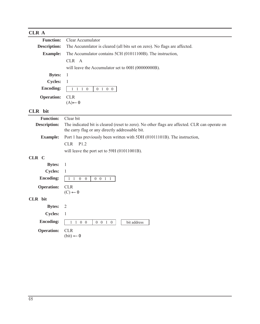| <b>CLR A</b>        |                                                                                                                                                  |
|---------------------|--------------------------------------------------------------------------------------------------------------------------------------------------|
| <b>Function:</b>    | Clear Accumulator                                                                                                                                |
| <b>Description:</b> | The Aecunmlator is cleared (all bits set on zero). No flags are affected.                                                                        |
| <b>Example:</b>     | The Accumulator contains 5CH (01011100B). The instruction,                                                                                       |
|                     | CLR A                                                                                                                                            |
|                     | will leave the Accumulator set to 00H (00000000B).                                                                                               |
| <b>Bytes:</b>       | 1                                                                                                                                                |
| <b>Cycles:</b>      | 1                                                                                                                                                |
| <b>Encoding:</b>    | $1 \t1 \t1 \t0$<br>0 1 0 0                                                                                                                       |
| <b>Operation:</b>   | <b>CLR</b><br>$(A) \leftarrow 0$                                                                                                                 |
| CLR bit             |                                                                                                                                                  |
| <b>Function:</b>    | Clear bit                                                                                                                                        |
| <b>Description:</b> | The indicated bit is cleared (reset to zero). No other flags are affected. CLR can operate on<br>the carry flag or any directly addressable bit. |
| <b>Example:</b>     | Port 1 has previously been written with 5DH (01011101B). The instruction,                                                                        |
|                     | $CLR$ $P1.2$                                                                                                                                     |
|                     | will leave the port set to $59H (01011001B)$ .                                                                                                   |
| $CLR$ $C$           |                                                                                                                                                  |

#### **CLR C**

| <b>Bytes:</b> $1$     |                                                         |
|-----------------------|---------------------------------------------------------|
| Cycles: 1             |                                                         |
| Encoding:             | $1\quad1\quad0\quad0$<br>$0 \t 0 \t 1 \t 1$             |
| <b>Operation:</b> CLR | $(C) \leftarrow 0$                                      |
| CLR bit               |                                                         |
| <b>Bytes:</b> $2$     |                                                         |
| Cycles: 1             |                                                         |
| Encoding:             | $1\quad1\quad0\quad0$<br>$0 \t0 \t1 \t0$<br>bit address |
| <b>Operation:</b>     | <b>CLR</b><br>$(bit) \leftarrow 0$                      |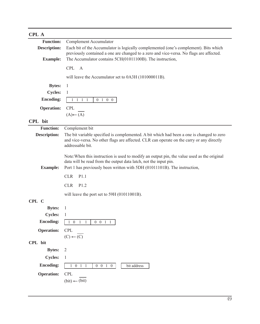| <b>CPL A</b>                                        |                                                                                                                                                                                                                                                                        |
|-----------------------------------------------------|------------------------------------------------------------------------------------------------------------------------------------------------------------------------------------------------------------------------------------------------------------------------|
| <b>Function:</b><br>Description:<br><b>Example:</b> | Complement Accumulator<br>Each bit of the Accumulator is logically complemented (one's complement). Bits which<br>previously contained a one are changed to a zero and vice-versa. No flags are affected.<br>The Accumulator contains 5CH(01011100B). The instruction, |
|                                                     | CPL A                                                                                                                                                                                                                                                                  |
|                                                     | will leave the Accumulator set to 0A3H (101000011B).                                                                                                                                                                                                                   |
| <b>Bytes:</b>                                       | $\mathbf{1}$                                                                                                                                                                                                                                                           |
| <b>Cycles:</b>                                      | $\mathbf{1}$                                                                                                                                                                                                                                                           |
| <b>Encoding:</b>                                    | $1 \t1 \t1 \t1$<br>$0 \t1 \t0 \t0$                                                                                                                                                                                                                                     |
| <b>Operation:</b>                                   | <b>CPL</b>                                                                                                                                                                                                                                                             |
|                                                     | $(A) \leftarrow \overline{(A)}$                                                                                                                                                                                                                                        |
| CPL bit                                             |                                                                                                                                                                                                                                                                        |
| <b>Function:</b>                                    | Complement bit                                                                                                                                                                                                                                                         |
| <b>Description:</b>                                 | The bit variable specified is complemented. A bit which had been a one is changed to zero<br>and vice-versa. No other flags are affected. CLR can operate on the carry or any directly<br>addressable bit.                                                             |
| <b>Example:</b>                                     | Note: When this instruction is used to modify an output pin, the value used as the original<br>data will be read from the output data latch, not the input pin.<br>Port 1 has previously been written with 5DH (01011101B). The instruction,                           |
|                                                     | <b>CLR</b><br>P <sub>1.1</sub>                                                                                                                                                                                                                                         |
|                                                     | <b>CLR</b><br>P1.2                                                                                                                                                                                                                                                     |
|                                                     | will leave the port set to 59H (01011001B).                                                                                                                                                                                                                            |
| CPL C                                               |                                                                                                                                                                                                                                                                        |
| <b>Bytes:</b>                                       | $\mathbf{1}$                                                                                                                                                                                                                                                           |
| <b>Cycles:</b>                                      | $\mathbf{1}$                                                                                                                                                                                                                                                           |
| <b>Encoding:</b>                                    | $1\quad 0$<br>$0 \t 0 \t 1 \t 1$<br>1<br>1                                                                                                                                                                                                                             |
| <b>Operation:</b>                                   | <b>CPL</b>                                                                                                                                                                                                                                                             |
|                                                     | $(C) \leftarrow (C)$                                                                                                                                                                                                                                                   |
| CPL bit                                             |                                                                                                                                                                                                                                                                        |
| <b>Bytes:</b>                                       | 2                                                                                                                                                                                                                                                                      |
| <b>Cycles:</b>                                      | -1                                                                                                                                                                                                                                                                     |
| <b>Encoding:</b>                                    | $1 \t0 \t1 \t1$<br>$0$ 0 1 0<br>bit address                                                                                                                                                                                                                            |
| <b>Operation:</b>                                   | <b>CPL</b>                                                                                                                                                                                                                                                             |
|                                                     | $(bit) \leftarrow (bit)$                                                                                                                                                                                                                                               |
|                                                     |                                                                                                                                                                                                                                                                        |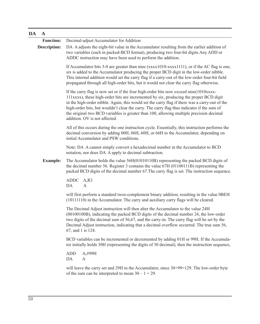| DA<br>A          |                                                                                                                                                                                                                                                                                                                                                                                                                                                                                                             |
|------------------|-------------------------------------------------------------------------------------------------------------------------------------------------------------------------------------------------------------------------------------------------------------------------------------------------------------------------------------------------------------------------------------------------------------------------------------------------------------------------------------------------------------|
| <b>Function:</b> | Decimal-adjust Accumulator for Addition                                                                                                                                                                                                                                                                                                                                                                                                                                                                     |
| Description:     | DA A adjusts the eight-bit value in the Accumulator resulting from the earlier addition of<br>two variables (each in packed-BCD format), producing two four-bit digits. Any ADD or<br>ADDC instruction may have been used to perform the addition.                                                                                                                                                                                                                                                          |
|                  | If Accumulator bits 3-0 are greater than nine (xxxx1010-xxxx1111), or if the AC flag is one,<br>six is added to the Accumulator producing the proper BCD digit in the low-order nibble.<br>This internal addition would set the carry flag if a carry-out of the low-order four-bit field<br>propagated through all high-order bits, but it would not clear the carry flag otherwise.                                                                                                                       |
|                  | If the carry flag is now set or if the four high-order bits now exceed nine(1010xxxx-<br>111xxxx), these high-order bits are incremented by six, producing the proper BCD digit<br>in the high-order nibble. Again, this would set the carry flag if there was a carry-out of the<br>high-order bits, but wouldn't clear the carry. The carry flag thus indicates if the sum of<br>the original two BCD variables is greater than 100, allowing multiple precision decimal<br>addition. OV is not affected. |
|                  | All of this occurs during the one instruction cycle. Essentially, this instruction performs the<br>decimal conversion by adding 00H, 06H, 60H, or 66H to the Accumulator, depending on<br>initial Accumulator and PSW conditions.                                                                                                                                                                                                                                                                           |
|                  | Note: DA A cannot simply convert a hexadecimal number in the Accumulator to BCD<br>notation, nor does DA A apply to decimal subtraction.                                                                                                                                                                                                                                                                                                                                                                    |
| <b>Example:</b>  | The Accumulator holds the value $56H(01010110B)$ representing the packed BCD digits of<br>the decimal number 56. Register 3 contains the value 67H (01100111B) representing the<br>packed BCD digits of the decimal number 67. The carry flag is set. The instruction sequence.                                                                                                                                                                                                                             |
|                  | ADDC A,R3<br>DA.<br>$\mathsf{A}$                                                                                                                                                                                                                                                                                                                                                                                                                                                                            |
|                  | will first perform a standard twos-complement binary addition, resulting in the value 0BEH<br>(10111110) in the Accumulator. The carry and auxiliary carry flags will be cleared.                                                                                                                                                                                                                                                                                                                           |
|                  | The Decimal Adjust instruction will then alter the Accumulator to the value 24H<br>(00100100B), indicating the packed BCD digits of the decimal number 24, the low-order<br>two digits of the decimal sum of 56,67, and the carry-in. The carry flag will be set by the<br>Decimal Adjust instruction, indicating that a decimal overflow occurred. The true sum 56,<br>67, and 1 is 124.                                                                                                                   |
|                  | BCD variables can be incremented or decremented by adding 01H or 99H. If the Accumula-<br>tor initially holds 30H (representing the digits of 30 decimal), then the instruction sequence,                                                                                                                                                                                                                                                                                                                   |
|                  | ADD<br>A,#99H<br>DA<br>A                                                                                                                                                                                                                                                                                                                                                                                                                                                                                    |
|                  | will leave the carry set and 29H in the Accumulator, since $30+99=129$ . The low-order byte<br>of the sum can be interpreted to mean $30 - 1 = 29$ .                                                                                                                                                                                                                                                                                                                                                        |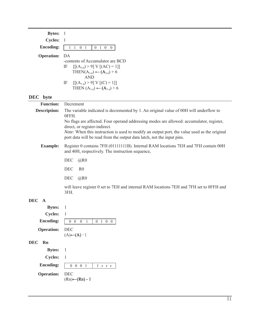| <b>Bytes:</b> 1   |                                                                                                                                                                                                                                |
|-------------------|--------------------------------------------------------------------------------------------------------------------------------------------------------------------------------------------------------------------------------|
| Cycles: 1         |                                                                                                                                                                                                                                |
| <b>Encoding:</b>  | 1 1 0 1<br>0 <sub>1</sub><br>$\theta$                                                                                                                                                                                          |
| <b>Operation:</b> | DA<br>-contents of Accumulator are BCD<br>$[(A_{3.0}) > 9] V [(AC) = 1]$<br>IF.<br>THEN(A <sub>3-0</sub> ) ← (A <sub>3-0</sub> ) + 6<br>AND<br>$[(A_{74}) > 9] V [(C) = 1]$<br>IF<br>THEN $(A_{7,4}) \leftarrow (A_{7,4}) + 6$ |

# **DEC byte**

| <b>Function:</b>           | Decrement                                                                                                                                                                                                                                                                                                                                                                                                     |
|----------------------------|---------------------------------------------------------------------------------------------------------------------------------------------------------------------------------------------------------------------------------------------------------------------------------------------------------------------------------------------------------------------------------------------------------------|
| <b>Description:</b>        | The variable indicated is decremented by 1. An original value of 00H will underflow to<br>OFFH.<br>No flags are affected. Four operand addressing modes are allowed: accumulator, register,<br>direct, or register-indirect.<br><i>Note:</i> When this instruction is used to modify an output port, the value used as the original<br>port data will be read from the output data latch, not the input pins. |
| <b>Example:</b>            | Register 0 contains 7FH (01111111B). Internal RAM locations 7EH and 7FH contain 00H<br>and 40H, respectively. The instruction sequence,                                                                                                                                                                                                                                                                       |
|                            | <b>DEC</b><br>@R0                                                                                                                                                                                                                                                                                                                                                                                             |
|                            | <b>DEC</b><br>R <sub>0</sub>                                                                                                                                                                                                                                                                                                                                                                                  |
|                            | @R0<br><b>DEC</b>                                                                                                                                                                                                                                                                                                                                                                                             |
|                            | will leave register 0 set to 7EH and internal RAM locations 7EH and 7FH set to 0FFH and<br>3FH.                                                                                                                                                                                                                                                                                                               |
| <b>DEC</b><br>$\mathbf{A}$ |                                                                                                                                                                                                                                                                                                                                                                                                               |
| <b>Bytes:</b>              | 1                                                                                                                                                                                                                                                                                                                                                                                                             |
| <b>Cycles:</b>             | 1                                                                                                                                                                                                                                                                                                                                                                                                             |
| <b>Encoding:</b>           | $0 \t1 \t0 \t0$<br>$0 \t 0 \t 0 \t 1$                                                                                                                                                                                                                                                                                                                                                                         |
| <b>Operation:</b>          | <b>DEC</b><br>$(A) \leftarrow (A) - 1$                                                                                                                                                                                                                                                                                                                                                                        |
| <b>DEC</b><br>Rn           |                                                                                                                                                                                                                                                                                                                                                                                                               |
| <b>Bytes:</b>              | -1                                                                                                                                                                                                                                                                                                                                                                                                            |
| <b>Cycles:</b>             | 1                                                                                                                                                                                                                                                                                                                                                                                                             |
| <b>Encoding:</b>           | $0 \t0 \t0 \t1$<br>$1$ r r r                                                                                                                                                                                                                                                                                                                                                                                  |

**Operation:** DEC

 $(Rn)$  ←  $(Rn)$  - 1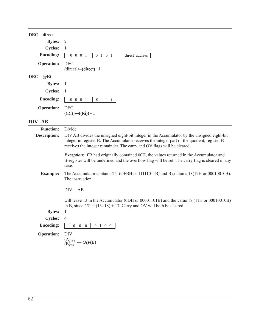| <b>DEC</b> | direct                           |                                                                                                                                                                                                                                                                                 |
|------------|----------------------------------|---------------------------------------------------------------------------------------------------------------------------------------------------------------------------------------------------------------------------------------------------------------------------------|
|            | <b>Bytes:</b>                    | $\overline{2}$                                                                                                                                                                                                                                                                  |
|            | <b>Cycles:</b>                   | $\mathbf{1}$                                                                                                                                                                                                                                                                    |
|            | <b>Encoding:</b>                 | $0 \t 0 \t 0 \t 1$<br>$0 \t1 \t0 \t1$<br>direct address                                                                                                                                                                                                                         |
|            | <b>Operation:</b>                | <b>DEC</b><br>$(direct) \leftarrow (direct) - 1$                                                                                                                                                                                                                                |
| <b>DEC</b> | @Ri                              |                                                                                                                                                                                                                                                                                 |
|            | <b>Bytes:</b>                    | 1                                                                                                                                                                                                                                                                               |
|            | <b>Cycles:</b>                   | $\mathbf{1}$                                                                                                                                                                                                                                                                    |
|            | <b>Encoding:</b>                 | $0 \t0 \t0 \t1$<br>$0 \t1 \t1$ i                                                                                                                                                                                                                                                |
|            | Operation:                       | DEC<br>$((Ri))\leftarrow ((Ri)) - 1$                                                                                                                                                                                                                                            |
| DIV AB     |                                  |                                                                                                                                                                                                                                                                                 |
|            | <b>Function:</b><br>Description: | Divide<br>DIV AB divides the unsigned eight-bit integer in the Accumulator by the unsigned eight-bit<br>integer in register B. The Accumulator receives the integer part of the quotient; register B<br>receives the integer remainder. The carry and OV flags will be cleared. |
|            |                                  | <i>Exception:</i> if B had originally contained 00H, the values returned in the Accumulator and<br>B-register will be undefined and the overflow flag will be set. The carry flag is cleared in any<br>case.                                                                    |
|            | <b>Example:</b>                  | The Accumulator contains 251(OFBH or 11111011B) and B contains 18(12H or 00010010B).<br>The instruction,                                                                                                                                                                        |
|            |                                  | <b>DIV</b><br>AB                                                                                                                                                                                                                                                                |
|            |                                  | will leave 13 in the Accumulator (0DH or $00001101B$ ) and the value 17 (11H or $00010010B$ )<br>in B, since $251 = (13 \times 18) + 17$ . Carry and OV will both be cleared.                                                                                                   |
|            | <b>Bytes:</b>                    | 1                                                                                                                                                                                                                                                                               |
|            | <b>Cycles:</b>                   | $\overline{4}$                                                                                                                                                                                                                                                                  |
|            | <b>Encoding:</b>                 | $\theta$<br>$\overline{0}$<br>$\mathbf{1}$<br>$\mathbf{0}$<br>$0\quad 1\quad 0\quad 0\quad$                                                                                                                                                                                     |
|            | <b>Operation:</b>                | <b>DIV</b>                                                                                                                                                                                                                                                                      |
|            |                                  | $(A)_{15\cdot 8} \leftarrow (A)/(B)$                                                                                                                                                                                                                                            |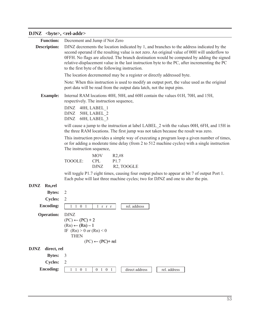#### **DJNZ <byte>, <rel-addr>**

| <b>Function:</b>           | Decrement and Jump if Not Zero                                                                                                                                                                                                                                                                                                                                                                                                              |
|----------------------------|---------------------------------------------------------------------------------------------------------------------------------------------------------------------------------------------------------------------------------------------------------------------------------------------------------------------------------------------------------------------------------------------------------------------------------------------|
| <b>Description:</b>        | DJNZ decrements the location indicated by 1, and branches to the address indicated by the<br>second operand if the resulting value is not zero. An original value of 00H will underflow to<br>0FFH. No flags are afected. The branch destination would be computed by adding the signed<br>relative-displacement value in the last instruction byte to the PC, after incrementing the PC<br>to the first byte of the following instruction. |
|                            | The location decremented may be a register or directly addressed byte.                                                                                                                                                                                                                                                                                                                                                                      |
|                            | Note: When this instruction is used to modify an output port, the value used as the original<br>port data will be read from the output data latch, not the input pins.                                                                                                                                                                                                                                                                      |
| <b>Example:</b>            | Internal RAM locations 40H, 50H, and 60H contain the values 01H, 70H, and 15H,<br>respectively. The instruction sequence,<br>DJNZ 40H, LABEL 1<br>DJNZ<br>50H, LABEL 2                                                                                                                                                                                                                                                                      |
|                            | 60H, LABEL 3<br>DJNZ                                                                                                                                                                                                                                                                                                                                                                                                                        |
|                            | will cause a jump to the instruction at label LABEL 2 with the values 00H, 6FH, and 15H in<br>the three RAM locations. The first jump was not taken because the result was zero.                                                                                                                                                                                                                                                            |
|                            | This instruction provides a simple way of executing a program loop a given number of times,<br>or for adding a moderate time delay (from 2 to 512 machine cycles) with a single instruction<br>The instruction sequence,                                                                                                                                                                                                                    |
|                            | MOV<br>R2,#8<br><b>CPL</b><br>P1.7<br>TOOOLE:<br><b>DJNZ</b><br>R <sub>2</sub> , TOOGLE                                                                                                                                                                                                                                                                                                                                                     |
|                            | will toggle P1.7 eight times, causing four output pulses to appear at bit 7 of output Port 1.<br>Each pulse will last three machine cycles; two for DJNZ and one to alter the pin.                                                                                                                                                                                                                                                          |
| <b>DJNZ</b><br>Rn,rel      |                                                                                                                                                                                                                                                                                                                                                                                                                                             |
| <b>Bytes:</b>              | $\sqrt{2}$                                                                                                                                                                                                                                                                                                                                                                                                                                  |
| <b>Cycles:</b>             | 2                                                                                                                                                                                                                                                                                                                                                                                                                                           |
| <b>Encoding:</b>           | 0 <sub>1</sub><br>rel. address<br>1<br>$\mathbf{1}$<br>$1$ r r r                                                                                                                                                                                                                                                                                                                                                                            |
| <b>Operation:</b>          | <b>DJNZ</b><br>$(PC) \leftarrow (PC) + 2$                                                                                                                                                                                                                                                                                                                                                                                                   |
|                            | $(Rn) \leftarrow (Rn) - 1$                                                                                                                                                                                                                                                                                                                                                                                                                  |
|                            | IF $(Rn) > 0$ or $(Rn) < 0$                                                                                                                                                                                                                                                                                                                                                                                                                 |
|                            | THEN                                                                                                                                                                                                                                                                                                                                                                                                                                        |
|                            | $(PC) \leftarrow (PC) + rel$                                                                                                                                                                                                                                                                                                                                                                                                                |
| <b>DJNZ</b><br>direct, rel |                                                                                                                                                                                                                                                                                                                                                                                                                                             |
| <b>Bytes:</b>              | 3                                                                                                                                                                                                                                                                                                                                                                                                                                           |
| <b>Cycles:</b>             | 2                                                                                                                                                                                                                                                                                                                                                                                                                                           |
| <b>Encoding:</b>           | direct address<br>rel. address<br>$1\quad0$<br>-1<br>$\boldsymbol{0}$<br>$\overline{0}$<br>-1<br>1<br>-1                                                                                                                                                                                                                                                                                                                                    |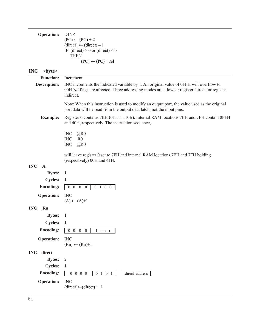**Operation:** DJNZ

 $(PC) \leftarrow (PC) + 2$  $(direct) \leftarrow (direct) - 1$ IF (direct)  $> 0$  or (direct)  $< 0$ **THEN**  $(PC) \leftarrow (PC) + rel$ 

INC <br/>  $$ 

| ∸<br>$\sim$ $\mu$       |                                                                                                                                                                                                      |
|-------------------------|------------------------------------------------------------------------------------------------------------------------------------------------------------------------------------------------------|
| <b>Function:</b>        | Increment                                                                                                                                                                                            |
| Description:            | INC increments the indicated variable by 1. An original value of 0FFH will overflow to<br>00H.No flags are affected. Three addressing modes are allowed: register, direct, or register-<br>indirect. |
|                         | Note: When this instruction is used to modify an output port, the value used as the original<br>port data will be read from the output data latch, not the input pins.                               |
| <b>Example:</b>         | Register 0 contains 7EH (011111110B). Internal RAM locations 7EH and 7FH contain 0FFH<br>and 40H, respectively. The instruction sequence,                                                            |
|                         | <b>INC</b><br>@R0<br>${\rm R0}$<br><b>INC</b><br><b>INC</b><br>@R0                                                                                                                                   |
|                         | will leave register 0 set to 7FH and internal RAM locations 7EH and 7FH holding<br>(respectively) 00H and 41H.                                                                                       |
| <b>INC</b><br>A         |                                                                                                                                                                                                      |
| <b>Bytes:</b>           | $\mathbf{1}$                                                                                                                                                                                         |
| <b>Cycles:</b>          | 1                                                                                                                                                                                                    |
| <b>Encoding:</b>        | $0\quad 0\quad 0\quad 0$<br>$0 \t1 \t0 \t0$                                                                                                                                                          |
| <b>Operation:</b>       | <b>INC</b><br>$(A) \leftarrow (A)+1$                                                                                                                                                                 |
| <b>INC</b><br><b>Rn</b> |                                                                                                                                                                                                      |
| <b>Bytes:</b>           | 1                                                                                                                                                                                                    |
| <b>Cycles:</b>          | 1                                                                                                                                                                                                    |
| <b>Encoding:</b>        | $0\quad 0\quad 0$<br>$\overline{0}$<br>$1\,$ r $\,$ r $\,$ r $\,$                                                                                                                                    |
| <b>Operation:</b>       | <b>INC</b><br>$(Rn) \leftarrow (Rn)+1$                                                                                                                                                               |
| <b>INC</b><br>direct    |                                                                                                                                                                                                      |
| <b>Bytes:</b>           | $\overline{c}$                                                                                                                                                                                       |
| <b>Cycles:</b>          | $\mathbf{1}$                                                                                                                                                                                         |
| <b>Encoding:</b>        | $0\ 0\ 0\ 0$<br>$0 \t1 \t0 \t1$<br>direct address                                                                                                                                                    |
| <b>Operation:</b>       | <b>INC</b><br>$(direct) \leftarrow (direct) + 1$                                                                                                                                                     |
|                         |                                                                                                                                                                                                      |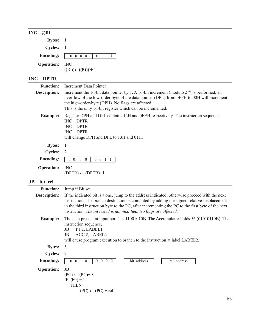| <b>INC</b><br>@Ri         |                                                                                                                                                                                                                                                                                                                                                                        |
|---------------------------|------------------------------------------------------------------------------------------------------------------------------------------------------------------------------------------------------------------------------------------------------------------------------------------------------------------------------------------------------------------------|
| <b>Bytes:</b>             | 1                                                                                                                                                                                                                                                                                                                                                                      |
| <b>Cycles:</b>            | 1                                                                                                                                                                                                                                                                                                                                                                      |
| <b>Encoding:</b>          | $0\quad 0\quad 0\quad 0\quad$<br>$0 \t1 \t1$ i                                                                                                                                                                                                                                                                                                                         |
| <b>Operation:</b>         | <b>INC</b><br>$((Ri))\leftarrow ((Ri)) + 1$                                                                                                                                                                                                                                                                                                                            |
| <b>INC</b><br><b>DPTR</b> |                                                                                                                                                                                                                                                                                                                                                                        |
| <b>Function:</b>          | Increment Data Pointer                                                                                                                                                                                                                                                                                                                                                 |
| <b>Description:</b>       | Increment the 16-bit data pointer by 1. A 16-bit increment (modulo $2^{16}$ ) is performed; an<br>overflow of the low-order byte of the data pointer (DPL) from 0FFH to 00H will increment<br>the high-order-byte (DPH). No flags are affected.<br>This is the only 16-bit register which can be incremented.                                                          |
| <b>Example:</b>           | Register DPH and DPL contains 12H and 0FEH, respectively. The instruction sequence,<br>INC.<br><b>DPTR</b><br>INC.<br><b>DPTR</b><br>INC DPTR<br>will change DPH and DPL to 13H and 01H.                                                                                                                                                                               |
| <b>Bytes:</b>             | 1                                                                                                                                                                                                                                                                                                                                                                      |
| <b>Cycles:</b>            | $\mathfrak{2}$                                                                                                                                                                                                                                                                                                                                                         |
| <b>Encoding:</b>          | $1\quad 0$<br>-1<br>$\overline{0}$<br>$0 \t 0 \t 1 \t 1$                                                                                                                                                                                                                                                                                                               |
| <b>Operation:</b>         | <b>INC</b><br>$(DPTR) \leftarrow (DPTR) + 1$                                                                                                                                                                                                                                                                                                                           |
| bit, rel<br>JВ            |                                                                                                                                                                                                                                                                                                                                                                        |
| <b>Function:</b>          | Jump if Bit set                                                                                                                                                                                                                                                                                                                                                        |
| <b>Description:</b>       | If the indicated bit is a one, jump to the address indicated; otherwise proceed with the next<br>instruction. The branch destination is computed by adding the signed relative-displacement<br>in the third instruction byte to the PC, after incrementing the PC to the first byte of the next<br>instruction. The bit tested is not modified. No flags are affected. |
| <b>Example:</b>           | The data present at input port 1 is 11001010B. The Accumulator holds 56 (01010110B). The<br>instruction sequence,<br>P1.2, LABEL1<br>JB<br>JB<br>ACC.2, LABEL2<br>will cause program execution to branch to the instruction at label LABEL2.                                                                                                                           |
| <b>Bytes:</b>             | 3                                                                                                                                                                                                                                                                                                                                                                      |
| <b>Cycles:</b>            | $\overline{2}$                                                                                                                                                                                                                                                                                                                                                         |
| <b>Encoding:</b>          | $0 \t0 \t1 \t0$<br>$0\;\; 0\;\; 0\;\; 0$<br>bit address<br>rel. address                                                                                                                                                                                                                                                                                                |
| <b>Operation:</b>         | JB<br>$(PC) \leftarrow (PC) + 3$<br>IF $(bit) = 1$<br><b>THEN</b><br>$(PC) \leftarrow (PC) + rel$                                                                                                                                                                                                                                                                      |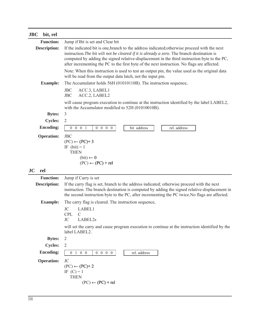| $_{\rm JBC}$ | bit, rel          |                                                                                                                                                                                                                                                                                                                                                                                             |
|--------------|-------------------|---------------------------------------------------------------------------------------------------------------------------------------------------------------------------------------------------------------------------------------------------------------------------------------------------------------------------------------------------------------------------------------------|
|              | <b>Function:</b>  | Jump if Bit is set and Clear bit                                                                                                                                                                                                                                                                                                                                                            |
|              | Description:      | If the indicated bit is one, branch to the address indicated; otherwise proceed with the next<br>instruction. The bit wili not be cleared if it is already a zero. The branch destination is<br>computed by adding the signed relative-displacement in the third instruction byte to the PC,<br>after incrementing the PC to the first byte of the next instruction. No flags are affected. |
|              |                   | Note: When this instruction is used to test an output pin, the value used as the original data<br>will be read from the output data latch, not the input pin.                                                                                                                                                                                                                               |
|              | <b>Example:</b>   | The Accumulator holds 56H (01010110B). The instruction sequence,                                                                                                                                                                                                                                                                                                                            |
|              |                   | JBC<br>ACC.3, LABEL1<br><b>JBC</b><br>ACC.2, LABEL2                                                                                                                                                                                                                                                                                                                                         |
|              |                   | will cause program execution to continue at the instruction identified by the label LABEL2,<br>with the Accumulator modified to 52H (01010010B).                                                                                                                                                                                                                                            |
|              | <b>Bytes:</b>     | 3                                                                                                                                                                                                                                                                                                                                                                                           |
|              | <b>Cycles:</b>    | $\mathfrak{2}$                                                                                                                                                                                                                                                                                                                                                                              |
|              | <b>Encoding:</b>  | $0 \t0 \t0 \t1$<br>bit address<br>$0\ 0\ 0\ 0$<br>rel. address                                                                                                                                                                                                                                                                                                                              |
|              | <b>Operation:</b> | <b>JBC</b>                                                                                                                                                                                                                                                                                                                                                                                  |
|              |                   | $(PC) \leftarrow (PC) + 3$                                                                                                                                                                                                                                                                                                                                                                  |
|              |                   | IF $(bit) = 1$<br><b>THEN</b>                                                                                                                                                                                                                                                                                                                                                               |
|              |                   | $(bit) \leftarrow 0$<br>$(PC) \leftarrow (PC) + rel$                                                                                                                                                                                                                                                                                                                                        |
| $\bf JC$     | rel               |                                                                                                                                                                                                                                                                                                                                                                                             |
|              | <b>Function:</b>  | Jump if Carry is set                                                                                                                                                                                                                                                                                                                                                                        |
|              | Description:      | If the carry flag is set, branch to the address indicated; otherwise proceed with the next<br>instruction. The branch destination is computed by adding the signed relative-displacement in<br>the second instruction byte to the PC, after incrementing the PC twice. No flags are affected.                                                                                               |
|              | <b>Example:</b>   | The carry flag is cleared. The instruction sequence,                                                                                                                                                                                                                                                                                                                                        |
|              |                   | JC<br>LABEL1<br>CPL<br>$\mathcal{C}$<br>JC<br>LABEL2s                                                                                                                                                                                                                                                                                                                                       |
|              |                   | will set the carry and cause program execution to continue at the instruction identified by the<br>label LABEL2.                                                                                                                                                                                                                                                                            |
|              | <b>Bytes:</b>     | $\overline{c}$                                                                                                                                                                                                                                                                                                                                                                              |
|              | <b>Cycles:</b>    | $\mathfrak{2}$                                                                                                                                                                                                                                                                                                                                                                              |
|              | <b>Encoding:</b>  | $\overline{0}$<br>$0\quad 0$<br>rel. address<br>1<br>$0\;\; 0\;\; 0\;\; 0$                                                                                                                                                                                                                                                                                                                  |
|              | <b>Operation:</b> | JC<br>$(PC) \leftarrow (PC) + 2$<br>IF $(C) = 1$<br><b>THEN</b>                                                                                                                                                                                                                                                                                                                             |
|              |                   | $(PC) \leftarrow (PC) + rel$                                                                                                                                                                                                                                                                                                                                                                |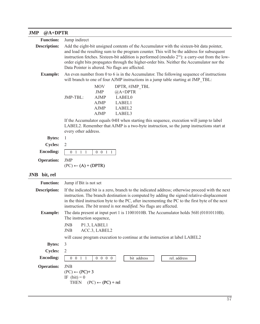## **JMP @A+DPTR Function:** Jump indirect **Description:** Add the eight-bit unsigned contents of the Accumulator with the sixteen-bit data pointer, and load the resulting sum to the program counter. This will be the address for subsequent instruction fetches. Sixteen-bit addition is performed (modulo  $2^{16}$ ): a carry-out from the loworder eight bits propagates through the higher-order bits. Neither the Accumulator nor the Data Pointer is altered. No flags are affected. **Example:** An even number from 0 to 6 is in the Accumulator. The following sequence of instructions will branch to one of four AJMP instructions in a jump table starting at JMP\_TBL: MOV DPTR, #JMP\_TBL JMP @A+DPTR JMP-TBL: AJMP LABEL0 AJMP LABEL1 AJMP LABEL2 AJMP LABEL3 If the Accumulator equals 04H when starting this sequence, execution will jump to label LABEL2. Remember that AJMP is a two-byte instruction, so the jump instructions start at every other address. **Bytes:** 1 **Cycles:** 2 **Encoding:** 0 1 1 1 0 0 1 1 **Operation:** JMP  $(PC) \leftarrow (A) + (DPTR)$ **JNB bit, rel Function:** Jump if Bit is not set **Description:** If the indicated bit is a zero, branch to the indicated address; otherwise proceed with the next instruction. The branch destination is computed by adding the signed relative-displacement in the third instruction byte to the PC, after incrementing the PC to the first byte of the next instruction. *The bit tested is not modified.* No flags are affected. **Example:** The data present at input port 1 is 11001010B. The Accumulator holds 56H (01010110B). The instruction sequence, JNB P1.3, LABEL1 JNB ACC.3, LABEL2 will cause program execution to continue at the instruction at label LABEL2

**Encoding:** 0 0 1 1 0 0 0 0 bit address rel. address

**Bytes:** 3 **Cycles:** 2

**Operation:** JNB

 $(PC) \leftarrow (PC) + 3$ IF  $(bit) = 0$ 

THEN  $(PC) \leftarrow (PC) + rel$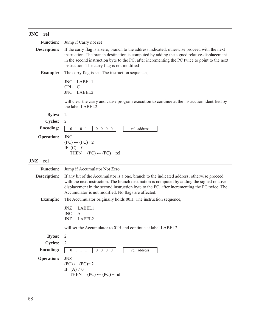| <b>JNC</b><br>rel   |                                                                                                                                                                                                                                                                                                                                                  |
|---------------------|--------------------------------------------------------------------------------------------------------------------------------------------------------------------------------------------------------------------------------------------------------------------------------------------------------------------------------------------------|
| <b>Function:</b>    | Jump if Carry not set                                                                                                                                                                                                                                                                                                                            |
| <b>Description:</b> | If the carry flag is a zero, branch to the address indicated; otherwise proceed with the next<br>instruction. The branch destination is computed by adding the signed relative-displacement<br>in the second instruction byte to the PC, after incrementing the PC twice to point to the next<br>instruction. The carry flag is not modified     |
| <b>Example:</b>     | The carry flag is set. The instruction sequence,                                                                                                                                                                                                                                                                                                 |
|                     | LABEL1<br>JNC<br>CPL<br>$\mathcal{C}$<br>JNC LABEL2                                                                                                                                                                                                                                                                                              |
|                     | will clear the carry and cause program execution to continue at the instruction identified by<br>the label LABEL2.                                                                                                                                                                                                                               |
| <b>Bytes:</b>       | 2                                                                                                                                                                                                                                                                                                                                                |
| <b>Cycles:</b>      | $\overline{c}$                                                                                                                                                                                                                                                                                                                                   |
| <b>Encoding:</b>    | 0 1 0 1<br>$0\ 0\ 0\ 0$<br>rel. address                                                                                                                                                                                                                                                                                                          |
| <b>Operation:</b>   | <b>JNC</b><br>$(PC) \leftarrow (PC) + 2$<br>IF $(C) = 0$<br>THEN<br>$(PC) \leftarrow (PC) + rel$                                                                                                                                                                                                                                                 |
| JNZ<br>rel          |                                                                                                                                                                                                                                                                                                                                                  |
| <b>Function:</b>    | Jump if Accumulator Not Zero                                                                                                                                                                                                                                                                                                                     |
| <b>Description:</b> | If any bit of the Accumulator is a one, branch to the indicated address; otherwise proceed<br>with the next instruction. The branch destination is computed by adding the signed relative-<br>displacement in the second instruction byte to the PC, after incrementing the PC twice. The<br>Accumulator is not modified. No flags are affected. |
| <b>Example:</b>     | The Accumulator originally holds 00H. The instruction sequence,                                                                                                                                                                                                                                                                                  |
|                     | JNZ<br>LABEL1<br><b>INC</b><br>A<br>LAEEL2<br>JNZ                                                                                                                                                                                                                                                                                                |
|                     | will set the Accumulator to 01H and continue at label LABEL2.                                                                                                                                                                                                                                                                                    |
| <b>Bytes:</b>       | 2                                                                                                                                                                                                                                                                                                                                                |
| <b>Cycles:</b>      | $\overline{c}$                                                                                                                                                                                                                                                                                                                                   |
| <b>Encoding:</b>    | $1 \; 1 \; 1$<br>$\overline{0}$<br>$0\ 0\ 0\ 0$<br>rel. address                                                                                                                                                                                                                                                                                  |
| <b>Operation:</b>   | <b>JNZ</b><br>$(PC) \leftarrow (PC) + 2$<br>IF $(A) \neq 0$<br>$(PC) \leftarrow (PC) + rel$<br>THEN                                                                                                                                                                                                                                              |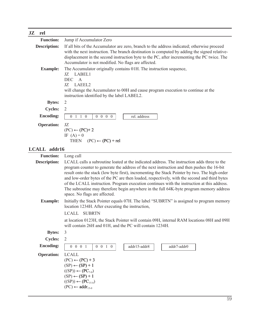| JZ<br>rel           |                                                                                                                                                                                                                                                                                                                                                                                                                                                                                                                                                                                                                       |  |
|---------------------|-----------------------------------------------------------------------------------------------------------------------------------------------------------------------------------------------------------------------------------------------------------------------------------------------------------------------------------------------------------------------------------------------------------------------------------------------------------------------------------------------------------------------------------------------------------------------------------------------------------------------|--|
| <b>Function:</b>    | Jump if Accumulator Zero                                                                                                                                                                                                                                                                                                                                                                                                                                                                                                                                                                                              |  |
| Description:        | If all bits of the Accumulator are zero, branch to the address indicated; otherwise proceed<br>with the next instruction. The branch destination is computed by adding the signed relative-<br>displacement in the second instruction byte to the PC, after incrementing the PC twice. The<br>Accumulator is not modified. No flags are affected.                                                                                                                                                                                                                                                                     |  |
| <b>Example:</b>     | The Accumulator originally contains 01H. The instruction sequence,<br>JZ<br>LABEL1<br><b>DEC</b><br>$\mathbf{A}$<br>JZ.<br>LAEEL2<br>will change the Accumulator to 00H and cause program execution to continue at the<br>instruction identified by the label LABEL2.                                                                                                                                                                                                                                                                                                                                                 |  |
| <b>Bytes:</b>       | $\overline{2}$                                                                                                                                                                                                                                                                                                                                                                                                                                                                                                                                                                                                        |  |
| <b>Cycles:</b>      | $\overline{2}$                                                                                                                                                                                                                                                                                                                                                                                                                                                                                                                                                                                                        |  |
| <b>Encoding:</b>    | $0 \t1 \t1 \t0$<br>$0\quad 0\quad 0\quad 0$<br>rel. address                                                                                                                                                                                                                                                                                                                                                                                                                                                                                                                                                           |  |
| <b>Operation:</b>   | JZ                                                                                                                                                                                                                                                                                                                                                                                                                                                                                                                                                                                                                    |  |
|                     | $(PC) \leftarrow (PC) + 2$                                                                                                                                                                                                                                                                                                                                                                                                                                                                                                                                                                                            |  |
|                     | IF $(A) = 0$                                                                                                                                                                                                                                                                                                                                                                                                                                                                                                                                                                                                          |  |
|                     | <b>THEN</b><br>$(PC) \leftarrow (PC) + rel$                                                                                                                                                                                                                                                                                                                                                                                                                                                                                                                                                                           |  |
| LCALL addr16        |                                                                                                                                                                                                                                                                                                                                                                                                                                                                                                                                                                                                                       |  |
| <b>Function:</b>    | Long call                                                                                                                                                                                                                                                                                                                                                                                                                                                                                                                                                                                                             |  |
| <b>Description:</b> | LCALL calls a subroutine loated at the indicated address. The instruction adds three to the<br>program counter to generate the address of the next instruction and then pushes the 16-bit<br>result onto the stack (low byte first), incrementing the Stack Pointer by two. The high-order<br>and low-order bytes of the PC are then loaded, respectively, with the second and third bytes<br>of the LCALL instruction. Program execution continues with the instruction at this address.<br>The subroutine may therefore begin anywhere in the full 64K-byte program memory address<br>space. No flags are affected. |  |
| <b>Example:</b>     | Initially the Stack Pointer equals 07H. The label "SUBRTN" is assigned to program memory<br>location 1234H. After executing the instruction,                                                                                                                                                                                                                                                                                                                                                                                                                                                                          |  |
|                     | LCALL SUBRTN                                                                                                                                                                                                                                                                                                                                                                                                                                                                                                                                                                                                          |  |
|                     | at location 0123H, the Stack Pointer will contain 09H, internal RAM locations 08H and 09H<br>will contain 26H and 01H, and the PC will contain 1234H.                                                                                                                                                                                                                                                                                                                                                                                                                                                                 |  |
| <b>Bytes:</b>       | 3                                                                                                                                                                                                                                                                                                                                                                                                                                                                                                                                                                                                                     |  |
| <b>Cycles:</b>      | $\mathfrak{2}$                                                                                                                                                                                                                                                                                                                                                                                                                                                                                                                                                                                                        |  |
| <b>Encoding:</b>    | addr15-addr8<br>$0 \t 0 \t 0 \t 1$<br>addr7-addr0<br>$0 \t0 \t1 \t0$                                                                                                                                                                                                                                                                                                                                                                                                                                                                                                                                                  |  |
| <b>Operation:</b>   | <b>LCALL</b>                                                                                                                                                                                                                                                                                                                                                                                                                                                                                                                                                                                                          |  |

 $(PC) \leftarrow (PC) + 3$  $(SP) \leftarrow (SP) + 1$  $((SP)) \leftarrow (PC_{7-0})$  $(SP) \leftarrow (SP) + 1$  $((SP)) \leftarrow (PC_{15-8})$  $(PC) \leftarrow addr_{15-0}$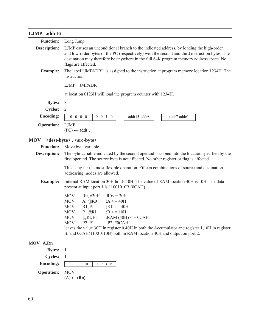| LJMP addr16         |                                                                                                                                                                                                                                                                                                                                                                                                                                           |  |
|---------------------|-------------------------------------------------------------------------------------------------------------------------------------------------------------------------------------------------------------------------------------------------------------------------------------------------------------------------------------------------------------------------------------------------------------------------------------------|--|
| <b>Function:</b>    | Long Jump                                                                                                                                                                                                                                                                                                                                                                                                                                 |  |
| Description:        | LJMP causes an unconditional branch to the indicated address, by loading the high-order<br>and low-order bytes of the PC (respectively) with the second and third instruction bytes. The<br>destination may therefore be anywhere in the full 64K program memory address space. No<br>flags are affected.                                                                                                                                 |  |
| <b>Example:</b>     | The label "JMPADR" is assigned to the instruction at program memory location 1234H. The<br>instruction.                                                                                                                                                                                                                                                                                                                                   |  |
|                     | <b>LJMP</b><br><b>JMPADR</b>                                                                                                                                                                                                                                                                                                                                                                                                              |  |
|                     | at location 0123H will load the program counter with 1234H.                                                                                                                                                                                                                                                                                                                                                                               |  |
| <b>Bytes:</b>       | 3                                                                                                                                                                                                                                                                                                                                                                                                                                         |  |
| <b>Cycles:</b>      | $\overline{2}$                                                                                                                                                                                                                                                                                                                                                                                                                            |  |
| <b>Encoding:</b>    | $0\ 0\ 0\ 0$<br>$0 \t0 \t1 \t0$<br>addr15-addr8<br>addr7-addr0                                                                                                                                                                                                                                                                                                                                                                            |  |
| <b>Operation:</b>   | <b>LJMP</b><br>$(PC) \leftarrow addr_{15-0}$                                                                                                                                                                                                                                                                                                                                                                                              |  |
| <b>MOV</b>          | <dest-byte>, <src-byte></src-byte></dest-byte>                                                                                                                                                                                                                                                                                                                                                                                            |  |
| <b>Function:</b>    | Move byte variable                                                                                                                                                                                                                                                                                                                                                                                                                        |  |
| <b>Description:</b> | The byte variable indicated by the second operand is copied into the location specified by the<br>first operand. The source byte is not affected. No other register or flag is affected.                                                                                                                                                                                                                                                  |  |
|                     | This is by far the most flexible operation. Fifteen combinations of source and destination<br>addressing modes are allowed.                                                                                                                                                                                                                                                                                                               |  |
| <b>Example:</b>     | Internal RAM location 30H holds 40H. The value of RAM location 40H is 10H. The data<br>present at input port 1 is 11001010B (0CAH).                                                                                                                                                                                                                                                                                                       |  |
|                     | <b>MOV</b><br>R0, #30H<br>;R0<0.30H<br><b>MOV</b><br>A, $@R0$<br>; A < 40H<br>R1, A<br>MOV<br>$;R1 \le 40H$<br><b>MOV</b><br>B, @R1<br>$B \le 10H$<br>MOV<br>@Rl, Pl<br>; RAM $(40H) \le 0CAH$<br>P <sub>2</sub> , P <sub>1</sub><br><b>MOV</b><br>$;P2 \#0CAH$<br>leaves the value 30H in register 0,40H in both the Accumulator and register 1,10H in register<br>B, and 0CAH(11001010B) both in RAM location 40H and output on port 2. |  |
| MOV A,Rn            |                                                                                                                                                                                                                                                                                                                                                                                                                                           |  |
| <b>Bytes:</b>       | $\mathbf{1}$                                                                                                                                                                                                                                                                                                                                                                                                                              |  |
| <b>Cycles:</b>      | $\mathbf{1}$                                                                                                                                                                                                                                                                                                                                                                                                                              |  |
| <b>Encoding:</b>    | $\theta$<br>$\mathbf{1}$<br>1<br>$\mathbf{1}$<br>$1$ r r r                                                                                                                                                                                                                                                                                                                                                                                |  |
| <b>Operation:</b>   | <b>MOV</b><br>$(A) \leftarrow (Rn)$                                                                                                                                                                                                                                                                                                                                                                                                       |  |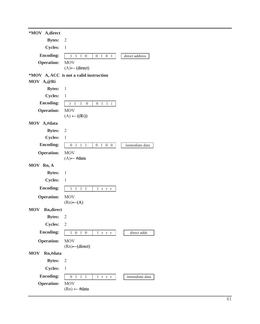| *MOV A, direct          |                                                                                                                  |                |
|-------------------------|------------------------------------------------------------------------------------------------------------------|----------------|
| <b>Bytes:</b>           | $\overline{2}$                                                                                                   |                |
| <b>Cycles:</b>          | 1                                                                                                                |                |
| <b>Encoding:</b>        | $\mathbf{1}$<br>1<br>$\mathbf{1}$<br>$\boldsymbol{0}$<br>$\overline{0}$<br>1<br>$\boldsymbol{0}$<br>$\mathbf{1}$ | direct address |
| <b>Operation:</b>       | <b>MOV</b>                                                                                                       |                |
|                         | $(A) \leftarrow (direct)$                                                                                        |                |
|                         | *MOV A, ACC is not a valid instruction                                                                           |                |
| MOV A,@Ri               |                                                                                                                  |                |
| <b>Bytes:</b>           | 1                                                                                                                |                |
| <b>Cycles:</b>          | 1                                                                                                                |                |
| <b>Encoding:</b>        | 1<br>$\mathbf{1}$<br>1<br>$\mathbf{0}$<br>$\mathbf{1}$<br>i<br>0<br>1                                            |                |
| <b>Operation:</b>       | <b>MOV</b>                                                                                                       |                |
|                         | $(A) \leftarrow ((Ri))$                                                                                          |                |
| MOV A,#data             |                                                                                                                  |                |
| <b>Bytes:</b>           | $\mathfrak{2}$                                                                                                   |                |
| <b>Cycles:</b>          | 1                                                                                                                |                |
| <b>Encoding:</b>        | $\boldsymbol{0}$<br>1<br>1<br>1<br>1<br>$\boldsymbol{0}$<br>$\boldsymbol{0}$<br>$\boldsymbol{0}$                 | immediate data |
| <b>Operation:</b>       | <b>MOV</b>                                                                                                       |                |
|                         | $(A) \leftarrow \text{#data}$                                                                                    |                |
| MOV Rn, A               |                                                                                                                  |                |
| <b>Bytes:</b>           | 1                                                                                                                |                |
| <b>Cycles:</b>          | $\mathbf{1}$                                                                                                     |                |
| <b>Encoding:</b>        | $\,1$<br>$\,1$<br>1<br>$\mathbf{1}$<br>1<br>$r$ $r$ $r$                                                          |                |
|                         |                                                                                                                  |                |
| <b>Operation:</b>       | <b>MOV</b>                                                                                                       |                |
|                         | $(Rn) \leftarrow (A)$                                                                                            |                |
| <b>MOV</b><br>Rn,direct |                                                                                                                  |                |
| <b>Bytes:</b>           | 2                                                                                                                |                |
| <b>Cycles:</b>          | $\overline{2}$                                                                                                   |                |
| <b>Encoding:</b>        | $\boldsymbol{0}$<br>1<br>1<br>1<br>$\boldsymbol{0}$<br>$\Gamma$<br>$\Gamma$<br>r                                 | direct addr.   |
| <b>Operation:</b>       | <b>MOV</b><br>$(Rn) \leftarrow (direct)$                                                                         |                |
| MOV Rn,#data            |                                                                                                                  |                |
| <b>Bytes:</b>           | 2                                                                                                                |                |
| <b>Cycles:</b>          | $\mathbf{1}$                                                                                                     |                |
| <b>Encoding:</b>        | $\boldsymbol{0}$<br>-1<br>1<br>$\mathbf{1}$<br>1<br>r<br>r r                                                     | immediate data |
| <b>Operation:</b>       | <b>MOV</b><br>$(Rn) \leftarrow #data$                                                                            |                |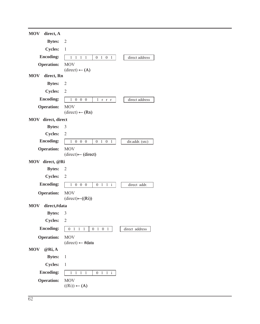| <b>MOV</b><br>direct, A    |                                                                                                                                   |
|----------------------------|-----------------------------------------------------------------------------------------------------------------------------------|
| <b>Bytes:</b>              | 2                                                                                                                                 |
| <b>Cycles:</b>             | 1                                                                                                                                 |
| <b>Encoding:</b>           | 1<br>1<br>1<br>$\mathbf{1}$<br>$\mathbf{0}$<br>$\mathbf{1}$<br>$\mathbf{0}$<br>-1<br>direct address                               |
| <b>Operation:</b>          | <b>MOV</b>                                                                                                                        |
|                            | $(direct) \leftarrow (A)$                                                                                                         |
| <b>MOV</b><br>direct, Rn   |                                                                                                                                   |
| <b>Bytes:</b>              | 2                                                                                                                                 |
| <b>Cycles:</b>             | $\overline{2}$                                                                                                                    |
| <b>Encoding:</b>           | $\mathbf{1}$<br>direct address<br>$\mathbf{0}$<br>0<br>$\boldsymbol{0}$<br>1<br>$\Gamma$<br>r<br>$\Gamma$                         |
| <b>Operation:</b>          | <b>MOV</b>                                                                                                                        |
|                            | $(direct) \leftarrow (Rn)$                                                                                                        |
| MOV direct, direct         |                                                                                                                                   |
| <b>Bytes:</b>              | 3                                                                                                                                 |
| <b>Cycles:</b>             | 2                                                                                                                                 |
| <b>Encoding:</b>           | $\mathbf{1}$<br>$\mathbf{0}$<br>1<br>dir.addr. (src)<br>0<br>$\boldsymbol{0}$<br>$\theta$<br>$\boldsymbol{0}$<br>1                |
| <b>Operation:</b>          | <b>MOV</b><br>$(direct) \leftarrow (direct)$                                                                                      |
| MOV direct, @Ri            |                                                                                                                                   |
| <b>Bytes:</b>              | 2                                                                                                                                 |
| <b>Cycles:</b>             | $\overline{2}$                                                                                                                    |
| <b>Encoding:</b>           | $\mathbf{1}$<br>$\boldsymbol{0}$<br>$\boldsymbol{0}$<br>$\boldsymbol{0}$<br>$\boldsymbol{0}$<br>$\mathbf{1}$<br>1<br>$\mathbf{i}$ |
|                            | direct addr.                                                                                                                      |
| <b>Operation:</b>          | <b>MOV</b><br>$(direct) \leftarrow ((Ri))$                                                                                        |
| direct,#data<br><b>MOV</b> |                                                                                                                                   |
| <b>Bytes:</b>              | 3                                                                                                                                 |
| <b>Cycles:</b>             |                                                                                                                                   |
|                            |                                                                                                                                   |
|                            | $\overline{2}$                                                                                                                    |
| <b>Encoding:</b>           | direct address<br>0<br>1<br>1<br>1<br>0<br>1<br>$\boldsymbol{0}$<br>1                                                             |
| <b>Operation:</b>          | <b>MOV</b>                                                                                                                        |
|                            | $(direct) \leftarrow \text{#data}$                                                                                                |
| <b>MOV</b><br>@Ri, A       |                                                                                                                                   |
| <b>Bytes:</b>              | 1                                                                                                                                 |
| <b>Cycles:</b>             | $\mathbf{1}$                                                                                                                      |
| <b>Encoding:</b>           | $\,1$<br>$\boldsymbol{0}$<br>$\,1$<br>1<br>1<br>1<br>1<br>$\mathbf{i}$                                                            |
| <b>Operation:</b>          | <b>MOV</b><br>$((Ri)) \leftarrow (A)$                                                                                             |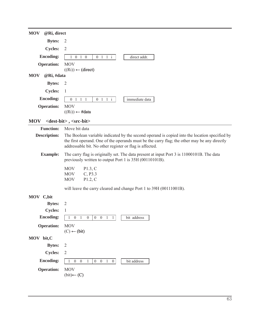| <b>MOV</b> | @Ri, direct       |                                                                                                 |
|------------|-------------------|-------------------------------------------------------------------------------------------------|
|            | <b>Bytes:</b>     | 2                                                                                               |
|            | <b>Cycles:</b>    | 2                                                                                               |
|            | <b>Encoding:</b>  | $\theta$<br>$\theta$<br>$\mathbf{0}$<br>$1$ i<br>direct addr.<br>$\mathbf{1}$<br>$\overline{1}$ |
|            | <b>Operation:</b> | <b>MOV</b><br>$((\mathrm{Ri})) \leftarrow (\text{direct})$                                      |
| <b>MOV</b> | @Ri, #data        |                                                                                                 |
|            | <b>Bytes:</b>     | 2                                                                                               |
|            | <b>Cycles:</b>    | -1                                                                                              |
|            | <b>Encoding:</b>  | $0 \t1 \t1$ i<br>immediate data<br>$\Omega$                                                     |
|            | <b>Operation:</b> | <b>MOV</b><br>$((Ri)) \leftarrow #data$                                                         |
| <b>MOV</b> |                   | <dest-bit>, <src-bit></src-bit></dest-bit>                                                      |
|            | <b>Function:</b>  | Move bit data                                                                                   |

- **Description:** The Boolean variable indicated by the second operand is copied into the location specified by the first operand. One of the operands must be the carry flag; the other may be any directly addressable bit. No other register or flag is affected.
	- **Example:** The carry flag is originally set. The data present at input Port 3 is 11000101B. The data previously written to output Port 1 is 35H (00110101B).
		- MOV P1.3, C<br>MOV C. P3.3 C, P3.3 MOV P1.2, C

will leave the carry cleared and change Port 1 to 39H (00111001B).

#### **MOV C,bit**

| <b>Bytes:</b> 2     |                                                                                                                          |
|---------------------|--------------------------------------------------------------------------------------------------------------------------|
| Cycles: 1           |                                                                                                                          |
| <b>Encoding:</b>    | $\mathbf{0}$<br>$\overline{1}$<br>$\overline{0}$<br>$\overline{0}$<br>$\overline{1}$<br>bit address<br>$\overline{0}$    |
| <b>Operation:</b>   | <b>MOV</b><br>$(C) \leftarrow (bit)$                                                                                     |
| <b>MOV</b><br>bit,C |                                                                                                                          |
| <b>Bytes:</b> 2     |                                                                                                                          |
| Cycles: 2           |                                                                                                                          |
| <b>Encoding:</b>    | $\overline{0}$<br>$\mathbf{0}$<br>1<br>$\overline{0}$<br>$\mathbf{0}$<br>bit address<br>$\overline{1}$<br>$\overline{0}$ |
| <b>Operation:</b>   | <b>MOV</b><br>$(bit) \leftarrow (C)$                                                                                     |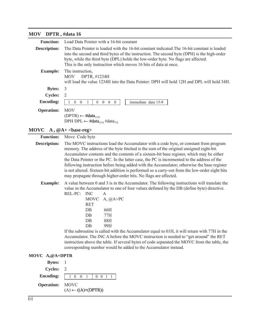#### **MOV DPTR , #data 16**

| <b>Function:</b>  | Load Data Pointer with a 16-bit constant                                                                                                                                                                                                                                                                                                              |  |
|-------------------|-------------------------------------------------------------------------------------------------------------------------------------------------------------------------------------------------------------------------------------------------------------------------------------------------------------------------------------------------------|--|
| Description:      | The Data Pointer is loaded with the 16-bit constant indicated. The 16-bit constant is loaded<br>into the second and third bytes of the instruction. The second byte (DPH) is the high-order<br>byte, while the third byte (DPL) holds the low-order byte. No flags are affected.<br>This is the only instruction which moves 16 bits of data at once. |  |
| <b>Example:</b>   | The instruction.<br>MOV<br>DPTR, #1234H<br>will load the value 1234H into the Data Pointer: DPH will hold 12H and DPL will hold 34H.                                                                                                                                                                                                                  |  |
| <b>Bytes:</b>     | 3                                                                                                                                                                                                                                                                                                                                                     |  |
| <b>Cycles:</b>    | 2                                                                                                                                                                                                                                                                                                                                                     |  |
| Encoding:         | immediate data 15-8<br>$\Omega$<br>$\Omega$<br>$\Omega$<br>$\Omega$<br>$\theta$<br>$\Omega$                                                                                                                                                                                                                                                           |  |
| <b>Operation:</b> | <b>MOV</b><br>$(DPTR) \leftarrow \text{#data}_{15,0}$<br>DPH DPL $\leftarrow$ #data <sub>15 s</sub> #data <sub>2.0</sub>                                                                                                                                                                                                                              |  |

**MOVC A , @A+ <base-reg>**

**Function:** Move Code byte

| The MOVC instructions load the Accumulator with a code byte, or constant from program          |
|------------------------------------------------------------------------------------------------|
| memory. The address of the byte fetched is the sum of the original unsigned eight-bit.         |
| Accumulator contents and the contents of a sixteen-bit base register, which may be either      |
| the Data Pointer or the PC. In the latter case, the PC is incremented to the address of the    |
| following instruction before being added with the Accumulator; otherwise the base register     |
| is not altered. Sixteen-bit addition is performed so a carry-out from the low-order eight bits |
| may propagate through higher-order bits. No flags are affected.                                |
|                                                                                                |

**Example:** A value between 0 and 3 is in the Accumulator. The following instructions will translate the value in the Accumulator to one of four values defimed by the DB (define byte) directive. REL-PC: INC A

| 1922 1 C. 11 P. |            | $\sqrt{1}$      |
|-----------------|------------|-----------------|
|                 |            | MOVC A, $@A+PC$ |
|                 | <b>RET</b> |                 |
|                 | DB         | 66H             |
|                 | DB         | 77H             |
|                 | DB         | 88H             |
|                 | DB         | 99H             |

If the subroutine is called with the Accumulator equal to 01H, it will return with 77H in the Accumulator. The INC A before the MOVC instruction is needed to "get around" the RET instruction above the table. If several bytes of code separated the MOVC from the table, the corresponding number would be added to the Accumulator instead.

#### **MOVC A,@A+DPTR**

| <b>Bytes:</b>          |                                 |  |
|------------------------|---------------------------------|--|
| Cycles: 2              |                                 |  |
| <b>Encoding:</b>       | 1 0 0 1<br>$0 \t 0 \t 1$        |  |
| <b>Operation:</b> MOVC | $(A) \leftarrow ((A) + (DPTR))$ |  |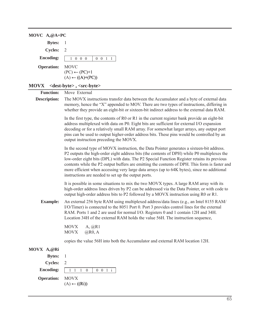| MOVC $A, @A+PC$                                                                                                                                                                                                                                                                                                                                                                                                                 |                                                                                                                                                                                                                                                                                                                                                                                                                                                                                                                                                 |  |  |
|---------------------------------------------------------------------------------------------------------------------------------------------------------------------------------------------------------------------------------------------------------------------------------------------------------------------------------------------------------------------------------------------------------------------------------|-------------------------------------------------------------------------------------------------------------------------------------------------------------------------------------------------------------------------------------------------------------------------------------------------------------------------------------------------------------------------------------------------------------------------------------------------------------------------------------------------------------------------------------------------|--|--|
| <b>Bytes:</b>                                                                                                                                                                                                                                                                                                                                                                                                                   | 1                                                                                                                                                                                                                                                                                                                                                                                                                                                                                                                                               |  |  |
| <b>Cycles:</b>                                                                                                                                                                                                                                                                                                                                                                                                                  | $\overline{2}$                                                                                                                                                                                                                                                                                                                                                                                                                                                                                                                                  |  |  |
| <b>Encoding:</b>                                                                                                                                                                                                                                                                                                                                                                                                                | $1\quad 0\quad 0\quad 0$<br>$0 \t0 \t1 \t1$                                                                                                                                                                                                                                                                                                                                                                                                                                                                                                     |  |  |
| <b>Operation:</b>                                                                                                                                                                                                                                                                                                                                                                                                               | <b>MOVC</b><br>$(PC) \leftarrow (PC)+1$<br>$(A) \leftarrow ((A)+ (PC))$                                                                                                                                                                                                                                                                                                                                                                                                                                                                         |  |  |
| <b>MOVX</b>                                                                                                                                                                                                                                                                                                                                                                                                                     | <dest-byte>, <src-byte></src-byte></dest-byte>                                                                                                                                                                                                                                                                                                                                                                                                                                                                                                  |  |  |
| <b>Function:</b>                                                                                                                                                                                                                                                                                                                                                                                                                | Move External                                                                                                                                                                                                                                                                                                                                                                                                                                                                                                                                   |  |  |
| Description:<br>The MOVX instructions transfer data between the Accumulator and a byte of external data<br>memory, hence the "X" appended to MOV. There are two types of instructions, differing in<br>whether they provide an eight-bit or sixteen-bit indirect address to the external data RAM.                                                                                                                              |                                                                                                                                                                                                                                                                                                                                                                                                                                                                                                                                                 |  |  |
| In the first type, the contents of R0 or R1 in the current register bank provide an eight-bit<br>address multiplexed with data on P0. Eight bits are sufficient for external I/O expansion<br>decoding or for a relatively small RAM array. For somewhat larger arrays, any output port<br>pins can be used to output higher-order address bits. These pins would be controlled by an<br>output instruction preceding the MOVX. |                                                                                                                                                                                                                                                                                                                                                                                                                                                                                                                                                 |  |  |
|                                                                                                                                                                                                                                                                                                                                                                                                                                 | In the second type of MOVX instruction, the Data Pointer generates a sixteen-bit address.<br>P2 outputs the high-order eight address bits (the contents of DPH) while P0 multiplexes the<br>low-order eight bits (DPL) with data. The P2 Special Function Register retains its previous<br>contents while the P2 output buffers are emitting the contents of DPH. This form is faster and<br>more efficient when accessing very large data arrays (up to 64K bytes), since no additional<br>instructions are needed to set up the output ports. |  |  |
|                                                                                                                                                                                                                                                                                                                                                                                                                                 | It is possible in some situations to mix the two MOVX types. A large RAM array with its<br>high-order address lines driven by P2 can be addressed via the Data Pointer, or with code to<br>output high-order address bits to P2 followed by a MOVX instruction using R0 or R1.                                                                                                                                                                                                                                                                  |  |  |
| <b>Example:</b>                                                                                                                                                                                                                                                                                                                                                                                                                 | An external 256 byte RAM using multiplexed address/data lines (e.g., an Intel 8155 RAM/<br>I/O/Timer) is connected to the 8051 Port 0. Port 3 provides control lines for the external<br>RAM. Ports 1 and 2 are used for normal I/O. Registers 0 and 1 contain 12H and 34H.<br>Location 34H of the external RAM holds the value 56H. The instruction sequence,                                                                                                                                                                                  |  |  |
|                                                                                                                                                                                                                                                                                                                                                                                                                                 | <b>MOVX</b><br>A, @R1<br><b>MOVX</b><br>@R0, A                                                                                                                                                                                                                                                                                                                                                                                                                                                                                                  |  |  |
|                                                                                                                                                                                                                                                                                                                                                                                                                                 | copies the value 56H into both the Accumulator and external RAM location 12H.                                                                                                                                                                                                                                                                                                                                                                                                                                                                   |  |  |
| MOVX A,@Ri                                                                                                                                                                                                                                                                                                                                                                                                                      |                                                                                                                                                                                                                                                                                                                                                                                                                                                                                                                                                 |  |  |
| <b>Bytes:</b>                                                                                                                                                                                                                                                                                                                                                                                                                   | $\mathbf{1}$                                                                                                                                                                                                                                                                                                                                                                                                                                                                                                                                    |  |  |
| <b>Cycles:</b>                                                                                                                                                                                                                                                                                                                                                                                                                  | 2                                                                                                                                                                                                                                                                                                                                                                                                                                                                                                                                               |  |  |
| <b>Encoding:</b>                                                                                                                                                                                                                                                                                                                                                                                                                | $\mathbf{0}$<br>1<br>1<br>$0\quad 0$<br>-1<br>$\mathbf{i}$<br>1                                                                                                                                                                                                                                                                                                                                                                                                                                                                                 |  |  |
| <b>Operation:</b>                                                                                                                                                                                                                                                                                                                                                                                                               | <b>MOVX</b><br>$(A) \leftarrow ((Ri))$                                                                                                                                                                                                                                                                                                                                                                                                                                                                                                          |  |  |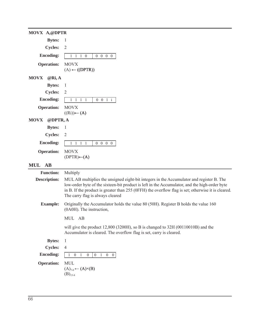| MOVX A,@DPTR            |                                                                                                                                                                                                                                                                                                                                    |
|-------------------------|------------------------------------------------------------------------------------------------------------------------------------------------------------------------------------------------------------------------------------------------------------------------------------------------------------------------------------|
| <b>Bytes:</b>           | 1                                                                                                                                                                                                                                                                                                                                  |
| <b>Cycles:</b>          | 2                                                                                                                                                                                                                                                                                                                                  |
| <b>Encoding:</b>        | $\mathbf{1}$<br>$\mathbf{1}$<br>$\mathbf{0}$<br>$0\quad 0\quad 0\quad 0\quad$<br>$\mathbf{1}$                                                                                                                                                                                                                                      |
| <b>Operation:</b>       | <b>MOVX</b><br>$(A) \leftarrow ((DPTR))$                                                                                                                                                                                                                                                                                           |
| <b>MOVX</b><br>@Ri, A   |                                                                                                                                                                                                                                                                                                                                    |
| <b>Bytes:</b>           | $\mathbf{1}$                                                                                                                                                                                                                                                                                                                       |
| <b>Cycles:</b>          | 2                                                                                                                                                                                                                                                                                                                                  |
| <b>Encoding:</b>        | $0 \t 0 \t 1 \t i$<br>1<br>$1\quad1$<br>-1                                                                                                                                                                                                                                                                                         |
| <b>Operation:</b>       | <b>MOVX</b><br>$((Ri))\leftarrow (A)$                                                                                                                                                                                                                                                                                              |
| <b>MOVX</b><br>@DPTR, A |                                                                                                                                                                                                                                                                                                                                    |
| <b>Bytes:</b>           | 1                                                                                                                                                                                                                                                                                                                                  |
| <b>Cycles:</b>          | $\overline{c}$                                                                                                                                                                                                                                                                                                                     |
| <b>Encoding:</b>        | $1 \; 1 \; 1$<br>$0\quad 0\quad 0\quad 0$<br>$\mathbf{1}$                                                                                                                                                                                                                                                                          |
| <b>Operation:</b>       | <b>MOVX</b><br>$(DPTR) \leftarrow (A)$                                                                                                                                                                                                                                                                                             |
| MUL AB                  |                                                                                                                                                                                                                                                                                                                                    |
| <b>Function:</b>        | Multiply                                                                                                                                                                                                                                                                                                                           |
| Description:            | MULAB multiplies the unsigned eight-bit integers in the Accumulator and register B. The<br>low-order byte of the sixteen-bit product is left in the Accumulator, and the high-order byte<br>in B. If the product is greater than 255 (0FFH) the overflow flag is set; otherwise it is cleared.<br>The carry flag is always cleared |
| <b>Example:</b>         | Originally the Accumulator holds the value 80 (50H). Register B holds the value 160<br>(0A0H). The instruction,                                                                                                                                                                                                                    |
|                         | MUL AB                                                                                                                                                                                                                                                                                                                             |
|                         | will give the product 12,800 (3200H), so B is changed to 32H (00110010B) and the<br>Accumulator is cleared. The overflow flag is set, carry is cleared.                                                                                                                                                                            |
| <b>Bytes:</b>           | $\mathbf{1}$                                                                                                                                                                                                                                                                                                                       |
| <b>Cycles:</b>          | 4                                                                                                                                                                                                                                                                                                                                  |
| <b>Encoding:</b>        | $\mathbf{1}$<br>$\mathbf{0}$<br>$\boldsymbol{0}$<br>$\boldsymbol{0}$<br>$\overline{1}$<br>$\overline{0}$<br>$\mathbf{1}$<br>$\overline{0}$                                                                                                                                                                                         |
| <b>Operation:</b>       | <b>MUL</b><br>$(A)_{7-0} \leftarrow (A) \times (B)$<br>$(B)_{15-8}$                                                                                                                                                                                                                                                                |
|                         |                                                                                                                                                                                                                                                                                                                                    |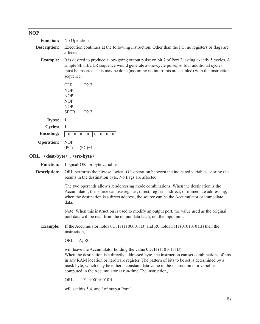| <b>NOP</b>                                         |                                                                                                                                                                                                                                                                                                       |  |
|----------------------------------------------------|-------------------------------------------------------------------------------------------------------------------------------------------------------------------------------------------------------------------------------------------------------------------------------------------------------|--|
| <b>Function:</b>                                   | No Operation                                                                                                                                                                                                                                                                                          |  |
| Description:                                       | Execution continues at the following instruction. Other than the PC, no registers or flags are<br>affected.                                                                                                                                                                                           |  |
| <b>Example:</b>                                    | It is desired to produce a low-going output pulse on bit 7 of Port 2 lasting exactly 5 cycles. A<br>simple SETB/CLR sequence would generate a one-cycle pulse, so four additional cycles<br>must be inserted. This may be done (assuming no interrupts are enabled) with the instruction<br>sequence. |  |
|                                                    | CLR.<br>P <sub>2.7</sub><br><b>NOP</b><br><b>NOP</b><br><b>NOP</b><br><b>NOP</b><br><b>SETB</b><br>P <sub>2.7</sub>                                                                                                                                                                                   |  |
| <b>Bytes:</b>                                      | 1                                                                                                                                                                                                                                                                                                     |  |
| <b>Cycles:</b>                                     | 1                                                                                                                                                                                                                                                                                                     |  |
| <b>Encoding:</b>                                   | $0\quad 0\quad 0\quad 0$<br>$0 \quad 0$<br>$\overline{0}$<br>$\theta$                                                                                                                                                                                                                                 |  |
| <b>Operation:</b>                                  | <b>NOP</b><br>$(PC) \leftarrow (PC)+1$                                                                                                                                                                                                                                                                |  |
| ORL <dest-byte>, <src-byte></src-byte></dest-byte> |                                                                                                                                                                                                                                                                                                       |  |
| <b>Function:</b>                                   | Logical-OR for byte variables                                                                                                                                                                                                                                                                         |  |
| Description:                                       | ORL performs the bitwise logical-OR operation between the indicated variables, storing the                                                                                                                                                                                                            |  |

results in the destination byte. No flags are affected.

The two operands allow six addressing mode combinations. When the destination is the Accumulator, the source can use register, direct, register-indirect, or immediate addressing; when the destination is a direct address, the source can be the Accumulator or immediate data.

Note: When this instruction is used to modify an output port, the value used as the original port data will be read from the output data latch, not the input pins.

**Example:** If the Accumulator holds 0C3H (11000011B) and R0 holds 55H (01010101B) then the instruction,

ORL A, R0

will leave the Accumulator holding the value 0D7H (11010111B). When the destination is a directly addressed byte, the instruction can set combinations of bits in any RAM location or hardware register. The pattern of bits to be set is determined by a mask byte, which may be either a constant data value in the instruction or a variable computed in the Accumulator at run-time.The instruction,

ORL P1, #00110010B

will set bits 5,4, and 1of output Port 1.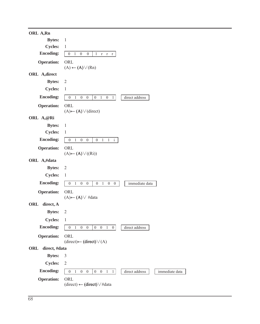| ORL A,Rn                    |                                                                                                                                                                       |
|-----------------------------|-----------------------------------------------------------------------------------------------------------------------------------------------------------------------|
| <b>Bytes:</b>               | $\mathbf{1}$                                                                                                                                                          |
| <b>Cycles:</b>              | $\mathbf{1}$                                                                                                                                                          |
| <b>Encoding:</b>            | $\boldsymbol{0}$<br>$\mathbf{1}$<br>$\boldsymbol{0}$<br>$\boldsymbol{0}$<br>1<br>r<br>r<br>r                                                                          |
| <b>Operation:</b>           | ORL                                                                                                                                                                   |
|                             | $(A) \leftarrow (A) \vee (Rn)$                                                                                                                                        |
| ORL A, direct               |                                                                                                                                                                       |
| <b>Bytes:</b>               | 2                                                                                                                                                                     |
| <b>Cycles:</b>              | $\mathbf{1}$                                                                                                                                                          |
| <b>Encoding:</b>            | $\boldsymbol{0}$<br>$\mathbf{1}$<br>$\boldsymbol{0}$<br>$\boldsymbol{0}$<br>$\boldsymbol{0}$<br>direct address<br>$\mathbf{1}$<br>$\boldsymbol{0}$<br>$\mathbf{1}$    |
| <b>Operation:</b>           | ORL                                                                                                                                                                   |
|                             | $(A) \leftarrow (A) \vee (direct)$                                                                                                                                    |
| ORL A,@Ri                   |                                                                                                                                                                       |
| <b>Bytes:</b>               | $\mathbf{1}$                                                                                                                                                          |
| <b>Cycles:</b>              | $\mathbf{1}$                                                                                                                                                          |
| <b>Encoding:</b>            | $\boldsymbol{0}$<br>$\boldsymbol{0}$<br>$\mathbf{1}$<br>1<br>$\boldsymbol{0}$<br>$\boldsymbol{0}$<br>1<br>$\mathbf{i}$                                                |
| <b>Operation:</b>           | ORL                                                                                                                                                                   |
|                             | $(A) \leftarrow (A) \vee ((Ri))$                                                                                                                                      |
| ORL A,#data                 |                                                                                                                                                                       |
| <b>Bytes:</b>               | 2                                                                                                                                                                     |
| <b>Cycles:</b>              | 1                                                                                                                                                                     |
| <b>Encoding:</b>            | $\boldsymbol{0}$<br>immediate data<br>$\mathbf{1}$<br>$\boldsymbol{0}$<br>$\boldsymbol{0}$<br>$\mathbf{0}$<br>1<br>$\boldsymbol{0}$<br>$\boldsymbol{0}$               |
| <b>Operation:</b>           | ORL                                                                                                                                                                   |
|                             | $(A) \leftarrow (A) \vee \#data$                                                                                                                                      |
| ORL<br>direct, A            |                                                                                                                                                                       |
| <b>Bytes:</b>               | $\overline{2}$                                                                                                                                                        |
| <b>Cycles:</b>              | 1                                                                                                                                                                     |
| <b>Encoding:</b>            | $\boldsymbol{0}$<br>$\mathbf{1}$<br>$\boldsymbol{0}$<br>$\boldsymbol{0}$<br>$\boldsymbol{0}$<br>direct address<br>$\boldsymbol{0}$<br>$\mathbf{1}$<br>$\vert 0 \vert$ |
| <b>Operation:</b>           | ORL<br>$(direct) \leftarrow (direct) \vee (A)$                                                                                                                        |
| <b>ORL</b><br>direct, #data |                                                                                                                                                                       |
| <b>Bytes:</b>               | 3                                                                                                                                                                     |
| <b>Cycles:</b>              | $\overline{2}$                                                                                                                                                        |
| <b>Encoding:</b>            | $\boldsymbol{0}$<br>direct address<br>immediate data<br>1<br>$\boldsymbol{0}$<br>$\boldsymbol{0}$<br>$\boldsymbol{0}$<br>$\boldsymbol{0}$<br>$\mathbf{1}$<br>1        |
| <b>Operation:</b>           | ORL                                                                                                                                                                   |
|                             | $(direct) \leftarrow (direct) \vee #data$                                                                                                                             |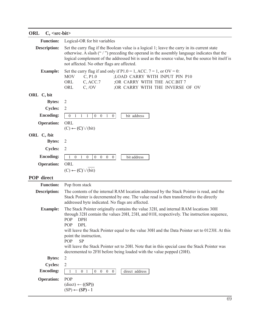# **ORL C, <src-bit>**

| <b>UIND</b><br>$\sim$ - $\sim$ $\sim$ |                                                                                                                                                                                                                                                                                                                                               |
|---------------------------------------|-----------------------------------------------------------------------------------------------------------------------------------------------------------------------------------------------------------------------------------------------------------------------------------------------------------------------------------------------|
| <b>Function:</b>                      | Logical-OR for bit variables                                                                                                                                                                                                                                                                                                                  |
| Description:                          | Set the carry flag if the Boolean value is a logical 1; leave the carry in its current state<br>otherwise. A slash ("/") preceding the operand in the assembly language indicates that the<br>logical complement of the addressed bit is used as the source value, but the source bit itself is<br>not affected. No other flags are affected. |
| <b>Example:</b>                       | Set the carry flag if and only if $P1.0 = 1$ , ACC. $7 = 1$ , or $OV = 0$ :<br>C, P1.0<br>:LOAD CARRY WITH INPUT PIN P10<br>MOV<br>C, ACC.7<br>ORL<br>OR CARRY WITH THE ACC.BIT 7<br>C, /OV<br>ORL<br>;OR CARRY WITH THE INVERSE OF OV                                                                                                        |
| ORL C, bit                            |                                                                                                                                                                                                                                                                                                                                               |
| <b>Bytes:</b>                         | 2                                                                                                                                                                                                                                                                                                                                             |
| <b>Cycles:</b>                        | $\overline{2}$                                                                                                                                                                                                                                                                                                                                |
| <b>Encoding:</b>                      | $\boldsymbol{0}$<br>$\mathbf{1}$<br>$\boldsymbol{0}$<br>$\overline{0}$<br>bit address<br>$\mathbf{1}$<br>1<br>$\mathbf{1}$<br>0 <sup>1</sup>                                                                                                                                                                                                  |
| <b>Operation:</b>                     | ORL<br>$(C) \leftarrow (C) \vee (bit)$                                                                                                                                                                                                                                                                                                        |
| ORL C, /bit                           |                                                                                                                                                                                                                                                                                                                                               |
| <b>Bytes:</b>                         | $\overline{c}$                                                                                                                                                                                                                                                                                                                                |
| <b>Cycles:</b>                        | $\overline{2}$                                                                                                                                                                                                                                                                                                                                |
| <b>Encoding:</b>                      | $\mathbf{0}$<br>$\mathbf{1}$<br>$\overline{0}$<br>$\overline{0}$<br>$\mathbf{0}$<br>$\overline{0}$<br>bit address<br>1<br>$\mathbf{0}$                                                                                                                                                                                                        |
| <b>Operation:</b>                     | ORL                                                                                                                                                                                                                                                                                                                                           |
|                                       | $(C) \leftarrow (C) \vee (bit)$                                                                                                                                                                                                                                                                                                               |
| <b>POP</b> direct                     |                                                                                                                                                                                                                                                                                                                                               |
| <b>Function:</b>                      | Pop from stack                                                                                                                                                                                                                                                                                                                                |
| Description:                          | The contents of the internal RAM location addressed by the Stack Pointer is read, and the<br>Stack Pointer is decremented by one. The value read is then transferred to the directly<br>addressed byte indicated. No flags are affected.                                                                                                      |
| <b>Example:</b>                       | The Stack Pointer originally contains the value 32H, and internal RAM locations 30H<br>through 32H contain the values 20H, 23H, and 01H, respectively. The instruction sequence,<br>DPH<br>POP<br>POP<br><b>DPL</b>                                                                                                                           |
|                                       | will leave the Stack Pointer equal to the value 30H and the Data Pointer set to 0123H. At this<br>point the instruction,<br>POP<br><b>SP</b>                                                                                                                                                                                                  |
|                                       | will leave the Stack Pointer set to 20H. Note that in this special case the Stack Pointer was<br>decremented to 2FH before being loaded with the value popped (20H).                                                                                                                                                                          |
| <b>Bytes:</b>                         | $\overline{c}$                                                                                                                                                                                                                                                                                                                                |
| <b>Cycles:</b>                        | $\overline{2}$                                                                                                                                                                                                                                                                                                                                |
| <b>Encoding:</b>                      | 0 <sub>1</sub><br>$\overline{0}$<br>$\vert 0 \vert$<br>direct address<br>$\mathbf{1}$<br>$\mathbf{1}$<br>$\overline{0}$<br>$\boldsymbol{0}$                                                                                                                                                                                                   |
| <b>Operation:</b>                     | POP                                                                                                                                                                                                                                                                                                                                           |
|                                       | $(diect) \leftarrow ((SP))$<br>$(SP) \leftarrow (SP) - 1$                                                                                                                                                                                                                                                                                     |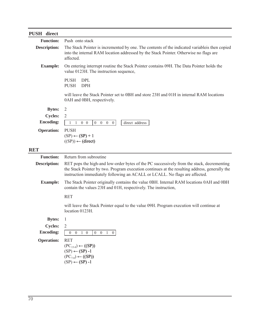| <b>PUSH</b> direct  |                                                                                                                                                                                                                                                                           |
|---------------------|---------------------------------------------------------------------------------------------------------------------------------------------------------------------------------------------------------------------------------------------------------------------------|
| <b>Function:</b>    | Push onto stack                                                                                                                                                                                                                                                           |
| <b>Description:</b> | The Stack Pointer is incremented by one. The contents of the indicated variableis then copied<br>into the internal RAM location addressed by the Stack Pointer. Otherwise no flags are<br>affected.                                                                       |
| <b>Example:</b>     | On entering interrupt routine the Stack Pointer contains 09H. The Data Pointer holds the<br>value 0123H. The instruction sequence,                                                                                                                                        |
|                     | <b>PUSH</b><br><b>DPL</b><br><b>PUSH</b><br><b>DPH</b>                                                                                                                                                                                                                    |
|                     | will leave the Stack Pointer set to 0BH and store 23H and 01H in internal RAM locations<br>0AH and 0BH, respectively.                                                                                                                                                     |
| <b>Bytes:</b>       | $\overline{c}$                                                                                                                                                                                                                                                            |
| <b>Cycles:</b>      | $\mathfrak{2}$                                                                                                                                                                                                                                                            |
| <b>Encoding:</b>    | $\mathbf{1}$<br>$\mathbf{1}$<br>$0\quad 0$<br>$\overline{0}$<br>direct address<br>$\overline{0}$<br>$\overline{0}$<br>$\overline{0}$                                                                                                                                      |
| <b>Operation:</b>   | <b>PUSH</b><br>$(SP) \leftarrow (SP) + 1$<br>$((SP)) \leftarrow (direct)$                                                                                                                                                                                                 |
| <b>RET</b>          |                                                                                                                                                                                                                                                                           |
| <b>Function:</b>    | Return from subroutine                                                                                                                                                                                                                                                    |
| <b>Description:</b> | RET pops the high-and low-order bytes of the PC successively from the stack, decrementing<br>the Stack Pointer by two. Program execution continues at the resulting address, generally the<br>instruction immediately following an ACALL or LCALL. No flags are affected. |
| <b>Example:</b>     | The Stack Pointer originally contains the value 0BH. Internal RAM locations 0AH and 0BH<br>contain the values 23H and 01H, respectively. The instruction,                                                                                                                 |
|                     | <b>RET</b>                                                                                                                                                                                                                                                                |
|                     | will leave the Stack Pointer equal to the value 09H. Program execution will continue at<br>location 0123H.                                                                                                                                                                |
| <b>Bytes:</b>       | $\mathbf{1}$                                                                                                                                                                                                                                                              |
| <b>Cycles:</b>      | $\mathfrak{2}$                                                                                                                                                                                                                                                            |
| <b>Encoding:</b>    | $\overline{0}$<br>$1\quad 0$<br>$\overline{0}$<br>$\overline{0}$<br>$\overline{0}$<br>$\overline{0}$<br>-1                                                                                                                                                                |
| <b>Operation:</b>   | <b>RET</b><br>$(PC15-8) \leftarrow ((SP))$<br>$(SP) \leftarrow (SP) -1$<br>$(PC_{7-0}) \leftarrow ((SP))$<br>$(SP) \leftarrow (SP) -1$                                                                                                                                    |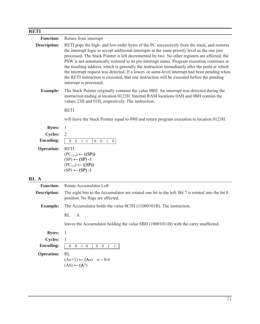| <b>RETI</b>         |                                                                                                                                                                                                                                                                                                                                                                                                                                                                                                                                                                                                                                                                                                                             |
|---------------------|-----------------------------------------------------------------------------------------------------------------------------------------------------------------------------------------------------------------------------------------------------------------------------------------------------------------------------------------------------------------------------------------------------------------------------------------------------------------------------------------------------------------------------------------------------------------------------------------------------------------------------------------------------------------------------------------------------------------------------|
| <b>Function:</b>    | Return from interrupt                                                                                                                                                                                                                                                                                                                                                                                                                                                                                                                                                                                                                                                                                                       |
| Description:        | RETI pops the high- and low-order bytes of the PC successively from the stack, and restores<br>the interrupt logic to accept additional interrupts at the same priority level as the one just<br>processed. The Stack Pointer is left decremented by two. No other registers are affected; the<br>PSW is not automatically restored to its pre-interrupt status. Program execution continues at<br>the resulting address, which is generally the instruction immediately after the point at which<br>the interrupt request was detected. If a lower- or same-level interrupt had been pending when<br>the RETI instruction is executed, that one instruction will be executed before the pending<br>interrupt is processed. |
| <b>Example:</b>     | The Stack Pointer originally contains the value 0BH. An interrupt was detected during the<br>instruction ending at location 0122H. Internal RAM locations 0AH and 0BH contain the<br>values 23H and 01H, respectively. The instruction,<br><b>RETI</b>                                                                                                                                                                                                                                                                                                                                                                                                                                                                      |
|                     | will leave the Stack Pointer equal to 09H and return program execution to location 0123H.                                                                                                                                                                                                                                                                                                                                                                                                                                                                                                                                                                                                                                   |
|                     |                                                                                                                                                                                                                                                                                                                                                                                                                                                                                                                                                                                                                                                                                                                             |
| <b>Bytes:</b>       | $\mathbf{1}$                                                                                                                                                                                                                                                                                                                                                                                                                                                                                                                                                                                                                                                                                                                |
| <b>Cycles:</b>      | $\mathfrak{2}$                                                                                                                                                                                                                                                                                                                                                                                                                                                                                                                                                                                                                                                                                                              |
| <b>Encoding:</b>    | $\mathbf{0}$<br>$\overline{0}$<br>-1<br>$\overline{0}$<br>$\overline{0}$<br>-1<br>- 1<br>$\overline{0}$                                                                                                                                                                                                                                                                                                                                                                                                                                                                                                                                                                                                                     |
| <b>Operation:</b>   | <b>RETI</b><br>$(PC15-8) \leftarrow ((SP))$<br>$(SP) \leftarrow (SP) -1$<br>$(PC_{7-0}) \leftarrow ((SP))$<br>$(SP) \leftarrow (SP) -1$                                                                                                                                                                                                                                                                                                                                                                                                                                                                                                                                                                                     |
| RL A                |                                                                                                                                                                                                                                                                                                                                                                                                                                                                                                                                                                                                                                                                                                                             |
| <b>Function:</b>    | Rotate Accumulator Left                                                                                                                                                                                                                                                                                                                                                                                                                                                                                                                                                                                                                                                                                                     |
| <b>Description:</b> | The eight bits in the Accumulator are rotated one bit to the left. Bit 7 is rotated into the bit 0<br>position. No flags are affected.                                                                                                                                                                                                                                                                                                                                                                                                                                                                                                                                                                                      |
| <b>Example:</b>     | The Accumulator holds the value 0C5H (11000101B). The instruction,                                                                                                                                                                                                                                                                                                                                                                                                                                                                                                                                                                                                                                                          |
|                     | RL<br>$\overline{A}$                                                                                                                                                                                                                                                                                                                                                                                                                                                                                                                                                                                                                                                                                                        |
|                     | leaves the Accumulator holding the value 8BH (10001011B) with the carry unaffected.                                                                                                                                                                                                                                                                                                                                                                                                                                                                                                                                                                                                                                         |
|                     |                                                                                                                                                                                                                                                                                                                                                                                                                                                                                                                                                                                                                                                                                                                             |
| <b>Bytes:</b>       | $\mathbf{1}$                                                                                                                                                                                                                                                                                                                                                                                                                                                                                                                                                                                                                                                                                                                |
| <b>Cycles:</b>      | $\mathbf{1}$                                                                                                                                                                                                                                                                                                                                                                                                                                                                                                                                                                                                                                                                                                                |
| <b>Encoding:</b>    | $\boldsymbol{0}$<br>$0 \quad 1$<br>$\boldsymbol{0}$<br>$\boldsymbol{0}$<br>$0\quad1$<br>1                                                                                                                                                                                                                                                                                                                                                                                                                                                                                                                                                                                                                                   |
| <b>Operation:</b>   | RL                                                                                                                                                                                                                                                                                                                                                                                                                                                                                                                                                                                                                                                                                                                          |

 $(An+1) \leftarrow (An)$  n = 0-6  $(A0) \leftarrow (A7)$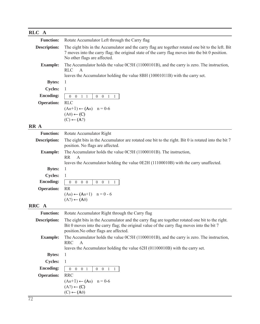| RLC A               |                                                                                                                                                                                                                                         |
|---------------------|-----------------------------------------------------------------------------------------------------------------------------------------------------------------------------------------------------------------------------------------|
| <b>Function:</b>    | Rotate Accumulator Left through the Carry flag                                                                                                                                                                                          |
| <b>Description:</b> | The eight bits in the Accumulator and the carry flag are together rotated one bit to the left. Bit<br>7 moves into the carry flag; the original state of the carry flag moves into the bit 0 position.<br>No other flags are affected.  |
| <b>Example:</b>     | The Accumulator holds the value 0C5H (11000101B), and the carry is zero. The instruction,<br><b>RLC</b><br>$\mathbf{A}$<br>leaves the Accumulator holding the value 8BH (10001011B) with the carry set.                                 |
| <b>Bytes:</b>       | 1                                                                                                                                                                                                                                       |
| <b>Cycles:</b>      | $\mathbf{1}$                                                                                                                                                                                                                            |
| <b>Encoding:</b>    | $0 \t 0 \t 1 \t 1$<br>$0 \t 0 \t 1 \t 1$                                                                                                                                                                                                |
| <b>Operation:</b>   | <b>RLC</b>                                                                                                                                                                                                                              |
|                     | $(An+1) \leftarrow (An)$ $n = 0-6$                                                                                                                                                                                                      |
|                     | $(A0) \leftarrow (C)$                                                                                                                                                                                                                   |
|                     | $(C) \leftarrow (A7)$                                                                                                                                                                                                                   |
| <b>RR</b> A         |                                                                                                                                                                                                                                         |
| <b>Function:</b>    | Rotate Accumulator Right                                                                                                                                                                                                                |
| <b>Description:</b> | The eight bits in the Accumulator are rotated one bit to the right. Bit $0$ is rotated into the bit $7$<br>position. No flags are affected.                                                                                             |
| <b>Example:</b>     | The Accumulator holds the value 0C5H (11000101B). The instruction,<br><b>RR</b><br>A                                                                                                                                                    |
|                     | leaves the Accumulator holding the value 0E2H (11100010B) with the carry unaffected.                                                                                                                                                    |
| <b>Bytes:</b>       | $\mathbf{1}$                                                                                                                                                                                                                            |
| <b>Cycles:</b>      | 1                                                                                                                                                                                                                                       |
| <b>Encoding:</b>    | $\boldsymbol{0}$<br>$\overline{0}$<br>$0\quad 0$<br>$\overline{0}$<br>$\overline{0}$<br>-1<br>- 1                                                                                                                                       |
| <b>Operation:</b>   | <b>RR</b>                                                                                                                                                                                                                               |
|                     | $(An) \leftarrow (An+1)$ $n = 0 - 6$                                                                                                                                                                                                    |
|                     | $(A7) \leftarrow (A0)$                                                                                                                                                                                                                  |
| RRC A               |                                                                                                                                                                                                                                         |
| <b>Function:</b>    | Rotate Accumulator Right through the Carry flag                                                                                                                                                                                         |
| <b>Description:</b> | The eight bits in the Accumulator and the carry flag are together rotated one bit to the right.<br>Bit 0 moves into the carry flag; the original value of the carry flag moves into the bit 7<br>position. No other flags are affected. |
| <b>Example:</b>     | The Accumulator holds the value 0C5H (11000101B), and the carry is zero. The instruction,<br><b>RRC</b><br>$\mathsf{A}$                                                                                                                 |
|                     | leaves the Accumulator holding the value 62H (01100010B) with the carry set.                                                                                                                                                            |
| <b>Bytes:</b>       | 1                                                                                                                                                                                                                                       |
| <b>Cycles:</b>      | 1                                                                                                                                                                                                                                       |
| <b>Encoding:</b>    | $\,0\,$<br>0 <sub>1</sub><br>$0\quad 0\quad 1$<br>$\boldsymbol{0}$<br>- 1                                                                                                                                                               |
| <b>Operation:</b>   | <b>RRC</b>                                                                                                                                                                                                                              |
|                     | $(An+1) \leftarrow (An)$<br>$n = 0-6$                                                                                                                                                                                                   |
|                     | $(A7) \leftarrow (C)$                                                                                                                                                                                                                   |
|                     | $(C) \leftarrow (A0)$                                                                                                                                                                                                                   |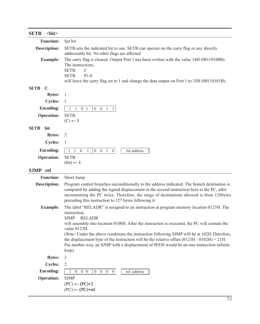| <b>SETB</b> | $bit$               |                                                                                                                                                                                                                                                                                                                                                                                                                                                                                                                                                                 |
|-------------|---------------------|-----------------------------------------------------------------------------------------------------------------------------------------------------------------------------------------------------------------------------------------------------------------------------------------------------------------------------------------------------------------------------------------------------------------------------------------------------------------------------------------------------------------------------------------------------------------|
|             | <b>Function:</b>    | Set bit                                                                                                                                                                                                                                                                                                                                                                                                                                                                                                                                                         |
|             | <b>Description:</b> | SETB sets the indicated bit to one. SETB can operate on the carry flag or any directly<br>addressable bit. No other flags are affected                                                                                                                                                                                                                                                                                                                                                                                                                          |
|             | <b>Example:</b>     | The carry flag is cleared. Output Port 1 has been written with the value 34H (00110100B).<br>The instructions,<br><b>SETB</b><br>C<br><b>SETB</b><br>P1.0<br>will leave the carry flag set to 1 and change the data output on Port 1 to 35H (00110101B).                                                                                                                                                                                                                                                                                                        |
| <b>SETB</b> | C                   |                                                                                                                                                                                                                                                                                                                                                                                                                                                                                                                                                                 |
|             | <b>Bytes:</b>       | 1                                                                                                                                                                                                                                                                                                                                                                                                                                                                                                                                                               |
|             | <b>Cycles:</b>      | 1                                                                                                                                                                                                                                                                                                                                                                                                                                                                                                                                                               |
|             | <b>Encoding:</b>    | $\mathbf{1}$<br>0 <sub>1</sub><br>$\overline{0}$<br>$\overline{0}$<br>1<br>$\overline{1}$<br>$\mathbf{1}$                                                                                                                                                                                                                                                                                                                                                                                                                                                       |
|             | <b>Operation:</b>   | <b>SETB</b><br>$(C) \leftarrow 1$                                                                                                                                                                                                                                                                                                                                                                                                                                                                                                                               |
| <b>SETB</b> | bit                 |                                                                                                                                                                                                                                                                                                                                                                                                                                                                                                                                                                 |
|             | <b>Bytes:</b>       | 2                                                                                                                                                                                                                                                                                                                                                                                                                                                                                                                                                               |
|             | <b>Cycles:</b>      | 1                                                                                                                                                                                                                                                                                                                                                                                                                                                                                                                                                               |
|             | <b>Encoding:</b>    | bit address<br>1<br>$\mathbf{0}$<br>$\mathbf{0}$<br>$\overline{0}$<br>$\overline{0}$<br>1<br>1<br>-1                                                                                                                                                                                                                                                                                                                                                                                                                                                            |
|             | <b>Operation:</b>   | <b>SETB</b><br>$(bit) \leftarrow 1$                                                                                                                                                                                                                                                                                                                                                                                                                                                                                                                             |
| SJMP rel    |                     |                                                                                                                                                                                                                                                                                                                                                                                                                                                                                                                                                                 |
|             | <b>Function:</b>    | Short Jump                                                                                                                                                                                                                                                                                                                                                                                                                                                                                                                                                      |
|             | <b>Description:</b> | Program control branches unconditionally to the address indicated. The branch destination is<br>computed by adding the signed displacement in the second instruction byte to the PC, after<br>incrementing the PC twice. Therefore, the range of destinations allowed is from 128bytes<br>preceding this instruction to 127 bytes following it.                                                                                                                                                                                                                 |
|             | <b>Example:</b>     | The label "RELADR" is assigned to an instruction at program memory location 0123H. The<br>instruction,<br><b>SJMP</b><br><b>RELADR</b><br>will assemble into location 0100H. After the instruction is executed, the PC will contain the<br>value 0123H.<br>(Note: Under the above conditions the instruction following SJMP will be at 102H.Therefore,<br>the displacement byte of the instruction will be the relative offset $(0123H - 0102H) = 21H$ .<br>Put another way, an SJMP with a displacement of 0FEH would be an one-instruction infinite<br>loop). |
|             | <b>Bytes:</b>       | $\overline{c}$                                                                                                                                                                                                                                                                                                                                                                                                                                                                                                                                                  |
|             | <b>Cycles:</b>      | $\overline{\mathbf{c}}$                                                                                                                                                                                                                                                                                                                                                                                                                                                                                                                                         |
|             | <b>Encoding:</b>    | rel. address<br>$0\quad 0\quad 0$<br>$\overline{0}$<br>$0\quad 0$<br> 0 <br>$\mathbf{1}$                                                                                                                                                                                                                                                                                                                                                                                                                                                                        |
|             | <b>Operation:</b>   | <b>SJMP</b>                                                                                                                                                                                                                                                                                                                                                                                                                                                                                                                                                     |
|             |                     | $(PC) \leftarrow (PC)+2$                                                                                                                                                                                                                                                                                                                                                                                                                                                                                                                                        |
|             |                     | $(PC) \leftarrow (PC) + rel$                                                                                                                                                                                                                                                                                                                                                                                                                                                                                                                                    |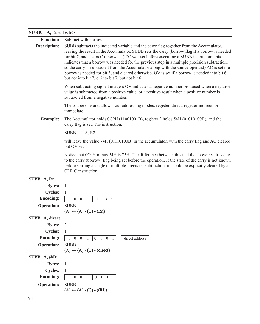| <b>SUBB</b><br>$A,$ <src-byte></src-byte> |                                                                                                                                                                                                                                                                                                                                                                                                                                                                                                                                                                                                                                                  |  |  |  |  |  |  |  |  |  |  |
|-------------------------------------------|--------------------------------------------------------------------------------------------------------------------------------------------------------------------------------------------------------------------------------------------------------------------------------------------------------------------------------------------------------------------------------------------------------------------------------------------------------------------------------------------------------------------------------------------------------------------------------------------------------------------------------------------------|--|--|--|--|--|--|--|--|--|--|
| <b>Function:</b>                          | Subtract with borrow                                                                                                                                                                                                                                                                                                                                                                                                                                                                                                                                                                                                                             |  |  |  |  |  |  |  |  |  |  |
| <b>Description:</b>                       | SUBB subtracts the indicated variable and the carry flag together from the Accumulator,<br>leaving the result in the Accumulator. SUBB sets the carry (borrow) flag if a borrow is needed<br>for bit 7, and clears C otherwise.(If C was set before executing a SUBB instruction, this<br>indicates that a borrow was needed for the previous step in a multiple precision subtraction,<br>so the carry is subtracted from the Accumulator along with the source operand). AC is set if a<br>borrow is needed for bit 3, and cleared otherwise. OV is set if a borrow is needed into bit 6,<br>but not into bit 7, or into bit 7, but not bit 6. |  |  |  |  |  |  |  |  |  |  |
|                                           | When subtracting signed integers OV indicates a negative number produced when a negative<br>value is subtracted from a positive value, or a positive result when a positive number is<br>subtracted from a negative number.                                                                                                                                                                                                                                                                                                                                                                                                                      |  |  |  |  |  |  |  |  |  |  |
|                                           | The source operand allows four addressing modes: register, direct, register-indirect, or<br>immediate.                                                                                                                                                                                                                                                                                                                                                                                                                                                                                                                                           |  |  |  |  |  |  |  |  |  |  |
| <b>Example:</b>                           | The Accumulator holds 0C9H (11001001B), register 2 holds 54H (01010100B), and the<br>carry flag is set. The instruction,                                                                                                                                                                                                                                                                                                                                                                                                                                                                                                                         |  |  |  |  |  |  |  |  |  |  |
|                                           | SUBB<br>A, R2                                                                                                                                                                                                                                                                                                                                                                                                                                                                                                                                                                                                                                    |  |  |  |  |  |  |  |  |  |  |
|                                           | will leave the value 74H (01110100B) in the accumulator, with the carry flag and AC cleared<br>but OV set.                                                                                                                                                                                                                                                                                                                                                                                                                                                                                                                                       |  |  |  |  |  |  |  |  |  |  |
|                                           | Notice that 0C9H minus 54H is 75H. The difference between this and the above result is due<br>to the carry (borrow) flag being set before the operation. If the state of the carry is not known<br>before starting a single or multiple-precision subtraction, it should be explicitly cleared by a<br>CLR C instruction.                                                                                                                                                                                                                                                                                                                        |  |  |  |  |  |  |  |  |  |  |
| SUBB A, Rn                                |                                                                                                                                                                                                                                                                                                                                                                                                                                                                                                                                                                                                                                                  |  |  |  |  |  |  |  |  |  |  |
| <b>Bytes:</b>                             | 1                                                                                                                                                                                                                                                                                                                                                                                                                                                                                                                                                                                                                                                |  |  |  |  |  |  |  |  |  |  |
| <b>Cycles:</b>                            | 1                                                                                                                                                                                                                                                                                                                                                                                                                                                                                                                                                                                                                                                |  |  |  |  |  |  |  |  |  |  |
| <b>Encoding:</b>                          | $1 \t0 \t0 \t1$<br>$1$ r r r                                                                                                                                                                                                                                                                                                                                                                                                                                                                                                                                                                                                                     |  |  |  |  |  |  |  |  |  |  |
| Operation:                                | <b>SUBB</b>                                                                                                                                                                                                                                                                                                                                                                                                                                                                                                                                                                                                                                      |  |  |  |  |  |  |  |  |  |  |
|                                           | $(A) \leftarrow (A) - (C) - (Rn)$                                                                                                                                                                                                                                                                                                                                                                                                                                                                                                                                                                                                                |  |  |  |  |  |  |  |  |  |  |
| SUBB A, direct                            |                                                                                                                                                                                                                                                                                                                                                                                                                                                                                                                                                                                                                                                  |  |  |  |  |  |  |  |  |  |  |
| <b>Bytes:</b>                             | $\overline{2}$                                                                                                                                                                                                                                                                                                                                                                                                                                                                                                                                                                                                                                   |  |  |  |  |  |  |  |  |  |  |
| <b>Cycles:</b>                            | 1                                                                                                                                                                                                                                                                                                                                                                                                                                                                                                                                                                                                                                                |  |  |  |  |  |  |  |  |  |  |
| <b>Encoding:</b>                          | $\mathbf{1}$<br>$\boldsymbol{0}$<br>$\boldsymbol{0}$<br>$\mathbf{1}$<br>$\overline{0}$<br>$\mathbf{1}$<br>$\overline{0}$<br>direct address<br>$\mathbf{1}$                                                                                                                                                                                                                                                                                                                                                                                                                                                                                       |  |  |  |  |  |  |  |  |  |  |
| <b>Operation:</b>                         | <b>SUBB</b><br>$(A) \leftarrow (A) - (C) - (direct)$                                                                                                                                                                                                                                                                                                                                                                                                                                                                                                                                                                                             |  |  |  |  |  |  |  |  |  |  |
| SUBB A, @Ri                               |                                                                                                                                                                                                                                                                                                                                                                                                                                                                                                                                                                                                                                                  |  |  |  |  |  |  |  |  |  |  |
| <b>Bytes:</b>                             | $\mathbf{1}$                                                                                                                                                                                                                                                                                                                                                                                                                                                                                                                                                                                                                                     |  |  |  |  |  |  |  |  |  |  |
| <b>Cycles:</b>                            | 1                                                                                                                                                                                                                                                                                                                                                                                                                                                                                                                                                                                                                                                |  |  |  |  |  |  |  |  |  |  |
| <b>Encoding:</b>                          | $\overline{0}$<br>$0 \quad 1 \quad 1 \quad i$<br>$\boldsymbol{0}$<br>1<br>$\mathbf{1}$                                                                                                                                                                                                                                                                                                                                                                                                                                                                                                                                                           |  |  |  |  |  |  |  |  |  |  |
| <b>Operation:</b>                         | <b>SUBB</b><br>$(A) \leftarrow (A) - (C) - ((Ri))$                                                                                                                                                                                                                                                                                                                                                                                                                                                                                                                                                                                               |  |  |  |  |  |  |  |  |  |  |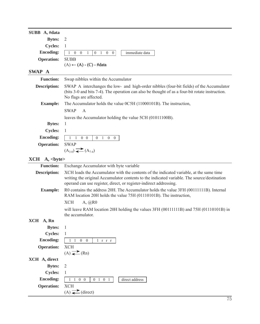| SUBB A, #data       |                                                                                                                                                                                                                                                              |
|---------------------|--------------------------------------------------------------------------------------------------------------------------------------------------------------------------------------------------------------------------------------------------------------|
| <b>Bytes:</b>       | 2                                                                                                                                                                                                                                                            |
| <b>Cycles:</b>      | $\mathbf{1}$                                                                                                                                                                                                                                                 |
| <b>Encoding:</b>    | $\mathbf{1}$<br>$\overline{0}$<br>$\mathbf{0}$<br>$\overline{0}$<br>$\overline{0}$<br>immediate data<br>1<br>1 0                                                                                                                                             |
| <b>Operation:</b>   | <b>SUBB</b>                                                                                                                                                                                                                                                  |
|                     | $(A) \leftarrow (A) - (C) - #data$                                                                                                                                                                                                                           |
| SWAP A              |                                                                                                                                                                                                                                                              |
| <b>Function:</b>    | Swap nibbles within the Accumulator                                                                                                                                                                                                                          |
| <b>Description:</b> | SWAP A interchanges the low- and high-order nibbles (four-bit fields) of the Accumulator<br>(bits 3-0 and bits 7-4). The operation can also be thought of as a four-bit rotate instruction.<br>No flags are affected.                                        |
| <b>Example:</b>     | The Accumulator holds the value 0C5H (11000101B). The instruction,                                                                                                                                                                                           |
|                     | <b>SWAP</b><br>$\mathsf{A}$                                                                                                                                                                                                                                  |
|                     | leaves the Accumulator holding the value 5CH (01011100B).                                                                                                                                                                                                    |
| <b>Bytes:</b>       | 1                                                                                                                                                                                                                                                            |
| <b>Cycles:</b>      | 1                                                                                                                                                                                                                                                            |
| <b>Encoding:</b>    | $0\quad 0$<br>$\mathbf{1}$<br>$\overline{1}$<br>$\overline{0}$<br>$\mathbf{1}$<br>$0 \quad 0$                                                                                                                                                                |
| <b>Operation:</b>   | <b>SWAP</b>                                                                                                                                                                                                                                                  |
|                     | $(A_{3-0}) \rightleftharpoons (A_{7-4})$                                                                                                                                                                                                                     |
| $XCH$ A,<br>byte>   |                                                                                                                                                                                                                                                              |
| <b>Function:</b>    | Exchange Accumulator with byte variable                                                                                                                                                                                                                      |
| <b>Description:</b> | XCH loads the Accumulator with the contents of the indicated variable, at the same time<br>writing the original Accumulator contents to the indicated variable. The source/destination<br>operand can use register, direct, or register-indirect addressing. |
| <b>Example:</b>     | R0 contains the address 20H. The Accumulator holds the value 3FH (00111111B). Internal<br>RAM location 20H holds the value 75H (01110101B). The instruction,                                                                                                 |
|                     | <b>XCH</b><br>$A, (\partial R)$                                                                                                                                                                                                                              |
|                     | will leave RAM location 20H holding the values 3FH (00111111B) and 75H (01110101B) in<br>the accumulator.                                                                                                                                                    |
| XCH A, Rn           |                                                                                                                                                                                                                                                              |
| <b>Bytes:</b>       | $\mathbf{1}$                                                                                                                                                                                                                                                 |
| <b>Cycles:</b>      | 1                                                                                                                                                                                                                                                            |
| <b>Encoding:</b>    | 1<br>-1<br>$\overline{0}$<br>$\mathbf{0}$<br>$1$ r r r                                                                                                                                                                                                       |
| <b>Operation:</b>   | <b>XCH</b>                                                                                                                                                                                                                                                   |
| XCH A, direct       | $(A) \rightleftarrows (Rn)$                                                                                                                                                                                                                                  |
| <b>Bytes:</b>       | $\overline{c}$                                                                                                                                                                                                                                               |
| <b>Cycles:</b>      | 1                                                                                                                                                                                                                                                            |
| <b>Encoding:</b>    | direct address<br>$1 \quad 0 \quad 0$<br>$0\quad 1\quad 0\quad 1$                                                                                                                                                                                            |
| <b>Operation:</b>   | <b>XCH</b>                                                                                                                                                                                                                                                   |
|                     | $(A) \rightleftarrows$ (direct)                                                                                                                                                                                                                              |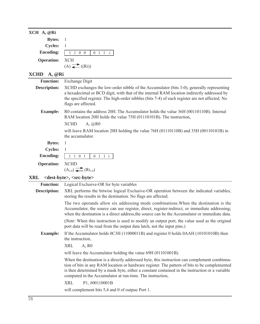| XCH A, @Ri            |                                                                                                                                                                                                                                                                                                                                                               |
|-----------------------|---------------------------------------------------------------------------------------------------------------------------------------------------------------------------------------------------------------------------------------------------------------------------------------------------------------------------------------------------------------|
| <b>Bytes:</b>         | 1                                                                                                                                                                                                                                                                                                                                                             |
| <b>Cycles:</b>        | 1                                                                                                                                                                                                                                                                                                                                                             |
| <b>Encoding:</b>      | 1 1 0 0<br>$0 \t1 \t1$<br>$\mathbf{i}$                                                                                                                                                                                                                                                                                                                        |
| <b>Operation:</b>     | <b>XCH</b>                                                                                                                                                                                                                                                                                                                                                    |
|                       | $(A) \rightleftarrows (Ri)$                                                                                                                                                                                                                                                                                                                                   |
| <b>XCHD</b><br>A, @Ri |                                                                                                                                                                                                                                                                                                                                                               |
| <b>Function:</b>      | Exchange Digit                                                                                                                                                                                                                                                                                                                                                |
| <b>Description:</b>   | XCHD exchanges the low-order nibble of the Accumulator (bits 3-0), generally representing<br>a hexadecimal or BCD digit, with that of the internal RAM location indirectly addressed by<br>the specified register. The high-order nibbles (bits 7-4) of each register are not affected. No<br>flags are affected.                                             |
| <b>Example:</b>       | R0 contains the address 20H. The Accumulator holds the value 36H (00110110B). Internal<br>RAM location 20H holds the value 75H (01110101B). The instruction,                                                                                                                                                                                                  |
|                       | <b>XCHD</b><br>A, @R0<br>will leave RAM location 20H holding the value 76H (01110110B) and 35H (00110101B) in<br>the accumulator.                                                                                                                                                                                                                             |
| <b>Bytes:</b>         | 1                                                                                                                                                                                                                                                                                                                                                             |
| <b>Cycles:</b>        | 1                                                                                                                                                                                                                                                                                                                                                             |
| <b>Encoding:</b>      | $1 \t1 \t0 \t1$<br>$0 \t1 \t1$ i                                                                                                                                                                                                                                                                                                                              |
| Operation:            | <b>XCHD</b>                                                                                                                                                                                                                                                                                                                                                   |
|                       | $(A_{3-0}) \rightleftharpoons (Ri_{3-0})$                                                                                                                                                                                                                                                                                                                     |
| XRL                   | <dest-byte>, <src-byte></src-byte></dest-byte>                                                                                                                                                                                                                                                                                                                |
| <b>Function:</b>      | Logical Exclusive-OR for byte variables                                                                                                                                                                                                                                                                                                                       |
| <b>Description:</b>   | XRL performs the bitwise logical Exclusive-OR operation between the indicated variables,<br>storing the results in the destination. No flags are affected.                                                                                                                                                                                                    |
|                       | The two operands allow six addressing mode combinations. When the destination is the<br>Accumulator, the source can use register, direct, register-indirect, or immediate addressing;<br>when the destination is a direct address, the source can be the Accumulator or immediate data.                                                                       |
|                       | (Note: When this instruction is used to modify an output port, the value used as the original<br>port data will be read from the output data latch, not the input pins.)                                                                                                                                                                                      |
| <b>Example:</b>       | If the Accumulator holds 0C3H (11000011B) and register 0 holds 0AAH (10101010B) then<br>the instruction,                                                                                                                                                                                                                                                      |
|                       | XRL<br>A, R0                                                                                                                                                                                                                                                                                                                                                  |
|                       | will leave the Accumulator holding the vatue 69H (01101001B).                                                                                                                                                                                                                                                                                                 |
|                       | When the destination is a directly addressed byte, this instruction can complement combinna-<br>tion of bits in any RAM location or hardware register. The pattern of bits to be complemented<br>is then determined by a mask byte, either a constant contained in the instruction or a variable<br>computed in the Accumulator at run-time. The instruction, |
|                       | <b>XRL</b><br>P1, #00110001B                                                                                                                                                                                                                                                                                                                                  |
|                       | will complement bits 5,4 and 0 of outpue Port 1.                                                                                                                                                                                                                                                                                                              |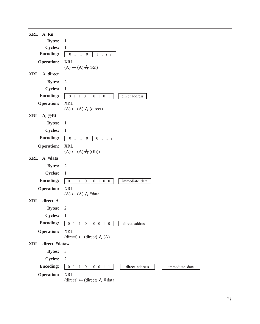| <b>XRL</b><br>A, Rn   |                                                                                                                                                                         |
|-----------------------|-------------------------------------------------------------------------------------------------------------------------------------------------------------------------|
| <b>Bytes:</b>         | $\mathbf{1}$                                                                                                                                                            |
| <b>Cycles:</b>        | $\mathbf{1}$                                                                                                                                                            |
| <b>Encoding:</b>      | $\boldsymbol{0}$<br>$\boldsymbol{0}$<br>$\overline{1}$<br>$\mathbf{1}$<br>$\mathbf{1}$<br>$\mathbf{r}\quad \mathbf{r}\quad \mathbf{r}$                                  |
| <b>Operation:</b>     | <b>XRL</b>                                                                                                                                                              |
|                       | $(A) \leftarrow (A) \nrightarrow (Rn)$                                                                                                                                  |
| XRL<br>A, direct      |                                                                                                                                                                         |
| <b>Bytes:</b>         | 2                                                                                                                                                                       |
| <b>Cycles:</b>        | $\mathbf{1}$                                                                                                                                                            |
| <b>Encoding:</b>      | $\boldsymbol{0}$<br>direct address<br>$\boldsymbol{0}$<br>$\boldsymbol{0}$<br>1<br>1<br>1<br>$\boldsymbol{0}$<br>$\mathbf{1}$                                           |
| Operation:            | <b>XRL</b><br>$(A) \leftarrow (A) \bigwedge$ (direct)                                                                                                                   |
| XRL<br>A, @Ri         |                                                                                                                                                                         |
| <b>Bytes:</b>         | $\mathbf{1}$                                                                                                                                                            |
| <b>Cycles:</b>        | $\mathbf{1}$                                                                                                                                                            |
| <b>Encoding:</b>      | $\boldsymbol{0}$<br>$\mathbf{1}$<br>$\mathbf{1}$<br>$\boldsymbol{0}$<br>$0 \t1 \t1$ i                                                                                   |
| Operation:            | <b>XRL</b>                                                                                                                                                              |
|                       | $(A) \leftarrow (A) \bigoplus (Ri))$                                                                                                                                    |
| XRL<br>A, #data       |                                                                                                                                                                         |
| <b>Bytes:</b>         | 2                                                                                                                                                                       |
| <b>Cycles:</b>        | $\mathbf{1}$                                                                                                                                                            |
| <b>Encoding:</b>      | $\overline{0}$<br>immediate data<br>$\boldsymbol{0}$<br>-1<br>1<br>$\boldsymbol{0}$<br>$\mathbf{1}$<br>$0\quad 0$                                                       |
| Operation:            | <b>XRL</b>                                                                                                                                                              |
|                       | $(A) \leftarrow (A) \nleftrightarrow #data$                                                                                                                             |
| XRL<br>direct, A      |                                                                                                                                                                         |
| <b>Bytes:</b>         | 2                                                                                                                                                                       |
| <b>Cycles:</b>        | $\mathbf{1}$                                                                                                                                                            |
| <b>Encoding:</b>      | $\boldsymbol{0}$<br>direct address<br>$\mathbf{1}$<br>1<br>$\boldsymbol{0}$<br>$\overline{0}$<br>$\boldsymbol{0}$<br>1<br>$\boldsymbol{0}$                              |
| Operation:            | <b>XRL</b>                                                                                                                                                              |
|                       | $(direct) \leftarrow (direct) \nrightarrow (A)$                                                                                                                         |
| XRL<br>direct, #dataw |                                                                                                                                                                         |
| <b>Bytes:</b>         | 3                                                                                                                                                                       |
| <b>Cycles:</b>        | $\sqrt{2}$                                                                                                                                                              |
| <b>Encoding:</b>      | $\boldsymbol{0}$<br>$\,1$<br>$\mathbf{1}$<br>$\boldsymbol{0}$<br>$\boldsymbol{0}$<br>direct address<br>$\overline{0}$<br>$\mathbf{1}$<br>$\mathbf{1}$<br>immediate data |
| Operation:            | XRL<br>(direct) ← (direct) $\rightarrow$ # data                                                                                                                         |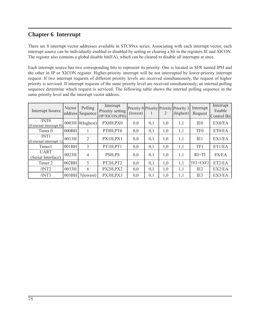# **Chapter 6 Interrupt**

There are 8 interrupt vector addresses available in STC89xx series. Associating with each interrupt vector, each interrupt source can be individually enabled or disabled by setting or clearing a bit in the registers IE and XICON. The register also contains a global disable bit(EA), which can be cleared to disable all interrupts at once.

Each interrupt source has two corresponding bits to represent its priority. One is located in SFR named IPH and the other in IP or XICON register. Higher-priority interrupt will be not interrupted by lower-priority interrupt request. If two interrupt requests of different priority levels are received simultaneously, the request of higher priority is serviced. If interrupt requests of the same priority level are received simultaneously, an internal polling sequence determine which request is serviced. The following table shows the internal polling sequence in the same priority level and the interrupt vector address.

| Interrupt Source                     | Vector<br>address | Polling<br>Sequence | Interrupt<br>Priority setting<br>(IP/XICON.IPH) | (lowest) |     | $\overline{2}$ | (highest) | Priority 0 Priority Priority Priority 3 Interrupt<br>Request | Interrupt<br>Enable<br>Control Bit |
|--------------------------------------|-------------------|---------------------|-------------------------------------------------|----------|-----|----------------|-----------|--------------------------------------------------------------|------------------------------------|
| /INT0<br>$(External$ interrupt $0$ ) | 0003H             | $ 0$ (highest)      | PX0H, PX0                                       | 0.0      | 0,1 | 1,0            | 1,1       | IE <sub>0</sub>                                              | EX0/EA                             |
| Timer <sub>0</sub>                   | 000BH             |                     | PT0H,PT0                                        | 0.0      | 0,1 | 1,0            | 1,1       | TF <sub>0</sub>                                              | ET0/EA                             |
| /INT1<br>$ $ (External interrupt 1)  | 0013H             | 2                   | PX1H, PX1                                       | 0,0      | 0,1 | 1,0            | 1,1       | IE1                                                          | EX1/EA                             |
| Timer1                               | 001BH             | 3                   | PT1H,PT1                                        | 0.0      | 0,1 | 1,0            | 1,1       | TF1                                                          | ET1/EA                             |
| <b>UART</b><br>(Serial Interface)    | 0023H             | 4                   | PSH,PS                                          | 0.0      | 0,1 | 1,0            | 1,1       | $RI+TI$                                                      | ES/EA                              |
| Timer 2                              | 002BH             | 5                   | PT2H,PT2                                        | 0.0      | 0,1 | 1,0            | 1,1       | TF2+EXF2                                                     | ET2/EA                             |
| /INT2                                | 0033H             | 6                   | PX2H, PX2                                       | 0.0      | 0,1 | 1,0            | 1,1       | IE <sub>2</sub>                                              | EX2/EA                             |
| /INT3                                | 003BH             | 7(lowest)           | PX3H.PX3                                        | 0.0      | 0,1 | 1,0            | 1,1       | IE3                                                          | EX3/EA                             |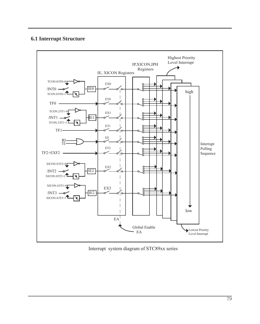# **6.1 Interrupt Structure**



Interrupt system diagram of STC89xx series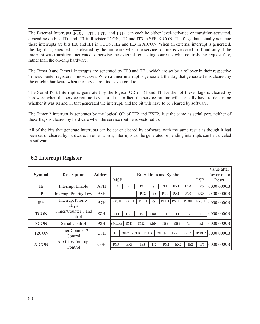The External Interrupts  $\overline{INT0}$ ,  $\overline{INT1}$ ,  $\overline{INT2}$  and  $\overline{INT3}$  can each be either level-activated or transition-activated, depending on bits IT0 and IT1 in Register TCON, IT2 and IT3 in SFR XICON. The flags that actually generate these interrupts are bits IE0 and IE1 in TCON, IE2 and IE3 in XICON. When an external interrupt is generated, the flag that generated it is cleared by the hardware when the service routine is vectored to if and only if the interrupt was transition –activated, otherwise the external requesting source is what controls the request flag, rather than the on-chip hardware.

The Timer 0 and Timer1 Interrupts are generated by TF0 and TF1, which are set by a rollover in their respective Timer/Counter registers in most cases. When a timer interrupt is generated, the flag that generated it is cleared by the on-chip hardware when the service routine is vectored to.

The Serial Port Interrupt is generated by the logical OR of RI and TI. Neither of these flags is cleared by hardware when the service routine is vectored to. In fact, the service routine will normally have to determine whether it was RI and TI that generated the interrupt, and the bit will have to be cleared by software.

The Timer 2 Interrupt is generates by the logical OR of TF2 and EXF2. Just the same as serial port, neither of these flags is cleared by hardware when the service routine is vectored to.

All of the bits that generate interrupts can be set or cleared by software, with the same result as though it had been set or cleared by hardware. In other words, interrupts can be generated or pending interrupts can be canceled in software.

|                    |                            |                |                                                                                                      | Value after         |
|--------------------|----------------------------|----------------|------------------------------------------------------------------------------------------------------|---------------------|
| <b>Symbol</b>      | <b>Description</b>         | <b>Address</b> | Bit Address and Symbol                                                                               | Power-on or         |
|                    |                            |                | <b>MSB</b><br><b>LSB</b>                                                                             | Reset               |
| IE                 | Interrupt Enable           | A8H            | ES<br>EA<br>ET <sub>2</sub><br>ET1<br>ET <sub>0</sub><br>EX <sub>0</sub><br>EX1                      | 00000000B           |
| IP                 | Interrupt Priority Low     | B8H            | PT <sub>2</sub><br><b>PS</b><br>PT1<br>PX <sub>0</sub><br>PX1<br>PT <sub>0</sub>                     | xx000000B           |
| <b>IPH</b>         | <b>Interrupt Priority</b>  | B7H            | PX3H<br>PX2H<br>PT <sub>2</sub> H<br><b>PSH</b><br>PT1H<br>PX1H<br>PT0H<br><b>PX0H</b>               | 0000.0000B          |
|                    | High                       |                |                                                                                                      |                     |
| <b>TCON</b>        | Timer/Counter 0 and        | 88H            | TF1<br>TR <sub>0</sub><br>IT <sub>0</sub><br>TR <sub>1</sub><br>TF0<br>IE1<br>IT1<br>IE <sub>0</sub> | 00000000B           |
|                    | 1 Control                  |                |                                                                                                      |                     |
| <b>SCON</b>        | Serial Control             | 98H            | SM0/FE<br>SM2<br>TI<br>SM1<br><b>REN</b><br>TB8<br>RB <sub>8</sub><br>RI                             | 00000000B           |
|                    |                            |                |                                                                                                      |                     |
| T <sub>2</sub> CON | Timer/Counter 2<br>Control | C8H            | C/T2<br>TF <sub>2</sub><br>EXF2<br><b>RCLK</b><br><b>TCLK</b><br>EXEN2<br>TR <sub>2</sub>            | $CP/RL2$ 0000 0000B |
|                    | <b>Auxiliary Interupt</b>  |                |                                                                                                      |                     |
| <b>XICON</b>       | Control                    | COH            | PX3<br>IE3<br>IT3<br>IE <sub>2</sub><br>IT1<br>EX3<br>PX <sub>2</sub><br>EX2                         | 0000 0000B          |

# **6.2 Interrupt Register**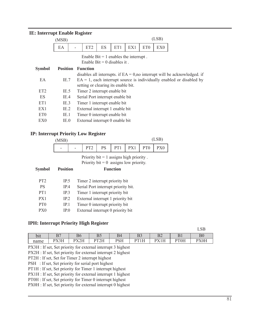## **IE: Interrupt Enable Rsgister**

|                 | (MSB)           |                                                                          |    |     |     |                 | (LSB)           |                                                                                                                                                         |
|-----------------|-----------------|--------------------------------------------------------------------------|----|-----|-----|-----------------|-----------------|---------------------------------------------------------------------------------------------------------------------------------------------------------|
|                 | EA              | ET <sub>2</sub>                                                          | ES | ET1 | EX1 | ET <sub>0</sub> | EX <sub>0</sub> |                                                                                                                                                         |
|                 |                 | Enable Bit $= 1$ enables the interrupt.<br>Enable $Bit = 0$ disables it. |    |     |     |                 |                 |                                                                                                                                                         |
| <b>Symbol</b>   | <b>Position</b> | <b>Function</b>                                                          |    |     |     |                 |                 |                                                                                                                                                         |
| EA              | IE.7            | setting or clearing its enable bit.                                      |    |     |     |                 |                 | disables all interrupts. if $EA = 0$ , no interrupt will be acknowledged. if<br>$EA = 1$ , each interrupt source is individually enabled or disabled by |
| ET <sub>2</sub> | IE.5            | Timer 2 interrupt enable bit                                             |    |     |     |                 |                 |                                                                                                                                                         |
| ES              | IE.4            | Serial Port interrupt enable bit                                         |    |     |     |                 |                 |                                                                                                                                                         |
| ET1             | IE.3            | Timer 1 interrupt enable bit                                             |    |     |     |                 |                 |                                                                                                                                                         |
| EX1             | IE.2            | External interrupt 1 enable bit                                          |    |     |     |                 |                 |                                                                                                                                                         |
| ET <sub>0</sub> | IE.1            | Timer 0 interrupt enable bit                                             |    |     |     |                 |                 |                                                                                                                                                         |
| EX <sub>0</sub> | IE.0            | External interrupt 0 enable bit                                          |    |     |     |                 |                 |                                                                                                                                                         |

### **IP: Interrupt Priority Low Register**

| MSB)                     |                          |                      |           |                       | T2B             |
|--------------------------|--------------------------|----------------------|-----------|-----------------------|-----------------|
| $\overline{\phantom{0}}$ | $\overline{\phantom{a}}$ | PT <sub>2</sub><br>∸ | <b>PS</b> | $PT1$   $PX1$   $PT0$ | PX <sub>0</sub> |

Priority  $bit = 1$  assigns high priority. Priority bit  $= 0$  assigns low priority.

| <b>Symbol</b>   | <b>Position</b> | <b>Function</b>                     |
|-----------------|-----------------|-------------------------------------|
| PT <sub>2</sub> | IP.5            | Timer 2 interrupt priority bit.     |
| <b>PS</b>       | IP.4            | Serial Port interrupt priority bit. |
| PT <sub>1</sub> | IP <sub>3</sub> | Timer 1 interrupt priority bit      |
| PX1             | IP <sub>2</sub> | External interrupt 1 priority bit   |
| PT <sub>0</sub> | IP.1            | Timer 0 interrupt priority bit      |
| PX0             | IP.0            | External interrupt 0 priority bit   |

# **IPH: Interrupt Priority High Register**

|      |               |      |      |                 |                    |         |      | C <sub>1</sub><br>ലാന |
|------|---------------|------|------|-----------------|--------------------|---------|------|-----------------------|
| υn   |               | B6   | ມມ   | D<br>D4         | $\mathbf{D}$<br>ມມ | רמ<br>◡ |      |                       |
| name | DYII<br>77711 | DY2H | PT2H | DCLI<br>1 D.I.I | PT1H               |         | PT0H | PX0H                  |

PX3H : If set, Set priority for external interrupt 3 highest

PX2H : If set, Set priority for external interrupt 2 highest

PT2H : If set, Set for Timer 2 interrupt highest

PSH : If set, Set priority for serial port highest

PT1H : If set, Set priority for Timer 1 interrupt highest

PX1H : If set, Set priority for external interrupt 1 highest

PT0H : If set, Set priority for Timer 0 interrupt highest

PX0H : If set, Set priority for external interrupt 0 highest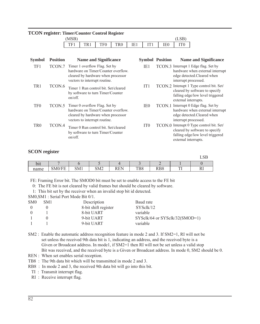|                 |                                      | (MSB) |     |                                                                                                                     |                                     |     |                 |                        | (LSB                 |                                                                            |                                  |
|-----------------|--------------------------------------|-------|-----|---------------------------------------------------------------------------------------------------------------------|-------------------------------------|-----|-----------------|------------------------|----------------------|----------------------------------------------------------------------------|----------------------------------|
|                 |                                      | TF1   | TR1 | TF <sub>0</sub>                                                                                                     | TR <sub>0</sub>                     | IE1 | IT <sub>1</sub> | IE <sub>0</sub>        | IT <sub>0</sub>      |                                                                            |                                  |
|                 |                                      |       |     |                                                                                                                     |                                     |     |                 |                        |                      |                                                                            |                                  |
| <b>Symbol</b>   | <b>Position</b>                      |       |     | Name and Significance                                                                                               |                                     |     |                 | <b>Symbol Position</b> |                      | Name and Significance                                                      |                                  |
| TF1             | TCON.7 Timer 1 overflow Flag. Set by |       |     | cleared by hardware when processor<br>vectors to interrupt routine.                                                 | hardware on Timer/Counter overflow. |     | IE1             |                        | interrupt processed. | TCON.3 Interrupt 1 Edge flag. Set by<br>edge detected.Cleared when         | hardware when external interrupt |
| TR <sub>1</sub> | TCON.6                               |       |     | Timer 1 Run control bit. Set/cleared<br>$l_{\text{max}} = \Omega_{\text{max}} + 1$ from The $m/\Omega_{\text{max}}$ |                                     |     | IT1             |                        |                      | TCON.2 Intenupt 1 Type control bit. Set/<br>cleared by software to specify |                                  |

#### **TCON register: Timer/Counter Control Register**

|                 |                   | by software to turn Timer/Counter<br>on/off.                                                                      |
|-----------------|-------------------|-------------------------------------------------------------------------------------------------------------------|
| TF0             |                   | TCON.5 Timer 0 overflow Flag. Set by<br>hardware on Timer/Counter overflow.<br>cleared by hardware when processor |
| TR <sub>0</sub> | TCON <sub>4</sub> | vectors to interrupt routine.<br>Timer 0 Run control bit. Set/cleared<br>by software to turn Timer/Counter        |

on/off.

#### external interrupts. IE0 TCON.1 Interrupt 0 Edge flag. Set by hardware when external interrupt edge detected.Cleared when interrupt processed.

falling edge/low level triggered

**LSB** 

IT0 TCON.0 Intenupt 0 Type control bit. Set/ cleared by software to specify falling edge/low level triggered external interrupts.

# **SCON register**

|      |                                       |              |             |                  |     |                                  |         | ---- |
|------|---------------------------------------|--------------|-------------|------------------|-----|----------------------------------|---------|------|
| UIL  |                                       |              |             |                  |     |                                  |         |      |
| name | -----<br>$\sim$<br>ى $\mathrm{M}0$ /ب | C3.51<br>SMI | SMO<br>⊾۷۱۷ | T<br><b>ILLI</b> | TB8 | $P^{\mathcal{D}}$<br><b>IVDO</b> | ---<br> | 171  |

FE: Framing Error bit. The SMOD0 bit must be set to enable access to the FE bit

0: The FE bit is not cleared by valid frames but should be cleared by software.

1: This bit set by the receiver when an invalid stop bit id detected.

SM0,SM1 : Serial Port Mode Bit 0/1.

| SM <sub>0</sub> | SM <sub>1</sub> | Description          | Baud rate                      |
|-----------------|-----------------|----------------------|--------------------------------|
|                 |                 | 8-bit shift register | SYSclk/12                      |
|                 |                 | 8-bit UART           | variable                       |
|                 |                 | 9-bit UART           | SYSclk/64 or SYSclk/32(SMOD=1) |
|                 |                 | 9-bit UART           | variable                       |

SM2 : Enable the automatic address recognition feature in mode 2 and 3. If SM2=1, RI will not be set unless the received 9th data bit is 1, indicating an address, and the received byte is a Given or Broadcast address. In mode1, if SM2=1 then RI will not be set unless a valid stop Bit was received, and the received byte is a Given or Broadcast address. In mode 0, SM2 should be 0.

- REN : When set enables serial reception.
- TB8 : The 9th data bit which will be transmitted in mode 2 and 3.
- RB8 : In mode 2 and 3, the received 9th data bit will go into this bit.
	- TI : Transmit interrupt flag.
	- RI : Receive interrupt flag.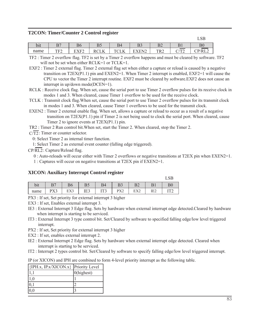## **T2CON: Timer/Counter 2 Control register**

|                  |                              |          |               |                             |                   |                      |                                   | <b>LSB</b> |
|------------------|------------------------------|----------|---------------|-----------------------------|-------------------|----------------------|-----------------------------------|------------|
| $\bullet$<br>UIt | $\mathbf{D}$ $\mathbf{\tau}$ | B6       |               | $\mathbf{D}$ $\Lambda$      | $\mathbf{D}$<br>ມ | D <sub>2</sub><br>ມ∠ |                                   | Dſ         |
| name             | TTT2<br>.                    | ы<br>⊷™∸ | <b>ITCEIZ</b> | $\tau$ $\nu$<br><b>CEIV</b> | EXEN2             | TR <sub>2</sub>      | $\sqrt{2}$<br>$\overline{1}$<br>ั | CP/RL2     |

 TF2 : Timer 2 overflow flag. TF2 is set by a Timer 2 overflow happens and must be cleared by software. TF2 will not be set when either RCLK=1 or TCLK=1.

- EXF2 : Timer 2 external flag. Timer 2 external flag set when either a capture or reload is caused by a negative transition on  $T2EX(P1.1)$  pin and  $EXEN2=1$ . When Timer 2 interrupt is enabled,  $EXF2=1$  will cause the CPU to vector the Timer 2 interrupt routine. EXF2 must be cleared by software.EXF2 does not cause an interrupt in up/down mode(DCEN=1).
- RCLK : Receive clock flag. When set, cause the serial port to use Timer 2 overflow pulses for its receive clock in modes 1 and 3. When cleared, cause Timer 1 overflow to be used for the receive clock.
- TCLK : Transmit clock flag.When set, cause the serial port to use Timer 2 overflow pulses for its transmit clock in modes 1 and 3. When cleared, cause Timer 1 overflows to be used for the transmit clock.
- EXEN2 : Timer 2 external enable flag. When set, allows a capture or reload to occur as a result of a negative transition on T2EX(P1.1) pin if Timer 2 is not being used to clock the serial port. When cleared, cause Timer 2 to ignore events at T2EX(P1.1) pin.

TR2 : Timer 2 Run control bit.When set, start the Timer 2. When cleared, stop the Timer 2.

C/T2: Timer or counter selector.

0: Select Timer 2 as internal timer function.

- 1: Select Timer 2 as external event counter (falling edge triggered).
- CP/RL2: Capture/Reload flag.

0 : Auto-reloads will occur either with Timer 2 overflows or negative transitions at T2EX pin when EXEN2=1.

1 : Captures will occur on negative transitions at T2EX pin if EXEN2=1.

# **XICON: Auxiliary Interrupt Control register**

| bit  | B <sub>7</sub> | <b>B6</b> | B <sub>5</sub> | B <sub>4</sub> | B <sub>3</sub> | B <sub>2</sub> | B1              | $_{\rm B0}$ |
|------|----------------|-----------|----------------|----------------|----------------|----------------|-----------------|-------------|
| name | FЛJ            | EX3       | IE3            | IT3            | PX2            | EX2            | IE <sub>2</sub> |             |

PX3 : If set, Set priority for external interrupt 3 higher

EX3 : If set, Enables external interrupt 3.

- IE3 : External Interrupt 3 Edge flag. Sets by hardware when external interrupt edge detected.Cleared by hardware when interrupt is starting to be serviced.
- IT3 : External Interrupt 3 type control bit. Set/Cleared by software to specified falling edge/low level triggered interrupt.
- PX2 : If set, Set priority for external interrupt 3 higher
- EX2 : If set, enables external interrupt 2.
- IE2 : External Interrupt 2 Edge flag. Sets by hardware when external interrupt edge detected. Cleared when interrupt is starting to be serviced.
- IT2 : Interrupt 2 types control bit. Set/Cleared by software to specify falling edge/low level triggered interrupt.

IP (or XICON) and IPH are combined to form 4-level priority interrupt as the following table.

| {IPH.x, IP.x/XICON.x}   Priority Level |                |
|----------------------------------------|----------------|
|                                        | $ 0$ (highest) |
|                                        |                |
|                                        |                |
| 0.0                                    |                |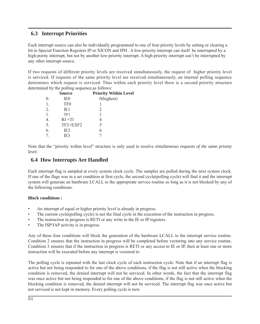# **6.3 Interrupt Priorities**

Each interrupt source can also be individually programmed to one of four priority levels by setting or clearing a bit in Special Function Registers IP or XICON and IPH . A low-priority interrupt can itself be interrupted by a high-pority interrupt, but not by another low-priority interrupt. A high-priority interrupt can't be interrupted by any other interrupt source.

If two requests of different priority levels are received simultaneously, the request of higher priority level is serviced. If requests of the same priority level are received simultaneously, an internal polling sequence determines which request is serviced. Thus within each priority level there is a second priority structure determined by the polling sequence,as follows:

| <b>Source</b> |                 | <b>Priority Within Level</b> |
|---------------|-----------------|------------------------------|
| $\Omega$ .    | IE <sub>0</sub> | $0$ (highest)                |
| 1.            | TF <sub>0</sub> |                              |
| 2.            | IE1             | 2                            |
| 3.            | TF1             | $\mathcal{E}$                |
| 4.            | $RI + T1$       |                              |
| 5.            | TF2+EXF2        |                              |
| 6.            | IE <sub>2</sub> |                              |
|               | IE <sub>3</sub> |                              |

Note that the "priority within level" structure is only used to resolve *simultaneous requests of the same prionty level.*

# **6.4 How Interrupts Are Handled**

Each interrupt flag is sampled at every system clock cycle. The samples are polled during the next system clock. If one of the flags was in a set condition at first cycle, the second cycle(polling cycle) will find it and the interrupt system will generate an hardware LCALL to the appropriate service routine as long as it is not blocked by any of the following conditions.

#### **Block conditions :**

- An interrupt of equal or higher priority level is already in progress. •
- The current cycle(polling cycle) is not the final cycle in the execution of the instruction in progress. •
- The instruction in progress is RETI or any write to the IE or IP registers. •
- The ISP/IAP activity is in progress. •

Any of these four conditions will block the generation of the hardware LCALL to the interrupt service routine. Condition 2 ensures that the instruction in progress will be completed before vectoring into any service routine. Condition 3 ensures that if the instruction in progress is RETI or any access to IE or IP, then at least one or more instruction will be executed before any interrupt is vectored to.

The polling cycle is repeated with the last clock cycle of each instruction cycle. Note that if an interrupt flag is active but not being responded to for one of the above conditions, if the flag is not still active when the blocking condition is removed, the denied interrupt will not be serviced. In other words, the fact that the interrupt flag was once active but not being responded to for one of the above conditions, if the flag is not still active when the blocking condition is removed, the denied interrupt will not be serviced. The interrupt flag was once active but not serviced is not kept in memory. Every polling cycle is new.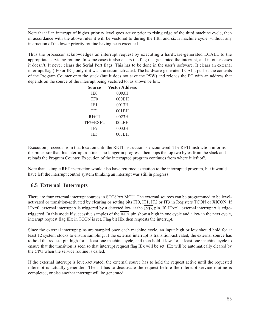Note that if an interrupt of higher priority level goes active prior to rising edge of the third machine cycle, then in accordance with the above rules it will be vectored to during the fifth and sixth machine cycle, without any instruction of the lower priority routine having been executed.

Thus the processor acknowledges an interrupt request by executing a hardware-generated LCALL to the appropriate servicing routine. In some cases it also clears the flag that generated the interrupt, and in other cases it doesn't. It never clears the Serial Port flags. This has to be done in the user's software. It clears an external interrupt flag (IE0 or IE1) only if it was transition-activated. The hardware-generated LCALL pushes the contents of the Program Counter onto the stack (but it does not save the PSW) and reloads the PC with an address that depends on the source of the interrupt being vectored to, as shown be low.

| Source          | <b>Vector Address</b> |
|-----------------|-----------------------|
| IE <sub>0</sub> | 0003H                 |
| TF <sub>0</sub> | 000BH                 |
| IE1             | 0013H                 |
| TF1             | 001BH                 |
| $R1+TI$         | 0023H                 |
| TF2+EXF2        | 002BH                 |
| IE <sub>2</sub> | 0033H                 |
| IE3             | 003BH                 |

Execution proceeds from that location until the RETI instruction is encountered. The RETI instruction informs the processor that this interrupt routine is no longer in progress, then pops the top two bytes from the stack and reloads the Program Counter. Execution of the interrupted program continues from where it left off.

Note that a simple RET instruction would also have returned execution to the interrupted program, but it would have left the interrupt control system thinking an interrupt was still in progress.

# **6.5 External Interrupts**

There are four external interrupt sources in STC89xx MCU. The external sources can be programmed to be levelactivated or transition-activated by clearing or setting bits IT0, IT1, IT2 or IT3 in Registers TCON or XICON. If ITx=0, external interrupt x is triggered by a detected low at the  $\overline{INTx}$  pin. If ITx=1, external interrupt x is edgetriggered. In this mode if successive samples of the  $\overline{INTx}$  pin show a high in one cycle and a low in the next cycle, interrupt request flag IEx in TCON is set. Flag bit IEx then requests the interrupt.

Since the external interrupt pins are sampled once each machine cycle, an input high or low should hold for at least 12 system clocks to ensure sampling. If the external interrupt is transition-activated, the external source has to hold the request pin high for at least one machine cycle, and then hold it low for at least one machine cycle to ensure that the transition is seen so that interrupt request flag IEx will be set. IEx will be automatically cleared by the CPU when the service routine is called.

If the external interrupt is level-activated, the external source has to hold the request active until the requested interrupt is actually generated. Then it has to deactivate the request before the interrupt service routine is completed, or else another interrupt will be generated.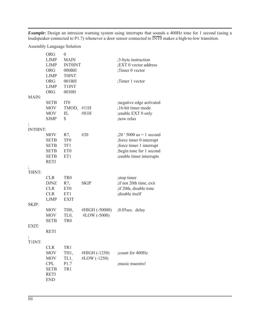*Example***:** Design an intrusion warning system using interrupts that sounds a 400Hz tone for 1 second (using a loudspeaker connected to P1.7) whenever a door sensor connected to  $\overline{\text{INT0}}$  makes a high-to-low transition.

Assembly Language Solution

|                 | <b>ORG</b>                | 0                 |                |                           |
|-----------------|---------------------------|-------------------|----------------|---------------------------|
|                 | <b>LJMP</b>               | MAIN              |                | ;3-byte instruction       |
|                 | <b>LJMP</b>               | <b>INTOINT</b>    |                | ;EXT 0 vector address     |
|                 | <b>ORG</b>                | 000BH             |                | ;Timer 0 vector           |
|                 | <b>LJMP</b>               | <b>T0INT</b>      |                |                           |
|                 | <b>ORG</b>                | 001BH             |                | ;Timer 1 vector           |
|                 | <b>LJMP</b>               | T1INT             |                |                           |
|                 | <b>ORG</b>                | 0030H             |                |                           |
| MAIN:           |                           |                   |                |                           |
|                 | <b>SETB</b>               | IT <sub>0</sub>   |                | ; negative edge activated |
|                 | MOV                       | TMOD,             | #11H           | ;16-bit timer mode        |
|                 | MOV                       | IE,               | #81H           | ;enable EXT 0 only        |
|                 | <b>SJMP</b>               | \$                |                | ;now relax                |
|                 |                           |                   |                |                           |
| <b>INTOINT:</b> |                           |                   |                |                           |
|                 | <b>MOV</b>                | R7,               | #20            | ;20 ' 5000 us = 1 second  |
|                 | <b>SETB</b>               | TF <sub>0</sub>   |                | ; force timer 0 interrupt |
|                 | <b>SETB</b>               | TF1               |                | ; force timer 1 interrupt |
|                 | <b>SETB</b>               | ET <sub>0</sub>   |                | ;begin tone for 1 second  |
|                 | <b>SETB</b>               | ET1               |                | ; enable timer interrupts |
|                 | <b>RETI</b>               |                   |                |                           |
|                 |                           |                   |                |                           |
| TOINT:          |                           |                   |                |                           |
|                 | <b>CLR</b>                | TR <sub>0</sub>   |                | ;stop timer               |
|                 | <b>DJNZ</b>               | R7,               | <b>SKIP</b>    | ;if not 20th time, exit   |
|                 | <b>CLR</b>                | ET <sub>0</sub>   |                | ;if 20th, disable tone    |
|                 | <b>CLR</b>                | ET1               |                | ;disable itself           |
|                 | <b>LJMP</b>               | EXIT              |                |                           |
| SKIP:           |                           |                   |                |                           |
|                 | <b>MOV</b>                | TH <sub>0</sub>   | #HIGH (-50000) | ;0.05sec. delay           |
|                 | <b>MOV</b>                | TL <sub>0</sub> , | #LOW (-5000)   |                           |
|                 | <b>SETB</b>               | TR <sub>0</sub>   |                |                           |
| EXIT:           |                           |                   |                |                           |
|                 | <b>RETI</b>               |                   |                |                           |
|                 |                           |                   |                |                           |
| T1INT:          |                           |                   |                |                           |
|                 | <b>CLR</b>                | TR1               |                |                           |
|                 | MOV                       | TH <sub>1</sub>   | #HIGH (-1250)  | ; count for 400Hz         |
|                 | <b>MOV</b>                | TL1,              | $#LOW (-1250)$ |                           |
|                 | <b>CPL</b>                | P1.7              |                | ; music maestro!          |
|                 | <b>SETB</b>               | TR1               |                |                           |
|                 | <b>RETI</b><br><b>END</b> |                   |                |                           |
|                 |                           |                   |                |                           |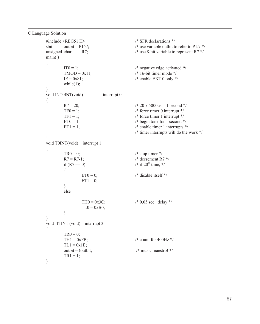C Language Solution

```
 #include <REG51.H> /* SFR declarations */
       sbit outbit = P1^7; \frac{1}{2} /* use variable outbit to refer to P1.7 */
       unsigned char R7; \frac{R7}{3} /* use 8-bit variable to represent R7 */
        main( )
        {
               IT0 = 1; /* negative edge activated */
               TMOD = 0x11; \frac{1}{2} 16-bit timer mode */
               IE = 0x81; \qquad \qquad /* enable EXT 0 only */
               while(1);
 }
       void INT0INT(void) interrupt 0
 {
               R7 = 20; \frac{\text{R}}{20 \text{ x}} 5000 \text{ us} = 1 \text{ second}*/
               TF0 = 1; \frac{4}{5} /* force timer 0 interrupt */
               TF1 = 1; \angle /* force timer 1 interrupt */
               ET0 = 1; \angle /* begin tone for 1 second */
               ET1 = 1; \frac{1}{2} /* enable timer 1 interrupts */
                                               /* timer interrupts will do the work */
 }
        void T0INT(void) interrupt 1
\sim \sim \sim \sim \sim \simTR0 = 0; /* stop timer */
               R7 = R7-1; /* decrement R7 */
               if (R7 == 0) /* if 20<sup>th</sup> time, */
{ }ET0 = 0; \frac{\text{#} \times \text{#}}{\text{#}} /* disable itself */
                      ET1 = 0;
 }
                else
{ }TH0 = 0x3C; \frac{\cancel{0.05}}{0.05} sec. delay */
                      TL0 = 0xB0;
 }
 }
        void T1INT (void) interrupt 3
\sim \sim \sim \sim \sim \simTR0 = 0;
               TH1 = 0xFB; \frac{\text{F}}{\text{F}} /* count for 400Hz */
               TL1 = 0x1E;
               \text{output} = \text{loubit}; /* music maestro! */
               TR1 = 1; }
```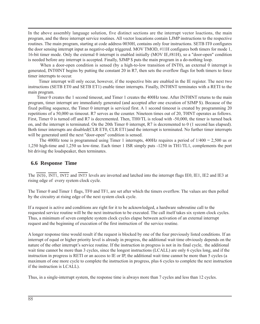In the above assembly language solution, five distinct sections are the interrupt vector loactions, the main program, and the three interrupt service routines. All vector loacations contain LJMP instructions to the respective routines. The main program, starting at code address 0030H, contains only four instructions. SETB IT0 configures the door sensing interrupt input as negative-edge triggered. MOV TMOD, #11H configures both timers for mode 1, 16-bit timer mode. Only the external 0 interrupt is enabled initially (MOV IE,#81H), so a "door-open" condition is needed before any interrupt is accepted. Finally, SJMP \$ puts the main program in a do-nothing loop.

When a door-open condition is sensed (by a high-to-low transition of INT0), an external 0 interrupt is generated, INT0INT begins by putting the constant 20 in R7, then sets the overflow flags for both timers to force timer interrupts to occur.

 Timer interrupt will only occur, however, if the respective bits are enabled in the IE register. The next two instructions (SETB ET0 and SETB ET1) enable timer interrupts. Finally, INT0INT terminates with a RETI to the main program.

 Timer 0 creates the 1 second timeout, and Timer 1 creates the 400Hz tone. After INT0INT returns to the main program, timer interrupt are immediately generated (and accepted after one excution of SJMP \$). Because of the fixed polling sequence, the Timer 0 interrupt is serviced first. A 1 second timeout is created by programming 20 repetitions of a 50,000 us timeout. R7 serves as the counter. Nineteen times out of 20, T0INT operates as follows. First, Timer 0 is turned off and R7 is decremented. Then, TH0/TL is reload with -50,000, the timer is turned back on, and the interrupt is terminated. On the 20th Timer 0 interrupt, R7 is decremented to 0 (1 second has elapsed). Both timer interrupts are disabled(CLR ET0, CLR ET1)and the interrupt is terminated. No further timer interrupts will be generated until the next "door-open" condition is sensed.

The 400Hz tone is programmed using Timer 1 interrupts, 400Hz requires a period of  $1/400 = 2,500$  us or 1,250 high-time and 1,250 us low-time. Each timer 1 ISR simply puts -1250 in TH1/TL1, complements the port bit driving the loudspeaker, then terminates.

## **6.6 Response Time**

The INT0, INT1, INT2 and INT3 levels are inverted and latched into the interrupt flags IE0, IE1, IE2 and IE3 at rising edge of every syetem clock cycle.

The Timer 0 and Timer 1 flags, TF0 and TF1, are set after which the timers overflow. The values are then polled by the circuitry at rising edge of the next system clock cycle.

If a request is active and conditions are right for it to be acknowledged, a hardware subroutine call to the requested service routine will be the next instruction to be executed. The call itself takes six system clock cycles. Thus, a minimum of seven complete system clock cycles elapse between activation of an external interrupt request and the beginning of execution of the first instruction of the service routine.

A longer response time would result if the request is blocked by one of the four previously listed conditions. If an interrupt of equal or higher priority level is already in progress, the additional wait time obviously depends on the nature of the other interrupt's service routine. If the instruction in progress is not in its final cycle, the additional wait time cannot be more than 3 cycles, since the longest instructions (LCALL) are only 6 cycles long, and if the instruction in progress is RETI or an access to IE or IP, the additional wait time cannot be more than 5 cycles (a maximum of one more cycle to complete the instruction in progress, plus 6 cycles to complete the next instruction if the instruction is LCALL).

Thus, in a single-interrupt system, the response time is always more than 7 cycles and less than 12 cycles.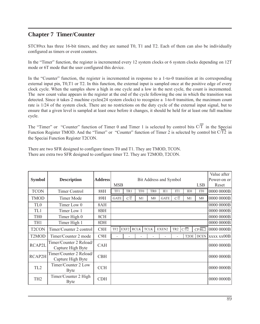# **Chapter 7 Timer/Counter**

STC89xx has three 16-bit timers, and they are named T0, T1 and T2. Each of them can also be individually configured as timers or event counters.

In the "Timer" function, the register is incremented every 12 system clocks or 6 system clocks depending on 12T mode or 6T mode that the user configured this device.

In the "Counter" function, the register is incremented in response to a 1-to-0 transition at its corresponding external input pin, T0,T1 or T2. In this function, the external input is sampled once at the positive edge of every clock cycle. When the samples show a high in one cycle and a low in the next cycle, the count is incremented. The new count value appears in the register at the end of the cycle following the one in which the transition was detected. Since it takes 2 machine cycles(24 system clocks) to recognize a l-to-0 transition, the maximum count rate is 1/24 of the system clock. There are no restrictions on the duty cycle of the external input signal, but to ensure that a given level is sampled at least once before it changes, it should be held for at least one full machine cycle.

The "Timer" or "Counter" function of Timer 0 and Timer 1 is selected by control bits  $C/T$  in the Speciai Function Register TMOD. And the "Timer" or "Counter" function of Timer 2 is selected by control bit  $\overline{CT2}$  in the Speciai Function Register T2CON.

There are two SFR designed to configure timers T0 and T1. They are TMOD, TCON. There are extra two SFR designed to configure timer T2. They are T2MOD, T2CON.

| <b>Symbol</b>                  | <b>Description</b>                           | <b>Address</b> | <b>MSB</b>      |             |                 | Bit Address and Symbol |             |                          |                   | <b>LSB</b>      | Value after<br>Power-on or<br>Reset |
|--------------------------------|----------------------------------------------|----------------|-----------------|-------------|-----------------|------------------------|-------------|--------------------------|-------------------|-----------------|-------------------------------------|
| <b>TCON</b>                    | <b>Timer Control</b>                         | 88H            | TF1             | TR1         | TF <sub>0</sub> | TR <sub>0</sub>        | IE1         | IT1                      | IE <sub>0</sub>   | IT <sub>0</sub> | 0000 0000B                          |
| TMOD                           | Timer Mode                                   | 89H            | <b>GATE</b>     | $C\sqrt{T}$ | M1              | M <sub>0</sub>         | <b>GATE</b> | $C/\overline{T}$         | M1                | M <sub>0</sub>  | 0000 0000B                          |
| TL <sub>0</sub>                | Timer Low 0                                  | 8AH            |                 |             |                 |                        |             |                          |                   |                 | 0000 0000B                          |
| TL1                            | Timer Low 1                                  | 8BH            |                 |             |                 |                        |             |                          |                   |                 | 0000 0000B                          |
| TH <sub>0</sub>                | Timer High 0                                 | 8CH            |                 |             |                 |                        |             |                          |                   |                 | 0000 0000B                          |
| TH1                            | Timer High 1                                 | 8DH            |                 |             |                 |                        |             |                          |                   | 0000 0000B      |                                     |
| T <sub>2</sub> CON             | Timer/Counter 2 control                      | C8H            | TF <sub>2</sub> | EXF2        | <b>RCLK</b>     | <b>TCLK</b>            | EXEN2       | TR <sub>2</sub>          | $C/\overline{T2}$ | CP/RL2          | 0000 0000B                          |
| T <sub>2</sub> MO <sub>D</sub> | Timer/Counter 2 mode                         | C9H            | ٠               |             | ÷               |                        |             | $\overline{\phantom{a}}$ | T <sub>2</sub> OE | DCEN            | xxxx xx00B                          |
| RCAP2L                         | Timer/Counter 2 Reload/<br>Capture High Byte | <b>CAH</b>     |                 |             |                 |                        |             |                          |                   |                 | 0000 0000B                          |
| RCAP2H                         | Timer/Counter 2 Reload/<br>Capture High Byte | <b>CBH</b>     |                 |             |                 |                        |             |                          |                   |                 | 0000 0000B                          |
| TL <sub>2</sub>                | Timer/Counter 2 Low<br>Byte                  | <b>CCH</b>     |                 |             |                 |                        |             |                          |                   |                 | 0000 0000B                          |
| TH <sub>2</sub>                | Timer/Counter 2 High<br><b>Byte</b>          | CDH            |                 |             |                 |                        |             |                          |                   |                 | 0000 0000B                          |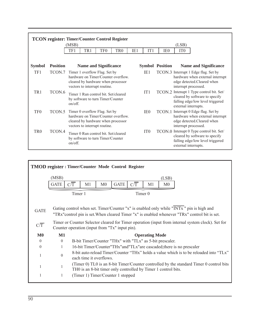|                 | <b>TCON register: Timer/Counter Control Register</b><br>(MSB)<br>(LSB)<br>TR <sub>1</sub><br>TF <sub>0</sub><br>TR <sub>0</sub><br>TF1<br>IE1<br>IT1<br>IE <sub>0</sub><br>IT <sub>0</sub> |                                                                                                                                             |                 |                                                                                                                                        |  |  |  |  |  |  |  |  |
|-----------------|--------------------------------------------------------------------------------------------------------------------------------------------------------------------------------------------|---------------------------------------------------------------------------------------------------------------------------------------------|-----------------|----------------------------------------------------------------------------------------------------------------------------------------|--|--|--|--|--|--|--|--|
| <b>Symbol</b>   | <b>Position</b>                                                                                                                                                                            | <b>Name and Significance</b>                                                                                                                |                 | <b>Symbol Position</b><br><b>Name and Significance</b>                                                                                 |  |  |  |  |  |  |  |  |
| TF1             | TCON.7                                                                                                                                                                                     | Timer 1 overflow Flag. Set by<br>hardware on Timer/Counter overflow.<br>cleared by hardware when processor<br>vectors to interrupt routine. | IE1             | TCON.3 Interrupt 1 Edge flag. Set by<br>hardware when external interrupt<br>edge detected.Cleared when<br>interrupt processed.         |  |  |  |  |  |  |  |  |
| TR1             | TCON.6                                                                                                                                                                                     | Timer 1 Run control bit. Set/cleared<br>by software to turn Timer/Counter<br>on/off.                                                        | IT <sub>1</sub> | TCON.2 Intenupt 1 Type control bit. Set/<br>cleared by software to specify<br>falling edge/low level triggered<br>external interrupts. |  |  |  |  |  |  |  |  |
| TF <sub>0</sub> | TCON.5                                                                                                                                                                                     | Timer 0 overflow Flag. Set by<br>hardware on Timer/Counter overflow.<br>cleared by hardware when processor<br>vectors to interrupt routine. | IE0             | TCON.1 Interrupt 0 Edge flag. Set by<br>hardware when external interrupt<br>edge detected.Cleared when<br>interrupt processed.         |  |  |  |  |  |  |  |  |
| TR <sub>0</sub> | TCON.4                                                                                                                                                                                     | Timer 0 Run control bit. Set/cleared<br>by software to turn Timer/Counter<br>on/off.                                                        | IT <sub>0</sub> | TCON.0 Intenupt 0 Type control bit. Set/<br>cleared by software to specify<br>falling edge/low level triggered<br>external interrupts. |  |  |  |  |  |  |  |  |

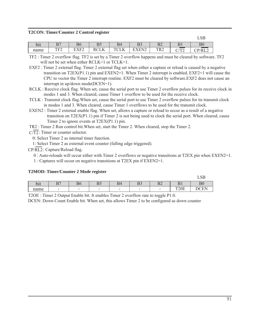#### **T2CON: Timer/Counter 2 Control register**

|      |                             |                 |                           |                                                   |       |                 |                             | ലാല                                        |
|------|-----------------------------|-----------------|---------------------------|---------------------------------------------------|-------|-----------------|-----------------------------|--------------------------------------------|
| UIt  |                             | Bр              | ມຸ                        | B4                                                | ມ     | ◡               |                             |                                            |
| name | TF <sub>2</sub><br>$\cdots$ | $\Gamma$<br>⊷™∸ | $P\cap V$<br><b>VALIZ</b> | TCTV<br>$\sim$ $\sim$ $\sim$ $\sim$ $\sim$ $\sim$ | EXEN2 | TR <sub>2</sub> | $1 - 4$<br>--<br>$\tilde{}$ | $\mathbf{P}/\mathbf{R}$<br>$\sim$ + $\sim$ |

 TF2 : Timer 2 overflow flag. TF2 is set by a Timer 2 overflow happens and must be cleared by software. TF2 will not be set when either RCLK=1 or TCLK=1.

- EXF2 : Timer 2 external flag. Timer 2 external flag set when either a capture or reload is caused by a negative transition on  $T2EX(P1.1)$  pin and  $EXEN2=1$ . When Timer 2 interrupt is enabled,  $EXF2=1$  will cause the CPU to vector the Timer 2 interrupt routine. EXF2 must be cleared by software.EXF2 does not cause an interrupt in up/down mode(DCEN=1).
- RCLK : Receive clock flag. When set, cause the serial port to use Timer 2 overflow pulses for its receive clock in modes 1 and 3. When cleared, cause Timer 1 overflow to be used for the receive clock.
- TCLK : Transmit clock flag.When set, cause the serial port to use Timer 2 overflow pulses for its transmit clock in modes 1 and 3. When cleared, cause Timer 1 overflows to be used for the transmit clock.
- EXEN2 : Timer 2 external enable flag. When set, allows a capture or reload to occur as a result of a negative transition on T2EX(P1.1) pin if Timer 2 is not being used to clock the serial port. When cleared, cause Timer 2 to ignore events at T2EX(P1.1) pin.

TR2 : Timer 2 Run control bit.When set, start the Timer 2. When cleared, stop the Timer 2.

C/T2: Timer or counter selector.

0: Select Timer 2 as internal timer function.

1: Select Timer 2 as external event counter (falling edge triggered).

CP/RL2: Capture/Reload flag.

0 : Auto-reloads will occur either with Timer 2 overflows or negative transitions at T2EX pin when EXEN2=1.

1 : Captures will occur on negative transitions at T2EX pin if EXEN2=1.

#### **T2MOD: Timer/Counter 2 Mode register**

|      |                          |                          |                          |                          |      |                          |                        | $\sim$ $\sim$<br><b>LUD</b>      |
|------|--------------------------|--------------------------|--------------------------|--------------------------|------|--------------------------|------------------------|----------------------------------|
| υn   |                          | ◡                        |                          |                          |      | ້ີ                       |                        |                                  |
| name | $\overline{\phantom{0}}$ | $\overline{\phantom{0}}$ | $\overline{\phantom{0}}$ | $\overline{\phantom{0}}$ | $\,$ | $\overline{\phantom{0}}$ | T <sub>0</sub><br>120E | $\sim$ $\sim$ $\sim$ $\sim$<br>້ |

T2OE : Timer 2 Output Enable bit. It enables Timer 2 overflow rate to toggle P1.0.

DCEN: Down Count Enable bit. When set, this allows Timer 2 to be configured as down counter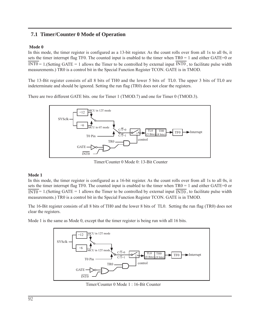# **7.1 Timer/Counter 0 Mode of Operation**

## **Mode 0**

In this mode, the timer register is configured as a 13-bit register. As the count rolls over from all 1s to all 0s, it sets the timer interrupt flag TF0. The counted input is enabled to the timer when TR0 = 1 and either GATE=0 or  $\overline{INTO} = 1$ . (Setting GATE = 1 allows the Timer to be controlled by external input  $\overline{INTO}$ , to facilitate pulse width measurements.) TR0 is a control bit in the Special Function Register TCON. GATE is in TMOD.

The 13-Bit register consists of all 8 bits of TH0 and the lower 5 bits of TL0. The upper 3 bits of TL0 are indeterminate and should be ignored. Setting the run flag (TR0) does not clear the registers.

There are two different GATE bits. one for Timer 1 (TMOD.7) and one for Timer 0 (TMOD.3).



Timer/Counter 0 Mode 0: 13-Bit Counter

### **Mode 1**

In this mode, the timer register is configured as a 16-bit register. As the count rolls over from all 1s to all 0s, it sets the timer interrupt flag TF0. The counted input is enabled to the timer when TR0 = 1 and either GATE=0 or  $\overline{INT0} = 1$ . (Setting GATE = 1 allows the Timer to be controlled by external input  $\overline{INT0}$ , to facilitate pulse width measurements.) TR0 is a control bit in the Special Function Register TCON. GATE is in TMOD.

The 16-Bit register consists of all 8 bits of TH0 and the lower 8 bits of TL0. Setting the run flag (TR0) does not clear the registers.

Mode 1 is the same as Mode 0, except that the timer register is being run with all 16 bits.



Timer/Counter 0 Mode 1 : 16-Bit Counter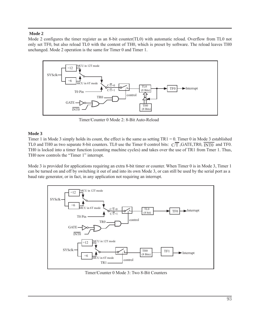## **Mode 2**

Mode 2 configures the timer register as an 8-bit counter(TL0) with automatic reload. Overflow from TL0 not only set TF0, but also reload TL0 with the content of TH0, which is preset by software. The reload leaves TH0 unchanged. Mode 2 operation is the same for Timer 0 and Timer 1.



Timer/Counter 0 Mode 2: 8-Bit Auto-Reload

### **Mode 3**

Timer 1 in Mode 3 simply holds its count, the effect is the same as setting TR1 = 0. Timer 0 in Mode 3 established TL0 and TH0 as two separate 8-bit counters. TL0 use the Timer 0 control bits:  $\overline{CT}$ , GATE, TR0,  $\overline{INT0}$  and TF0. TH0 is locked into a timer function (counting machine cycles) and takes over the use of TR1 from Tmer 1. Thus, TH0 now controls the "Timer 1" interrupt.

Mode 3 is provided for applications requiring an extra 8-bit timer or counter. When Timer 0 is in Mode 3, Timer 1 can be turned on and off by switching it out of and into its own Mode 3, or can still be used by the serial port as a baud rate generator, or in fact, in any application not requiring an interrupt.



Timer/Counter 0 Mode 3: Two 8-Bit Counters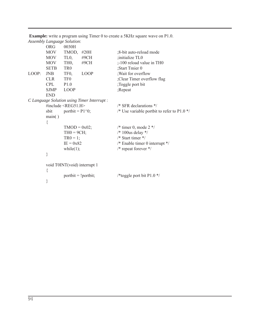**Example:** write a program using Timer 0 to create a 5KHz square wave on P1.0. *Assembly Language Solution*:

```
 ORG 0030H
       MOV TMOD, #20H ;8-bit auto-reload mode
       MOV TL0, #9CH :initialize TL0
       MOV TH0, #9CH ; -100 reload value in TH0
       SETB TRO :Start Tmier 0
LOOP: JNB TF0, LOOP ;Wait for overflow
       CLR TF0 ;Clear Timer overflow flag
       CPL P1.0 ;Toggle port bit
       SJMP LOOP ;Repeat
        END
C Language Solution using Timer Interrupt :
        #include <REG51.H> /* SFR declarations */
       sbit portbit = P1^0; \frac{\text{#}}{\text{4}} /* Use variable portbit to refer to P1.0 */
        main( )
        {
               TMOD = 0x02; \frac{\text{# time 0, mode 2} \cdot \text{#}}{\text{#}}TH0 = 9CH; / 100us delay */TR0 = 1: /* Start timer */
               IE = 0x82 /* Enable timer 0 interrupt */
               while(1); \sqrt{\frac{2}{\pi}} repeat forever \frac{2}{\pi} }
        void T0INT(void) interrupt 1
        {
               portbit = !portbit; \frac{\text{exp}(1.0 \cdot \text{m/s})}{\text{exp}(1.0 \cdot \text{m/s})} }
```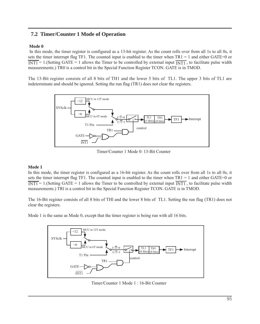# **7.2 Timer/Counter 1 Mode of Operation**

#### **Mode 0**

 In this mode, the timer register is configured as a 13-bit register. As the count rolls over from all 1s to all 0s, it sets the timer interrupt flag TF1. The counted input is enabled to the timer when TR1 = 1 and either GATE=0 or  $\overline{INT1}$  = 1.(Setting GATE = 1 allows the Timer to be controlled by external input  $\overline{INT1}$ , to facilitate pulse width measurements.) TR0 is a control bit in the Special Function Register TCON. GATE is in TMOD.

The 13-Bit register consists of all 8 bits of TH1 and the lower 5 bits of TL1. The upper 3 bits of TL1 are indeterminate and should be ignored. Setting the run flag (TR1) does not clear the registers.



Timer/Counter 1 Mode 0: 13-Bit Counter

#### **Mode 1**

In this mode, the timer register is configured as a 16-bit register. As the count rolls over from all 1s to all 0s, it sets the timer interrupt flag TF1. The counted input is enabled to the timer when TR1 = 1 and either GATE=0 or  $\overline{INT1}$  = 1.(Setting GATE = 1 allows the Timer to be controlled by external input  $\overline{INT1}$ , to facilitate pulse width measurements.) TRl is a control bit in the Special Function Register TCON. GATE is in TMOD.

The 16-Bit register consists of all 8 bits of THl and the lower 8 bits of TL1. Setting the run flag (TR1) does not clear the registers.

Mode 1 is the same as Mode 0, except that the timer register is being run with all 16 bits.



Timer/Counter 1 Mode 1 : 16-Bit Counter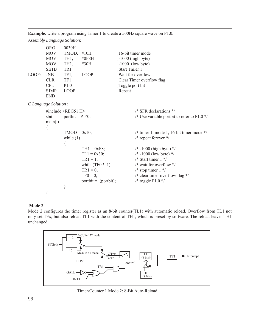**Example**: write a program using Timer 1 to create a 500Hz square wave on P1.0.

*Assembly Language Solution*:

```
 ORG 0030H
       MOV TMOD, #10H :16-bit timer mode
       MOV TH1, #0F8H ;-1000 (high byte)
        MOV TH1, #30H ;-1000 (low byte)
       SETB TR1 :Start Tmier 1
LOOP: JNB TF1, LOOP : Wait for overflow
       CLR TF1 ;Clear Timer overflow flag
       CPL P1.0 :Toggle port bit
       SJMP LOOP ;Repeat
        END
C Language Solution :
        #include <REG51.H> /* SFR declarations */
       sbit portbit = P1^0; \frac{1}{2} /* Use variable portbit to refer to P1.0 */
        main( )
\sim \sim \sim \sim \sim \simTMOD = 0x10; \frac{\text{# time 1, mode 1, 16-bit timer mode *}}{\text{# time 1}}while (1) /* repeat forever */
{ }TH1 = 0xF8; \frac{\cancel{6}}{1000} (high byte) */
                      TL1 = 0x30; \frac{\cancel{0.000}}{1000} (low byte) */
                      TR1 = 1; /* Start timer 1 */
                      while (TF0 !=1); \frac{\partial^* f}{\partial x^2} /* wait for overflow */
                      TR1 = 0; \frac{\text{# stop timer 1} \cdot \text{#}}{\text{# of time 1} \cdot \text{#}}TF0 = 0; \angle /* clear timer overflow flag */
                      portbit = !(portbit); \frac{\pi}{6} toggle P1.0 */
 } 
 }
```
### **Mode 2**

Mode 2 configures the timer register as an 8-bit counter(TL1) with automatic reload. Overflow from TL1 not only set TFx, but also reload TL1 with the content of TH1, which is preset by software. The reload leaves TH1 unchanged.



Timer/Counter 1 Mode 2: 8-Bit Auto-Reload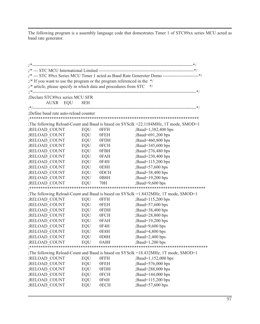The following program is a assembly language code that domestrates Timer 1 of STC89xx series MCU acted as baud rate generator.

|                                                                   |              |      | ;/* --- STC 89xx Series MCU Timer 1 acted as Baud Rate Generoter Demo -----------------------*/ |
|-------------------------------------------------------------------|--------------|------|-------------------------------------------------------------------------------------------------|
|                                                                   |              |      | ;/* If you want to use the program or the program referenced in the */                          |
| ;/* article, please specify in which data and procedures from STC |              |      | */                                                                                              |
|                                                                   |              |      |                                                                                                 |
| ;Declare STC89xx series MCU SFR                                   |              |      |                                                                                                 |
|                                                                   | AUXR EQU 8EH |      |                                                                                                 |
|                                                                   |              |      |                                                                                                 |
| :Define baud rate auto-reload counter                             |              |      |                                                                                                 |
|                                                                   |              |      | ;The following Reload-Count and Baud is based on SYSclk = 22.1184MHz, 1T mode, SMOD=1           |
| ;RELOAD COUNT                                                     | <b>EQU</b>   | 0FFH | ;Baud=1,382,400 bps                                                                             |
| ;RELOAD COUNT                                                     | EQU          | 0FEH | ;Baud=691,200 bps                                                                               |
| ;RELOAD COUNT                                                     | <b>EQU</b>   | 0FDH | ;Baud=460,800 bps                                                                               |
| ;RELOAD COUNT                                                     | EQU          | 0FCH | ;Baud=345,600 bps                                                                               |
| ;RELOAD COUNT                                                     | <b>EQU</b>   | 0FBH | ;Baud=276,480 bps                                                                               |
| ;RELOAD COUNT                                                     | <b>EQU</b>   | 0FAH | ;Baud=230,400 bps                                                                               |
| ;RELOAD COUNT                                                     | <b>EQU</b>   | 0F4H | ;Baud=115,200 bps                                                                               |
| ;RELOAD COUNT                                                     | EQU          | 0E8H | ;Baud=57,600 bps                                                                                |
| ;RELOAD COUNT                                                     | EQU          | 0DCH | ;Baud=38,400 bps                                                                                |
| ;RELOAD COUNT                                                     | <b>EQU</b>   | 0B8H | ;Baud=19,200 bps                                                                                |
| <b>RELOAD COUNT</b>                                               | <b>EQU</b>   | 70H  | :Baud= $9,600$ bps                                                                              |
|                                                                   |              |      |                                                                                                 |
|                                                                   |              |      | ;The following Reload-Count and Baud is based on SYSclk = 1.8432MHz, 1T mode, SMOD=1            |
| ;RELOAD COUNT                                                     | <b>EQU</b>   | 0FFH | ;Baud=115,200 bps                                                                               |
| ;RELOAD COUNT                                                     | <b>EQU</b>   | 0FEH | ;Baud=57,600 bps                                                                                |
| ;RELOAD COUNT                                                     | EQU          | 0FDH | ;Baud=38,400 bps                                                                                |
| ;RELOAD COUNT                                                     | <b>EQU</b>   | 0FCH | ;Baud=28,800 bps                                                                                |
| ;RELOAD_COUNT                                                     | <b>EQU</b>   | 0FAH | ;Baud=19,200 bps                                                                                |
| ;RELOAD COUNT                                                     | <b>EQU</b>   | 0F4H | $Baud=9,600$ bps                                                                                |
| ;RELOAD COUNT                                                     | <b>EQU</b>   | 0E8H | $Baud=4,800$ bps                                                                                |
| ;RELOAD COUNT                                                     | <b>EQU</b>   | ODOH | ;Baud=2,400 bps                                                                                 |
| ;RELOAD COUNT                                                     | <b>EQU</b>   | 0A0H | ;Baud= $1,200$ bps                                                                              |
|                                                                   |              |      |                                                                                                 |
|                                                                   |              |      | ;The following Reload-Count and Baud is based on SYSclk =18.432MHz, 1T mode, SMOD=1             |
| ;RELOAD COUNT                                                     | EQU          | 0FFH | ;Baud=1,152,000 bps                                                                             |
| ;RELOAD COUNT                                                     | EQU          | 0FEH | ;Baud=576,000 bps                                                                               |
| ;RELOAD COUNT                                                     | <b>EQU</b>   | 0FDH | ;Baud=288,000 bps                                                                               |
| ;RELOAD COUNT                                                     | <b>EQU</b>   | 0FCH | ;Baud=144,000 bps                                                                               |
| ;RELOAD COUNT                                                     | <b>EQU</b>   | 0F6H | ;Baud=115,200 bps                                                                               |
| ;RELOAD COUNT                                                     | EQU          | 0ECH | ;Baud=57,600 bps                                                                                |
|                                                                   |              |      |                                                                                                 |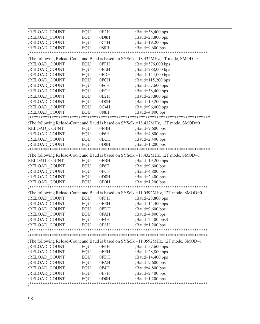| RELOAD COUNT:       | EQU | 0E2H | $Baud=38,400$ bps                                                                      |
|---------------------|-----|------|----------------------------------------------------------------------------------------|
| :RELOAD COUNT       | EQU | 0D8H | $Baud=28,800$ bps                                                                      |
| RELOAD COUNT:       | EQU | 0C4H | ;Baud=19,200 bps                                                                       |
| ;RELOAD COUNT       | EQU | 088H | $Baud=9,600$ bps                                                                       |
|                     |     |      |                                                                                        |
|                     |     |      | The following Reload-Count and Baud is based on SYSclk =18.432MHz, 1T mode, SMOD=0     |
| ;RELOAD_COUNT       | EQU | 0FFH | ;Baud=576,000 bps                                                                      |
| ;RELOAD COUNT       | EQU | 0FEH | :Baud=288,000 bps                                                                      |
| ;RELOAD COUNT       | EQU | 0FDH | ;Baud=144,000 bps                                                                      |
| ;RELOAD COUNT       | EQU | 0FCH | ;Baud=115,200 bps                                                                      |
| ;RELOAD COUNT       | EQU | 0F6H | ;Baud=57,600 bps                                                                       |
| RELOAD COUNT:       | EQU | 0ECH | ;Baud=38,400 bps                                                                       |
| RELOAD COUNT:       | EQU | 0E2H | $Baud=28,800$ bps                                                                      |
| ;RELOAD COUNT       | EQU | 0D8H | $Baud=19,200$ bps                                                                      |
| ;RELOAD COUNT       | EQU | 0C4H | $Baud=96,000$ bps                                                                      |
| ;RELOAD COUNT       | EQU | 088H | :Baud=4,800 bps                                                                        |
|                     |     |      |                                                                                        |
|                     |     |      | The following Reload-Count and Baud is based on SYSclk =18.432MHz, 12T mode, SMOD=0;   |
| RELOAD COUNT        | EQU | 0FBH | ;Baud= $9,600$ bps                                                                     |
| <b>RELOAD COUNT</b> | EOU | 0F6H | $Baud=4,800$ bps                                                                       |
| RELOAD COUNT:       | EQU | 0ECH | $Baud=2,400$ bps                                                                       |
| ;RELOAD COUNT       | EOU | 0D8H | $Baud=1,200$ bps                                                                       |
|                     |     |      |                                                                                        |
|                     |     |      | The following Reload-Count and Baud is based on SYSclk =18.432MHz, 12T mode, SMOD=1    |
| RELOAD_COUNT        | EQU | 0FBH | ;Baud=19,200 bps                                                                       |
| ;RELOAD COUNT       | EQU | 0F6H | ;Baud= $9,600$ bps                                                                     |
| RELOAD COUNT:       | EQU | 0ECH | $Baud=4,800$ bps                                                                       |
| RELOAD COUNT:       | EQU | 0D8H | $Baud=2,400$ bps                                                                       |
| ;RELOAD COUNT       | EOU | 0B0H | :Baud= $1,200$ bps                                                                     |
|                     |     |      |                                                                                        |
|                     |     |      | The following Reload-Count and Baud is based on SYSclk = 11.0592MHz, 12T mode, SMOD=0; |
| ;RELOAD_COUNT       | EQU | 0FFH | $Baud=28,800$ bps                                                                      |
| ;RELOAD COUNT       | EQU | 0FEH | ;Baud=14,400 bps                                                                       |
| ;RELOAD COUNT       | EQU | 0FDH | $Baud=9,600$ bps                                                                       |
| :RELOAD COUNT       | EQU | 0FAH | ;Baud=4,800 bps                                                                        |
| ;RELOAD COUNT       | EQU | 0F4H | $Baud=2,400 bpsS$                                                                      |
| ;RELOAD COUNT       | EQU | 0E8H | ;Baud=1,200 bps                                                                        |
|                     |     |      |                                                                                        |
|                     |     |      |                                                                                        |
|                     |     |      | The following Reload-Count and Baud is based on SYSclk = 11.0592MHz, 12T mode, SMOD=1  |
| ;RELOAD COUNT       | EQU | 0FFH | $Baud=57,600$ bps                                                                      |
| ;RELOAD COUNT       | EQU | 0FEH | $Baud=28,800$ bps                                                                      |
| ;RELOAD COUNT       | EQU | 0FDH | ;Baud=14,400 bps                                                                       |
| ;RELOAD COUNT       | EQU | 0FAH | $Baud=9,600$ bps                                                                       |
| ;RELOAD COUNT       | EOU | 0F4H | $Baud=4,800$ bps                                                                       |
| ;RELOAD_COUNT       | EQU | 0E8H | $Baud=2,400$ bps                                                                       |
| :RELOAD COUNT       | EQU | ODOH | :Baud= $1,200$ bps                                                                     |
|                     |     |      |                                                                                        |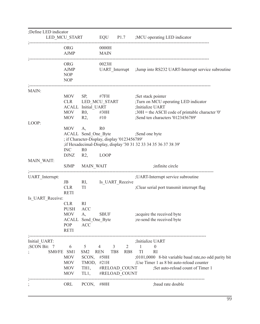| ;Define LED indicator               |                          |                       |                  |                                              | LED_MCU_START EQU P1.7 ;MCU operating LED indicator                                                                              |
|-------------------------------------|--------------------------|-----------------------|------------------|----------------------------------------------|----------------------------------------------------------------------------------------------------------------------------------|
| --------------------                |                          |                       |                  |                                              |                                                                                                                                  |
|                                     | ORG                      |                       | $0000\mathrm{H}$ |                                              |                                                                                                                                  |
|                                     | <b>AJMP</b>              |                       | MAIN             |                                              |                                                                                                                                  |
|                                     | ORG                      |                       | 0023H            |                                              |                                                                                                                                  |
|                                     | $\operatorname{AJMP}$    |                       |                  |                                              | UART Interrupt ;Jump into RS232 UART-Interrupt service subroutine                                                                |
|                                     | NOP                      |                       |                  |                                              |                                                                                                                                  |
|                                     | NOP                      |                       |                  |                                              |                                                                                                                                  |
| MAIN:                               |                          |                       |                  |                                              |                                                                                                                                  |
|                                     |                          |                       |                  |                                              | MOV SP, #7FH ;Set stack pointer<br>CLR LED_MCU_START ;Turn on MCU operating LED indicator<br>ACALL Initial_UART ;Initialize UART |
|                                     |                          |                       |                  |                                              |                                                                                                                                  |
|                                     |                          |                       |                  |                                              | MOV R0, $\#30H$ ; $30H =$ the ASCII code of printable character '0'                                                              |
|                                     |                          |                       |                  | MOV R2, $\#10$                               | ;Send ten characters '0123456789'                                                                                                |
| LOOP:                               |                          |                       |                  |                                              |                                                                                                                                  |
|                                     | MOV                      | A,                    | R <sub>0</sub>   |                                              |                                                                                                                                  |
|                                     |                          | ACALL Send One Byte   |                  |                                              | ;Send one byte                                                                                                                   |
|                                     |                          |                       |                  | ; if Character-Display, display '0123456789' |                                                                                                                                  |
|                                     |                          |                       |                  |                                              | ;if Hexadecimal-Display, display '30 31 32 33 34 35 36 37 38 39'                                                                 |
|                                     | <b>INC</b>               | R <sub>0</sub>        |                  |                                              |                                                                                                                                  |
| MAIN WAIT:                          | DJNZ                     | R <sub>2</sub> , LOOP |                  |                                              |                                                                                                                                  |
|                                     |                          | SJMP MAIN_WAIT        |                  |                                              | infinite circle                                                                                                                  |
| UART Interrupt:                     |                          |                       |                  |                                              | ;UART-Interrupt service subroutine                                                                                               |
|                                     | JB                       |                       |                  | RI, Is UART Receive                          |                                                                                                                                  |
|                                     | <b>CLR</b>               | TI                    |                  |                                              | ;Clear serial port transmit interrupt flag                                                                                       |
|                                     | <b>RETI</b>              |                       |                  |                                              |                                                                                                                                  |
| Is UART Receive:                    |                          |                       |                  |                                              |                                                                                                                                  |
|                                     | <b>CLR</b><br>PUSH       | RI<br><b>ACC</b>      |                  |                                              |                                                                                                                                  |
|                                     | MOV                      | A,                    |                  |                                              | SBUF ;acquire the received byte                                                                                                  |
|                                     |                          | ACALL Send_One_Byte   |                  |                                              | ; re-send the received byte                                                                                                      |
|                                     | POP                      | <b>ACC</b>            |                  |                                              |                                                                                                                                  |
|                                     | RETI                     |                       |                  |                                              |                                                                                                                                  |
| Initial UART:                       |                          |                       |                  |                                              | ;Initialize UART                                                                                                                 |
| ; SCON Bit: $7 \t 6 \t 5 \t 4 \t 3$ |                          |                       |                  |                                              | $2 \quad 1$<br>$\boldsymbol{0}$                                                                                                  |
| SM0/FE SM1                          |                          | SM <sub>2</sub>       | <b>REN</b>       | TB8<br>RB8                                   | TI<br><b>RI</b>                                                                                                                  |
|                                     | <b>MOV</b>               | SCON,                 | #50H             |                                              | ;0101,0000 8-bit variable baud rate, no odd parity bit                                                                           |
|                                     | <b>MOV</b><br><b>MOV</b> | TMOD,                 | #21H             |                                              | ;Use Timer 1 as 8 bit auto-reload counter                                                                                        |
|                                     |                          | TH <sub>1</sub>       |                  | #RELOAD COUNT                                | ;Set auto-reload count of Timer 1                                                                                                |
|                                     |                          |                       |                  |                                              |                                                                                                                                  |
|                                     | <b>MOV</b>               | TL <sub>1</sub>       |                  | #RELOAD COUNT                                |                                                                                                                                  |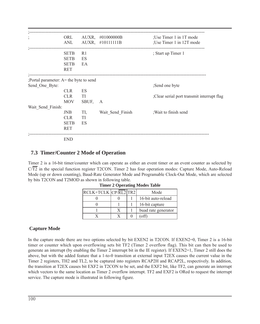| $\overline{ }$                             | ORL<br>ANL                                              |                | AUXR, #01000000B<br>AUXR, #10111111B | :Use Timer 1 in 1T mode<br>:Use Timer 1 in 12T mode |
|--------------------------------------------|---------------------------------------------------------|----------------|--------------------------------------|-----------------------------------------------------|
|                                            | <b>SETB</b><br><b>SETB</b><br><b>SETB</b><br><b>RET</b> | R1<br>ES<br>EA |                                      | ; Start up Timer 1                                  |
| : Portal parameter: $A =$ the byte to send |                                                         |                |                                      |                                                     |
| Send One Byte:                             |                                                         |                |                                      | :Send one byte                                      |
|                                            | <b>CLR</b>                                              | ES             |                                      |                                                     |
|                                            | <b>CLR</b>                                              | TI             |                                      | ; Clear serial port transmit interrupt flag         |
|                                            | <b>MOV</b>                                              | SBUF,          | A                                    |                                                     |
| Wait Send Finish:                          |                                                         |                |                                      |                                                     |
|                                            | JNB                                                     | TI.            | Wait Send Finish                     | : Wait to finish send                               |
|                                            | <b>CLR</b>                                              | TI             |                                      |                                                     |
|                                            | <b>SETB</b>                                             | ES             |                                      |                                                     |
|                                            | <b>RET</b>                                              |                |                                      |                                                     |
|                                            | <b>END</b>                                              |                |                                      |                                                     |

# **7.3 Timer/Counter 2 Mode of Operation**

Timer 2 is a 16-bit timer/counter which can operate as either an event timer or an event counter as selected by  $C/T2$  in the special function register T2CON. Timer 2 has four operation modes: Capture Mode, Auto-Reload Mode (up or down counting), Baud-Rate Generator Mode and Programable Clock-Out Mode, which are selected by bits T2CON and T2MOD as shown in following table.

| RCLK+TCLK CP/RL2 TR2 |  | Mode                |
|----------------------|--|---------------------|
|                      |  | 16-bit auto-reload  |
|                      |  | 16-bit capture      |
|                      |  | buad rate generator |
|                      |  |                     |

**Timer 2 Operating Modes Table**

# **Capture Mode**

In the capture mode there are two options selected by bit EXEN2 in T2CON. If EXEN2=0, Timer 2 is a 16-bit timer or counter which upon overflowing sets bit TF2 (Timer 2 overflow flag). This bit can then be used to generate an interrupt (by enabling the Timer 2 interrupt bit in the IE register). If EXEN2=1, Timer 2 still does the above, but with the added feature that a 1-to-0 transition at external input T2EX causes the current value in the Timer 2 registers, TH2 and TL2, to be captured into registers RCAP2H and RCAP2L, respectively. In addition, the transition at T2EX causes bit EXF2 in T2CON to be set, and the EXF2 bit, like TF2, can generate an interrupt which vectors to the same location as Timer 2 overflow interrupt. TF2 and EXF2 is ORed to request the interrupt service. The capture mode is illustrated in following figure.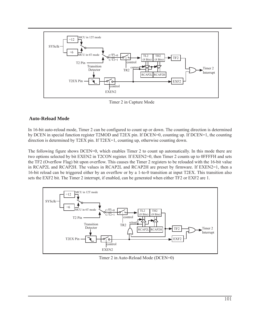

Timer 2 in Capture Mode

## **Auto-Reload Mode**

In 16-bit auto-reload mode, Timer 2 can be configured to count up or down. The counting direction is determined by DCEN in special function register T2MOD and T2EX pin. If DCEN=0, counting up. If DCEN=1, the counting direction is determined by T2EX pin. If T2EX=1, counting up, otherwise counting down.

The following figure shows DCEN=0, which enables Timer 2 to count up automatically. In this mode there are two options selected by bit EXEN2 in T2CON register. If EXEN2=0, then Timer 2 counts up to 0FFFFH and sets the TF2 (Overflow Flag) bit upon overflow. This causes the Timer 2 registers to be reloaded with the 16-bit value in RCAP2L and RCAP2H. The values in RCAP2L and RCAP2H are preset by firmware. If EXEN2=1, then a 16-bit reload can be triggered either by an overflow or by a 1-to-0 transition at input T2EX. This transition also sets the EXF2 bit. The Timer 2 interrupt, if enabled, can be generated when either TF2 or EXF2 are 1.



Timer 2 in Auto-Reload Mode (DCEN=0)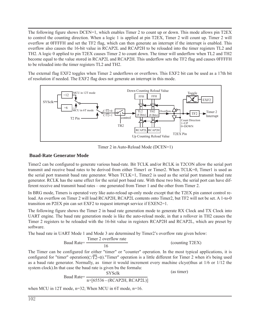The following figure shows DCEN=1, which enables Timer 2 to count up or down. This mode allows pin T2EX to control the counting direction. When a logic 1 is applied at pin T2EX, Timer 2 will count up. Timer 2 will overflow at 0FFFFH and set the TF2 flag, which can then generate an interrupt if the interrupt is enabled. This overflow also causes the 16-bit value in RCAP2L and RCAP2H to be reloaded into the timer registers TL2 and TH2. A logic 0 applied to pin T2EX causes Timer 2 to count down. The timer will underflow when TL2 and TH2 become equal to the value stored in RCAP2L and RCAP2H. This underflow sets the TF2 flag and causes 0FFFFH to be reloaded into the timer registers TL2 and TH2.

The external flag EXF2 toggles when Timer 2 underflows or overflows. This EXF2 bit can be used as a 17th bit of resolution if needed. The EXF2 flag does not generate an interrupt in this mode.



Timer 2 in Auto-Reload Mode (DCEN=1)

# **Buad-Rate Generator Mode**

Timer2 can be configured to generate various baud-rate. Bit TCLK and/or RCLK in T2CON allow the serial port transmit and receive baud rates to be derived from either Timer1 or Timer2. When TCLK=0, Timer1 is used as the serial port transmit baud rate generator. When TCLK=1, Timer2 is used as the serial port transmit baud rate generator. RCLK has the same effect for the serial port baud rate. With these two bits, the serial port can have different receive and transmit baud rates – one generated from Timer 1 and the other from Timer 2.

In BRG mode, Timers is operated very like auto-reload up-only mode except that the T2EX pin cannot control reload. An overflow on Timer 2 will load RCAP2H, RCAP2L contents onto Timer2, but TF2 will not be set. A 1-to-0 transition on P2EX pin can set EXF2 to request interrupt service if EXEN2=1.

The following figure shows the Timer 2 in baud rate generation mode to generate RX Clock and TX Clock into UART engine. The baud rate generation mode is like the auto-reload mode, in that a rollover in TH2 causes the Timer 2 registers to be reloaded with the 16-bit value in registers RCAP2H and RCAP2L, which are preset by software.

The baud rate in UART Mode 1 and Mode 3 are determined by Timer2's overflow rate given below:

Band Rate = 
$$
\frac{\text{Timer 2 overflow rate}}{16}
$$
 (counting T2EX)

The Timer can be configured for either "timer" or "counter" operation. In the most typical applications, it is configured for "timer" operation( $\overline{C/T2}=0$ )."Timer" operation is a little different for Timer 2 when it's being used as a baud rate generator. Normally, as timer it would increment every machine clcye(thus at 1/6 or 1/12 the system clock).In that case the baud rate is given bu the formalu: (as timer)

Baud Rate=
$$
\frac{SYSclk}{n \times [65536 - (RCAP2H, RCAP2L)]}
$$

when MCU in 12T mode, n=32; When MCU in 6T mode, n=16.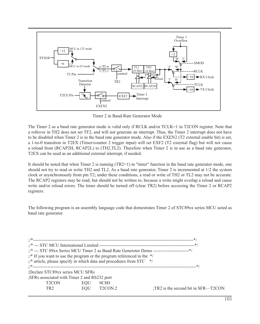

Timer 2 in Baud-Rate Generator Mode

The Timer 2 as a baud rate generator mode is valid only if RCLK and/or TCLK=1 in T2CON register. Note that a rollover in TH2 does not set TF2, and will not generate an interrupt. Thus, the Timer 2 interrupt does not have to be disabled when Timer 2 is in the baud rate generator mode. Also if the EXEN2 (T2 external enable bit) is set, a 1-to-0 transition in T2EX (Timer/counter 2 trigger input) will set EXF2 (T2 external flag) but will not cause a reload from (RCAP2H, RCAP2L) to (TH2,TL2). Therefore when Timer 2 is in use as a baud rate generator, T2EX can be used as an additional external interrupt, if needed.

It should be noted that when Timer 2 is running (TR2=1) in "timer" function in the baud rate generator mode, one should not try to read or write TH2 and TL2. As a baud rate generator, Timer 2 is incremented at 1/2 the system clock or asynchronously from pin T2; under these conditions, a read or write of TH2 or TL2 may not be accurate. The RCAP2 registers may be read, but should not be written to, because a write might overlap a reload and cause write and/or reload errors. The timer should be turned off (clear TR2) before accessing the Timer 2 or RCAP2 registers.

The following program is an assembly language code that domestrates Timer 2 of STC89xx series MCU acted as baud rate generator.

|                                                                                  |     |             | ;/* --- STC 89xx Series MCU Timer 2 as Baud Rate Generoter Demo -----------------------*/ |
|----------------------------------------------------------------------------------|-----|-------------|-------------------------------------------------------------------------------------------|
| $\frac{1}{2}$ If you want to use the program or the program referenced in the */ |     |             |                                                                                           |
| ;/* article, please specify in which data and procedures from STC */             |     |             |                                                                                           |
|                                                                                  |     |             |                                                                                           |
| :Declare STC89xx series MCU SFRs                                                 |     |             |                                                                                           |
| ;SFRs associated with Timer 2 and RS232 port                                     |     |             |                                                                                           |
| T <sub>2</sub> CON                                                               | EOU | 0C8H        |                                                                                           |
| TR <sub>2</sub>                                                                  |     | EOU T2CON.2 | TR2 is the second bit in SFR—T2CON                                                        |
|                                                                                  |     |             |                                                                                           |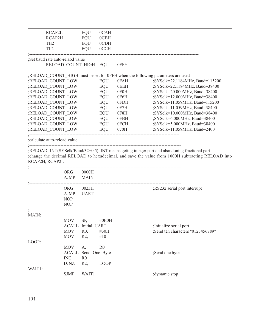| RCAP2L<br>RCAP2H<br>TH <sub>2</sub><br>TL <sub>2</sub> |                       | EQU<br>EQU<br>EQU<br>EQU  | 0CAH<br>0CBH<br>0CDH<br>0CCH |      |                                                                                                 |  |
|--------------------------------------------------------|-----------------------|---------------------------|------------------------------|------|-------------------------------------------------------------------------------------------------|--|
| Set baud rate auto-relaod value                        | RELOAD COUNT HIGH EQU |                           |                              | 0FFH |                                                                                                 |  |
|                                                        |                       |                           |                              |      | ;RELOAD_COUNT_HIGH must be set for 0FFH when the following parameters are used                  |  |
| RELOAD COUNT LOW:                                      |                       |                           | EQU                          | 0FAH | ;SYSclk=22.1184MHz, Baud=115200                                                                 |  |
| RELOAD COUNT LOW:                                      |                       |                           | <b>EQU</b>                   | 0EEH | ;SYSclk=22.1184MHz, Baud=38400                                                                  |  |
| ;RELOAD COUNT LOW                                      |                       |                           | <b>EQU</b>                   | 0F0H | ;SYSclk=20.000MHz, Baud=38400                                                                   |  |
| RELOAD COUNT LOW:                                      |                       |                           | EQU                          | 0F6H | ;SYSclk=12.000MHz, Baud=38400                                                                   |  |
| RELOAD COUNT LOW                                       |                       |                           | EQU                          | 0FDH | ;SYSclk=11.059MHz, Baud=115200                                                                  |  |
| RELOAD COUNT LOW:                                      |                       |                           | EQU                          | 0F7H | ;SYSclk=11.059MHz, Baud=38400                                                                   |  |
| RELOAD COUNT LOW                                       |                       |                           | EQU                          | 0F8H | ;SYSclk=10.000MHz, Baud=38400                                                                   |  |
| RELOAD COUNT LOW                                       |                       |                           | EQU                          | 0FBH | ;SYSclk=6.000MHz, Baud=38400                                                                    |  |
| ;RELOAD COUNT LOW                                      |                       |                           | EQU                          | 0FCH | ;SYSclk=5.000MHz, Baud=38400                                                                    |  |
| RELOAD COUNT LOW:                                      |                       |                           | EQU                          | 070H | ;SYSclk=11.059MHz, Baud=2400                                                                    |  |
| calculate auto-reload value                            |                       |                           |                              |      |                                                                                                 |  |
| RCAP2H, RCAP2L                                         | ORG<br>AJMP           | 0000H<br><b>MAIN</b>      |                              |      | change the decimal RELOAD to hexadecimal, and save the value from 1000H subtracting RELOAD into |  |
|                                                        | ORG                   | 0023H                     |                              |      | RS232 serial port interrupt                                                                     |  |
|                                                        | AJMP                  | <b>UART</b>               |                              |      |                                                                                                 |  |
|                                                        | NOP                   |                           |                              |      |                                                                                                 |  |
|                                                        | <b>NOP</b>            |                           |                              |      |                                                                                                 |  |
| MAIN:                                                  |                       |                           |                              |      |                                                                                                 |  |
|                                                        | <b>MOV</b>            | SP,                       | #0E0H                        |      |                                                                                                 |  |
|                                                        |                       | <b>ACALL Initial UART</b> |                              |      | Initialize serial port                                                                          |  |
|                                                        | <b>MOV</b>            | R0                        | #30H                         |      | ;Send ten characters "0123456789"                                                               |  |
|                                                        | <b>MOV</b>            | R <sub>2</sub>            | #10                          |      |                                                                                                 |  |
| LOOP:                                                  |                       |                           |                              |      |                                                                                                 |  |
|                                                        | <b>MOV</b>            | A,                        | R <sub>0</sub>               |      |                                                                                                 |  |
|                                                        |                       | ACALL Send_One_Byte       |                              |      | Send one byte                                                                                   |  |
|                                                        | <b>INC</b>            | R <sub>0</sub>            |                              |      |                                                                                                 |  |
|                                                        | DJNZ                  | R2                        | <b>LOOP</b>                  |      |                                                                                                 |  |
| WAIT <sub>1</sub> :                                    |                       |                           |                              |      |                                                                                                 |  |
|                                                        | <b>SJMP</b>           | WAIT1                     |                              |      | :dynamic stop                                                                                   |  |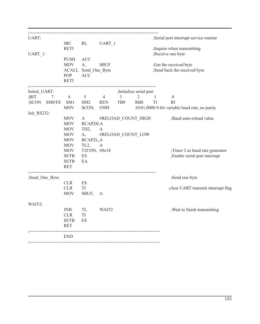| <b>UART:</b><br>$UART_1$ :          | <b>JBC</b><br><b>RETI</b><br>PUSH<br>MOV<br>POP                                                  | <b>ACC</b><br>A,<br>ACALL Send One Byte<br><b>ACC</b>                                                       | RI, UART 1<br><b>SBUF</b> |                                         |                | ;Serial port interrupt service routine<br>;Inquire when transmitting<br>;Receive one byte<br>;Get the received byte<br>;Send back the received byte |
|-------------------------------------|--------------------------------------------------------------------------------------------------|-------------------------------------------------------------------------------------------------------------|---------------------------|-----------------------------------------|----------------|-----------------------------------------------------------------------------------------------------------------------------------------------------|
|                                     | <b>RETI</b>                                                                                      |                                                                                                             |                           |                                         |                |                                                                                                                                                     |
| Initial_UART:                       |                                                                                                  |                                                                                                             |                           | Initialize serial port                  |                |                                                                                                                                                     |
| ; $\operatorname{BIT}$<br>7         | $6 \qquad 5 \qquad 4 \qquad 3$                                                                   |                                                                                                             |                           | $\overline{2}$                          | $\overline{1}$ | $\overline{0}$                                                                                                                                      |
| ;SCON SM0/FE SM1 SM2 REN TB8 RB8 TI |                                                                                                  |                                                                                                             |                           |                                         |                | <sup>RI</sup>                                                                                                                                       |
| Init RS232:                         | MOV                                                                                              |                                                                                                             | SCON, #50H                |                                         |                | ;0101,0000 8-bit variable baud rate, no parity                                                                                                      |
|                                     | <b>MOV</b><br>MOV<br>MOV<br>MOV<br>MOV<br>MOV<br>MOV<br><b>SETB</b><br><b>SETB</b><br><b>RET</b> | $A \quad \text{or}$<br>RCAP2H,A<br>TH <sub>2</sub><br>A,<br>RCAP2L, A<br>TL2, A<br>T2CON, #0x34<br>ES<br>EA | $\mathbf{A}$              | #RELOAD_COUNT_HIGH<br>#RELOAD_COUNT_LOW |                | ;Baud auto-reload value<br>;Timer 2 as baud rate generator<br>;Enable serial port interrupt                                                         |
| ;Send One Byte:                     |                                                                                                  |                                                                                                             |                           |                                         |                | ;Send one byte                                                                                                                                      |
|                                     | <b>CLR</b><br><b>CLR</b><br>MOV                                                                  | ES<br><b>TI</b><br>SBUF, A                                                                                  |                           |                                         |                | ;clear UART transmit interrupt flag                                                                                                                 |
| WAIT2:                              |                                                                                                  |                                                                                                             |                           |                                         |                |                                                                                                                                                     |
|                                     | JNB<br><b>CLR</b><br><b>SETB</b><br>RET                                                          | TI.<br><b>TI</b><br>ES                                                                                      | WAIT2                     |                                         |                | ; Wait to finish transmitting                                                                                                                       |
|                                     | <b>END</b>                                                                                       |                                                                                                             |                           |                                         |                |                                                                                                                                                     |
|                                     |                                                                                                  |                                                                                                             |                           |                                         |                |                                                                                                                                                     |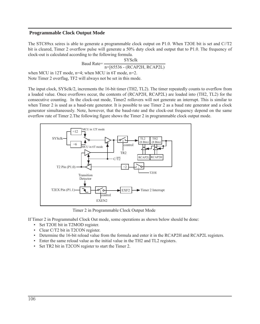### **Programmable Clock Output Mode**

The STC89xx seires is able to generate a programmable clock output on P1.0. When T2OE bit is set and C//T2 bit is cleared, Timer 2 overflow pulse will generate a 50% duty clock and output that to P1.0. The frequency of clock-out is calculated according to the following formula.

391

\nBad Rate = 
$$
\frac{SYSc1k}{n \times [65536 - (RCAP2H, RCAP2L))}
$$

\nWhen MCIJ in 12T mode, n=4: when MCIJ in 6T mode, n=2

when MCU in 12T mode, n=4; when MCU in 6T mode, n=2. Note Timer 2 overflag, TF2 will always not be set in this mode.

The input clock, SYSclk/2, increments the 16-bit timer (TH2, TL2). The timer repeatedly counts to overflow from a loaded value. Once overflows occur, the contents of (RCAP2H, RCAP2L) are loaded into (TH2, TL2) for the consecutive counting. In the clock-out mode, Timer2 rollovers will not generate an interrupt. This is similar to when Timer 2 is used as a baud-rate generator. It is possible to use Timer 2 as a baud rate generator and a clock generator simultaneously. Note, however, that the baud-rate and the clock-out frequency depend on the same overflow rate of Timer 2.The following figure shows the Timer 2 in programmable clock output mode.



Timer 2 in Programmable Clock Output Mode

If Timer 2 in Programmabel Clock Out mode, some operations as shown below should be done:

- Set T2OE bit in T2MOD register.
- Clear C/T2 bit in T2CON register.
- Determine the 16-bit reload value from the formula and enter it in the RCAP2H and RCAP2L registers.
- Enter the same reload value as the initial value in the TH2 and TL2 registers.
- Set TR2 bit in T2CON register to start the Timer 2.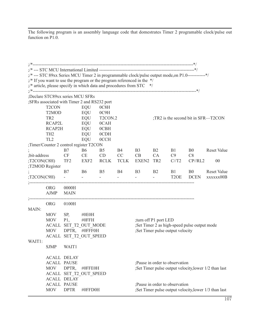The following program is an assembly language code that domestrates Timer 2 programable clock/pulse out function on P1.0.

|                     |                    |                                              |                    |                                 |             |                                                                        |                                  |                   | :/* --- STC 89xx Series MCU Timer 2 in programmable clock/pulse output mode, on P1.0------------*/ |                                                       |
|---------------------|--------------------|----------------------------------------------|--------------------|---------------------------------|-------------|------------------------------------------------------------------------|----------------------------------|-------------------|----------------------------------------------------------------------------------------------------|-------------------------------------------------------|
|                     |                    |                                              |                    |                                 |             | ;/* If you want to use the program or the program referenced in the */ |                                  |                   |                                                                                                    |                                                       |
|                     |                    |                                              |                    |                                 |             | ;/* article, please specify in which data and procedures from STC */   |                                  |                   |                                                                                                    |                                                       |
|                     |                    |                                              |                    |                                 |             |                                                                        |                                  |                   |                                                                                                    |                                                       |
|                     |                    | ;Declare STC89xx series MCU SFRs             |                    |                                 |             |                                                                        |                                  |                   |                                                                                                    |                                                       |
|                     |                    | ;SFRs associated with Timer 2 and RS232 port |                    |                                 |             |                                                                        |                                  |                   |                                                                                                    |                                                       |
|                     | T <sub>2</sub> CON |                                              | EQU                | 0C8H                            |             |                                                                        |                                  |                   |                                                                                                    |                                                       |
|                     | T <sub>2</sub> MOD |                                              | <b>EQU</b>         | 0C9H                            |             |                                                                        |                                  |                   |                                                                                                    |                                                       |
|                     | TR <sub>2</sub>    |                                              | EQU                | T <sub>2</sub> CON <sub>2</sub> |             |                                                                        |                                  |                   |                                                                                                    | ;TR2 is the second bit in SFR-T2CON                   |
|                     | RCAP2L             |                                              | <b>EQU</b>         | 0CAH                            |             |                                                                        |                                  |                   |                                                                                                    |                                                       |
|                     | RCAP2H             |                                              | EQU                | $0$ CBH                         |             |                                                                        |                                  |                   |                                                                                                    |                                                       |
|                     | TH <sub>2</sub>    |                                              | EQU                | 0CDH                            |             |                                                                        |                                  |                   |                                                                                                    |                                                       |
|                     | TL <sub>2</sub>    |                                              | EQU                | 0CCH                            |             |                                                                        |                                  |                   |                                                                                                    |                                                       |
|                     |                    | ;Timer/Counter 2 control register T2CON      |                    |                                 |             |                                                                        |                                  |                   |                                                                                                    |                                                       |
|                     |                    | B7                                           | <b>B6</b>          | B <sub>5</sub>                  | <b>B4</b>   | B <sub>3</sub>                                                         | B <sub>2</sub>                   | B1                | B <sub>0</sub>                                                                                     | <b>Reset Value</b>                                    |
| ;bit-address        |                    | CF                                           | CE                 | CD                              | CC          | CB                                                                     | CA                               | C9                | C8                                                                                                 |                                                       |
| ;T2CON(C8H)         |                    | TF <sub>2</sub>                              | EXF2               | RCLK                            | <b>TCLK</b> | EXEN2 TR2                                                              |                                  | $C/\sqrt{T2}$     | CP/RL2                                                                                             | 00                                                    |
|                     | ;T2MOD Register    |                                              |                    |                                 |             |                                                                        |                                  |                   |                                                                                                    |                                                       |
|                     |                    | B7                                           | <b>B6</b>          | B <sub>5</sub>                  | <b>B4</b>   | B <sub>3</sub>                                                         | B <sub>2</sub>                   | B1                | B <sub>0</sub>                                                                                     | <b>Reset Value</b>                                    |
| T2CON(C9H)          |                    | $\sim$                                       | $\mathbf{r}$       | $\mathcal{L}^{\mathcal{L}}$     | ÷.          | $\mathcal{L}^{\mathcal{L}}$                                            | $\mathcal{L}^{\text{max}}$       | T <sub>2</sub> OE | <b>DCEN</b>                                                                                        | xxxxxx00B                                             |
|                     |                    |                                              |                    |                                 |             |                                                                        |                                  |                   |                                                                                                    |                                                       |
|                     | ORG.               | 0000H                                        |                    |                                 |             |                                                                        |                                  |                   |                                                                                                    |                                                       |
|                     | <b>AJMP</b>        | <b>MAIN</b>                                  |                    |                                 |             |                                                                        |                                  |                   |                                                                                                    |                                                       |
|                     |                    |                                              |                    |                                 |             |                                                                        |                                  |                   |                                                                                                    |                                                       |
|                     | ORG                | 0100H                                        |                    |                                 |             |                                                                        |                                  |                   |                                                                                                    |                                                       |
| MAIN:               | <b>MOV</b>         |                                              |                    |                                 |             |                                                                        |                                  |                   |                                                                                                    |                                                       |
|                     | <b>MOV</b>         | SP,<br>P1.                                   | #0E0H<br>$\#$ OFFH |                                 |             |                                                                        |                                  |                   |                                                                                                    |                                                       |
|                     |                    | ACALL SET T2 OUT MODE                        |                    |                                 |             | ;turn off P1 port LED<br>;Set Timer 2 as high-speed pulse output mode  |                                  |                   |                                                                                                    |                                                       |
|                     | <b>MOV</b>         | DPTR.                                        | #0FFF0H            |                                 |             |                                                                        | ;Set Timer pulse output velocity |                   |                                                                                                    |                                                       |
|                     |                    | ACALL SET_T2_OUT_SPEED                       |                    |                                 |             |                                                                        |                                  |                   |                                                                                                    |                                                       |
| WAIT <sub>1</sub> : |                    |                                              |                    |                                 |             |                                                                        |                                  |                   |                                                                                                    |                                                       |
|                     | <b>SJMP</b>        | WAIT1                                        |                    |                                 |             |                                                                        |                                  |                   |                                                                                                    |                                                       |
|                     |                    |                                              |                    |                                 |             |                                                                        |                                  |                   |                                                                                                    |                                                       |
|                     |                    | ACALL DELAY                                  |                    |                                 |             |                                                                        |                                  |                   |                                                                                                    |                                                       |
|                     |                    | <b>ACALL PAUSE</b>                           |                    |                                 |             |                                                                        | ;Pause in order to observation   |                   |                                                                                                    |                                                       |
|                     | <b>MOV</b>         | DPTR,                                        | #0FFE0H            |                                 |             |                                                                        |                                  |                   |                                                                                                    | ;Set Timer pulse output velocity, lower 1/2 than last |
|                     |                    | ACALL SET T2 OUT SPEED                       |                    |                                 |             |                                                                        |                                  |                   |                                                                                                    |                                                       |
|                     |                    | <b>ACALL DELAY</b>                           |                    |                                 |             |                                                                        |                                  |                   |                                                                                                    |                                                       |
|                     |                    | <b>ACALL PAUSE</b>                           |                    |                                 |             |                                                                        | ;Pause in order to observation   |                   |                                                                                                    |                                                       |
|                     | MOV                | <b>DPTR</b>                                  | #0FFD0H            |                                 |             |                                                                        |                                  |                   |                                                                                                    | ;Set Timer pulse output velocity, lower 1/3 than last |
|                     |                    |                                              |                    |                                 |             |                                                                        |                                  |                   |                                                                                                    |                                                       |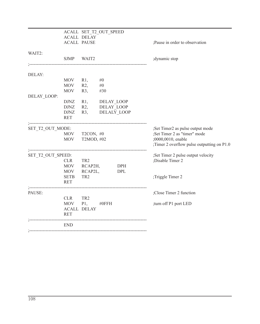|                   | <b>ACALL PAUSE</b>               | <b>ACALL DELAY</b>                | ACALL SET_T2_OUT_SPEED                                                                       |  | ;Pause in order to observation                                                                                                       |
|-------------------|----------------------------------|-----------------------------------|----------------------------------------------------------------------------------------------|--|--------------------------------------------------------------------------------------------------------------------------------------|
| WAIT2:            | SJMP WAIT2                       |                                   |                                                                                              |  | ;dynamic stop                                                                                                                        |
| DELAY:            |                                  |                                   |                                                                                              |  |                                                                                                                                      |
|                   | MOV R3,                          | MOV R1,<br>MOV R2,                | $\#0$<br>#0<br>#30                                                                           |  |                                                                                                                                      |
| DELAY_LOOP:       | <b>RET</b>                       |                                   | DJNZ R1, DELAY_LOOP<br>DJNZ R2, DELAY_LOOP<br>$DJNZ$ R3, $DELAL\overline{Y}$ <sub>LOOP</sub> |  |                                                                                                                                      |
| SET T2 OUT MODE:  |                                  | MOV T2CON, $#0$<br>MOV T2MOD, #02 |                                                                                              |  | ;Set Timer2 as pulse output mode<br>;Set Timer 2 as "timer" mode<br>;0000,0010, enable<br>;Timer 2 overflow pulse outputting on P1.0 |
| SET T2 OUT SPEED: | <b>CLR</b>                       | TR <sub>2</sub>                   | MOV RCAP2H, DPH<br>MOV RCAP2L, DPL                                                           |  | ;Set Timer 2 pulse output velocity<br>;Disable Timer 2                                                                               |
|                   | <b>SETB</b><br><b>RET</b>        | TR <sub>2</sub>                   |                                                                                              |  | ;Triggle Timer 2                                                                                                                     |
| PAUSE:            | CLR TR2                          |                                   |                                                                                              |  | ;Close Timer 2 function                                                                                                              |
|                   | <b>ACALL DELAY</b><br><b>RET</b> | $MOV$ P1, #0FFH                   |                                                                                              |  | ;turn off P1 port LED                                                                                                                |
|                   | <b>END</b>                       |                                   |                                                                                              |  |                                                                                                                                      |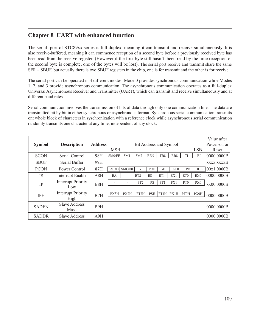# **Chapter 8 UART with enhanced function**

The serial port of STC89xx series is full duplex, meaning it can transmit and receive simultaneously. It is also receive-buffered, meaning it can commence reception of a second byte before a previously received byte has been read from the reeeive register. (However,if the first byte still hasn't been read by the time reception of the second byte is complete, one of the bytes will be lost). The serial port receive and transmit share the same SFR – SBUF, but actually there is two SBUF registers in the chip, one is for transmit and the other is for receive.

The serial port can be operated in 4 different modes: Mode 0 provides synchronous communication while Modes 1, 2, and 3 provide asynchronous communication. The asynchronous communication operates as a full-duplex Universal Asynchronous Receiver and Transmitter (UART), which can transmit and receive simultaneously and at different baud rates.

Serial communiction involves the transimission of bits of data through only one communication line. The data are transimitted bit by bit in either synchronous or asynchronous format. Synchronous serial communication transmits ont whole block of characters in syschronization with a reference clock while asynchronous serial communication randomly transmits one character at any time, independent of any clock.

|               |                      |                |                   |                 |                 |                        |      |                 |                 |                 | Value after |
|---------------|----------------------|----------------|-------------------|-----------------|-----------------|------------------------|------|-----------------|-----------------|-----------------|-------------|
| <b>Symbol</b> | <b>Description</b>   | <b>Address</b> |                   |                 |                 | Bit Address and Symbol |      |                 |                 |                 | Power-on or |
|               |                      |                | <b>MSB</b>        |                 |                 |                        |      |                 |                 | LSB             | Reset       |
| <b>SCON</b>   | Serial Control       | 98H            | SM0/FE            | SM <sub>1</sub> | SM <sub>2</sub> | <b>REN</b>             | TB8  | RB8             | TI              | <b>RI</b>       | 0000 0000B  |
| <b>SBUF</b>   | Serial Buffer        | 99H            |                   |                 |                 |                        |      |                 |                 |                 | xxxx xxxxB  |
| <b>PCON</b>   | Power Control        | 87H            | SMOD <sup>1</sup> | SMOD0           | ٠               | POF                    | GF1  | GF <sub>0</sub> | <b>PD</b>       | <b>IDL</b>      | 00x10000B   |
| IE            | Interrupt Enable     | A8H            | EA                | ۰               | ET <sub>2</sub> | <b>ES</b>              | ET1  | EX1             | ET <sub>0</sub> | EX <sub>0</sub> | 0000 0000B  |
| IP            | Interrupt Priority   | B8H            |                   | ٠               | PT <sub>2</sub> | <b>PS</b>              | PT1  | PX1             | PT <sub>0</sub> | PX <sub>0</sub> | xx00 0000B  |
|               | Low                  |                |                   |                 |                 |                        |      |                 |                 |                 |             |
| <b>IPH</b>    | Interrupt Priority   | B7H            | PX3H              | PX2H            | PT2H            | <b>PSH</b>             | PT1H | PX1H            | <b>PT0H</b>     | <b>PX0H</b>     | 0000 0000B  |
|               | High                 |                |                   |                 |                 |                        |      |                 |                 |                 |             |
| <b>SADEN</b>  | <b>Slave Address</b> | B9H            |                   |                 |                 |                        |      |                 |                 |                 | 0000 0000B  |
|               | Mask                 |                |                   |                 |                 |                        |      |                 |                 |                 |             |
| <b>SADDR</b>  | Slave Address        | A9H            |                   |                 |                 |                        |      |                 |                 |                 | 0000 0000B  |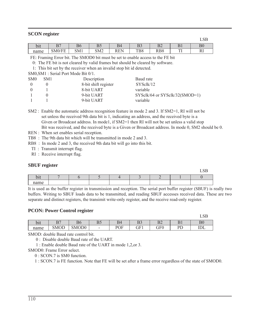| <b>DUUN TEGISIEI</b>   |                                                                                                                                                                                                                                              |                      |           |            |                |                  |                |                |  |
|------------------------|----------------------------------------------------------------------------------------------------------------------------------------------------------------------------------------------------------------------------------------------|----------------------|-----------|------------|----------------|------------------|----------------|----------------|--|
|                        |                                                                                                                                                                                                                                              |                      |           |            |                |                  |                | <b>LSB</b>     |  |
| bit                    | B7                                                                                                                                                                                                                                           | <b>B6</b>            | <b>B5</b> | <b>B4</b>  | B <sub>3</sub> | B <sub>2</sub>   | B <sub>1</sub> | B <sub>0</sub> |  |
| name                   | SM0/FE                                                                                                                                                                                                                                       | SM <sub>1</sub>      | SM2       | <b>REN</b> | TB8            | R <sub>B</sub> 8 | TI             | RI             |  |
|                        | FE: Framing Error bit. The SMOD0 bit must be set to enable access to the FE bit.<br>0: The FE bit is not cleared by valid frames but should be cleared by software.<br>1. This bit set by the receiver when an invalid stop bit id detected. |                      |           |            |                |                  |                |                |  |
|                        | SM0, SM1 : Serial Port Mode Bit 0/1.                                                                                                                                                                                                         |                      |           |            |                |                  |                |                |  |
| SM0<br>SM <sub>1</sub> | Description<br>Baud rate                                                                                                                                                                                                                     |                      |           |            |                |                  |                |                |  |
| $\theta$<br>$\theta$   |                                                                                                                                                                                                                                              | 8-bit shift register |           |            | SYSclk/12      |                  |                |                |  |
| $\Omega$               |                                                                                                                                                                                                                                              | 8-bit UART           |           |            | variable       |                  |                |                |  |

1 0 9-bit UART SYSclk/64 or SYSclk/32(SMOD=1)

SM2 : Enable the automatic address recognition feature in mode 2 and 3. If SM2=1, RI will not be set unless the received 9th data bit is 1, indicating an address, and the received byte is a Given or Broadcast address. In mode1, if SM2=1 then RI will not be set unless a valid stop Bit was received, and the received byte is a Given or Broadcast address. In mode 0, SM2 should be 0.

- REN : When set enables serial reception.
- TB8 : The 9th data bit which will be transmitted in mode 2 and 3.
- RB8 : In mode 2 and 3, the received 9th data bit will go into this bit.

1 1 9-bit UART variable

- TI : Transmit interrupt flag.
- RI : Receive interrupt flag.

#### **SBUF register**

**SCON register** 

| $-$     |  |  |  |  |
|---------|--|--|--|--|
|         |  |  |  |  |
| $nam$ e |  |  |  |  |

It is used as the buffer register in transmission and reception. The serial port buffer register (SBUF) is really two buffers. Writing to SBUF loads data to be transmitted, and reading SBUF accesses received data. These are two separate and distinct registers, the transimit write-only register, and the receive read-only register.

#### **PCON: Power Control register**

|      |             | $\sim$    |                          |     |     |                     |         | $\sim$ $\sim$<br>∟ാവ |
|------|-------------|-----------|--------------------------|-----|-----|---------------------|---------|----------------------|
| bit  | D7          | <b>B6</b> | ມຸ                       | D4  | ມ   | D <sub>2</sub><br>◡ | DΙ      |                      |
| name | <b>SMOD</b> | SMOD0     | $\overline{\phantom{0}}$ | POF | GF1 | GF0                 | DD<br>◡ | <b>IDI</b><br>IDL    |

SMOD: double Baud rate control bit.

0 : Disable double Baud rate of the UART.

1 : Enable double Baud rate of the UART in mode 1,2,or 3.

SMOD0: Frame Error select.

0 : SCON.7 is SM0 function.

1 : SCON.7 is FE function. Note that FE will be set after a frame error regardless of the state of SMOD0.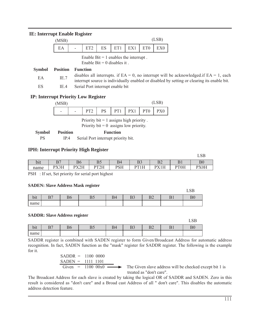## **IE: Interrupt Enable Rsgister**

|               | (MSB)           |                                                                          |                                                                                                                                                                                            |    |     |     |                 | (LSB)           |  |
|---------------|-----------------|--------------------------------------------------------------------------|--------------------------------------------------------------------------------------------------------------------------------------------------------------------------------------------|----|-----|-----|-----------------|-----------------|--|
|               | EA              | $\overline{\phantom{a}}$                                                 | ET <sub>2</sub>                                                                                                                                                                            | ES | ET1 | EX1 | ET <sub>0</sub> | EX <sub>0</sub> |  |
|               |                 | Enable Bit $= 1$ enables the interrupt.<br>Enable Bit $= 0$ disables it. |                                                                                                                                                                                            |    |     |     |                 |                 |  |
| <b>Symbol</b> | <b>Position</b> |                                                                          | <b>Function</b>                                                                                                                                                                            |    |     |     |                 |                 |  |
| EA            | IE.7            |                                                                          | disables all interrupts. if $EA = 0$ , no interrupt will be acknowledged if $EA = 1$ , each<br>interrupt source is individually enabled or disabled by setting or clearing its enable bit. |    |     |     |                 |                 |  |
| ES            | IE.4            |                                                                          | Serial Port interrupt enable bit                                                                                                                                                           |    |     |     |                 |                 |  |
|               |                 |                                                                          |                                                                                                                                                                                            |    |     |     |                 |                 |  |

## **IP: Interrupt Priority Low Register**

| $\overline{\phantom{a}}$<br>٠<br>$\overline{\phantom{a}}$ |  | PT <sub>2</sub> | PS | PT1 | PX1 | T0 | X0 |
|-----------------------------------------------------------|--|-----------------|----|-----|-----|----|----|

Priority  $bit = 1$  assigns high priority. Priority bit  $= 0$  assigns low priority.

| Symbol    | <b>Position</b> | <b>Function</b>                     |
|-----------|-----------------|-------------------------------------|
| <b>PS</b> | IP.4            | Serial Port interrupt priority bit. |

#### **IPH: Interrupt Priority High Register**

|            |                     |           |      |                    |                      |                                                   |      | T CT<br><b>LOD</b> |
|------------|---------------------|-----------|------|--------------------|----------------------|---------------------------------------------------|------|--------------------|
| . .<br>bit | D7                  | <b>B6</b> | ມມ   | B <sub>4</sub>     | D <sub>2</sub><br>ມມ | ມ∠                                                |      | B <sub>0</sub>     |
| name       | NTI<br>$5.23$ J I I | PX2H      | PT2H | DCII<br><b>DII</b> | 1T<br><b>TTTT</b>    | $\mathbf{N}$ $\mathbf{V}$ 1 $\mathbf{I}$<br>----- | PT0H | PX0H               |

PSH : If set, Set priority for serial port highest

#### **SADEN: Slave Address Mask register**

|                       |                              |    |                         |    |               |                    | CD<br><b>LOD</b> |
|-----------------------|------------------------------|----|-------------------------|----|---------------|--------------------|------------------|
| $\blacksquare$<br>bit | $\mathbf{D}$ $\mathbf{\tau}$ | Dυ | $\mathbf{D} \mathbf{C}$ | 54 | $\mathbf{D}'$ | $\mathbf{D}$<br>ມ∠ |                  |
| name                  |                              |    |                         |    |               |                    |                  |

#### **SADDR: Slave Address register**

|                                         |                              |                    |          |           |                |                     | $\cap$ $\Gamma$<br><b>LOD</b> |
|-----------------------------------------|------------------------------|--------------------|----------|-----------|----------------|---------------------|-------------------------------|
| <b>CALL ROUNDED</b><br>b <sub>1</sub> t | $\mathbf{D}$ $\mathbf{\tau}$ | $\mathbf{D}$<br>DО | $D\zeta$ | <b>B4</b> | D <sub>2</sub> | D <sub>2</sub><br>◡ | B <sub>0</sub>                |
| name                                    |                              |                    |          |           |                |                     |                               |

SADDR register is combined with SADEN register to form Given/Broadcast Address for automatic address recognition. In fact, SADEN function as the "mask" register for SADDR register. The following is the example for it.

SADDR = 
$$
1100\,0000
$$

\nSADEN =  $1111\,1101$ 

\nGiven =  $1100\,00x0$ 

\nThe Given slave address will be checked except bit 1 is treated as "don't care".

The Broadcast Address for each slave is created by taking the logical OR of SADDR and SADEN. Zero in this result is considered as "don't care" and a Broad cast Address of all " don't care". This disables the automatic address detection feature.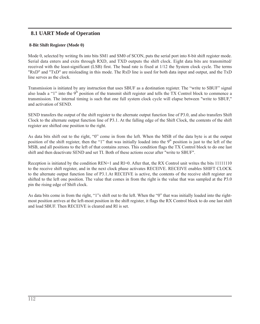# **8.1 UART Mode of Operation**

#### **8-Bit Shift Register (Mode 0)**

Mode 0, selected by writing 0s into bits SM1 and SM0 of SCON, puts the serial port into 8-bit shift register mode. Serial data enters and exits through RXD, and TXD outputs the shift clock. Eight data bits are transmitted/ received with the least-significant (LSB) first. The baud rate is fixed at 1/12 the System clock cycle. The terms "RxD" and "TxD" are misleading in this mode. The RxD line is used for both data input and output, and the TxD line serves as the clock.

Transmission is initiated by any instruction that uses SBUF as a destination register. The "write to SBUF" signal also loads a "1" into the 9<sup>th</sup> position of the transmit shift register and tells the TX Control block to commence a transmission. The internal timing is such that one full system clock cycle will elapse between "write to SBUF," and activation of SEND.

SEND transfers the output of the shift register to the alternate output function line of P3.0, and also transfers Shift Clock to the alternate output function line of P3.1. At the falling edge of the Shift Clock, the contents of the shift register are shifted one position to the right.

As data bits shift out to the right, "0" come in from the left. When the MSB of the data byte is at the output position of the shift register, then the "1" that was initially loaded into the  $9<sup>th</sup>$  position is just to the left of the MSB, and all positions to the left of that contains zeroes. This condition flags the TX Control block to do one last shift and then deactivate SEND and set TI. Both of these actions occur after "write to SBUF".

Reception is initiated by the condition REN=1 and RI=0. After that, the RX Control unit writes the bits 11111110 to the receive shift register, and in the next clock phase activates RECEIVE. RECEIVE enables SHIFT CLOCK to the alternate output function line of P3.1.At RECEIVE is active, the contents of the receive shift register are shifted to the left one position. The value that comes in from the right is the value that was sampled at the P3.0 pin the rising edge of Shift clock.

As data bits come in from the right, "1"s shift out to the left. When the "0" that was initially loaded into the rightmost position arrives at the left-most position in the shift register, it flags the RX Control block to do one last shift and load SBUF. Then RECEIVE is cleared and RI is set.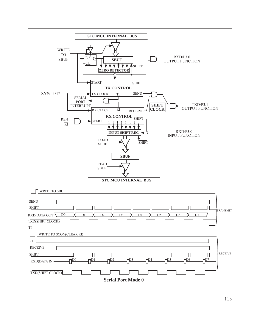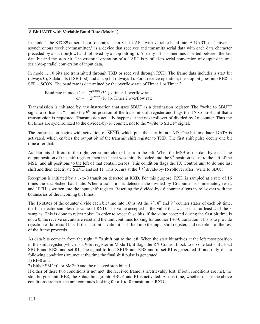#### **8-Bit UART with Variable Baud Rate (Mode 1)**

In mode 1 the STC89xx serial port operates as an 8-bit UART with variable baud rate. A UART, or "universal asynchronous receiver/transmitter," is a device that receives and transmits serial data with each data character preceded by a start bit(low) and followed by a stop bit(high). A parity bit is sometimes inserted between the last data bit and the stop bit. The essential operation of a UART is parallel-to-serial conversion of output data and serial-to-parallel conversion of input data.

In mode 1, 10 bits are transmitted through TXD or received through RXD. The frame data includes a start bit (always 0), 8 data bits (LSB first) and a stop bit (always 1). For a receive operation, the stop bit goes into RB8 in SFR – SCON. The baud rate is determined by the overflow rate of Timer 1 or Timer 2 .

Baud rate in mode  $1 = (2^{SMOD}/32)$  x timer 1 overflow rate or =  $(2^{SMOD}/16)$  x Timer 2 overflow rate

Transmission is initiated by any instruction that uses SBUF as a destination register. The "write to SBUF" signal also loads a "1" into the  $9<sup>th</sup>$  bit position of the transmit shift register and flags the TX Control unit that a transmission is requested. Transmission actually happens at the next rollover of divided-by-16 counter. Thus the bit times are synchronized to the divided-by-16 counter, not to the "write to SBUF" signal.

The transmission begins with activation of  $\overline{SED}$ , which puts the start bit at TXD. One bit time later, DATA is activated, which enables the output bit of the transmit shift register to TXD. The first shift pulse occurs one bit time after that.

As data bits shift out to the right, zeroes are clocked in from the left. When the MSB of the data byte is at the output position of the shift register, then the 1 that was initially loaded into the  $9<sup>th</sup>$  position is just to the left of the MSB, and all positions to the left of that contain zeroes. This condition flags the TX Control unit to do one last shift and then deactivate  $\overline{\text{SEND}}$  and set TI. This occurs at the  $10^{th}$  divide-by-16 rollover after "write to SBUF."

Reception is initiated by a 1-to-0 transition detected at RXD. For this purpose, RXD is sampled at a rate of 16 times the established baud rate. When a transition is detected, the divided-by-16 counter is immediately reset, and 1FFH is written into the input shift register. Resetting the divided-by-16 counter aligns its roll-overs with the boundaries of the incoming bit times.

The 16 states of the counter divide each bit time into 16ths. At the  $7<sup>th</sup>$ ,  $8<sup>th</sup>$  and  $9<sup>th</sup>$  counter states of each bit time, the bit detector samples the value of RXD. The value accepted is the value that was seen in at least 2 of the 3 samples. This is done to reject noise. In order to reject false bits, if the value accepted during the first bit time is not a 0, the receive circuits are reset and the unit continues looking for another 1-to-0 transition. This is to provide rejection of false start bits. If the start bit is valid, it is shifted into the input shift register, and reception of the rest of the frame proceeds.

As data bits come in from the right, "1"s shift out to the left. When the start bit arrives at the left most position in the shift register,(which is a 9-bit register in Mode 1), it flags the RX Control block to do one last shift, load SBUF and RB8, and set RI. The signal to load SBUF and RB8 and to set RI is generated if, and only if, the following conditions are met at the time the final shift pulse is generated.

1)  $RI=0$  and

2) Either SM2=0, or SM2=0 and the received stop bit  $= 1$ 

If either of these two conditions is not met, the received frame is irretrievably lost. If both conditions are met, the stop bit goes into RB8, the 8 data bits go into SBUF, and RI is activated. At this time, whether or not the above conditions are met, the unit continues looking for a 1-to-0 transition in RXD.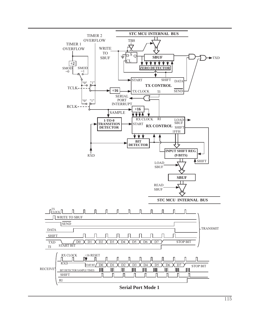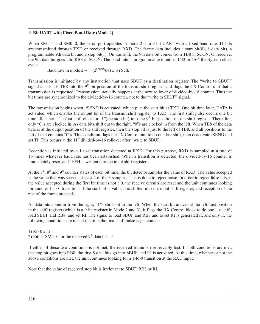#### **9-Bit UART with Fixed Baud Rate (Mode 2)**

When SM1=1 and SM0=0, the serial port operates in mode 2 as a 9-bit UART with a fixed baud rate. 11 bits are transmitted through TXD or received through RXD. The frame data includes a start bit(0), 8 data bits, a programmable 9th data bit and a stop bit(1). On transmit, the 9th data bit comes from TB8 in SCON. On receive, the 9th data bit goes into RB8 in SCON. The baud rate is programmable to either 1/32 or 1/64 the System clock cycle.

Baud rate in mode  $2 = (2^{SMOD}/64) \times$  SYSclk

Transmission is initiated by any instruction that uses SBUF as a destination register. The "write to SBUF" signal also loads TB8 into the 9<sup>th</sup> bit position of the transmit shift register and flags the TX Control unit that a transmission is requested. Transmission actually happens at the next rollover of divided-by-16 counter. Thus the bit times are synchronized to the divided-by-16 counter, not to the "write to SBUF" signal.

The transmission begins when /SEND is activated, which puts the start bit at TXD. One bit time later, DATA is activated, which enables the output bit of the transmit shift register to TXD. The first shift pulse occurs one bit time after that. The first shift clocks a "1"(the stop bit) into the 9<sup>th</sup> bit position on the shift register. Thereafter, only "0"s are clocked in. As data bits shift out to the right, "0"s are clocked in from the left. When TB8 of the data byte is at the output position of the shift register, then the stop bit is just to the left of TB8, and all positions to the left of that contains "0"s. This condition flags the TX Control unit to do one last shift, then deactivate /SEND and set TI. This occurs at the  $11<sup>th</sup>$  divided-by-16 rollover after "write to SBUF".

Reception is initiated by a 1-to-0 transition detected at RXD. For this purpose, RXD is sampled at a rate of 16 times whatever baud rate has been estabished. When a transition is detected, the divided-by-16 counter is immediately reset, and 1FFH is written into the input shift register.

At the  $7<sup>th</sup>$ ,  $8<sup>th</sup>$  and  $9<sup>th</sup>$  counter states of each bit time, the bit detector samples the value of RXD. The value accepted is the value that was seen in at least 2 of the 3 samples. This is done to reject noise. In order to reject false bits, if the value accepted during the first bit time is not a 0, the receive circuits are reset and the unit continues looking for another 1-to-0 transition. If the start bit is valid, it is shifted into the input shift register, and reception of the rest of the frame proceeds.

As data bits come in from the right, "1"s shift out to the left. When the start bit arrives at the leftmost position in the shift register,(which is a 9-bit register in Mode-2 and 3), it flags the RX Control block to do one last shift, load SBUF and RB8, and set RI. The signal to load SBUF and RB8 and to set RI is generated if, and only if, the following conditions are met at the time the final shift pulse is generated.:

1)  $RI=0$  and 2) Either SM2=0, or the received  $9<sup>th</sup>$  data bit = 1

If either of these two conditions is not met, the received frame is irretrievably lost. If both conditions are met, the stop bit goes into RB8, the first 8 data bits go into SBUF, and RI is activated. At this time, whether or not the above conditions are met, the unit continues looking for a 1-to-0 transition at the RXD input.

Note that the value of received stop bit is irrelevant to SBUF, RB8 or RI.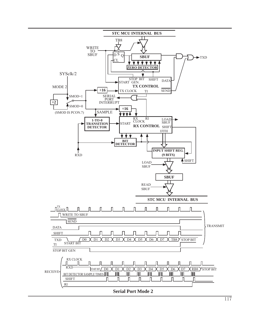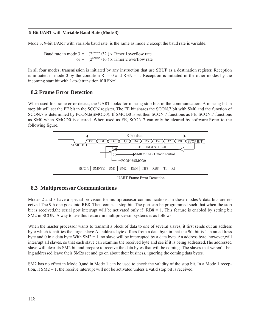#### **9-Bit UART with Variable Baud Rate (Mode 3)**

Mode 3, 9-bit UART with variable baud rate, is the same as mode 2 except the baud rate is variable.

Baud rate in mode  $3 = (2^{SMOD}/32)$  x Timer 1 overflow rate or =  $(2^{SMOD}/16)$  x Timer 2 overflow rate

In all four modes, transmission is initiated by any instruction that use SBUF as a destination register. Reception is initiated in mode 0 by the condition  $RI = 0$  and  $REN = 1$ . Reception is initiated in the other modes by the incoming start bit with 1-to-0 transition if REN=1.

# **8.2 Frame Error Detection**

When used for frame error detect, the UART looks for missing stop bits in the communication. A missing bit in stop bit will set the FE bit in the SCON register. The FE bit shares the SCON.7 bit with SM0 and the function of SCON.7 is determined by PCON.6(SMOD0). If SMOD0 is set then SCON.7 functions as FE. SCON.7 functions as SM0 when SMOD0 is cleared. When used as FE, SCON.7 can only be cleared by software.Refer to the following figure.



UART Frame Error Detection

# **8.3 Multiprocessor Communications**

Modes 2 and 3 have a special provision for multiproceasor communications. In these modes 9 data bits are received.The 9th one goes into RB8. Then comes a stop bit. The port can be programmed such that when the stop bit is received,the serial port interrupt will be activated only if RB8 = 1. This feature is enabled by setting bit SM2 in SCON. A way to use this feature in multiprocessor systems is as follows.

When the master processor wants to transmit a block of data to one of several slaves, it first sends out an address byte which identifies the target slave.An address byte differs from a data byte in that the 9th bit is 1 in an address byte and 0 in a data byte.With SM2 = 1, no slave will be interrupted by a data byte. An address byte, however,will interrupt all slaves, so that each slave can examine the received byte and see if it is being addressed.The addressed slave will clear its SM2 bit and prepare to receive the data bytes that will be coming. The slaves that weren't being addressed leave their SM2s set and go on about their business, ignoring the coming data bytes.

SM2 has no effect in Mode 0, and in Mode 1 can be used to check the validity of the stop bit. In a Mode 1 reception, if SM2 = 1, the receive interrupt will not be activated unless a vatid stop bit is received.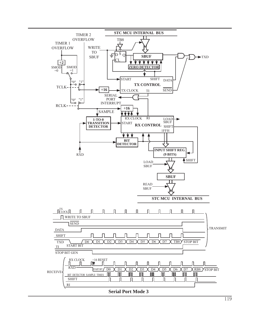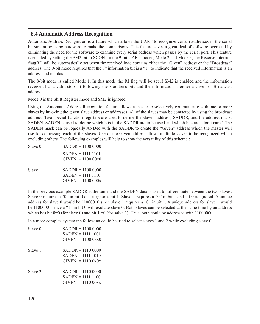# **8.4 Automatic Address Recognition**

Automatic Address Recognition is a future which allows the UART to recognize certain addresses in the serial bit stream by using hardware to make the comparisons. This feature saves a great deal of software overhead by eliminating the need for the software to examine every serial address which passes by the serial port. This feature is enabled by setting the SM2 bit in SCON. In the 9-bit UART modes, Mode 2 and Mode 3, the Receive interrupt flag(RI) will be automatically set when the received byte contains either the "Given" address or the "Broadcast" address. The 9-bit mode requires that the  $9<sup>th</sup>$  information bit is a "1" to indicate that the received information is an address and not data.

The 8-bit mode is called Mode 1. In this mode the RI flag will be set if SM2 is enabled and the information received has a valid stop bit following the 8 address bits and the information is either a Given or Broadcast address.

Mode 0 is the Shift Register mode and SM2 is ignored.

Using the Automatic Address Recognition feature allows a master to selectively communicate with one or more slaves by invoking the given slave address or addresses. All of the slaves may be contacted by using the broadcast address. Two special function registers are used to define the slave's address, SADDR, and the address mask, SADEN. SADEN is used to define which bits in the SADDR are to be used and which bits are "don't care". The SADEN mask can be logically ANDed with the SADDR to create the "Given" address which the master will use for addressing each of the slaves. Use of the Given address allows multiple slaves to be recognized which excluding others. The following examples will help to show the versatility of this scheme :

| Slave 0 | $SADDR = 11000000$                                             |
|---------|----------------------------------------------------------------|
|         | $SADEN = 111111101$<br>$GIVEN = 110000x0$                      |
| Slave 1 | $SADDR = 11000000$<br>$SADEN = 11111110$<br>$GIVEN = 1100000x$ |

In the previous example SADDR is the same and the SADEN data is used to differentiate between the two slaves. Slave 0 requires a "0" in bit 0 and it ignores bit 1. Slave 1 requires a "0" in bit 1 and bit 0 is ignored. A unique address for slave 0 would be 11000010 since slave 1 requires a "0" in bit 1. A unique address for slave 1 would be 11000001 since a "1" in bit 0 will exclude slave 0. Both slaves can be selected at the same time by an address which has bit  $0=0$  (for slave 0) and bit  $1=0$  (for salve 1). Thus, both could be addressed with 11000000.

In a more complex system the following could be used to select slaves 1 and 2 while excluding slave 0:

| Slave 0 | $SADDR = 11000000$<br>$SADEN = 11111001$<br>$GIVEN = 1100 0xx0$ |
|---------|-----------------------------------------------------------------|
| Slave 1 | $SADDR = 11100000$<br>$SADEN = 11111010$<br>$GIVEN = 11100x0x$  |
| Slave 2 | $SADDR = 11100000$<br>$SADEN = 11111100$<br>$GIVEN = 111000xx$  |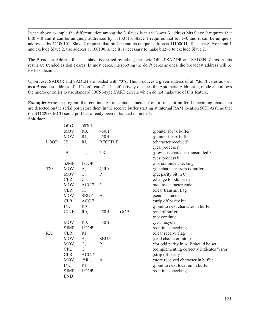In the above example the differentiation among the 3 slaves is in the lower 3 address bits.Slave 0 requires that bit0 = 0 and it can be uniquely addressed by 11100110. Slave 1 requires that bit 1=0 and it can be uniquely addressed by 11100101. Slave 2 requires that bit 2=0 and its unique address is 11100011. To select Salve 0 and 1 and exclude Slave 2, use address 11100100, since it is necessary to make bit2=1 to exclude Slave 2.

The Broadcast Address for each slave is created by taking the logic OR of SADDR and SADEN. Zeros in this result are trended as don't cares. In most cares, interpreting the don't cares as ones, the broadcast address will be FF hexadecimal.

Upon reset SADDR and SADEN are loaded with "0"s. This produces a given address of all "don't cares as well as a Broadcast address of all "don't cares". This effectively disables the Automatic Addressing mode and allows the microcontroller to use standard 80C51-type UART drivers which do not make use of this feature.

**Example:** write an program that continually transmits characters from a transmit buffer. If incoming characters are detected on the serial port, store them in the receive buffer starting at internal RAM location 50H. Assume that the STC89xx MCU serial port has already been initialized in mode 1. *Solution:*

| LOOP: | <b>ORG</b><br><b>MOV</b><br><b>MOV</b><br>JB | 0030H<br>$R0$ ,<br>$R1$ ,<br>RI, | #30H<br>#50H<br><b>RECEIVE</b> |             | pointer for tx buffer;<br>;pointer for rx buffer<br>; character received? |
|-------|----------------------------------------------|----------------------------------|--------------------------------|-------------|---------------------------------------------------------------------------|
|       | JB                                           | TI,                              | <b>TX</b>                      |             | ;yes: process it<br>;previous character transmitted ?<br>;yes: process it |
|       | <b>SJMP</b>                                  | <b>LOOP</b>                      |                                |             | ;no: continue checking                                                    |
| TX:   | <b>MOV</b>                                   | A,                               | $@{\rm R0}$                    |             | ;get character from tx buffer                                             |
|       | <b>MOV</b>                                   | C,                               | P                              |             | ;put parity bit in C                                                      |
|       | <b>CLR</b>                                   | $\mathcal{C}$                    |                                |             | ; change to odd parity                                                    |
|       | MOV                                          | ACC.7, C                         |                                |             | ;add to character code                                                    |
|       | <b>CLR</b>                                   | TI                               |                                |             | ; clear transmit flag                                                     |
|       | <b>MOV</b>                                   | SBUF,                            | A                              |             | ;send character                                                           |
|       | <b>CLR</b>                                   | ACC.7                            |                                |             | ; strip off parity bit                                                    |
|       | INC.                                         | R <sub>0</sub>                   |                                |             | ;point to next character in buffer                                        |
|       | <b>CJNE</b>                                  | R0                               | $#50H$ ,                       | <b>LOOP</b> | ; end of buffer?                                                          |
|       |                                              |                                  |                                |             | ;no: continue                                                             |
|       | MOV                                          | R0,                              | #30H                           |             | ;yes: recycle                                                             |
|       | <b>SJMP</b>                                  | <b>LOOP</b>                      |                                |             | ;continue checking                                                        |
| RX:   | <b>CLR</b>                                   | RI                               |                                |             | ; clear receive flag                                                      |
|       | MOV                                          | A,                               | <b>SBUF</b>                    |             | read character into A                                                     |
|       | <b>MOV</b>                                   | C,                               | $\mathbf{P}$                   |             | ; for odd parity in A, P should be set                                    |
|       | <b>CPL</b>                                   | $\mathcal{C}$                    |                                |             | ;complementing correctly indicates "error"                                |
|       | CLR.                                         | ACC.7                            |                                |             | ; strip off parity                                                        |
|       | <b>MOV</b>                                   | @R1,                             | A                              |             | store received character in buffer                                        |
|       | INC.                                         | R <sub>1</sub>                   |                                |             | ; point to next location in buffer                                        |
|       | <b>SJMP</b><br><b>END</b>                    | <b>LOOP</b>                      |                                |             | ;continue checking                                                        |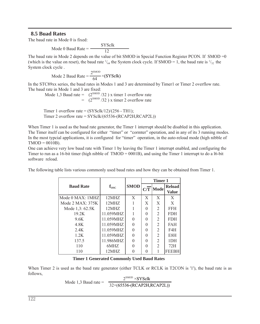# **8.5 Buad Rates**

The baud rate in Mode 0 is fixed:

Mode 0 Baud Rate =  $\frac{\text{SYSclk}}{12}$ 

The baud rate in Mode 2 depends on the value of bit SMOD in Special Function Register PCON. If SMOD =0 (which is the value on reset), the baud rate  $\frac{1}{64}$  the System clock cycle. If SMOD = 1, the baud rate is  $\frac{1}{32}$  the System clock cycle .

Mode 2 Baud Rate  $=\frac{2^{\text{SMOD}}}{64} \times (\text{SYSclk})$ 

In the STC89xx series, the baud rates in Modes 1 and 3 are determined by Timer1 or Timer 2 overflow rate. The baud rate in Mode 1 and 3 are fixed:

Mode 1,3 Baud rate =  $(2^{SMOD}/32)$  x timer 1 overflow rate  $= (2^{SMOD}/32)$  x timer 2 overflow rate

> Timer 1 overflow rate  $=(SYSclk/12)/(256 - TH1);$ Timer 2 overflow rate = SYSclk/(65536-(RCAP2H,RCAP2L))

When Timer 1 is used as the baud rate generator, the Timer 1 interrupt should be disabled in this application. The Timer itself can be configured for either "timer" or "cormter" operation, and in any of its 3 running modes. In the most typcial applications, it is configured for "timer" operation, in the auto-reload mode (high nibble of  $TMOD = 0010B$ ).

One can achieve very low baud rate with Timer 1 by leaving the Timer 1 interrupt enabled, and configuring the Timer to run as a 16-bit timer (high nibble of TMOD = 0001B), and using the Timer 1 interrupt to do a l6-bit software reload.

The following table lists various commonly used baud rates and how they can be obtained from Timer 1.

|                      |                             |              |          | <b>Timer 1</b> |                 |
|----------------------|-----------------------------|--------------|----------|----------------|-----------------|
| <b>Baud Rate</b>     | $\mathbf{f}_{\mathrm{osc}}$ | <b>SMOD</b>  |          | C/T  Mode      | <b>Reload</b>   |
|                      |                             |              |          |                | <b>Value</b>    |
| Mode 0 MAX: 1MHZ     | 12MHZ                       | X            | X        | X              | X               |
| Mode $2$ MAX: $375K$ | 12MHZ                       |              | X        | X              | X               |
| Mode 1.3: 62.5K      | 12MHZ                       |              | 0        | $\overline{c}$ | <b>FFH</b>      |
| 19.2K                | 11.059MHZ                   |              | 0        | $\overline{c}$ | <b>FDH</b>      |
| 9.6K                 | 11.059MHZ                   |              | 0        | $\overline{2}$ | <b>FDH</b>      |
| 4.8K                 | 11.059MHZ                   | $\mathbf{0}$ | 0        | $\mathfrak{D}$ | <b>FAH</b>      |
| 2.4K                 | 11.059MHZ                   | $\theta$     | 0        | $\overline{2}$ | F4H             |
| 1.2K                 | 11.059MHZ                   |              | 0        | $\overline{c}$ | E8H             |
| 137.5                | 11.986MHZ                   |              | $\Omega$ | $\overline{2}$ | 1 <sub>DH</sub> |
| 110                  | 6MHZ                        |              | 0        | $\mathfrak{D}$ | 72H             |
| 110                  | 12MHZ                       |              |          |                | FEEBH           |

**Timer 1 Generated Commonly Used Baud Rates**

When Timer 2 is used as the baud rate generator (either TCLK or RCLK in T2CON is '1'), the baud rate is as follows,

Mode 1,3 Baud rate  $=$  $2^{SMOD} \times SYSclk$ 32×(65536-(RCAP2H,RCAP2L)) 65536-(RCAP2H,RCAP2L))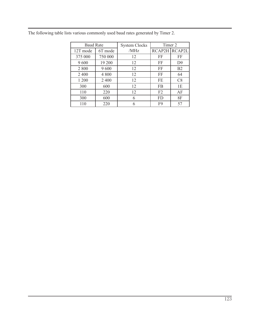| <b>Baud Rate</b> |         | System Clocks | Timer 2        |                |  |
|------------------|---------|---------------|----------------|----------------|--|
| 12T mode         | 6T mode | /MHz          | RCAP2H RCAP2L  |                |  |
| 375 000          | 750 000 | 12            | FF             | FF             |  |
| 9600             | 19 200  | 12            | FF             | D <sub>9</sub> |  |
| 2 800            | 9600    | 12            | FF             | B <sub>2</sub> |  |
| 2 4 0 0          | 4 800   | 12            | FF             | 64             |  |
| 1 200            | 2 4 0 0 | 12            | FE.            | C8             |  |
| 300              | 600     | 12            | FB             | 1E             |  |
| 110              | 220     | 12            | F <sub>2</sub> | AF             |  |
| 300              | 600     | 6             | FD             | 8F             |  |
| 110              | 220     | 6             | F9             | 57             |  |

The following table lists various commonly used baud rates generated by Timer 2.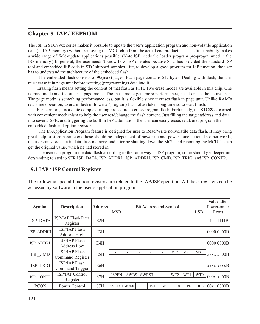# **Chapter 9 IAP / EEPROM**

The ISP in STC89xx series makes it possible to update the user's application program and non-volatile application data (in IAP-memory) without removing the MCU chip from the actual end product. This useful capability makes a wide range of field-update applications possible. (Note ISP needs the loader program pre-programmed in the ISP-memory.) In general, the user needn't know how ISP operates because STC has provided the standard ISP tool and embedded ISP code in STC shipped samples. But, to develop a good program for ISP function, the user has to understand the architecture of the embedded flash.

 The embedded flash consists of 90(max) pages. Each page contains 512 bytes. Dealing with flash, the user must erase it in page unit before writting (programming) data into it.

 Erasing flash means setting the content of that flash as FFH. Two erase modes are available in this chip. One is mass mode and the other is page mode. The mass mode gets more performance, but it erases the entire flash. The page mode is something performance less, but it is flexible since it erases flash in page unit. Unlike RAM's real-time operation, to erase flash or to write (program) flash often takes long time so to wait finish.

 Furthermore,it is a quite complex timing procedure to erase/program flash. Fortunately, the STC89xx carried with convenient mechanism to help the user read/change the flash content. Just filling the target address and data into several SFR, and triggering the built-in ISP automation, the user can easily erase, read, and program the embedded flash and option registers.

 The In-Application Program feature is designed for user to Read/Write nonvolatile data flash. It may bring great help to store parameters those should be independent of power-up and power-done action. In other words, the user can store data in data flash memory, and after he shutting down the MCU and rebooting the MCU, he can get the original value, which he had stored in.

 The user can program the data flash according to the same way as ISP program, so he should get deeper understanding related to SFR ISP\_DATA, ISP\_ADDRL, ISP\_ADDRH, ISP\_CMD, ISP\_TRIG, and ISP\_CONTR.

# **9.1 IAP / ISP Control Register**

The following special function registers are related to the IAP/ISP operation. All these registers can be accessed by software in the user's application program.

| <b>Symbol</b> | <b>Description</b>                         | <b>Address</b> | Bit Address and Symbol<br><b>MSB</b><br><b>LSB</b>                               | Value after<br>Power-on or<br>Reset                |
|---------------|--------------------------------------------|----------------|----------------------------------------------------------------------------------|----------------------------------------------------|
| ISP DATA      | ISP/IAP Flash Data<br>Register             | E2H            |                                                                                  | 1111 1111B                                         |
| ISP ADDRH     | <b>ISP/IAP Flash</b><br>Address High       | E3H            |                                                                                  | 0000 0000B                                         |
| ISP ADDRL     | <b>ISP/IAP Flash</b><br><b>Address Low</b> | E4H            |                                                                                  | 0000 0000B                                         |
| ISP CMD       | <b>ISP/IAP Flash</b><br>Command Register   | E5H            | MS0<br>MS <sub>2</sub><br>MS1                                                    | $\overline{\text{xxxx}}$ $\overline{\text{x000B}}$ |
| ISP TRIG      | <b>ISP/IAP Flash</b><br>Command Trigger    | E6H            |                                                                                  | xxxx xxxxB                                         |
| ISP_CONTR     | <b>ISP/IAP Control</b><br>Register         | E7H            | <b>SWRST</b><br><b>ISPEN</b><br>WT0<br><b>SWBS</b><br>WT <sub>2</sub><br>WT1     | $000x$ $x000B$                                     |
| <b>PCON</b>   | Power Control                              | 87H            | <b>SMOD</b><br>SMOD0<br>POF<br>GF1<br>GF <sub>0</sub><br><b>PD</b><br><b>IDL</b> | 00x10000B                                          |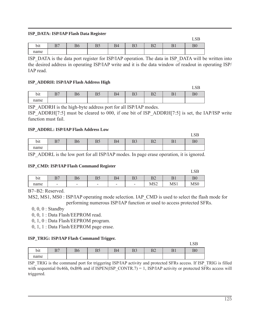# **ISP\_DATA: ISP/IAP Flash Data Register**

|      |              |                     |         |           |                   |                   | $\alpha$ $\mathbf{D}$<br><b>LOD</b> |
|------|--------------|---------------------|---------|-----------|-------------------|-------------------|-------------------------------------|
| bit  | $\mathbf{D}$ | D<br>D <sub>0</sub> | D<br>DJ | <b>B4</b> | $\mathbf{a}$<br>ມ | $\mathbf{D}$<br>╍ | $\mathbf{D}$                        |
| name |              |                     |         |           |                   |                   |                                     |

ISP\_DATA is the data port register for ISP/IAP operation. The data in ISP\_DATA will be written into the desired address in operating ISP/IAP write and it is the data window of readout in operating ISP/ IAP read.

## **ISP\_ADDRH: ISP/IAP Flash Address High**

| bit  | D7 | $\mathbf{r}$<br>Ð | $\Gamma$ $\Lambda$<br>D4 | $\overline{\phantom{a}}$ |  |
|------|----|-------------------|--------------------------|--------------------------|--|
| name |    |                   |                          |                          |  |

ISP\_ADDRH is the high-byte address port for all ISP/IAP modes.

ISP\_ADDRH[7:5] must be cleared to 000, if one bit of ISP\_ADDRH[7:5] is set, the IAP/ISP write function must fail.

## **ISP\_ADDRL: ISP/IAP Flash Address Low**

|      |    |  |                |   |          | $T$ $C$ $T$<br>ப்ப |
|------|----|--|----------------|---|----------|--------------------|
| bit  | 77 |  | B <sub>4</sub> | ◡ | $\Gamma$ |                    |
| name |    |  |                |   |          |                    |

ISP\_ADDRL is the low port for all ISP/IAP modes. In page erase operation, it is ignored.

# **ISP\_CMD: ISP/IAP Flash Command Register**

|                 |                              |                          |              |                                   |                          |                   |     | $C\Gamma$<br>LOD |
|-----------------|------------------------------|--------------------------|--------------|-----------------------------------|--------------------------|-------------------|-----|------------------|
| $\cdots$<br>bit | $\mathbf{D}$ $\mathbf{\tau}$ | B6                       | $\mathbf{r}$ | $\mathbf{D}$ $\Lambda$<br>℩∸<br>້ | D <sub>2</sub><br>ມມ     | $D^{\prime}$<br>◡ |     | B <sub>0</sub>   |
| name            | $\overline{\phantom{0}}$     | $\overline{\phantom{0}}$ | $\,$         | $\overline{\phantom{a}}$          | $\overline{\phantom{a}}$ | MCO<br>MS2        | MS1 | MS <sub>0</sub>  |

B7~B2: Reserved.

MS2, MS1, MS0 : ISP/IAP operating mode selection. IAP CMD is used to select the flash mode for performing numerous ISP/IAP function or used to access protected SFRs.

- 0, 0, 0 : Standby
- 0, 0, 1 : Data Flash/EEPROM read.

0, 1, 0 : Data Flash/EEPROM program.

0, 1, 1 : Data Flash/EEPROM page erase.

# **ISP\_TRIG: ISP/IAP Flash Command Trigger.**

|      |    |              |           |         |                    | $T$ CD<br><b>LOD</b> |
|------|----|--------------|-----------|---------|--------------------|----------------------|
| bit  | D7 | $\mathbf{L}$ | <b>B4</b> | n۹<br>ມ | $D^{\prime}$<br>ມ∠ | Df                   |
| name |    |              |           |         |                    |                      |

ISP\_TRIG is the command port for triggering ISP/IAP activity and protected SFRs access. If ISP\_TRIG is filled with sequential 0x46h, 0xB9h and if ISPEN(ISP\_CONTR.7) = 1, ISP/IAP activity or protected SFRs access will triggered.

125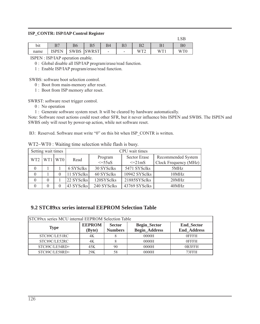#### **ISP\_CONTR: ISP/IAP Control Register**

|      |              |             |              |                          |                      |                        |    | ലാ  |
|------|--------------|-------------|--------------|--------------------------|----------------------|------------------------|----|-----|
| bit  |              | Β6          |              | B4                       | D <sub>2</sub><br>DJ | ⊿ב                     |    |     |
| name | <b>ISPEN</b> | <b>SWBS</b> | <b>SWRST</b> | $\overline{\phantom{a}}$ | ۰                    | WT <sub>2</sub><br>⊥ ∠ | WТ | WT0 |

ISPEN : ISP/IAP operation enable.

0 : Global disable all ISP/IAP program/erase/read function.

1 : Enable ISP/IAP program/erase/read function.

SWBS: software boot selection control.

0 : Boot from main-memory after reset.

1 : Boot from ISP memory after reset.

SWRST: software reset trigger control.

0 : No operation

1 : Generate software system reset. It will be cleared by hardware automatically.

Note: Software reset actions could reset other SFR, but it never influence bits ISPEN and SWBS. The ISPEN and SWBS only will reset by power-up action, while not software reset.

B3: Reserved. Software must write "0" on this bit when ISP\_CONTR is written.

|                 | Setting wait times |                  |            |              | CPU wait times      |                       |  |  |  |
|-----------------|--------------------|------------------|------------|--------------|---------------------|-----------------------|--|--|--|
| WT <sub>2</sub> |                    |                  |            | Program      | <b>Sector Erase</b> | Recommended System    |  |  |  |
|                 |                    | WT1 WT0 <br>Read |            | $\leq$ =55uS | $\leq$ 21mS         | Clock Frequency (MHz) |  |  |  |
|                 |                    |                  | 6 SYSclks  | 30 SYSclks   | 5471 SYSclks        | 5MHz                  |  |  |  |
|                 |                    |                  | 11 SYSclks | 60 SYSclks   | 10942 SYSclks       | 10MHz                 |  |  |  |
|                 | 0                  |                  | 22 SYSclks | 120SYSclks   | 21885SYSclks        | 20MHz                 |  |  |  |
|                 | $\theta$           |                  | 43 SYSclks | 240 SYSclks  | 43769 SYSclks       | 40MHz                 |  |  |  |

WT2~WT0 : Waiting time selection while flash is busy.

# **9.2 STC89xx series internal EEPROM Selection Table**

| ISTC89xx series MCU internal EEPROM Selection Table                                                                                                                 |     |    |       |        |  |  |  |  |
|---------------------------------------------------------------------------------------------------------------------------------------------------------------------|-----|----|-------|--------|--|--|--|--|
| <b>EEPROM</b><br><b>Begin_Sector</b><br><b>End Sector</b><br><b>Sector</b><br><b>Type</b><br><b>Begin_Address</b><br><b>End Address</b><br><b>Numbers</b><br>(Byte) |     |    |       |        |  |  |  |  |
| STC89C/LE51RC                                                                                                                                                       | 4К  |    | 0000H | 0FFFH  |  |  |  |  |
| STC89C/LE52RC                                                                                                                                                       | 4Κ  |    | 0000H | 0FFFH  |  |  |  |  |
| STC89C/LE54RD+                                                                                                                                                      | 45K | 90 | 0000H | 0B3FFH |  |  |  |  |
| STC89C/LE58RD+                                                                                                                                                      | 29K | 58 | 0000H | 73FFH  |  |  |  |  |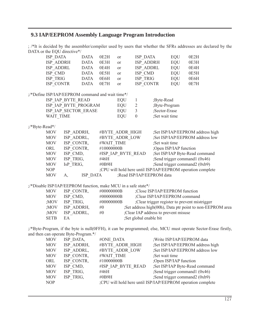# **9.3 IAP/EEPROM Assembly Language Program Introduction**

; /\*It is decided by the assembler/compiler used by users that whether the SFRs addresses are declared by the DATA or the EQU directive\*/

| $\frac{1}{2}$<br>ISP DATA<br>ISP_ADDRH<br>ISP ADDRL<br>ISP CMD<br>ISP TRIG<br>ISP CONTR                                                                |                         | <b>DATA</b><br><b>DATA</b><br><b>DATA</b><br>DATA<br>DATA<br><b>DATA</b> | 0E2H<br>0E3H<br>0E4H<br>0E5H<br>0E6H<br>0E7H | or<br>or<br>or<br>or<br>or<br>or | ISP DATA<br>ISP ADDRH<br>ISP ADDRL<br>ISP CMD<br>ISP TRIG<br>ISP CONTR |                | <b>EQU</b><br><b>EQU</b><br>EQU<br>EQU<br>EQU<br>EQU | 0E2H<br>0E3H<br>0E4H<br>0E5H<br>0E6H<br>0E7H                |  |
|--------------------------------------------------------------------------------------------------------------------------------------------------------|-------------------------|--------------------------------------------------------------------------|----------------------------------------------|----------------------------------|------------------------------------------------------------------------|----------------|------------------------------------------------------|-------------------------------------------------------------|--|
| ;/*Define ISP/IAP/EEPROM command and wait time*/                                                                                                       |                         |                                                                          |                                              |                                  |                                                                        |                |                                                      |                                                             |  |
|                                                                                                                                                        | ISP IAP BYTE READ       |                                                                          |                                              | EQU                              | $\mathbf{1}$                                                           | ;Byte-Read     |                                                      |                                                             |  |
|                                                                                                                                                        |                         | ISP IAP BYTE PROGRAM                                                     |                                              | EQU                              | $\sqrt{2}$                                                             | ;Byte-Program  |                                                      |                                                             |  |
|                                                                                                                                                        |                         | ISP_IAP_SECTOR_ERASE                                                     |                                              | EQU                              | 3                                                                      | ;Sector-Erase  |                                                      |                                                             |  |
| WAIT TIME                                                                                                                                              |                         |                                                                          |                                              | EQU                              | $\theta$                                                               | ;Set wait time |                                                      |                                                             |  |
| ;/*Byte-Read*/                                                                                                                                         |                         |                                                                          |                                              |                                  |                                                                        |                |                                                      |                                                             |  |
| MOV                                                                                                                                                    | ISP ADDRH,              |                                                                          | #BYTE ADDR HIGH                              |                                  |                                                                        |                |                                                      | ;Set ISP/IAP/EEPROM address high                            |  |
| MOV                                                                                                                                                    | ISP ADDRL,              |                                                                          | #BYTE ADDR LOW                               |                                  |                                                                        |                |                                                      | ;Set ISP/IAP/EEPROM address low                             |  |
| MOV                                                                                                                                                    | ISP CONTR,              |                                                                          | #WAIT TIME                                   |                                  |                                                                        | :Set wait time |                                                      |                                                             |  |
| ORL                                                                                                                                                    | ISP CONTR,              |                                                                          | #10000000B                                   |                                  |                                                                        |                | ;Open ISP/IAP function                               |                                                             |  |
| MOV                                                                                                                                                    | ISP_CMD,                |                                                                          |                                              |                                  | #ISP_IAP_BYTE_READ                                                     |                |                                                      | ;Set ISP/IAP Byte-Read command                              |  |
| MOV                                                                                                                                                    | ISP TRIG,               |                                                                          | #46H                                         |                                  |                                                                        |                |                                                      | ;Send trigger command1 (0x46)                               |  |
| MOV                                                                                                                                                    | IsP TRIG,               |                                                                          | #0B9H                                        |                                  |                                                                        |                |                                                      | ;Send trigger command2 (0xb9)                               |  |
| <b>NOP</b>                                                                                                                                             |                         |                                                                          |                                              |                                  |                                                                        |                |                                                      | ;CPU will hold here until ISP/IAP/EEPROM operation complete |  |
| MOV                                                                                                                                                    | A,                      | ISP DATA                                                                 |                                              |                                  | ;Read ISP/IAP/EEPROM data                                              |                |                                                      |                                                             |  |
|                                                                                                                                                        |                         |                                                                          |                                              |                                  | ;/*Disable ISP/IAP/EEPROM function, make MCU in a safe state*/         |                |                                                      |                                                             |  |
| MOV                                                                                                                                                    | ISP_CONTR,              |                                                                          | #00000000B                                   |                                  |                                                                        |                | ;Close ISP/IAP/EEPROM function                       |                                                             |  |
| MOV                                                                                                                                                    | ISP CMD,                |                                                                          | #00000000B                                   |                                  |                                                                        |                | ;Clear ISP/IAP/EEPROM command                        |                                                             |  |
| ;MOV                                                                                                                                                   | ISP TRIG,               |                                                                          | #00000000B                                   |                                  |                                                                        |                |                                                      | ;Clear trigger register to prevent mistrigger               |  |
| ;MOV                                                                                                                                                   | ISP ADDRH,              |                                                                          | $\#0$                                        |                                  |                                                                        |                |                                                      | ;Set address high(00h), Data ptr point to non-EEPROM area   |  |
| ;MOV                                                                                                                                                   | ISP ADDRL,              |                                                                          | #0                                           |                                  | ;Clear IAP address to prevent misuse                                   |                |                                                      |                                                             |  |
| <b>SETB</b>                                                                                                                                            | EA                      |                                                                          |                                              |                                  | ;Set global enable bit                                                 |                |                                                      |                                                             |  |
|                                                                                                                                                        |                         |                                                                          |                                              |                                  |                                                                        |                |                                                      |                                                             |  |
| ;/*Byte-Program, if the byte is null(0FFH), it can be programmed; else, MCU must operate Sector-Erase firstly,<br>and then can operate Byte-Program.*/ |                         |                                                                          |                                              |                                  |                                                                        |                |                                                      |                                                             |  |
| MOV                                                                                                                                                    |                         |                                                                          | #ONE DATA                                    |                                  |                                                                        |                |                                                      | ;Write ISP/IAP/EEPROM data                                  |  |
| MOV                                                                                                                                                    | ISP DATA,<br>ISP ADDRH, |                                                                          | #BYTE ADDR HIGH                              |                                  |                                                                        |                |                                                      | ;Set ISP/IAP/EEPROM address high                            |  |
|                                                                                                                                                        |                         |                                                                          |                                              |                                  |                                                                        |                |                                                      |                                                             |  |
| MOV                                                                                                                                                    | ISP ADDRL,              |                                                                          | #BYTE ADDR LOW                               |                                  |                                                                        |                |                                                      | ;Set ISP/IAP/EEPROM address low                             |  |
| MOV<br>ORL                                                                                                                                             | ISP CONTR,              |                                                                          | #WAIT_TIME                                   |                                  |                                                                        | ;Set wait time |                                                      |                                                             |  |
| MOV                                                                                                                                                    | ISP CONTR,              |                                                                          | #10000000B<br>#ISP_IAP_BYTE_READ             |                                  |                                                                        |                | ;Open ISP/IAP function                               | ;Set ISP/IAP Byte-Read command                              |  |
|                                                                                                                                                        | ISP_CMD,                |                                                                          |                                              |                                  |                                                                        |                |                                                      |                                                             |  |
| <b>MOV</b>                                                                                                                                             | ISP TRIG,               |                                                                          | #46H                                         |                                  |                                                                        |                |                                                      | ;Send trigger command1 (0x46)                               |  |

MOV ISP\_TRIG, #0B9H ;Send trigger command2 (0xb9) NOP ;CPU will hold here until ISP/IAP/EEPROM operation complete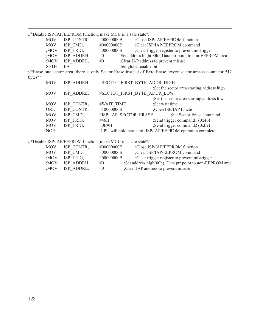;/\*Disable ISP/IAP/EEPROM function, make MCU in a safe state\*/

| <b>MOV</b>  | ISP CONTR. | :Close ISP/IAP/EEPROM function<br>$\#00000000B$                 |  |
|-------------|------------|-----------------------------------------------------------------|--|
| <b>MOV</b>  | ISP CMD.   | :Clear ISP/IAP/EEPROM command<br>#00000000B                     |  |
| :MOV        | ISP TRIG.  | #00000000B<br>: Clear trigger register to prevent mistrigger    |  |
| : $MOV$     | ISP ADDRH. | ;Set address high(00h), Data ptr point to non-EEPROM area<br>#0 |  |
| : $MOV$     | ISP ADDRL. | #0<br>: Clear IAP address to prevent misuse                     |  |
| <b>SETB</b> | ЕA         | :Set global enable bit                                          |  |

;/\*Erase one sector area, there is only Sector-Erase instead of Byte-Erase, every sector area account for 512 bytes\*/

| <b>MOV</b> | ISP ADDRH. | #SECTOT FIRST BYTE ADDR HIGH |                                                             |
|------------|------------|------------------------------|-------------------------------------------------------------|
|            |            |                              | Set the sector area starting address high                   |
| <b>MOV</b> | ISP ADDRL. | #SECTOT FIRST BYTE ADDR LOW  |                                                             |
|            |            |                              | Set the sector area starting address low                    |
| <b>MOV</b> | ISP CONTR. | #WAIT TIME                   | :Set wait time                                              |
| ORL        | ISP CONTR, | #10000000B                   | ;Open ISP/IAP function                                      |
| <b>MOV</b> | ISP CMD,   | #ISP IAP SECTOR ERASE        | :Set Sectot-Erase command                                   |
| <b>MOV</b> | ISP TRIG,  | #46H                         | ;Send trigger command $(0x46)$                              |
| <b>MOV</b> | ISP TRIG.  | $\#$ 0B9H                    | ;Send trigger command2 (0xb9)                               |
| <b>NOP</b> |            |                              | ;CPU will hold here until ISP/IAP/EEPROM operation complete |
|            |            |                              |                                                             |

;/\*Disable ISP/IAP/EEPROM function, make MCU in a safe state\*/

| <b>MOV</b> | ISP CONTR. | #00000000B | :Close ISP/IAP/EEPROM function                            |
|------------|------------|------------|-----------------------------------------------------------|
| <b>MOV</b> | ISP CMD.   | #00000000B | :Clear ISP/IAP/EEPROM command                             |
| :MOV       | ISP TRIG.  | #00000000B | Clear trigger register to prevent mistrigger              |
| : $MOV$    | ISP ADDRH. | #0         | ;Set address high(00h), Data ptr point to non-EEPROM area |
| : $MOV$    | ISP ADDRL, | #0         | : Clear IAP address to prevent misuse                     |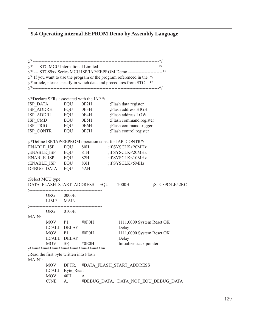# **9.4 Operating internal EEPROM Demo by Assembly Language**

|                        |                                         |                    |                                                          | :/* --- STC89xx Series MCU ISP/IAP/EEPROM Demo -----------------------*/         |                |
|------------------------|-----------------------------------------|--------------------|----------------------------------------------------------|----------------------------------------------------------------------------------|----------------|
|                        |                                         |                    |                                                          | $\frac{1}{2}$ If you want to use the program or the program referenced in the */ |                |
|                        |                                         |                    |                                                          | :/* article, please specify in which data and procedures from STC<br>$*$         |                |
|                        |                                         |                    |                                                          |                                                                                  |                |
|                        |                                         |                    |                                                          |                                                                                  |                |
|                        |                                         |                    | :/*Declare SFRs associated with the IAP */               |                                                                                  |                |
| ISP DATA               |                                         | EQU                | 0E2H ;Flash data register                                |                                                                                  |                |
| ISP_ADDRH<br>ISP_ADDRL |                                         |                    | EQU 0E3H<br>EQU 0E4H                                     | ;Flash address HIGH                                                              |                |
|                        |                                         |                    |                                                          | ;Flash address LOW                                                               |                |
| ISP CMD                |                                         |                    | EQU 0E5H                                                 | ;Flash command register                                                          |                |
| ISP TRIG               |                                         |                    |                                                          | EQU 0E6H ;Flash command trigger                                                  |                |
| ISP CONTR              |                                         |                    | EQU 0E7H                                                 | ;Flash control register                                                          |                |
|                        |                                         |                    |                                                          |                                                                                  |                |
|                        |                                         |                    | ;/*Define ISP/IAP/EEPROM operation const for IAP CONTR*/ |                                                                                  |                |
|                        |                                         |                    | ENABLE_ISP EQU 80H                                       | ;if SYSCLK>20MHz                                                                 |                |
|                        |                                         |                    | 81H                                                      | :if SYSCLK<20MHz                                                                 |                |
|                        |                                         |                    |                                                          | ;if SYSCLK<10MHz                                                                 |                |
|                        |                                         |                    |                                                          | ;if SYSCLK<5MHz                                                                  |                |
| <b>DEBUG DATA</b>      |                                         | EQU 5AH            |                                                          |                                                                                  |                |
|                        | ;Select MCU type                        |                    |                                                          |                                                                                  |                |
|                        |                                         |                    | DATA FLASH START ADDRESS EQU                             | 2000H                                                                            | ;STC89C/LE52RC |
|                        |                                         |                    | .<br>.<br>.                                              |                                                                                  |                |
|                        | ORG 0000H                               |                    |                                                          |                                                                                  |                |
|                        |                                         |                    |                                                          |                                                                                  |                |
|                        |                                         |                    |                                                          |                                                                                  |                |
|                        | $ORG$ 0100H                             |                    |                                                          |                                                                                  |                |
| MAIN:                  |                                         |                    |                                                          |                                                                                  |                |
|                        | MOV P1,                                 |                    | #0F0H                                                    | ;1111,0000 System Reset OK                                                       |                |
|                        |                                         | LCALL DELAY        |                                                          | ;Delay                                                                           |                |
|                        |                                         | $MOV$ P1, $\#0F0H$ |                                                          | ;1111,0000 System Reset OK                                                       |                |
|                        |                                         | LCALL DELAY        |                                                          | ;Delay                                                                           |                |
|                        | <b>MOV</b>                              | SP,                | #0E0H                                                    | ;Initialize stack pointer                                                        |                |
|                        |                                         |                    | ***********************************                      |                                                                                  |                |
|                        | ;Read the first byte written into Flash |                    |                                                          |                                                                                  |                |
| MAIN1:                 |                                         |                    |                                                          |                                                                                  |                |
|                        | MOV DPTR,                               |                    |                                                          | #DATA FLASH START ADDRESS                                                        |                |
|                        |                                         | LCALL Byte Read    |                                                          |                                                                                  |                |
|                        | MOV                                     | 40H,               | A                                                        |                                                                                  |                |
|                        | $\ensuremath{\mathrm{CJNE}}$            | A,                 |                                                          | #DEBUG DATA, DATA NOT EQU DEBUG DATA                                             |                |
|                        |                                         |                    |                                                          |                                                                                  |                |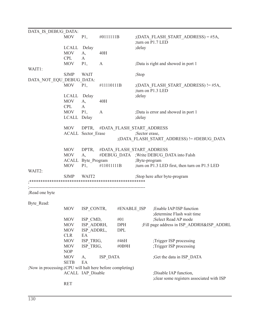DATA\_IS\_DEBUG\_DATA: MOV P1,  $\#0111111B$  ;(DATA\_FLASH\_START\_ADDRESS) =  $\#5A$ , ;turn on P1.7 LED LCALL Delay ;delay MOV A, 40H CPL A MOV P1, A ;Data is right and showed in port 1 WAIT1: SJMP WAIT ;Stop DATA\_NOT\_EQU\_DEBUG\_DATA: MOV P1,  $\#11110111B$  ;(DATA\_FLASH\_START\_ADDRESS) !=  $\#5A$ , ;turn on P1.3 LED LCALL Delay ;delay MOV A, 40H CPL A MOV P1, A ;Data is error and showed in port 1 LCALL Delay ;delay MOV DPTR, #DATA\_FLASH\_START\_ADDRESS ACALL Sector Erase :Sector erase, ;(DATA\_FLASH\_START\_ADDRESS) != #DEBUG\_DATA MOV DPTR, #DATA\_FLASH\_START\_ADDRESS MOV A, #DEBUG\_DATA ;Write DEBUG\_DATA into Falsh ACALL Byte Program ;Byte-program MOV P1, #11011111B ;turn on P1.3 LED first, then turn on P1.5 LED WAIT2: SJMP WAIT2 ;Stop here after byte-program ;\*\*\*\*\*\*\*\*\*\*\*\*\*\*\*\*\*\*\*\*\*\*\*\*\*\*\*\*\*\*\*\*\*\*\*\*\*\*\*\*\*\*\*\*\*\*\*\*\*\*\*\* ;------------------------------------------------------------------------------ ;Read one byte Byte\_Read: MOV ISP CONTR, #ENABLE ISP ;Enable IAP/ISP function ;determine Flash wait time MOV ISP CMD, #01 ;Select Read AP mode MOV ISP\_ADDRH, DPH ;Fill page address in ISP\_ADDRH&ISP\_ADDRL MOV ISP\_ADDRL, DPL CLR EA MOV ISP TRIG, #46H ;Trigger ISP processing MOV ISP TRIG, #0B9H ;Trigger ISP processing NOP MOV A, ISP DATA ;Get the data in ISP DATA SETB EA ;Now in processing.(CPU will halt here before completing) ACALL IAP Disable ;Disable ;Disable IAP function, ;clear some registers associated with ISP RET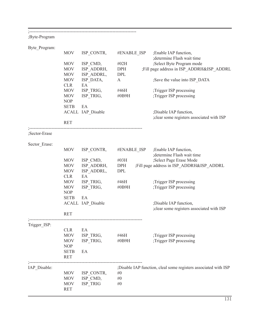;------------------------------------------------------------------------ ;Byte-Program Byte\_Program: MOV ISP CONTR, #ENABLE ISP ;Enable IAP function, ;determine Flash wait time MOV ISP CMD, #02H ;Select Byte Program mode MOV ISP\_ADDRH, DPH ;Fill page address in ISP\_ADDRH&ISP\_ADDRL MOV ISP\_ADDRL, DPL MOV ISP DATA, A ;Save the value into ISP DATA CLR EA MOV ISP TRIG, #46H ;Trigger ISP processing MOV ISP TRIG, #0B9H ;Trigger ISP processing NOP SETB EA ACALL IAP Disable ;Disable IAP function, ;clear some registers associated with ISP RET ;---------------------------------------------------------------------------- ;Sector-Erase Sector\_Erase: MOV ISP CONTR, #ENABLE ISP ;Enable IAP function, ;determine Flash wait time MOV ISP CMD, #03H ;Select Page Erase Mode MOV ISP\_ADDRH, DPH ;Fill page address in ISP\_ADDRH&ISP\_ADDRL MOV ISP\_ADDRL, DPL CLR EA MOV ISP TRIG, #46H ;Trigger ISP processing MOV ISP TRIG, #0B9H ;Trigger ISP processing NOP SETB EA ACALL IAP Disable ;Disable IAP function, ;clear some registers associated with ISP RET ;---------------------------------------------------------------------------- Trigger\_ISP: CLR EA MOV ISP TRIG, #46H ;Trigger ISP processing MOV ISP\_TRIG, #0B9H ;Trigger ISP processing NOP SETB EA RET ;---------------------------------------------------------------------------- IAP\_Disable: ;Disable IAP function, cleal some registers associated with ISP MOV ISP CONTR, #0 MOV ISP\_CMD, #0 MOV ISP TRIG #0 RET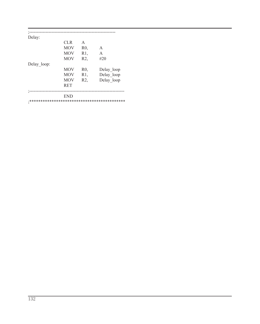| Delay:      |            |        |              |
|-------------|------------|--------|--------------|
|             | CLR.       | A      |              |
|             | <b>MOV</b> | $R0$ . | A            |
|             | <b>MOV</b> | R1.    | $\mathsf{A}$ |
|             | <b>MOV</b> | R2     | #20          |
| Delay_loop: |            |        |              |
|             | <b>MOV</b> | $R0$ . | Delay_loop   |
|             | <b>MOV</b> | $R1$ . | Delay loop   |
|             | <b>MOV</b> | R2     | Delay loop   |
|             | <b>RET</b> |        |              |
|             | <b>END</b> |        |              |
| ,           |            |        |              |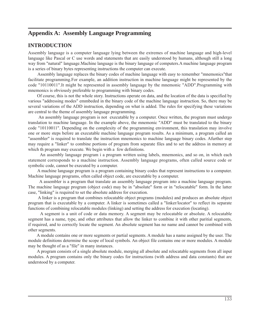# **Appendix A: Assembly Language Programming**

# **INTRODUCTION**

Assembly language is a computer language lying between the extremes of machine language and high-level language like Pascal or C use words and statements that are easily understood by humans, although still a long way from "natural" language.Machine language is the binary language of computers.A machine language program is a series of binary bytes representing instructions the computer can execute.

 Assembly language replaces the binary codes of machine language with easy to remember "mnemonics"that facilitate programming.For example, an addition instruction in machine language might be represented by the code "10110011".It might be represented in assembly language by the mnemonic "ADD".Programming with mnemonics is obviously preferable to programming with binary codes.

 Of course, this is not the whole story. Instructions operate on data, and the location of the data is specified by various "addressing modes" emmbeded in the binary code of the machine language instruction. So, there may be several variations of the ADD instruction, depending on what is added. The rules for specifying these variations are central to the theme of assembly language programming.

 An assembly language program is not executable by a computer. Once written, the program must undergo translation to machine language. In the example above, the mnemonic "ADD" must be translated to the binary code "10110011". Depending on the complexity of the programming environment, this translation may involve one or more steps before an executable machine language program results. As a minimum, a program called an "assembler" is required to translate the instruction mnemonics to machine language binary codes. Afurther step may require a "linker" to combine portions of program from separate files and to set the address in memory at which th program may execute. We begin with a few definitions.

 An assembly language program i a program written using labels, mnemonics, and so on, in which each statement corresponds to a machine instruction. Assembly language programs, often called source code or symbolic code, cannot be executed by a computer.

 A machine language program is a program containing binary codes that represent instructions to a computer. Machine language programs, often called object code, are executable by a computer.

 A assembler is a program that translate an assembly language program into a machine language program. The machine language program (object code) may be in "absolute" form or in "relocatable" form. In the latter case, "linking" is required to set the absolute address for execution.

 A linker is a program that combines relocatable object programs (modules) and produces an absolute object program that is executable by a computer. A linker is sometimes called a "linker/locator" to reflect its separate functions of combining relocatable modules (linking) and setting the address for execution (locating).

 A segment is a unit of code or data memory. A segment may be relocatable or absolute. A relocatable segment has a name, type, and other attributes that allow the linker to combine it with other paritial segments, if required, and to correctly locate the segment. An absolute segment has no name and cannot be combined with other segments.

 A module contains one or more segments or partial segments. A module has a name assigned by the user. The module definitions determine the scope of local symbols. An object file contains one or more modules. A module may be thought of as a "file" in many instances.

 A program consists of a single absolute module, merging all absolute and relocatable segments from all input modules. A program contains only the binary codes for instructions (with address and data constants) that are understood by a computer.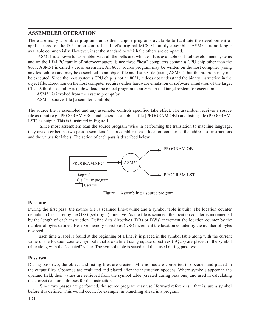# **ASSEMBLER OPERATION**

There are many assembler programs and other support programs available to facilitate the development of applications for the 8051 microcontroller. Intel's original MCS-51 family assembler, ASM51, is no longer available commercially. However, it set the standard to which the others are compared.

 ASM51 is a powerful assembler with all the bells and whistles. It is available on Intel development systems and on the IBM PC family of microcomputers. Since these "host" computers contain a CPU chip other than the 8051, ASM51 is called a cross assembler. An 8051 source program may be written on the host computer (using any text editor) and may be assembled to an object file and listing file (using ASM51), but the program may not be executed. Since the host system's CPU chip is not an 8051, it does not understand the binary instruction in the object file. Execution on the host computer requires either hardware emulation or software simulation of the target CPU. A third possibility is to download the object program to an 8051-based target system for execution.

 ASM51 is invoked from the system prompt by ASM51 source\_file [assembler\_controls]

The source file is assembled and any assembler controls specified take effect. The assembler receives a source file as input (e.g., PROGRAM.SRC) and generates an object file (PROGRAM.OBJ) and listing file (PROGRAM. LST) as output. This is illustrated in Figure 1.

 Since most assemblers scan the source program twice in performing the translation to machine language, they are described as two-pass assemblers. The assembler uses a location counter as the address of instructions and the values for labels. The action of each pass is described below.



Figure 1 Assembling a source program

#### **Pass one**

During the first pass, the source file is scanned line-by-line and a symbol table is built. The location counter defaults to 0 or is set by the ORG (set origin) directive. As the file is scanned, the location counter is incremented by the length of each instruction. Define data directives (DBs or DWs) increment the location counter by the number of bytes defined. Reserve memory directives (DSs) increment the location counter by the number of bytes reserved.

 Each time a label is found at the beginning of a line, it is placed in the symbol table along with the current value of the location counter. Symbols that are defined using equate directives (EQUs) are placed in the symbol table along with the "equated" value. The symbol table is saved and then used during pass two.

#### **Pass two**

During pass two, the object and listing files are created. Mnemonics are converted to opcodes and placed in the output files. Operands are evaluated and placed after the instruction opcodes. Where symbols appear in the operand field, their values are retrieved from the symbol table (created during pass one) and used in calculating the correct data or addresses for the instructions.

 Since two passes are performed, the source program may use "forward references", that is, use a symbol before it is defined. This would occur, for example, in branching ahead in a program.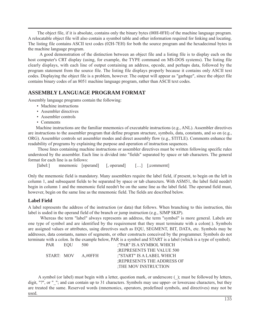The object file, if it is absolute, contains only the binary bytes (00H-0FH) of the machine language program. A relocatable object file will also contain a sysmbol table and other information required for linking and locating. The listing file contains ASCII text codes (02H-7EH) for both the source program and the hexadecimal bytes in the machine language program.

 A good demonstration of the distinction between an object file and a listing file is to display each on the host computer's CRT display (using, for example, the TYPE command on MS-DOS systems). The listing file clearly displays, with each line of output containing an address, opcode, and perhaps data, followed by the program statement from the source file. The listing file displays properly because it contains only ASCII text codes. Displaying the object file is a problem, however. The output will appear as "garbage", since the object file contains binary codes of an 8051 machine language program, rather than ASCII text codes.

# **ASSEMBLY LANGUAGE PROGRAM FORMAT**

Assembly language programs contain the following:

- Machine instructions
- Assembler directives •
- Assembler controls •
- Comments

 Machine instructions are the familiar mnemonics of executable instructions (e.g., ANL). Assembler directives are instructions to the assembler program that define program structure, symbols, data, constants, and so on (e.g., ORG). Assembler controls set assembler modes and direct assembly flow (e.g., \$TITLE). Comments enhance the readability of programs by explaining the purpose and operation of instruction sequences.

 Those lines containing machine instructions or assembler directives must be written following specific rules understood by the assembler. Each line is divided into "fields" separated by space or tab characters. The general format for each line is as follows:

[label:] mnemonic [operand] [, operand] […] [;commernt]

Only the mnemonic field is mandatory. Many assemblers require the label field, if present, to begin on the left in column 1, and subsequent fields to be separated by space or tab charecters. With ASM51, the label field needn't begin in column 1 and the mnemonic field needn't be on the same line as the label field. The operand field must, however, begin on the same line as the mnemonic field. The fields are described below.

#### **Label Field**

A label represents the address of the instruction (or data) that follows. When branching to this instruction, this label is usded in the operand field of the branch or jump instruction (e.g., SJMP SKIP).

 Whereas the term "label" always represents an address, the term "symbol" is more general. Labels are one type of symbol and are identified by the requirement that they must terminate with a colon(:). Symbols are assigned values or attributes, using directives such as EQU, SEGMENT, BIT, DATA, etc. Symbols may be addresses, data constants, names of segments, or other constructs conceived by the programmer. Symbols do not terminate with a colon. In the example below, PAR is a symbol and START is a label (which is a type of symbol).

| PAR        | EOU | 500     | :"PAR" IS A SYMBOL WHICH  |
|------------|-----|---------|---------------------------|
|            |     |         | REPRESENTS THE VALUE 500  |
| START: MOV |     | A.#0FFH | :"START" IS A LABEL WHICH |
|            |     |         | REPRESENTS THE ADDRESS OF |
|            |     |         | :THE MOV INSTRUCTION      |
|            |     |         |                           |

 A symbol (or label) must begin with a letter, question mark, or underscore (\_); must be followed by letters, digit, "?", or "\_"; and can contain up to 31 characters. Symbols may use upper- or lowercase characters, but they are treated the same. Reserved words (mnemonics, operators, predefined symbols, and directives) may not be used.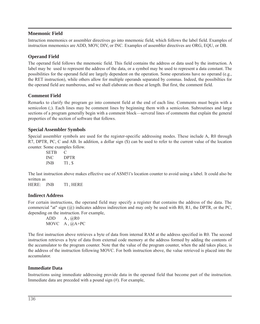## **Mnemonic Field**

Intruction mnemonics or assembler directives go into mnemonic field, which follows the label field. Examples of instruction mnemonics are ADD, MOV, DIV, or INC. Examples of assembler directives are ORG, EQU, or DB.

# **Operand Field**

The operand field follows the mnemonic field. This field contains the address or data used by the instruction. A label may be used to represent the address of the data, or a symbol may be used to represent a data constant. The possibilities for the operand field are largely dependent on the operation. Some operations have no operand (e.g., the RET instruction), while others allow for multiple operands separated by commas. Indeed, the possibilties for the operand field are numberous, and we shall elaborate on these at length. But first, the comment field.

## **Comment Field**

Remarks to clarify the program go into comment field at the end of each line. Comments must begin with a semicolon (;). Each lines may be comment lines by beginning them with a semicolon. Subroutines and large sections of a program generally begin with a comment block—serveral lines of comments that explain the general properties of the section of software that follows.

## **Special Assembler Symbols**

Special assembler symbols are used for the register-specific addressing modes. These include A, R0 through R7, DPTR, PC, C and AB. In addition, a dollar sign (\$) can be used to refer to the current value of the location counter. Some examples follow.

SETB C INC DPTR JNB TI , \$

The last instruction above makes effective use of ASM51's location counter to avoid using a label. It could also be written as

HERE: JNB TI , HERE

#### **Indirect Address**

For certain instructions, the operand field may specify a register that contains the address of the data. The commercial "at" sign (@) indicates address indirection and may only be used with R0, R1, the DPTR, or the PC, depending on the instruction. For example,

 ADD A , @R0 MOVC A , @A+PC

The first instruction above retrieves a byte of data from internal RAM at the address specified in R0. The second instruction retrieves a byte of data from external code memory at the address formed by adding the contents of the accumulator to the program counter. Note that the value of the program counter, when the add takes place, is the address of the instruction following MOVC. For both instruction above, the value retrieved is placed into the accumulator.

# **Immediate Data**

Instructions using immediate addressing provide data in the operand field that become part of the instruction. Immediate data are preceded with a pound sign (#). For example,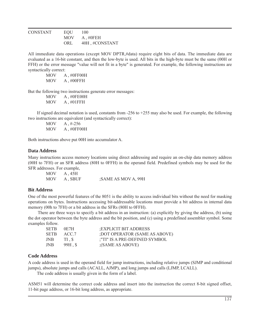CONSTANT EQU 100 MOV A , #0FEH ORL 40H , #CONSTANT

All immediate data operations (except MOV DPTR,#data) require eight bits of data. The immediate data are evaluated as a 16-bit constant, and then the low-byte is used. All bits in the high-byte must be the same (00H or FFH) or the error message "value will not fit in a byte" is generated. For example, the following instructions are syntactically correct:

 MOV A , #0FF00H MOV A , #00FFH

But the following two instructions generate error messages:

 MOV A , #0FE00H MOV A , #01FFH

 If signed decimal notation is used, constants from -256 to +255 may also be used. For example, the following two instructions are equivalent (and syntactically correct):

 MOV A , #-256 MOV A , #0FF00H

Both instructions above put 00H into accumulator A.

#### **Data Address**

Many instructions access memory locations using direct addressing and require an on-chip data memory address (00H to 7FH) or an SFR address (80H to 0FFH) in the operand field. Predefined symbols may be used for the SFR addresses. For example,

 MOV A , 45H MOV A, SBUF ;SAME AS MOV A, 99H

#### **Bit Address**

One of the most powerful features of the 8051 is the ability to access individual bits without the need for masking operations on bytes. Instructions accessing bit-addressable locations must provide a bit address in internal data memory (00h to 7FH) or a bit address in the SFRs (80H to 0FFH).

 There are three ways to specify a bit address in an instruction: (a) explicitly by giving the address, (b) using the dot operator between the byte address and the bit position, and (c) using a predefined assembler symbol. Some examples follow.

|      | <b>EXPLICIT BIT ADDRESS:</b>                |
|------|---------------------------------------------|
|      | :DOT OPERATOR (SAME AS ABOVE)               |
|      | :"TI" IS A PRE-DEFINED SYMBOL               |
| JNB. | (SAME AS ABOVE)                             |
|      | SETB 0E7H<br>SETB ACC.7<br>JNB TLS<br>99H S |

#### **Code Address**

A code address is used in the operand field for jump instructions, including relative jumps (SJMP and conditional jumps), absolute jumps and calls (ACALL, AJMP), and long jumps and calls (LJMP, LCALL).

The code address is usually given in the form of a label.

ASM51 will determine the correct code address and insert into the instruction the correct 8-bit signed offset, 11-bit page address, or 16-bit long address, as appropriate.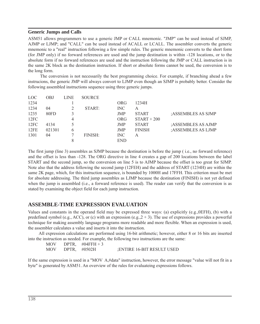#### **Generic Jumps and Calls**

ASM51 allows programmers to use a generic JMP or CALL mnemonic. "JMP" can be used instead of SJMP, AJMP or LJMP; and "CALL" can be used instead of ACALL or LCALL. The assembler converts the generic mnemonic to a "real" instruction following a few simple rules. The generic mnemonic converts to the short form (for JMP only) if no forward references are used and the jump destination is within -128 locations, or to the absolute form if no forward references are used and the instruction following the JMP or CALL instruction is in the same 2K block as the destination instruction. If short or absolute forms cannot be used, the conversion is to the long form.

 The conversion is not necessarily the best programming choice. For example, if branching ahead a few instrucions, the generic JMP will always convert to LJMP even though an SJMP is probably better. Consider the following assembled instructions sequence using three generic jumps.

| <b>LOC</b> | <b>OBJ</b> | <b>LINE</b> | <b>SOURCE</b>  |            |               |                    |
|------------|------------|-------------|----------------|------------|---------------|--------------------|
| 1234       |            |             |                | <b>ORG</b> | 1234H         |                    |
| 1234       | 04         |             | START:         | <b>INC</b> | A             |                    |
| 1235       | 80FD       | 3           |                | <b>JMP</b> | <b>START</b>  | :ASSEMBLES AS SJMP |
| 12FC       |            | 4           |                | <b>ORG</b> | $START + 200$ |                    |
| 12FC       | 4134       |             |                | <b>JMP</b> | <b>START</b>  | :ASSEMBLES AS AJMP |
| 12FE       | 021301     | 6           |                | <b>JMP</b> | <b>FINISH</b> | :ASSEMBLES AS LJMP |
| 1301       | 04         |             | <b>FINISH:</b> | <b>INC</b> | A             |                    |
|            |            | 8           |                | END        |               |                    |

The first jump (line 3) assembles as SJMP because the destination is before the jump ( i.e., no forward reference) and the offset is less than -128. The ORG directive in line 4 creates a gap of 200 locations between the label START and the second jump, so the conversion on line 5 is to AJMP because the offset is too great for SJMP. Note also that the address following the second jump (12FEH) and the address of START (1234H) are within the same 2K page, which, for this instruction sequence, is bounded by 1000H and 17FFH. This criterion must be met for absolute addressing. The third jump assembles as LJMP because the destination (FINISH) is not yet defined when the jump is assembled (i.e., a forward reference is used). The reader can verify that the conversion is as stated by examining the object field for each jump instruction.

# **ASSEMBLE-TIME EXPRESSION EVALUATION**

Values and constants in the operand field may be expressed three ways: (a) explicitly (e.g.,0EFH), (b) with a predefined symbol (e.g., ACC), or (c) with an expression (e.g.,  $2 + 3$ ). The use of expressions provides a powerful technique for making assembly language programs more readable and more flexible. When an expression is used, the assembler calculates a value and inserts it into the instruction.

 All expression calculations are performed using 16-bit arithmetic; however, either 8 or 16 bits are inserted into the instruction as needed. For example, the following two instructions are the same:

MOV DPTR,  $\#04$ FFH + 3 MOV DPTR, #0502H :ENTIRE 16-BIT RESULT USED

If the same expression is used in a "MOV A,#data" instruction, however, the error message "value will not fit in a byte" is generated by ASM51. An overview of the rules for evaluateing expressions follows.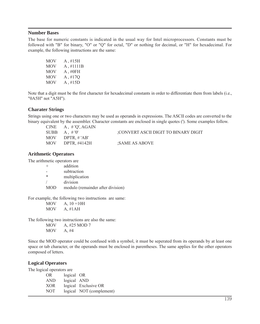#### **Number Bases**

The base for numeric constants is indicated in the usual way for Intel microprocessors. Constants must be followed with "B" for binary, "O" or "Q" for octal, "D" or nothing for decimal, or "H" for hexadecimal. For example, the following instructions are the same:

| <b>MOV</b> | A, #15H    |
|------------|------------|
| <b>MOV</b> | A, #1111B  |
| <b>MOV</b> | $A$ , #0FH |
| <b>MOV</b> | A, #17O    |
| <b>MOV</b> | A, #15D    |

Note that a digit must be the first character for hexadecimal constants in order to differentiate them from labels (i.e., "0A5H" not "A5H").

#### **Charater Strings**

Strings using one or two characters may be used as operands in expressions. The ASCII codes are converted to the binary equivalent by the assembler. Character constants are enclosed in single quotes ('). Some examples follow.

|  | $CINE \tA, #'Q', AGAIN$ |                                      |
|--|-------------------------|--------------------------------------|
|  | SUBB $A. #'0'$          | :CONVERT ASCII DIGIT TO BINARY DIGIT |
|  | $MOV$ $DPTR. #'AB'$     |                                      |
|  | $MOV$ DPTR, $#4142H$    | :SAME AS ABOVE                       |

#### **Arithmetic Operators**

The arithmetic operators are

| addition                          |
|-----------------------------------|
| subtraction                       |
| multiplication                    |
| division                          |
| modulo (remainder after division) |
|                                   |

For example, the following two instructions are same:

| <b>MOV</b> | A, $10+10H$ |
|------------|-------------|
| <b>MOV</b> | $A, \#1AH$  |

The following two instructions are also the same:

 MOV A, #25 MOD 7 MOV A, #4

Since the MOD operator could be confused with a symbol, it must be seperated from its operands by at least one space or tab character, or the operands must be enclosed in parentheses. The same applies for the other operators composed of letters.

#### **Logical Operators**

The logical operators are

| logical OR  |                          |
|-------------|--------------------------|
| logical AND |                          |
|             | logical Exclusive OR     |
|             | logical NOT (complement) |
|             |                          |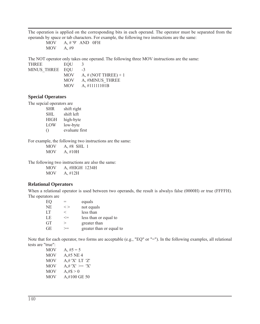The operation is applied on the corresponding bits in each operand. The operator must be separated from the operands by space or tab characters. For example, the following two instructions are the same:

 $MOV$  A,  $\#$  '9' AND 0FH  $MOV$  A,  $#9$ 

The NOT operator only takes one operand. The following three MOV instructions are the same:

| <b>THREE</b>    | EOU        |                         |
|-----------------|------------|-------------------------|
| MINUS THREE EOU |            | $-3$                    |
|                 | <b>MOV</b> | A, $\#$ (NOT THREE) + 1 |
|                 | <b>MOV</b> | A, #MINUS THREE         |
|                 | <b>MOV</b> | A, #11111101B           |

#### **Special Operators**

The sepcial operators are

| <b>SHR</b>       | shift right    |
|------------------|----------------|
| <b>SHL</b>       | shift left     |
| <b>HIGH</b>      | high-byte      |
| LOW              | low-byte       |
| $\left( \right)$ | evaluate first |
|                  |                |

For example, the following two instructions are the same:

| <b>MOV</b> | A, #8 SHL 1 |  |
|------------|-------------|--|
| <b>MOV</b> | $A, \#10H$  |  |

The following two instructions are also the same:

 MOV A, #HIGH 1234H MOV A, #12H

#### **Relational Operators**

When a relational operator is used between two operands, the result is alwalys false (0000H) or true (FFFFH). The operators are

| EО        |          | equals                   |
|-----------|----------|--------------------------|
| NF.       | $\rm{<}$ | not equals               |
| LТ        | $\,<\,$  | less than                |
| LE        | $\leq$   | less than or equal to    |
| <b>GT</b> | $\rm{>}$ | greater than             |
| GE        | >≕       | greater than or equal to |

Note that for each operator, two forms are acceptable (e.g., "EQ" or "="). In the following examples, all relational tests are "true":

| A, $#5 = 5$       |
|-------------------|
| A,#5 NE 4         |
| $A# 'X'$ LT 'Z'   |
| $A# 'X' \geq 'X'$ |
| $A_{.}$ #\$ > 0   |
| A,#100 GE 50      |
|                   |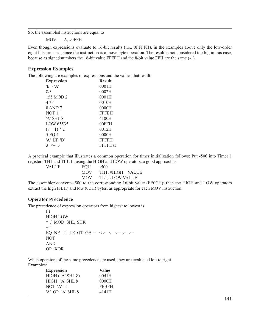So, the assembled instructions are equal to

MOV A, #0FFH

Even though expressions evaluate to 16-bit results (i.e., 0FFFFH), in the examples above only the low-order eight bits are used, since the instruction is a move byte operation. The result is not considered too big in this case, because as signed numbers the 16-bit value FFFFH and the 8-bit value FFH are the same (-1).

#### **Expression Examples**

The following are examples of expressions and the values that result:

| <b>Expression</b> | <b>Result</b>             |
|-------------------|---------------------------|
| $'B' - 'A'$       | 0001H                     |
| 8/3               | 0002H                     |
| 155 MOD 2         | 0001H                     |
| $4 * 4$           | 0010H                     |
| 8 AND 7           | 0000H                     |
| NOT <sub>1</sub>  | <b>FFFEH</b>              |
| 'A' SHL 8         | 4100H                     |
| LOW 65535         | 00FFH                     |
| $(8 + 1) * 2$     | 0012H                     |
| 5 EQ 4            | 0000H                     |
| 'A' LT 'B'        | FFFFH                     |
| $3 \leq 3$        | <b>FFFFH<sub>ss</sub></b> |

A practical example that illustrates a common operation for timer initialization follows: Put -500 into Timer 1 registers TH1 and TL1. In using the HIGH and LOW operators, a good approach is

| VALUE | EOU        | $-500$           |  |
|-------|------------|------------------|--|
|       | MOV.       | TH1, #HIGH VALUE |  |
|       | <b>MOV</b> | TL1, #LOW VALUE  |  |

The assembler converts -500 to the corresponding 16-bit value (FE0CH); then the HIGH and LOW operators extract the high (FEH) and low (0CH) bytes. as appropriate for each MOV instruction.

#### **Operator Precedence**

**VALUE** 

The precedence of expression operators from highest to lowest is

 $\left( \right)$  HIGH LOW \* / MOD SHL SHR  $+$   $-$ EQ NE LT LE GT GE =  $\langle \rangle \langle \rangle \langle \rangle$  NOT AND OR XOR

When operators of the same precedence are used, they are evaluated left to right. Examples:

| <b>Expression</b>    | <b>Value</b> |
|----------------------|--------------|
| $HIGH$ ('A' SHL 8)   | 0041H        |
| HIGH 'A' SHL 8       | 0000H        |
| $NOT 'A' - 1$        | <b>FFRFH</b> |
| $'A'$ OR $'A'$ SHL 8 | 4141H        |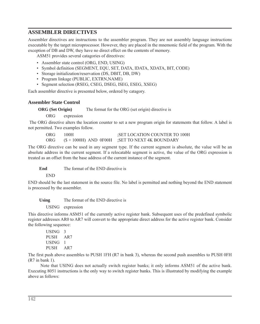# **ASSEMBLER DIRECTIVES**

Assembler directives are instructions to the assembler program. They are not assembly language instructions executable by the target microprocessor. However, they are placed in the mnemonic field of the program. With the exception of DB and DW, they have no direct effect on the contents of memory.

ASM51 provides several catagories of directives:

- Assembler state control (ORG, END, USING)
- Symbol definition (SEGMENT, EQU, SET, DATA, IDATA, XDATA, BIT, CODE)
- Storage initialization/reservation (DS, DBIT, DB, DW)
- Program linkage (PUBLIC, EXTRN,NAME)
- Segment selection (RSEG, CSEG, DSEG, ISEG, ESEG, XSEG)

Each assembler directive is presented below, ordered by catagory.

#### **Assembler State Control**

**ORG (Set Origin)** The format for the ORG (set origin) directive is

ORG expression

 The ORG directive alters the location counter to set a new program origin for statements that follow. A label is not permitted. Two examples follow.

ORG 100H :SET LOCATION COUNTER TO 100H ORG (\$ + 1000H) AND 0F00H ;SET TO NEXT 4K BOUNDARY

The ORG directive can be used in any segment type. If the current segment is absolute, the value will be an absolute address in the current segment. If a relocatable segment is active, the value of the ORG expression is treated as an offset from the base address of the current instance of the segment.

**End** The format of the END directive is

END

END should be the last statement in the source file. No label is permitted and nothing beyond the END statement is processed by the assembler.

**Using** The format of the END directive is

USING expression

This directive informs ASM51 of the currently active register bank. Subsequent uses of the predefined symbolic register addresses AR0 to AR7 will convert to the appropriate direct address for the active register bank. Consider the following sequence:

 USING 3 PUSH AR7 USING 1 PUSH AR7

The first push above assembles to PUSH 1FH (R7 in bank 3), whereas the second push assembles to PUSH 0FH (R7 in bank 1).

 Note that USING does not actually switch register banks; it only informs ASM51 of the active bank. Executing 8051 instructions is the only way to switch register banks. This is illustrated by modifying the example above as follows: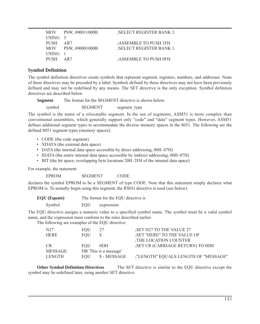|             | MOV PSW, #00011000B | :SELECT REGISTER BANK 3 |
|-------------|---------------------|-------------------------|
| $USING - 3$ |                     |                         |
| PUSH AR7    |                     | :ASSEMBLE TO PUSH 1FH   |
|             | MOV PSW, #00001000B | :SELECT REGISTER BANK 1 |
| USING-      |                     |                         |
| PUSH AR7    |                     | :ASSEMBLE TO PUSH OFH   |
|             |                     |                         |

## **Symbol Definition**

The symbol definition directives create symbols that represent segment, registers, numbers, and addresses. None of these directives may be preceded by a label. Symbols defined by these directives may not have been previously defined and may not be redefined by any means. The SET directive is the only exception. Symbol definiton directives are described below.

**Segment** The format for the SEGMENT directive is shown below.

symbol SEGMENT segment type

The symbol is the name of a relocatable segment. In the use of segments, ASM51 is more complex than conventional assemblers, which generally support only "code" and "data" segment types. However, ASM51 defines additional segment types to accommodate the diverse memory spaces in the 8051. The following are the defined 8051 segment types (memory spaces):

- CODE (the code segment)
- XDATA (the external data space)
- DATA (the internal data space accessible by direct addressing, 00H-07H)
- IDATA (the entire internal data space accessible by indirect addressing, 00H-07H)
- BIT (the bit space; overlapping byte locations 20H-2FH of the internal data space)

For example, the statement

EPROM SEGMENT CODE

declares the symbol EPROM to be a SEGMENT of type CODE. Note that this statement simply declares what EPROM is. To actually begin using this segment, the RSEG directive is used (see below).

| <b>EQU</b> (Equate) | The format for the EQU directive is |
|---------------------|-------------------------------------|
| Symbol              | EOU<br>expression                   |

The EQU directive assigns a numeric value to a specified symbol name. The symbol must be a valid symbol name, and the expression must conform to the rules described earlier.

The following are examples of the EQU directive:

| N <sub>27</sub> | EOU        | 27                    | :SET N27 TO THE VALUE 27             |
|-----------------|------------|-----------------------|--------------------------------------|
| <b>HERE</b>     | EOU        |                       | :SET "HERE" TO THE VALUE OF          |
|                 |            |                       | :THE LOCATION COUNTER                |
| CR.             | EOU        | 0 <sub>DH</sub>       | :SET CR (CARRIAGE RETURN) TO 0DH     |
| MESSAGE:        |            | DB This is a message' |                                      |
| LENGTH          | <b>EOU</b> | \$ - MESSAGE          | :"LENGTH" EQUALS LENGTH OF "MESSAGE" |

 **Other Symbol Definition Directives** The SET directive is similar to the EQU directive except the symbol may be redefined later, using another SET directive.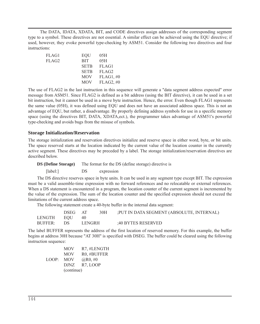The DATA, IDATA, XDATA, BIT, and CODE directives assign addresses of the corresponding segment type to a symbol. These directives are not essential. A similar effect can be achieved using the EQU directive; if used, however, they evoke powerful type-checking by ASM51. Consider the following two directives and four instructions:

| FLAG1             | EOU         | 05H       |
|-------------------|-------------|-----------|
| FLAG <sub>2</sub> | <b>BIT</b>  | 0.5H      |
|                   | <b>SETB</b> | FLAG1     |
|                   | <b>SETB</b> | FLAG2     |
|                   | <b>MOV</b>  | FLAG1. #0 |
|                   | <b>MOV</b>  | FLAG2, #0 |

The use of FLAG2 in the last instruction in this sequence will generate a "data segment address expected" error message from ASM51. Since FLAG2 is defined as a bit address (using the BIT directive), it can be used in a set bit instruction, but it cannot be used in a move byte instruction. Hence, the error. Even though FLAG1 represents the same value (05H), it was defined using EQU and does not have an associated address space. This is not an advantage of EQU, but rather, a disadvantage. By properly defining address symbols for use in a specific memory space (using the directives BIT, DATA, XDATA,ect.), the programmer takes advantage of ASM51's powerful type-checking and avoids bugs from the misuse of symbols.

#### **Storage Initialization/Reservation**

The storage initialization and reservation directives initialize and reserve space in either word, byte, or bit units. The space reserved starts at the location indicated by the current value of the location counter in the currently active segment. These directives may be preceded by a label. The storage initialization/reservation directives are described below.

**DS (Define Storage)** The format for the DS (define storage) directive is

[label:] DS expression

 The DS directive reserves space in byte units. It can be used in any segment type except BIT. The expression must be a valid assemble-time expression with no forward references and no relocatable or external references. When a DS statement is encountered in a program, the location counter of the current segment is incremented by the value of the expression. The sum of the location counter and the specified expression should not exceed the limitations of the current address space.

The following statement create a 40-byte buffer in the internal data segment:

|            | DSEG AT | 30H    | ;PUT IN DATA SEGMENT (ABSOLUTE, INTERNAL) |
|------------|---------|--------|-------------------------------------------|
| LENGTH EOU |         | 40     |                                           |
| BUFFER:    | DS.     | LENGRH | :40 BYTES RESERVED                        |

The label BUFFER represents the address of the first location of reserved memory. For this example, the buffer begins at address 30H because "AT 30H" is specified with DSEG. The buffer could be cleared using the following instruction sequence:

 MOV R7, #LENGTH MOV R0, #BUFFER LOOP:  $MOV$   $@R0. #0$  DJNZ R7, LOOP (continue)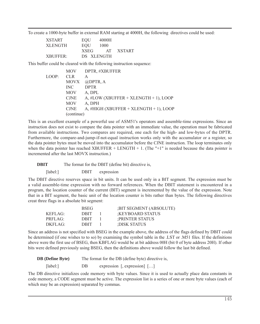To create a 1000-byte buffer in external RAM starting at 4000H, the following directives could be used:

| <b>XSTART</b>  | EOU | 4000H       |              |  |
|----------------|-----|-------------|--------------|--|
| <b>XLENGTH</b> | EOU | 1000        |              |  |
|                |     | <b>XSEG</b> | XSTART<br>AT |  |
| XBUFFER:       |     | DS XLENGTH  |              |  |

This buffer could be cleared with the following instruction sequence:

|       | MOV –       | DPTR, #XBUFFER                             |
|-------|-------------|--------------------------------------------|
| LOOP: | <b>CLR</b>  | A                                          |
|       | <b>MOVX</b> | @DPTR, A                                   |
|       | <b>INC</b>  | <b>DPTR</b>                                |
|       | <b>MOV</b>  | A. DPL                                     |
|       | <b>CJNE</b> | A, #LOW (XBUFFER + XLENGTH + 1), LOOP      |
|       | <b>MOV</b>  | A. DPH                                     |
|       | <b>CJNE</b> | A, #HIGH (XBUFFER $+$ XLENGTH $+$ 1), LOOP |
|       | (continue)  |                                            |

This is an excellent example of a powerful use of ASM51's operators and assemble-time expressions. Since an instruction does not exist to compare the data pointer with an immediate value, the operation must be fabricated from available instructions. Two compares are required, one each for the high- and low-bytes of the DPTR. Furthermore, the compare-and-jump-if-not-equal instruction works only with the accumulator or a register, so the data pointer bytes must be moved into the accumulator before the CJNE instruction. The loop terminates only when the data pointer has reached XBUFFER  $+$  LENGTH  $+$  1. (The " $+1$ " is needed because the data pointer is incremented after the last MOVX instruction.)

**DBIT** The format for the DBIT (define bit) directive is,

[label:] DBIT expression

The DBIT directive reserves space in bit units. It can be used only in a BIT segment. The expression must be a valid assemble-time expression with no forward references. When the DBIT statement is encountered in a program, the location counter of the current (BIT) segment is incremented by the value of the expression. Note that in a BIT segment, the basic unit of the location counter is bits rather than bytes. The following directives creat three flags in a absolute bit segment:

|         | <b>BSEG</b> | ;BIT SEGMENT (ABSOLUTE) |
|---------|-------------|-------------------------|
| KEFLAG: | <b>DBIT</b> | :KEYBOARD STATUS        |
| PRFLAG: | <b>DBIT</b> | :PRINTER STATUS         |
| DKFLAG: | <b>DBIT</b> | :DISK STATUS            |

Since an address is not specified with BSEG in the example above, the address of the flags defined by DBIT could be determined (if one wishes to to so) by examining the symbol table in the .LST or .M51 files. If the definitions above were the first use of BSEG, then KBFLAG would be at bit address 00H (bit 0 of byte address 20H). If other bits were defined previously using BSEG, then the definitions above would follow the last bit defined.

| <b>DB</b> (Define Byte) |  | The format for the DB (define byte) directive is, |
|-------------------------|--|---------------------------------------------------|
|-------------------------|--|---------------------------------------------------|

[label:] DB expression [, expression] [...]

The DB directive initializes code memory with byte values. Since it is used to actually place data constants in code memory, a CODE segment must be active. The expression list is a series of one or more byte values (each of which may be an expression) separated by commas.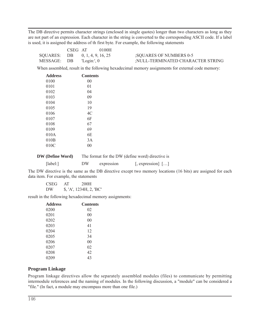The DB directive permits character strings (enclosed in single quotes) longer than two characters as long as they are not part of an expression. Each character in the string is converted to the corresponding ASCII code. If a label is used, it is assigned the address of th first byte. For example, the following statements

|             | CSEG AT | 0100H                          |                                   |
|-------------|---------|--------------------------------|-----------------------------------|
|             |         | SOUARES: DB 0, 1, 4, 9, 16, 25 | :SOUARES OF NUMBERS 0-5           |
| MESSAGE: DB |         | $\text{Login}$ : $\theta$      | NULL-TERMINATED CHARACTER STRING: |

When assembled, result in the following hexadecimal memory assignments for external code memory:

| <b>Address</b> | <b>Contents</b> |
|----------------|-----------------|
| 0100           | 0 <sub>0</sub>  |
| 0101           | 01              |
| 0102           | 04              |
| 0103           | 09              |
| 0104           | 10              |
| 0105           | 19              |
| 0106           | 4C              |
| 0107           | 6F              |
| 0108           | 67              |
| 0109           | 69              |
| 010A           | 6E              |
| 010B           | 3A              |
| 010C           | 0 <sub>0</sub>  |
|                |                 |

**DW (Define Word)** The format for the DW (define word) directive is

[label:] DW expression [, expression] [...]

The DW directive is the same as the DB directive except two memory locations (16 bits) are assigned for each data item. For example, the statements

 CSEG AT 200H DW \$, 'A', 1234H, 2, 'BC'

result in the following hexadecimal memory assignments:

| <b>Address</b> | <b>Contents</b> |
|----------------|-----------------|
| 0200           | 02              |
| 0201           | 00              |
| 0202           | 00              |
| 0203           | 41              |
| 0204           | 12              |
| 0205           | 34              |
| 0206           | 00              |
| 0207           | 02              |
| 0208           | 42              |
| 0209           | 43              |

### **Program Linkage**

Program linkage directives allow the separately assembled modules (files) to communicate by permitting intermodule references and the naming of modules. In the following discussion, a "module" can be considered a "file." (In fact, a module may encompass more than one file.)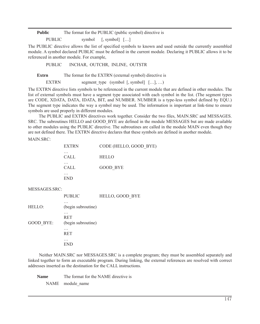**Public** The format for the PUBLIC (public symbol) directive is

PUBLIC symbol [, symbol] [...]

The PUBLIC directive allows the list of specified symbols to known and used outside the currently assembled module. A symbol declared PUBLIC must be defined in the current module. Declaring it PUBLIC allows it to be referenced in another module. For example,

PUBLIC INCHAR, OUTCHR, INLINE, OUTSTR

**Extrn** The format for the EXTRN (external symbol) directive is

EXTRN segment type (symbol [, symbol]  $[...]$ , …)

The EXTRN directive lists symbols to be referenced in the current module that are defined in other modules. The list of external symbols must have a segment type associated with each symbol in the list. (The segment types are CODE, XDATA, DATA, IDATA, BIT, and NUMBER. NUMBER is a type-less symbol defined by EQU.) The segment type indicates the way a symbol may be used. The information is important at link-time to ensure symbols are used properly in different modules.

 The PUBLIC and EXTRN directives work together. Consider the two files, MAIN.SRC and MESSAGES. SRC. The subroutines HELLO and GOOD BYE are defined in the module MESSAGES but are made available to other modules using the PUBLIC directive. The subroutines are called in the module MAIN even though they are not defined there. The EXTRN directive declares that these symbols are defined in another module.

MAIN SRC<sup>.</sup>

| <b>EXTRN</b>           | CODE (HELLO, GOOD BYE) |
|------------------------|------------------------|
| $\cdots$<br>CALL       | <b>HELLO</b>           |
| $\cdots$<br>CALL       | GOOD BYE               |
| $\cdots$<br><b>END</b> |                        |

MESSAGES.SRC:

|           | <b>PUBLIC</b>                    | HELLO, GOOD BYE |
|-----------|----------------------------------|-----------------|
| HELLO:    | (begin subroutine)               |                 |
| GOOD BYE: | <b>RET</b><br>(begin subroutine) |                 |
|           | <b>RET</b>                       |                 |
|           | .<br>END                         |                 |
|           |                                  |                 |

 Neither MAIN.SRC nor MESSAGES.SRC is a complete program; they must be assembled separately and linked together to form an executable program. During linking, the external references are resolved with correct addresses inserted as the destination for the CALL instructions.

**Name** The format for the NAME directive is

NAME module name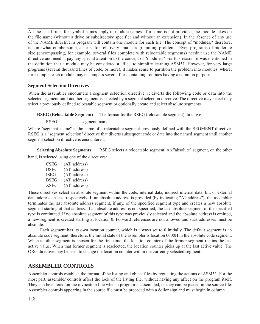All the usual rules for symbol names apply to module names. If a name is not provided, the module takes on the file name (without a drive or subdirectory specifier and without an extension). In the absence of any use of the NAME directive, a program will contain one module for each file. The concept of "modules," therefore, is somewhat cumbersome, at least for relatively small programming problems. Even programs of moderate size (encompassing, for example, several files complete with relocatable segments) needn't use the NAME directive and needn't pay any special attention to the concept of "modules." For this reason, it was mentioned in the definition that a module may be considered a "file," to simplify learning ASM51. However, for very large programs (several thousand lines of code, or more), it makes sense to partition the problem into modules, where, for example, each module may encompass several files containing routines having a common purpose.

### **Segment Selection Directives**

When the assembler encounters a segment selection directive, it diverts the following code or data into the selected segment until another segment is selected by a segment selection directive. The directive may select may select a previously defined relocatable segment or optionally create and select absolute segments.

**RSEG (Relocatable Segment)** The format for the RSEG (relocatable segment) directive is

RSEG segment name

Where "segment name" is the name of a relocatable segment previously defined with the SEGMENT directive. RSEG is a "segment selection" directive that diverts subsequent code or data into the named segment until another segment selection directive is encountered.

 **Selecting Absolute Segments** RSEG selects a relocatable segment. An "absolute" segment, on the other hand, is selected using one of the directives:

| <b>CSEG</b> | (AT address) |
|-------------|--------------|
| <b>DSEG</b> | (AT address) |
| <b>ISEG</b> | (AT address) |
| <b>BSEG</b> | (AT address) |
| <b>XSEG</b> | (AT address) |

These directives select an absolute segment within the code, internal data, indirect internal data, bit, or external data address spaces, respectively. If an absolute address is provided (by indicating "AT address"), the assembler terminates the last absolute address segment, if any, of the specified segment type and creates a new absolute segment starting at that address. If an absolute address is not specified, the last absolute segment of the specified type is continuted. If no absolute segment of this type was previously selected and the absolute address is omitted, a new segment is created starting at location 0. Forward references are not allowed and start addresses must be absolute.

 Each segment has its own location counter, which is always set to 0 initially. The default segment is an absolute code segment; therefore, the initial state of the assembler is location 0000H in the absolute code segment. When another segment is chosen for the first time, the location counter of the former segment retains the last active value. When that former segment is reselected, the location counter picks up at the last active value. The ORG directive may be used to change the location counter within the currently selected segment.

## **ASSEMBLER CONTROLS**

Assembler controls establish the format of the listing and object files by regulating the actions of ASM51. For the most part, assembler controls affect the look of the listing file, without having any affect on the program itself. They can be entered on the invocation line when a program is assembled, or they can be placed in the source file. Assembler controls appearing in the source file must be preceded with a dollor sign and must begin in column 1.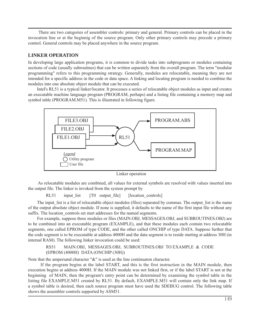There are two categories of assembler controls: primary and general. Primary controls can be placed in the invocation line or at the beginnig of the source program. Only other primary controls may precede a primary control. General controls may be placed anywhere in the source program.

### **LINKER OPERATION**

In developing large application programs, it is common to divide tasks into subprograms or modules containing sections of code (usually subroutines) that can be written separately from the overall program. The term "modular programming" refers to this programming strategy. Generally, modules are relocatable, meaning they are not intended for a specific address in the code or data space. A linking and locating program is needed to combine the modules into one absolute object module that can be executed.

 Intel's RL51 is a typical linker/locator. It processes a series of relocatable object modules as input and creates an executable machine language program (PROGRAM, perhaps) and a listing file containing a memory map and symbol table (PROGRAM.M51). This is illustrated in following figure.



Linker operation

 As relocatable modules are combined, all values for external symbols are resolved with values inserted into the output file. The linker is invoked from the system prompt by

RL51 input list [T0 output file] [location controls]

The input list is a list of relocatable object modules (files) separated by commas. The output list is the name of the output absolute object module. If none is supplied, it defaults to the name of the first input file without any suffix. The location controls set start addresses for the named segments.

 For example, suppose three modules or files (MAIN.OBJ, MESSAGES.OBJ, and SUBROUTINES.OBJ) are to be combined into an executable program (EXAMPLE), and that these modules each contain two relocatable segments, one called EPROM of type CODE, and the other called ONCHIP of type DATA. Suppose further that the code segment is to be executable at address 4000H and the data segment is to reside starting at address 30H (in internal RAM). The following linker invocation could be used:

 RS51 MAIN.OBJ, MESSAGES.OBJ, SUBROUTINES.OBJ TO EXAMPLE & CODE (EPROM (4000H) DATA (ONCHIP (30H))

Note that the ampersand character "&" is used as the line continuaton character.

 If the program begins at the label START, and this is the first instruction in the MAIN module, then execution begins at address 4000H. If the MAIN module was not linked first, or if the label START is not at the beginning of MAIN, then the program's entry point can be determined by examining the symbol table in the listing file EXAMPLE.M51 created by RL51. By default, EXAMPLE.M51 will contain only the link map. If a symbol table is desired, then each source program must have used the SDEBUG control. The following table shows the assembler controls supported by ASM51.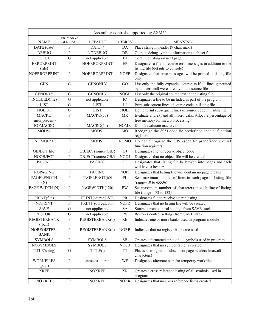| Assembler controls supported by ASM51 |                            |                     |                        |                                                                                                                  |
|---------------------------------------|----------------------------|---------------------|------------------------|------------------------------------------------------------------------------------------------------------------|
| <b>NAME</b>                           | PRIMARY/<br><b>GENERAL</b> | <b>DEFAULT</b>      | <b>ABBREV.</b>         | <b>MEANING</b>                                                                                                   |
| DATE (date)                           | $\mathbf{P}$               | DATE()              | DA                     | Place string in header (9 char. max.)                                                                            |
| <b>DEBUG</b>                          | $\overline{P}$             | <b>NODEBUG</b>      | $DB$                   | Outputs debug symbol information to object file                                                                  |
| <b>EJECT</b>                          | G                          | not applicable      | EJ                     | Continue listing on next page                                                                                    |
| <b>ERRORPRINT</b>                     | $\overline{P}$             | <b>NOERRORPRINT</b> | EP                     | Designates a file to receive error messages in addition to the                                                   |
| (file)                                |                            |                     |                        | listing file (defauts to console)                                                                                |
| <b>NOERRORPRINT</b>                   | $\overline{P}$             | <b>NOERRORPRINT</b> | <b>NOEP</b>            | Designates that error messages will be printed in listing file<br>only                                           |
| <b>GEN</b>                            | G                          | <b>GENONLY</b>      | GO                     | List only the fully expanded source as if all lines generated<br>by a macro call were already in the source file |
| <b>GENONLY</b>                        | G                          | <b>GENONLY</b>      | <b>NOGE</b>            | List only the original source text in the listing file                                                           |
| <b>INCLUED</b> (file)                 | G                          | not applicable      | IC                     | Designates a file to be included as part of the program                                                          |
| <b>LIST</b>                           | G                          | <b>LIST</b>         | L1                     | Print subsequent lines of source code in listing file                                                            |
| <b>NOLIST</b>                         | G                          | <b>LIST</b>         | <b>NOLI</b>            | Do not print subsequent lines of source code in lisitng file                                                     |
| <b>MACRO</b>                          | $\overline{P}$             | MACRO(50)           | <b>MR</b>              | Evaluate and expand all macro calls. Allocate percentage of                                                      |
| (men precent)                         |                            |                     |                        | free memory for macro processing                                                                                 |
| <b>NOMACRO</b>                        | P                          | MACRO(50)           | <b>NOMR</b>            | Do not evalutate macro calls                                                                                     |
| MOD51                                 | $\overline{P}$             | MOD51               | M <sub>O</sub>         | Recognize the 8051-specific predefined special function<br>registers                                             |
| NOMOD51                               | $\mathbf{P}$               | MOD51               | <b>NOMO</b>            | Do not recognize the 8051-specific predefined special<br>function registers                                      |
| OBJECT(file)                          | P                          | OBJECT(source.OBJ)  | OJ                     | Designates file to receive object code                                                                           |
| <b>NOOBJECT</b>                       | $\overline{P}$             | OBJECT(source.OBJ)  | <b>NOOJ</b>            | Designates that no object file will be created                                                                   |
| <b>PAGING</b>                         | $\overline{P}$             | <b>PAGING</b>       | PI                     | Designates that listing file be broken into pages and each<br>will have a header                                 |
| <b>NOPAGING</b>                       | ${\bf P}$                  | <b>PAGING</b>       | <b>NOPI</b>            | Designates that listing file will contain no page breaks                                                         |
| <b>PAGELENGTH</b><br>(N)              | $\overline{P}$             | PAGELENGT(60)       | PL                     | Sets maximun number of lines in each page of listing file<br>$(range=10 to 65536)$                               |
| PAGE WIDTH (N)                        | $\overline{P}$             | PAGEWIDTH(120)      | <b>PW</b>              | Set maximum number of characters in each line of listing<br>file (range = $72$ to 132)                           |
| PRINT(file)                           | $\overline{P}$             | PRINT(source.LST)   | PR                     | Designates file to receive source listing                                                                        |
| <b>NOPRINT</b>                        | $\overline{P}$             | PRINT(source.LST)   | <b>NOPR</b>            | Designates that no listing file will be created                                                                  |
| <b>SAVE</b>                           | G                          | not applicable      | <b>SA</b>              | Stores current control settings from SAVE stack                                                                  |
| <b>RESTORE</b>                        | G                          | not applicable      | $\overline{\text{RS}}$ | Restores control settings from SAVE stack                                                                        |
| <b>REGISTERBANK</b><br>(rb,)          | $\mathbf{p}$               | REGISTERBANK(0)     | <b>RB</b>              | Indicates one or more banks used in program module                                                               |
| NOREGISTER-<br><b>BANK</b>            | $\overline{P}$             | REGISTERBANK(0)     | <b>NORB</b>            | Indicates that no register banks are used                                                                        |
| <b>SYMBOLS</b>                        | $\overline{P}$             | <b>SYMBOLS</b>      | <b>SB</b>              | Creates a formatted table of all symbols used in program                                                         |
| <b>NOSYMBOLS</b>                      | $\overline{P}$             | <b>SYMBOLS</b>      | <b>NOSB</b>            | Designates that no symbol table is created                                                                       |
| TITLE(string)                         | G                          | TITLE()             | <b>TT</b>              | Places a string in all subsequent page headers (max.60)<br>characters)                                           |
| <b>WORKFILES</b><br>(path)            | $\overline{P}$             | same as source      | WF                     | Designates alternate path for temporay workfiles                                                                 |
| <b>XREF</b>                           | $\overline{P}$             | <b>NOXREF</b>       | <b>XR</b>              | Creates a cross reference listing of all symbols used in<br>program                                              |
| <b>NOXREF</b>                         | $\overline{P}$             | <b>NOXREF</b>       | <b>NOXR</b>            | Designates that no cross reference list is created                                                               |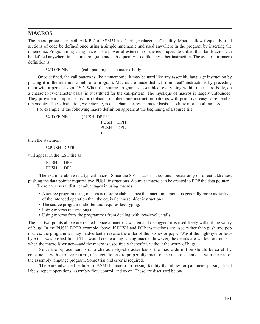### **MACROS**

The macro processing facility (MPL) of ASM51 is a "string replacement" facility. Macros allow frequently used sections of code be defined once using a simple mnemonic and used anywhere in the program by inserting the mnemonic. Programming using macros is a powerful extension of the techniques described thus far. Macros can be defined anywhere in a source program and subsequently used like any other instruction. The syntax for macro definition is

%\*DEFINE (call pattern) (macro\_body)

 Once defined, the call pattern is like a mnemonic; it may be used like any assembly language instruction by placing it in the mnemonic field of a program. Macros are made distinct from "real" instructions by preceding them with a percent sign, "%". When the source program is assembled, everything within the macro-body, on a character-by-character basis, is substituted for the call-pattern. The mystique of macros is largely unfounded. They provide a simple means for replacing cumbersome instruction patterns with primitive, easy-to-remember mnemonics. The substitution, we reiterate, is on a character-by-character basis—nothing more, nothing less.

For example, if the following macro definition appears at the beginning of a source file,

| $%^*$ DEFINE | (PUSH DPTR) |  |
|--------------|-------------|--|
|              | (PUSH DPH   |  |
|              | PUSH DPL    |  |
|              |             |  |

then the statement

%PUSH\_DPTR

will appear in the .LST file as

 PUSH DPH PUSH DPL

 The example above is a typical macro. Since the 8051 stack instructions operate only on direct addresses, pushing the data pointer requires two PUSH instructions. A similar macro can be created to POP the data pointer.

There are several distinct advantages in using macros:

- A source program using macros is more readable, since the macro mnemonic is generally more indicative of the intended operation than the equivalent assembler instructions.
- The source program is shorter and requires less typing.
- Using macros reduces bugs
- Using macros frees the programmer from dealing with low-level details. •

The last two points above are related. Once a macro is written and debugged, it is used freely without the worry of bugs. In the PUSH\_DPTR example above, if PUSH and POP instructions are used rather than push and pop macros, the programmer may inadvertently reverse the order of the pushes or pops. (Was it the high-byte or lowbyte that was pushed first?) This would create a bug. Using macros, however, the details are worked out once when the macro is written—and the macro is used freely thereafter, without the worry of bugs.

 Since the replacement is on a character-by-character basis, the macro definition should be carefully constructed with carriage returns, tabs, ect., to ensure proper alignment of the macro statements with the rest of the assembly language program. Some trial and error is required.

 There are advanced features of ASM51's macro-processing facility that allow for parameter passing, local labels, repeat operations, assembly flow control, and so on. These are discussed below.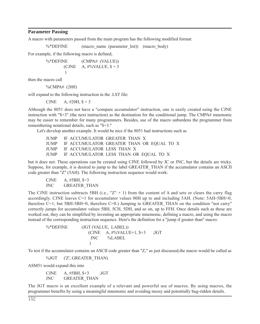### **Parameter Passing**

A macro with parameters passed from the main program has the following modified format:

%\*DEFINE (macro\_name (parameter\_list)) (macro\_body)

For example, if the following macro is defined,

 %\*DEFINE (CMPA# (VALUE)) (CJNE  $A, #\%$ VALUE,  $$+3$  $\overline{\phantom{a}}$ 

then the macro call

%CMPA# (20H)

will expand to the following instruction in the .LST file:

CJNE A,  $\#20H, \, \$+3$ 

Although the 8051 does not have a "compare accumulator" instruction, one is easily created using the CJNE instruction with "\$+3" (the next instruction) as the destination for the conditional jump. The CMPA# mnemonic may be easier to remember for many programmers. Besides, use of the macro unburdens the programmer from remembering notational details, such as "\$+3."

Let's develop another example. It would be nice if the 8051 had instructions such as

| JUMP IF ACCUMULATOR GREATER THAN X             |
|------------------------------------------------|
| JUMP IF ACCUMULATOR GREATER THAN OR EQUAL TO X |
| JUMP IF ACCUMULATOR LESS THAN X                |
| JUMP IF ACCUMULATOR LESS THAN OR EQUAL TO X    |

but it does not. These operations can be created using CJNE followed by JC or JNC, but the details are tricky. Suppose, for example, it is desired to jump to the label GREATER\_THAN if the accumulator contains an ASCII code greater than "Z" (5AH). The following instruction sequence would work:

CJNE  $A$ , #5BH, \$÷3 JNC GREATER\_THAN

The CJNE instruction subtracts 5BH (i.e.,  $Z'' + 1$ ) from the content of A and sets or clears the carry flag accordingly. CJNE leaves C=1 for accumulator values 00H up to and including 5AH. (Note: 5AH-5BH<0, therefore C=1; but 5BH-5BH=0, therefore C=0.) Jumping to GREATER THAN on the condition "not carry" correctly jumps for accumulator values 5BH, 5CH, 5DH, and so on, up to FFH. Once details such as these are worked out, they can be simplified by inventing an appropriate mnemonic, defining a macro, and using the macro instead of the corresponding instruction sequence. Here's the definition for a "jump if greater than" macro:

 %\*DEFINE (JGT (VALUE, LABEL)) (CJNE  $A, #\%$ VALUE+1,  $$+3$  ;JGT JNC %LABEL  $)$  )

To test if the accumulator contains an ASCII code greater than "Z," as just discussed,the macro would be called as

%JGT ('Z', GREATER\_THAN)

ASM51 would expand this into

 $CJNE$  A,  $#5BH$ ,  $*+3$  ;  $JGT$ JNC GREATER\_THAN

The JGT macro is an excellent example of a relevant and powerful use of macros. By using macros, the programmer benefits by using a meaningful mnemonic and avoiding messy and potentially bug-ridden details.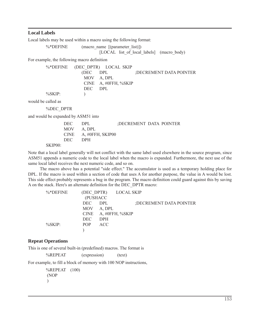### **Local Labels**

Local labels may be used within a macro using the following format:

 $%^*$ DEFINE (macro\_name [(parameter\_list)])

[LOCAL list of local labels] (macro body)

For example, the following macro definition

| $%^*$ DEFINE                        |       | (DEC DPTR) LOCAL SKIP |                         |
|-------------------------------------|-------|-----------------------|-------------------------|
|                                     | (DEC) | DPL                   | :DECREMENT DATA POINTER |
|                                     |       | MOV A, DPL            |                         |
|                                     |       | CJNE A, #0FFH, %SKIP  |                         |
|                                     | DEC.  | <b>DPL</b>            |                         |
| $%$ SKIP:                           |       |                       |                         |
| would be called as                  |       |                       |                         |
| %DEC DPTR                           |       |                       |                         |
| and would be expanded by ASM51 into |       |                       |                         |

DEC DPL ;DECREMENT DATA POINTER MOV A, DPL CJNE A, #0FFH, SKIP00 DEC DPH

SKIP00:

Note that a local label generally will not conflict with the same label used elsewhere in the source program, since ASM51 appends a numeric code to the local label when the macro is expanded. Furthermore, the next use of the same local label receives the next numeric code, and so on.

 The macro above has a potential "side effect." The accumulator is used as a temporary holding place for DPL. If the macro is used within a section of code that uses A for another purpose, the value in A would be lost. This side effect probably represents a bug in the program. The macro definition could guard against this by saving A on the stack. Here's an alternate definition for the DEC\_DPTR macro:

| $%^*$ DEFINE | (DEC DPTR)  |            | LOCAL SKIP      |                         |
|--------------|-------------|------------|-----------------|-------------------------|
|              | (PUSHACC)   |            |                 |                         |
|              | DEC DPL     |            |                 | :DECREMENT DATA POINTER |
|              | MOV A, DPL  |            |                 |                         |
|              | <b>CJNE</b> |            | A, #0FFH, %SKIP |                         |
|              | DEC.        | <b>DPH</b> |                 |                         |
| $%$ SKIP:    | <b>POP</b>  | ACC.       |                 |                         |
|              |             |            |                 |                         |

### **Repeat Operations**

This is one of several built-in (predefined) macros. The format is

%REPEAT (expression) (text)

For example, to fill a block of memory with 100 NOP instructions,

 %REPEAT (100) (NOP  $\overline{\phantom{a}}$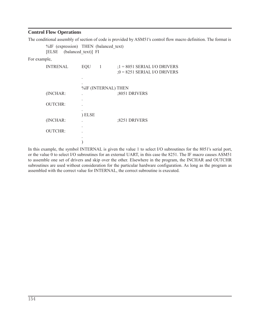### **Control Flow Operations**

The conditional assembly of section of code is provided by ASM51's control flow macro definition. The format is

 %IF (expression) THEN (balanced\_text) [ELSE (balanced text)] FI

For example,

| <b>INTRENAL</b> | <b>EQU</b> | 1                   | $;1 = 8051$ SERIAL I/O DRIVERS<br>$;0 = 8251$ SERIAL I/O DRIVERS |
|-----------------|------------|---------------------|------------------------------------------------------------------|
|                 |            |                     |                                                                  |
|                 |            | %IF (INTERNAL) THEN |                                                                  |
| (INCHAR:        |            |                     | :8051 DRIVERS                                                    |
| <b>OUTCHR:</b>  |            |                     |                                                                  |
|                 | ) ELSE     |                     |                                                                  |
| (INCHAR:        |            |                     | :8251 DRIVERS                                                    |
| <b>OUTCHR:</b>  |            |                     |                                                                  |
|                 |            |                     |                                                                  |

In this example, the symbol INTERNAL is given the value 1 to select I/O subroutines for the 8051's serial port, or the value 0 to select I/O subroutines for an external UART, in this case the 8251. The IF macro causes ASM51 to assemble one set of drivers and skip over the other. Elsewhere in the program, the INCHAR and OUTCHR subroutines are used without consideration for the particular hardware configuration. As long as the program as assembled with the correct value for INTERNAL, the correct subroutine is executed.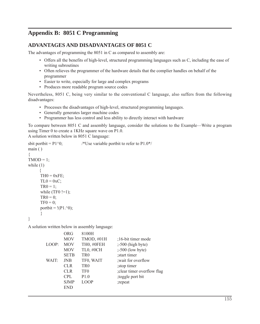# **Appendix B: 8051 C Programming**

# **ADVANTAGES AND DISADVANTAGES OF 8051 C**

The advantages of programming the 8051 in C as compared to assembly are:

- Offers all the benefits of high-level, structured programming languages such as C, including the ease of writing subroutines
- Often relieves the programmer of the hardware details that the complier handles on behalf of the programmer
- Easier to write, especially for large and complex programs
- Produces more readable program source codes

Nevertheless, 8051 C, being very similar to the conventional C language, also suffers from the following disadvantages:

- Processes the disadvantages of high-level, structured programming languages.
- Generally generates larger machine codes •
- Programmer has less control and less ability to directly interact with hardware

To compare between 8051 C and assembly language, consider the solutions to the Example—Write a program using Timer 0 to create a 1KHz square wave on P1.0.

A solution written below in 8051 C language:

```
sbit portbit = P1^0; \frac{\text{#Use variable portfolio}}{1.0^{*}}main ( )
{
TMOD = 1:
while (1)\sim {
      TH0 = 0xFE;
      TL0 = 0 \times C;
      TR0 = 1;
      while (TF0 != 1);
      TR0 = 0;TF0 = 0:
       portbit = !(P1.^0);\longrightarrow}
```
A solution written below in assembly language:

|       | <b>ORG</b>  | 8100H           |                             |
|-------|-------------|-----------------|-----------------------------|
|       | <b>MOV</b>  | TMOD, #01H      | :16-bit timer mode          |
| LOOP: | <b>MOV</b>  | THO, #OFEH      | $-500$ (high byte)          |
|       | <b>MOV</b>  | TL0, #0CH       | $\div 500$ (low byte)       |
|       | <b>SETB</b> | TR <sub>0</sub> | :start timer                |
| WAIT: | <b>JNB</b>  | TF0, WAIT       | ; wait for overflow         |
|       | <b>CLR</b>  | TR <sub>0</sub> | ;stop timer                 |
|       | <b>CLR</b>  | TF <sub>0</sub> | ; clear timer overflow flag |
|       | CPL         | P1.0            | toggle port bit             |
|       | <b>SJMP</b> | <b>LOOP</b>     | :repeat                     |
|       | <b>END</b>  |                 |                             |
|       |             |                 |                             |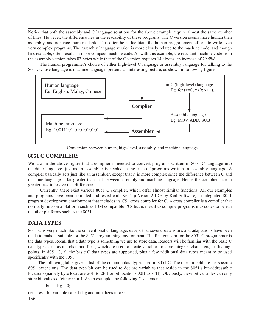Notice that both the assembly and C language solutions for the above example require almost the same number of lines. However, the difference lies in the readability of these programs. The C version seems more human than assembly, and is hence more readable. This often helps facilitate the human programmer's efforts to write even very complex programs. The assembly language version is more closely related to the machine code, and though less readable, often results in more compact machine code. As with this example, the resultant machine code from the assembly version takes 83 bytes while that of the C version requires 149 bytes, an increase of 79.5%!

 The human programmer's choice of either high-level C language or assembly language for talking to the 8051, whose language is machine language, presents an interesting picture, as shown in following figure.



Conversion between human, high-level, assembly, and machine language

## **8051 C COMPILERS**

We saw in the above figure that a complier is needed to convert programs written in 8051 C language into machine language, just as an assembler is needed in the case of programs written in assembly language. A complier basically acts just like an assembler, except that it is more complex since the difference between C and machine language is far greater than that between assembly and machine language. Hence the complier faces a greater task to bridge that difference.

 Currently, there exist various 8051 C complier, which offer almost similar functions. All our examples and programs have been compiled and tested with Keil's μ Vision 2 IDE by Keil Software, an integrated 8051 program development envrionment that includes its C51 cross compiler for C. A cross compiler is a compiler that normally runs on a platform such as IBM compatible PCs but is meant to compile programs into codes to be run on other platforms such as the 8051.

# **DATA TYPES**

8051 C is very much like the conventional C language, except that several extensions and adaptations have been made to make it suitable for the 8051 programming environment. The first concern for the 8051 C programmer is the data types. Recall that a data type is something we use to store data. Readers will be familiar with the basic C data types such as int, char, and float, which are used to create variables to store integers, characters, or floatingpoints. In 8051 C, all the basic C data types are supported, plus a few additional data types meant to be used specifically with the 8051.

 The following table gives a list of the common data types used in 8051 C. The ones in bold are the specific 8051 extensions. The data type **bit** can be used to declare variables that reside in the 8051's bit-addressable locations (namely byte locations 20H to 2FH or bit locations 00H to 7FH). Obviously, these bit variables can only store bit values of either 0 or 1. As an example, the following C statement:

bit flag =  $0$ ;

declares a bit variable called flag and initializes it to 0.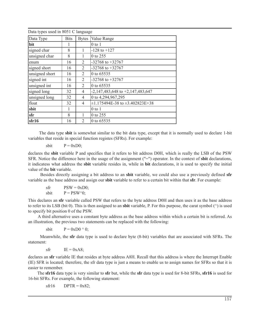| Data types used in 8051 C language |             |                |                                          |
|------------------------------------|-------------|----------------|------------------------------------------|
| Data Type                          | <b>Bits</b> | <b>Bytes</b>   | Value Range                              |
| bit                                |             |                | $0$ to $1$                               |
| signed char                        | 8           | 1              | $-128$ to $+127$                         |
| unsigned char                      | 8           |                | 0 to 255                                 |
| enum                               | 16          | 2              | $-32768$ to $+32767$                     |
| signed short                       | 16          | $\overline{c}$ | $-32768$ to $+32767$                     |
| unsigned short                     | 16          | $\overline{2}$ | 0 to 65535                               |
| signed int                         | 16          | $\overline{2}$ | $-32768$ to $+32767$                     |
| unsigned int                       | 16          | $\overline{2}$ | 0 to 65535                               |
| signed long                        | 32          | 4              | $-2,147,483,648$ to $+2,147,483,647$     |
| unsigned long                      | 32          | 4              | 0 to 4,294,967,295                       |
| float                              | 32          | 4              | $\pm$ 1.175494E-38 to $\pm$ 3.402823E+38 |
| sbit                               | 1           |                | $0$ to $1$                               |
| sfr                                | 8           |                | 0 to 255                                 |
| sfr16                              | 16          | 2              | 0 to 65535                               |

 The data type **sbit** is somewhat similar to the bit data type, except that it is normally used to declare 1-bit variables that reside in special function registes (SFRs). For example:

shit  $P = 0xD0$ 

declares the **sbit** variable P and specifies that it refers to bit address D0H, which is really the LSB of the PSW SFR. Notice the difference here in the usage of the assignment ("=") operator. In the context of **sbit** declarations, it indicatess what address the **sbit** variable resides in, while in **bit** declarations, it is used to specify the initial value of the **bit** variable.

 Besides directly assigning a bit address to an **sbit** variable, we could also use a previously defined **sfr**  variable as the base address and assign our **sbit** variable to refer to a certain bit within that **sfr**. For example:

 $sfr \t PSW = 0xD0$ ; sbit  $P = PSW^0$ :

This declares an **sfr** variable called PSW that refers to the byte address D0H and then uses it as the base address to refer to its LSB (bit 0). This is then assigned to an **sbit** variable, P. For this purpose, the carat symbol (^) is used to specify bit position 0 of the PSW.

 A third alternative uses a constant byte address as the base address within which a certain bit is referred. As an illustration, the previous two statements can be replaced with the following:

sbit  $P = 0xD0 \wedge 0$ ;

 Meanwhile, the **sfr** data type is used to declare byte (8-bit) variables that are associated with SFRs. The statement:

$$
sfr \t I E = 0xA8;
$$

declares an **sfr** variable IE that resides at byte address A8H. Recall that this address is where the Interrupt Enable (IE) SFR is located; therefore, the sfr data type is just a means to enable us to assign names for SFRs so that it is easier to remember.

 The **sfr16** data type is very similar to **sfr** but, while the **sfr** data type is used for 8-bit SFRs, **sfr16** is used for 16-bit SFRs. For example, the following statement:

 $\text{sfr16}$  DPTR = 0x82: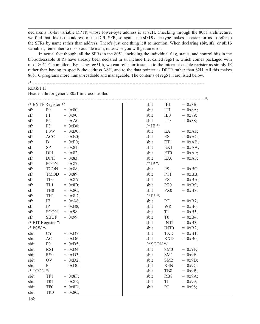declares a 16-bit variable DPTR whose lower-byte address is at 82H. Checking through the 8051 architecture, we find that this is the address of the DPL SFR, so again, the **sfr16** data type makes it easier for us to refer to the SFRs by name rather than address. There's just one thing left to mention. When declaring **sbit**, **sfr**, or **sfr16** variables, remember to do so outside main, otherwise you will get an error.

 In actual fact though, all the SFRs in the 8051, including the individual flag, status, and control bits in the bit-addressable SFRs have already been declared in an include file, called reg51.h, which comes packaged with most 8051 C compilers. By using reg51.h, we can refer for instance to the interrupt enable register as simply IE rather than having to specify the address A8H, and to the data pointer as DPTR rather than 82H. All this makes 8051 C programs more human-readable and manageable. The contents of reg51.h are listed below.

/\*--------------------------------------------------------------------------------------------------------------------

#### REG51.H

Header file for generic 8051 microcontroller.

|                    |                           |            |                                |                        | -----------------*/ |
|--------------------|---------------------------|------------|--------------------------------|------------------------|---------------------|
|                    | $\!$ * BYTE Register $*/$ |            | sbit                           | IE1                    | $= 0x8B$ ;          |
| ${\rm sfr}$        | P <sub>0</sub>            | $= 0x80$ ; | sbit                           | IT1                    | $= 0x8A;$           |
| sfr                | P1                        | $= 0x90;$  | sbit                           | IE <sub>0</sub>        | $= 0x89;$           |
| sfr                | P <sub>2</sub>            | $= 0xA0;$  | sbit                           | IT <sub>0</sub>        | $= 0x88$ ;          |
| ${\rm sfr}$        | P <sub>3</sub>            | $= 0xB0;$  | $/\mathrm{*}$ IE $\mathrm{*}/$ |                        |                     |
| sfr                | <b>PSW</b>                | $= 0xD0$ ; | sbit                           | EA                     | $= 0xAF$ ;          |
| ${\rm sfr}$        | <b>ACC</b>                | $= 0xE0;$  | sbit                           | ES                     | $= 0xAC$ ;          |
| sfr                | B                         | $= 0xF0;$  | sbit                           | ET1                    | $= 0xAB;$           |
| sfr                | <b>SP</b>                 | $= 0x81;$  | sbit                           | EX1                    | $= 0xAA;$           |
| sfr                | DPL                       | $= 0x82;$  | sbit                           | $\rm{E}T0$             | $= 0xA9;$           |
| sfr                | <b>DPH</b>                | $= 0x83$ ; | sbit                           | EX <sub>0</sub>        | $= 0xA8$ ;          |
| ${\rm sfr}$        | <b>PCON</b>               | $= 0x87;$  | $/\mathrm{*}$ IP $\mathrm{*}/$ |                        |                     |
| sfr                | <b>TCON</b>               | $= 0x88;$  | sbit                           | <b>PS</b>              | $= 0xBC$ ;          |
| sfr                | <b>TMOD</b>               | $= 0x89;$  | sbit                           | PT1                    | $= 0xBB$ ;          |
| ${\rm sfr}$        | TL0                       | $= 0x8A;$  | sbit                           | PX1                    | $= 0xBA;$           |
| sfr                | TL1                       | $= 0x8B$ ; | sbit                           | PT <sub>0</sub>        | $= 0xB9$ ;          |
| ${\rm sfr}$        | TH <sub>0</sub>           | $= 0x8C;$  | sbit                           | PX <sub>0</sub>        | $= 0xB8;$           |
| sfr                | TH1                       | $= 0x8D$ ; | $/* P3 */$                     |                        |                     |
| sfr                | IE                        | $= 0xA8;$  | sbit                           | <b>RD</b>              | $= 0xB7$ ;          |
| ${\rm sfr}$        | $\rm IP$                  | $= 0xB8;$  | sbit                           | <b>WR</b>              | $= 0xB6;$           |
| sfr                | <b>SCON</b>               | $= 0x98$ ; | sbit                           | T1                     | $= 0xB5$ ;          |
| sfr                | <b>SBUF</b>               | $= 0x99$ ; | sbit                           | ${\rm T}0$             | $= 0xB4;$           |
| /* BIT Register */ |                           |            | sbit                           | INT1                   | $= 0xB3$ ;          |
| $/*$ PSW $*/$      |                           |            | sbit                           | INT <sub>0</sub>       | $= 0xB2;$           |
| sbit               | <b>CY</b>                 | $= 0xD7$ ; | sbit                           | <b>TXD</b>             | $= 0xB1;$           |
| sbit               | AC                        | $= 0xD6$   | sbit                           | <b>RXD</b>             | $= 0xB0;$           |
| sbit               | ${\rm F0}$                | $= 0xD5;$  | $/*$ SCON $*/$                 |                        |                     |
| sbit               | RS1                       | $= 0xD4$ ; | sbit                           | SM <sub>0</sub>        | $= 0x9F$ ;          |
| sbit               | RS0                       | $= 0xD3;$  | sbit                           | SM1                    | $= 0x9E$ ;          |
| sbit               | <b>OV</b>                 | $= 0xD2;$  | sbit                           | SM <sub>2</sub>        | $= 0x9D;$           |
| sbit               | P                         | $= 0xD0$ : | sbit                           | <b>REN</b>             | $= 0x9C$ ;          |
| $/* TCON */$       |                           |            | sbit                           | TB8                    | $= 0x9B$ ;          |
| sbit               | TF1                       | $= 0x8F$ ; | sbit                           | RB <sub>8</sub>        | $= 0x9A$ ;          |
| sbit               | TR1                       | $= 0x8E;$  | sbit                           | TI                     | $= 0x99;$           |
| sbit               | TF <sub>0</sub>           | $= 0x8D$ ; | sbit                           | $\mathbf{R}\mathbf{I}$ | $= 0x98;$           |
| sbit               | TR <sub>0</sub>           | $= 0x8C$   |                                |                        |                     |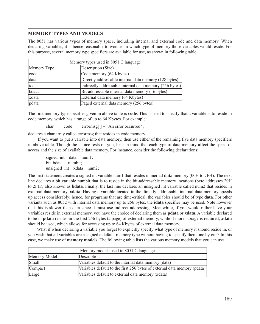### **MEMORY TYPES AND MODELS**

The 8051 has various types of memory space, including internal and external code and data memory. When declaring variables, it is hence reasonable to wonder in which type of memory those variables would reside. For this purpose, several memory type specifiers are available for use, as shown in following table.

|               | Memory types used in 8051 C language                    |
|---------------|---------------------------------------------------------|
| Memory Type   | Description (Size)                                      |
| code          | Code memory (64 Kbytes)                                 |
| data          | Directly addressable internal data memory (128 bytes)   |
| idata         | Indirectly addressable internal data memory (256 bytes) |
| <b>b</b> data | Bit-addressable internal data memory (16 bytes)         |
| xdata         | External data memory (64 Kbytes)                        |
| pdata         | Paged external data memory (256 bytes)                  |

The first memory type specifier given in above table is **code**. This is used to specify that a variable is to reside in code memory, which has a range of up to 64 Kbytes. For example:

char code errormsg $[$ ] = "An error occurred" ;

declares a char array called errormsg that resides in code memory.

 If you want to put a variable into data memory, then use either of the remaining five data memory specifiers in above table. Though the choice rests on you, bear in mind that each type of data memory affect the speed of access and the size of available data memory. For instance, consider the following declarations:

 signed int data num1; bit bdata numbit; unsigned int xdata num2;

The first statement creates a signed int variable num1 that resides in inernal **data** memory (00H to 7FH). The next line declares a bit variable numbit that is to reside in the bit-addressable memory locations (byte addresses 20H to 2FH), also known as **bdata**. Finally, the last line declares an unsigned int variable called num2 that resides in external data memory, **xdata**. Having a variable located in the directly addressable internal data memory speeds up access considerably; hence, for programs that are time-critical, the variables should be of type **data**. For other variants such as 8052 with internal data memory up to 256 bytes, the **idata** specifier may be used. Note however that this is slower than data since it must use indirect addressing. Meanwhile, if you would rather have your variables reside in external memory, you have the choice of declaring them as **pdata** or **xdata**. A variable declared to be in **pdata** resides in the first 256 bytes (a page) of external memory, while if more storage is required, **xdata**  should be used, which allows for accessing up to 64 Kbytes of external data memory.

 What if when declaring a variable you forget to explicitly specify what type of memory it should reside in, or you wish that all variables are assigned a default memory type without having to specify them one by one? In this case, we make use of **memory models**. The following table lists the various memory models that you can use.

|              | Memory models used in 8051 C language                                    |
|--------------|--------------------------------------------------------------------------|
| Memory Model | Description                                                              |
| Small        | Variables default to the internal data memory (data)                     |
| Compact      | Variables default to the first 256 bytes of external data memory (pdata) |
| Large        | Variables default to external data memory (xdata)                        |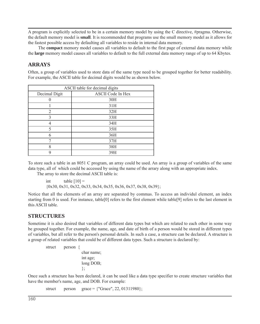A program is explicitly selected to be in a certain memory model by using the C directive, #pragma. Otherwise, the default memory model is **small**. It is recommended that programs use the small memory model as it allows for the fastest possible access by defaulting all variables to reside in internal data memory.

 The **compact** memory model causes all variables to default to the first page of external data memory while the **large** memory model causes all variables to default to the full external data memory range of up to 64 Kbytes.

## **ARRAYS**

Often, a group of variables used to store data of the same type need to be grouped together for better readability. For example, the ASCII table for decimal digits would be as shown below.

| ASCII table for decimal digits |                          |  |
|--------------------------------|--------------------------|--|
| Decimal Digit                  | <b>ASCII</b> Code In Hex |  |
|                                | 30H                      |  |
|                                | 31H                      |  |
| $\overline{c}$                 | 32H                      |  |
| 3                              | 33H                      |  |
|                                | 34H                      |  |
| 5                              | 35H                      |  |
| 6                              | 36H                      |  |
|                                | 37H                      |  |
| 8                              | 38H                      |  |
| a                              | 39H                      |  |

To store such a table in an 8051 C program, an array could be used. An array is a group of variables of the same data type, all of which could be accessed by using the name of the arrary along with an appropriate index.

The array to store the decimal ASCII table is:

int table  $[10] =$ {0x30, 0x31, 0x32, 0x33, 0x34, 0x35, 0x36, 0x37, 0x38, 0x39};

Notice that all the elements of an array are separated by commas. To access an individul element, an index starting from 0 is used. For instance, table[0] refers to the first element while table[9] refers to the last element in this ASCII table.

## **STRUCTURES**

Sometime it is also desired that variables of different data types but which are related to each other in some way be grouped together. For example, the name, age, and date of birth of a person would be stored in different types of variables, but all refer to the person's personal details. In such a case, a structure can be declared. A structure is a group of related variables that could be of different data types. Such a structure is declared by:

 struct person { char name; int age; long DOB; };

Once such a structure has been declared, it can be used like a data type specifier to create structure variables that have the member's name, age, and DOB. For example:

```
struct person grace = {``Grace", 22, 01311980};
```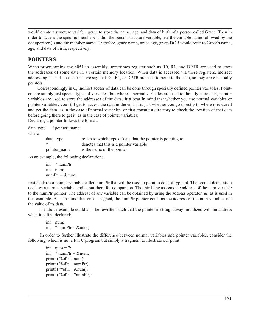would create a structure variable grace to store the name, age, and data of birth of a person called Grace. Then in order to access the specific members within the person structure variable, use the variable name followed by the dot operator (.) and the member name. Therefore, grace.name, grace.age, grace.DOB would refer to Grace's name, age, and data of birth, respectively.

## **POINTERS**

When programming the 8051 in assembly, sometimes register such as R0, R1, and DPTR are used to store the addresses of some data in a certain memory location. When data is accessed via these registers, indirect addressing is used. In this case, we say that R0, R1, or DPTR are used to point to the data, so they are essentially pointers.

 Correspondingly in C, indirect access of data can be done through specially defined pointer variables. Pointers are simply just special types of variables, but whereas normal variables are used to directly store data, pointer variables are used to store the addresses of the data. Just bear in mind that whether you use normal variables or pointer variables, you still get to access the data in the end. It is just whether you go directly to where it is stored and get the data, as in the case of normal variables, or first consult a directory to check the location of that data before going there to get it, as in the case of pointer variables.

Declaring a pointer follows the format:

| data type<br>where | *pointer name: |                                                                                                         |
|--------------------|----------------|---------------------------------------------------------------------------------------------------------|
|                    | data type      | refers to which type of data that the pointer is pointing to<br>denotes that this is a pointer variable |
|                    | pointer name   | is the name of the pointer                                                                              |

As an example, the following declarations:

```
 int * numPtr
 int num;
numPtr = &num:
```
first declares a pointer variable called numPtr that will be used to point to data of type int. The second declaration declares a normal variable and is put there for comparison. The third line assigns the address of the num variable to the numPtr pointer. The address of any variable can be obtained by using the address operator, &, as is used in this example. Bear in mind that once assigned, the numPtr pointer contains the address of the num variable, not the value of its data.

 The above example could also be rewritten such that the pointer is straightaway initialized with an address when it is first declared:

 int num; int  $*$  numPtr =  $&$ num:

 In order to further illustrate the difference between normal variables and pointer variables, consider the following, which is not a full C program but simply a fragment to illustrate our point:

int num  $= 7$ ; int  $*$  numPtr = & num; printf ("% $d\n\cdot n$ ", num); printf ("%d\n", numPtr); printf ("%d\n", &num); printf ("%d\n", \*numPtr);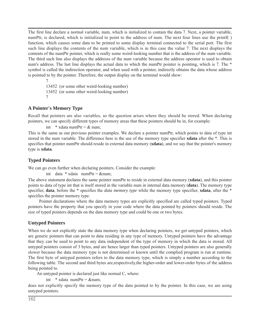The first line declare a normal variable, num, which is initialized to contain the data 7. Next, a pointer variable, numPtr, is declared, which is initialized to point to the address of num. The next four lines use the printf( ) function, which causes some data to be printed to some display terminal connected to the serial port. The first such line displays the contents of the num variable, which is in this case the value 7. The next displays the contents of the numPtr pointer, which is really some weird-looking number that is the address of the num variable. The third such line also displays the addresss of the num variable because the address operator is used to obtain num's address. The last line displays the actual data to which the numPtr pointer is pointing, which is 7. The \* symbol is called the indirection operator, and when used with a pointer, indirectly obtains the data whose address is pointed to by the pointer. Therefore, the output display on the terminal would show:

 7 13452 (or some other weird-looking number) 13452 (or some other weird-looking number) 7

## **A Pointer's Memory Type**

Recall that pointers are also variables, so the question arises where they should be stored. When declaring pointers, we can specify different types of memory areas that these pointers should be in, for example:

```
int * xdata numPtr = & num;
```
This is the same as our previous pointer examples. We declare a pointer numPtr, which points to data of type int stored in the num variable. The difference here is the use of the memory type specifier **xdata** after the \*. This is specifies that pointer numPtr should reside in external data memory (**xdata**), and we say that the pointer's memory type is **xdata**.

### **Typed Pointers**

We can go even further when declaring pointers. Consider the example:

```
int data * xdata numPtr = \&num:
```
The above statement declares the same pointer numPtr to reside in external data memory (**xdata**), and this pointer points to data of type int that is itself stored in the variable num in internal data memory (**data**). The memory type specifier, **data**, before the \* specifies the *data memory type* while the memory type specifier, **xdata**, after the \* specifies the pointer memory type.

 Pointer declarations where the data memory types are explicitly specified are called typed pointers. Typed pointers have the property that you specify in your code where the data pointed by pointers should reside. The size of typed pointers depends on the data memory type and could be one or two bytes.

### **Untyped Pointers**

When we do not explicitly state the data memory type when declaring pointers, we get untyped pointers, which are generic pointers that can point to data residing in any type of memory. Untyped pointers have the advantage that they can be used to point to any data independent of the type of memory in which the data is stored. All untyped pointers consist of 3 bytes, and are hence larger than typed pointers. Untyped pointers are also generally slower because the data memory type is not determined or known until the complied program is run at runtime. The first byte of untyped pointers refers to the data memory type, which is simply a number according to the following table. The second and third bytes are,respectively,the higher-order and lower-order bytes of the address being pointed to.

An untyped pointer is declared just like normal C, where:

int  $*$  xdata numPtr = #

does not explicitly specify the memory type of the data pointed to by the pointer. In this case, we are using untyped pointers.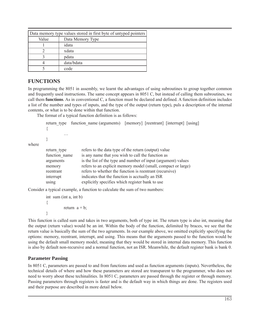| Data memory type values stored in first byte of untyped pointers |                  |  |
|------------------------------------------------------------------|------------------|--|
| Value                                                            | Data Memory Type |  |
|                                                                  | idata            |  |
|                                                                  | xdata            |  |
|                                                                  | pdata            |  |
|                                                                  | data/bdata       |  |
|                                                                  | code             |  |

## **FUNCTIONS**

In programming the 8051 in assembly, we learnt the advantages of using subroutines to group together common and frequently used instructions. The same concept appears in 8051 C, but instead of calling them subroutines, we call them **functions**. As in conventional C, a function must be declared and defined. A function definition includes a list of the number and types of inputs, and the type of the output (return type), puls a description of the internal contents, or what is to be done within that function.

The format of a typical function definition is as follows:

```
return type function name (arguments) [memory] [reentrant] [interrupt] [using]
 {
 …
 }
```
where

| return type   | refers to the data type of the return (output) value          |
|---------------|---------------------------------------------------------------|
| function name | is any name that you wish to call the function as             |
| arguments     | is the list of the type and number of input (argument) values |
| memory        | refers to an explicit memory model (small, compact or large)  |
| reentrant     | refers to whether the function is reentrant (recursive)       |
| interrupt     | indicates that the function is acctually an ISR               |
| using         | explicitly specifies which register bank to use               |
|               |                                                               |

Consider a typical example, a function to calculate the sum of two numbers:

```
 int sum (int a, int b)
 {
              return a + b;
 }
```
This function is called sum and takes in two arguments, both of type int. The return type is also int, meaning that the output (return value) would be an int. Within the body of the function, delimited by braces, we see that the return value is basically the sum of the two agruments. In our example above, we omitted explicitly specifying the options: memory, reentrant, interrupt, and using. This means that the arguments passed to the function would be using the default small memory model, meaning that they would be stored in internal data memory. This function is also by default non-recursive and a normal function, not an ISR. Meanwhile, the default register bank is bank 0.

## **Parameter Passing**

In 8051 C, parameters are passed to and from functions and used as function arguments (inputs). Nevertheless, the technical details of where and how these parameters are stored are transparent to the programmer, who does not need to worry about these techinalities. In 8051 C, parameters are passed through the register or through memory. Passing parameters through registers is faster and is the default way in which things are done. The registers used and their purpose are described in more detail below.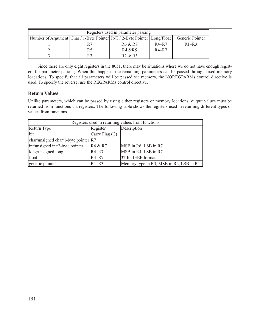| Registers used in parameter passing                                      |  |                                 |         |         |  |  |  |  |  |  |  |
|--------------------------------------------------------------------------|--|---------------------------------|---------|---------|--|--|--|--|--|--|--|
| Number of Argument Char / 1-Byte Pointer INT / 2-Byte Pointer Long/Float |  | Generic Pointer                 |         |         |  |  |  |  |  |  |  |
|                                                                          |  | R6 & R7                         | $R4-R7$ | $R1-R3$ |  |  |  |  |  |  |  |
|                                                                          |  | R4 &R5                          | $R4-R7$ |         |  |  |  |  |  |  |  |
|                                                                          |  | R <sub>2</sub> & R <sub>3</sub> |         |         |  |  |  |  |  |  |  |

 Since there are only eight registers in the 8051, there may be situations where we do not have enough registers for parameter passing. When this happens, the remaining parameters can be passed through fixed memory loacations. To specify that all parameters will be passed via memory, the NOREGPARMs control directive is used. To specify the reverse, use the REGPARMs control directive.

### **Return Values**

Unlike parameters, which can be passed by using either registers or memory locations, output values must be returned from functions via registers. The following table shows the registers used in returning different types of values from functions.

| Registers used in returning values from functions     |                                 |                                         |  |  |  |  |  |  |  |
|-------------------------------------------------------|---------------------------------|-----------------------------------------|--|--|--|--|--|--|--|
| Return Type                                           | Register                        | Description                             |  |  |  |  |  |  |  |
| bit                                                   | Carry Flag $(C)$                |                                         |  |  |  |  |  |  |  |
| char/unsigned char/1-byte pointer $\left  R7 \right $ |                                 |                                         |  |  |  |  |  |  |  |
| int/unsigned int/2-byte pointer                       | R <sub>6</sub> & R <sub>7</sub> | MSB in R6, LSB in R7                    |  |  |  |  |  |  |  |
| long/unsigned long                                    | $R4-R7$                         | MSB in R4, LSB in R7                    |  |  |  |  |  |  |  |
| float                                                 | $R4-R7$                         | 32-bit IEEE format                      |  |  |  |  |  |  |  |
| generic pointer                                       | $R1-R3$                         | Memory type in R3, MSB in R2, LSB in R1 |  |  |  |  |  |  |  |